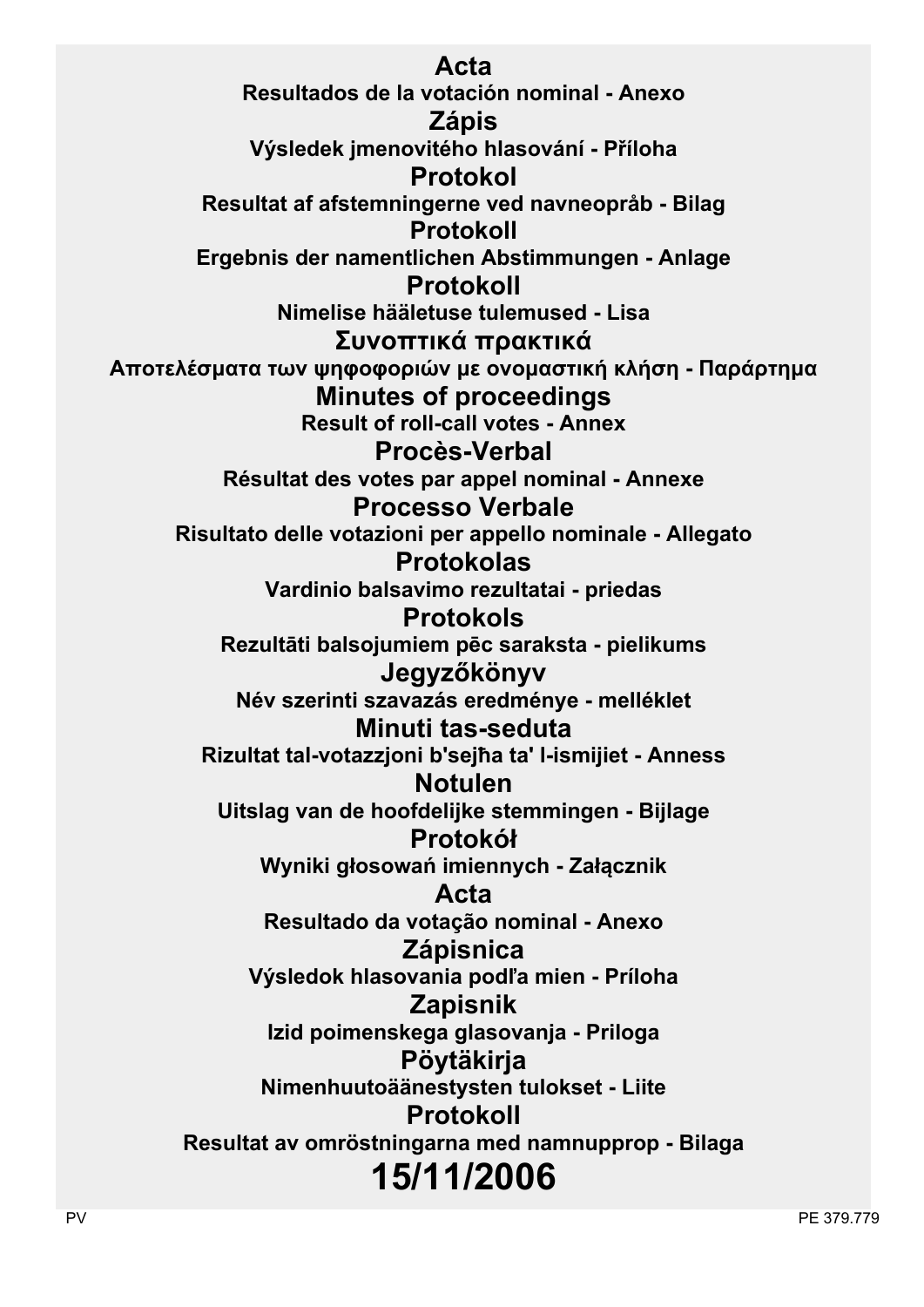**Acta Resultados de la votación nominal - Anexo Zápis Výsledek jmenovitého hlasování - Příloha Protokol Resultat af afstemningerne ved navneopråb - Bilag Protokoll Ergebnis der namentlichen Abstimmungen - Anlage Protokoll Nimelise hääletuse tulemused - Lisa Συvoπτικά πρακτικά Απoτελέσματα τωv ψηφoφoριώv με ovoμαστική κλήση - Παράρτημα Minutes of proceedings Result of roll-call votes - Annex Procès-Verbal Résultat des votes par appel nominal - Annexe Processo Verbale Risultato delle votazioni per appello nominale - Allegato Protokolas Vardinio balsavimo rezultatai - priedas Protokols Rezultāti balsojumiem pēc saraksta - pielikums Jegyzőkönyv Név szerinti szavazás eredménye - melléklet Minuti tas-seduta Rizultat tal-votazzjoni b'sejħa ta' l-ismijiet - Anness Notulen Uitslag van de hoofdelijke stemmingen - Bijlage Protokół Wyniki głosowań imiennych - Załącznik Acta Resultado da votação nominal - Anexo Zápisnica Výsledok hlasovania podľa mien - Príloha Zapisnik Izid poimenskega glasovanja - Priloga Pöytäkirja Nimenhuutoäänestysten tulokset - Liite Protokoll Resultat av omröstningarna med namnupprop - Bilaga 15/11/2006**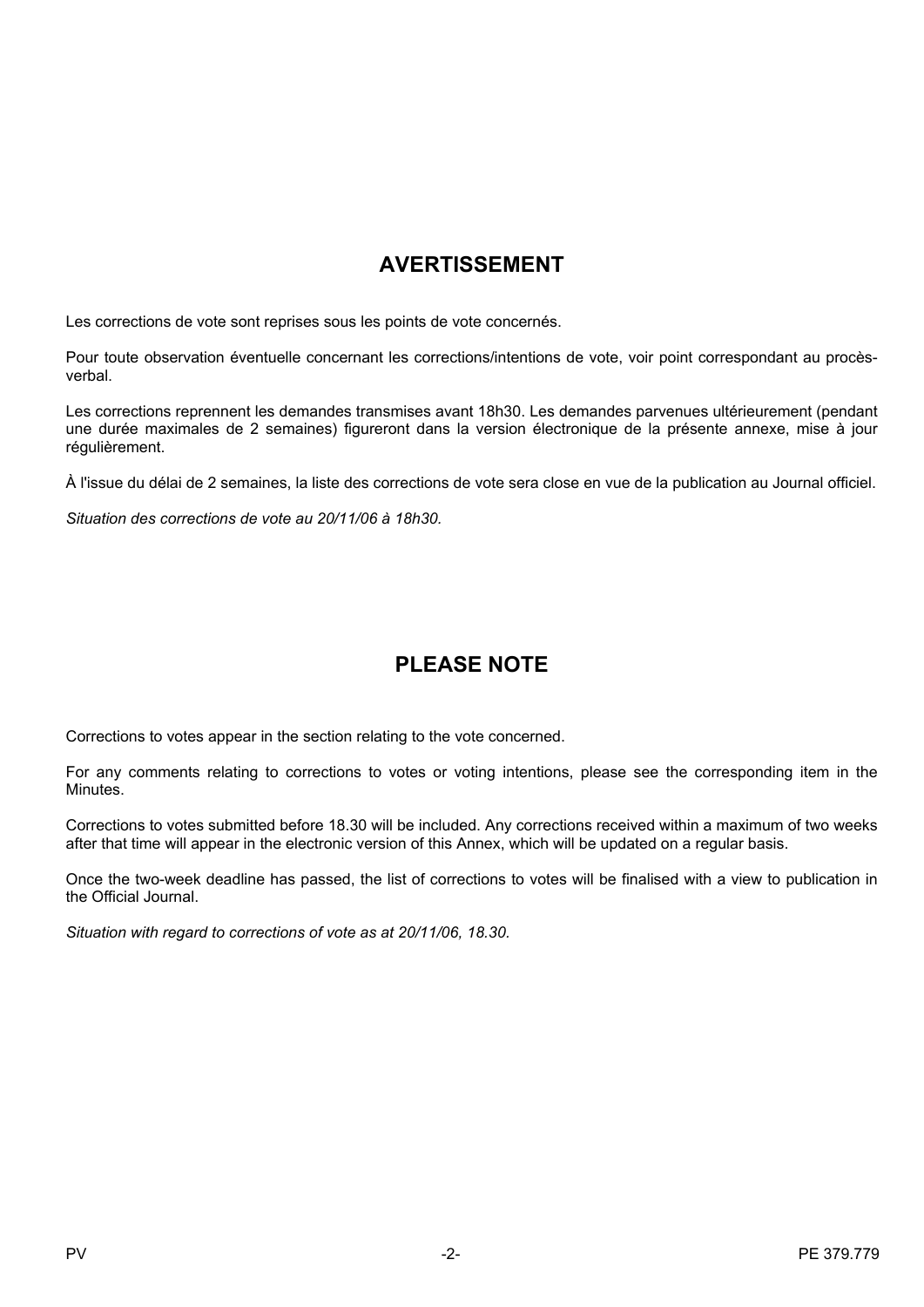# **AVERTISSEMENT**

Les corrections de vote sont reprises sous les points de vote concernés.

Pour toute observation éventuelle concernant les corrections/intentions de vote, voir point correspondant au procèsverbal.

Les corrections reprennent les demandes transmises avant 18h30. Les demandes parvenues ultérieurement (pendant une durée maximales de 2 semaines) figureront dans la version électronique de la présente annexe, mise à jour régulièrement.

À l'issue du délai de 2 semaines, la liste des corrections de vote sera close en vue de la publication au Journal officiel.

*Situation des corrections de vote au 20/11/06 à 18h30.*

# **PLEASE NOTE**

Corrections to votes appear in the section relating to the vote concerned.

For any comments relating to corrections to votes or voting intentions, please see the corresponding item in the Minutes.

Corrections to votes submitted before 18.30 will be included. Any corrections received within a maximum of two weeks after that time will appear in the electronic version of this Annex, which will be updated on a regular basis.

Once the two-week deadline has passed, the list of corrections to votes will be finalised with a view to publication in the Official Journal.

*Situation with regard to corrections of vote as at 20/11/06, 18.30.*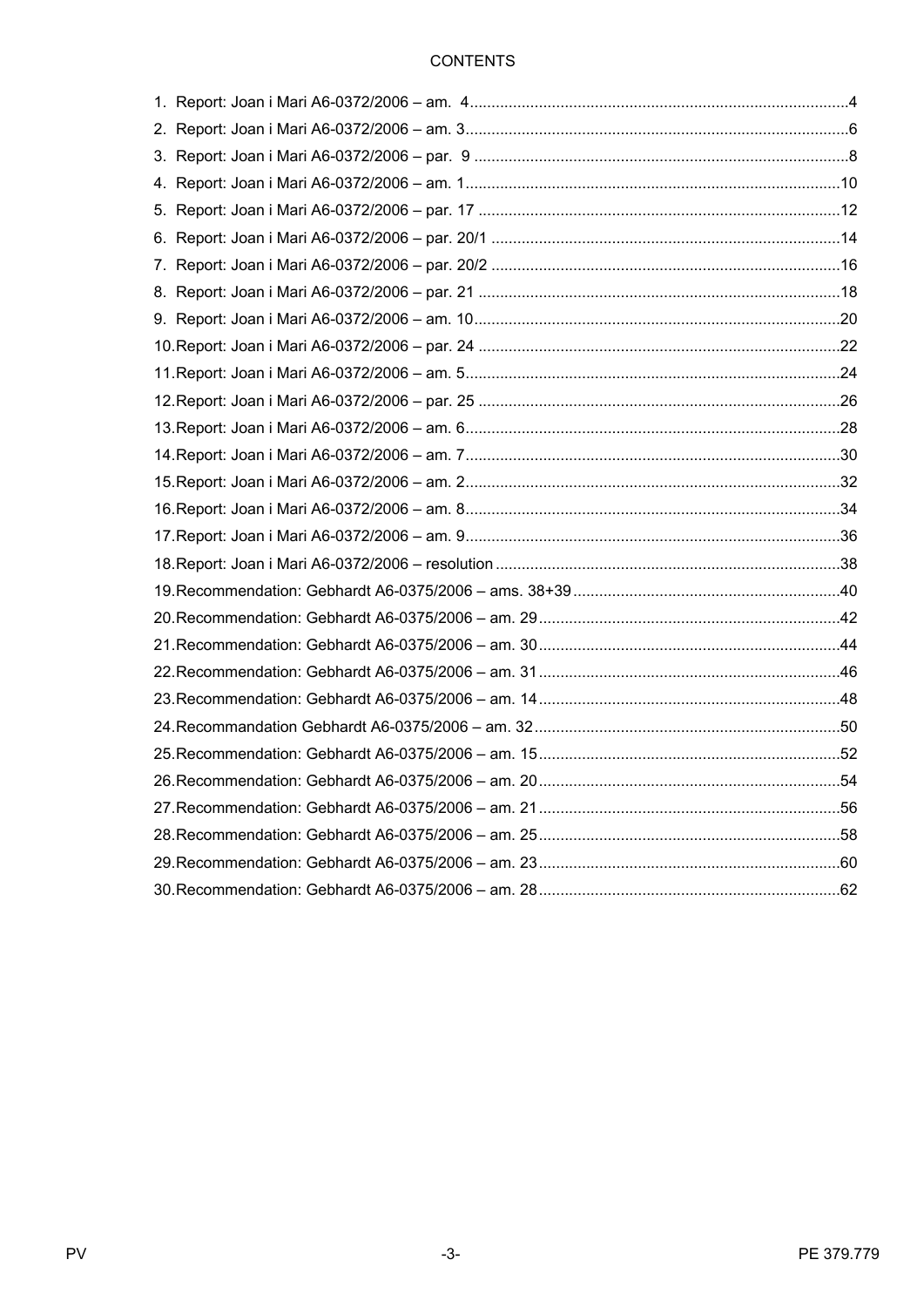# **CONTENTS**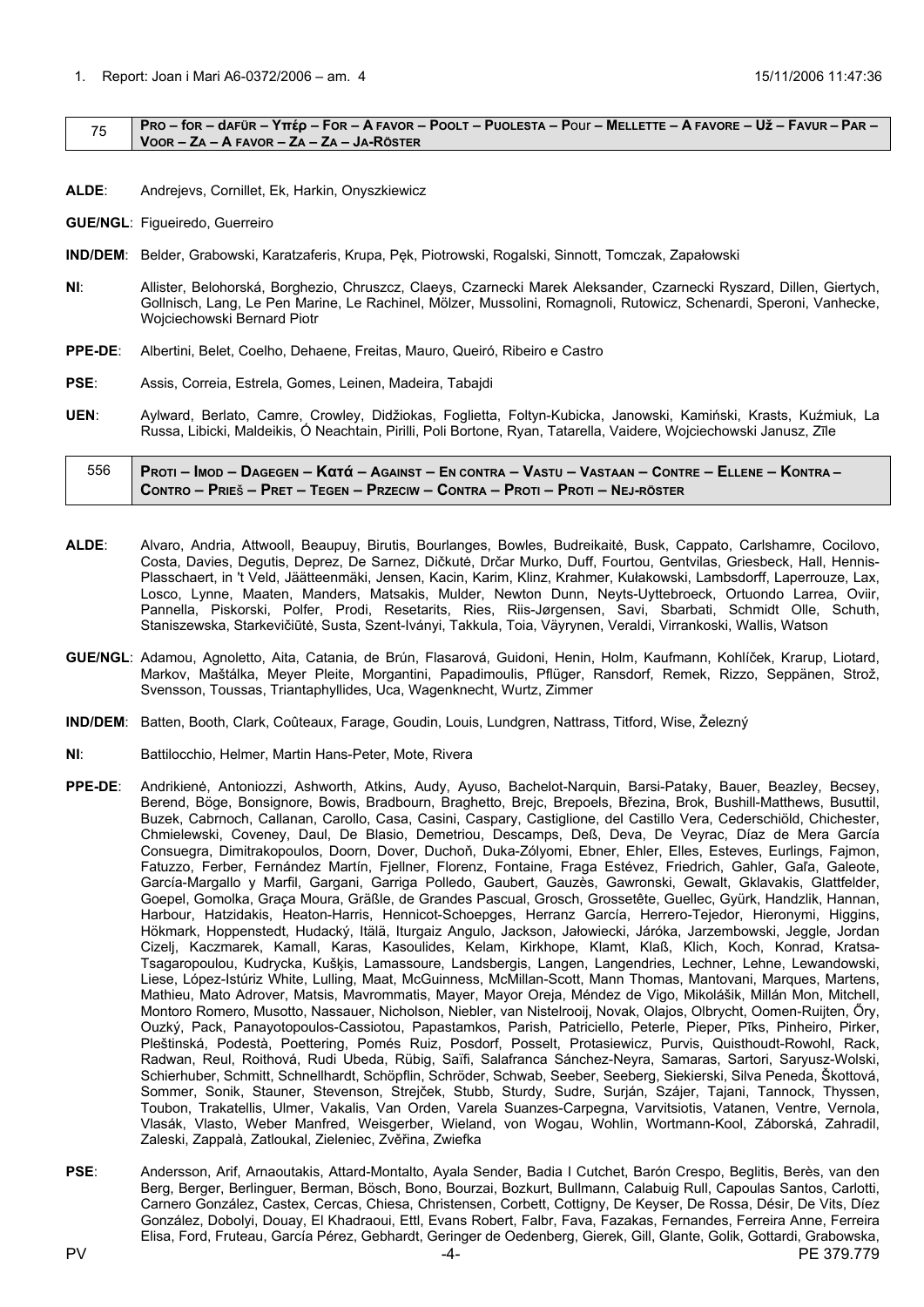#### <span id="page-3-0"></span>75 PRO – for – dafür – Υπέρ – For – A FAVOR – POOLT – PUOLESTA – POUI – MELLETTE – A FAVORE – Už – FAVUR – PAR – **VOOR – ZA – A FAVOR – ZA – ZA – JA-RÖSTER**

**ALDE**: Andrejevs, Cornillet, Ek, Harkin, Onyszkiewicz

**GUE/NGL**: Figueiredo, Guerreiro

- **IND/DEM**: Belder, Grabowski, Karatzaferis, Krupa, Pęk, Piotrowski, Rogalski, Sinnott, Tomczak, Zapałowski
- **NI**: Allister, Belohorská, Borghezio, Chruszcz, Claeys, Czarnecki Marek Aleksander, Czarnecki Ryszard, Dillen, Giertych, Gollnisch, Lang, Le Pen Marine, Le Rachinel, Mölzer, Mussolini, Romagnoli, Rutowicz, Schenardi, Speroni, Vanhecke, Wojciechowski Bernard Piotr
- **PPE-DE**: Albertini, Belet, Coelho, Dehaene, Freitas, Mauro, Queiró, Ribeiro e Castro
- **PSE**: Assis, Correia, Estrela, Gomes, Leinen, Madeira, Tabajdi
- **UEN**: Aylward, Berlato, Camre, Crowley, Didžiokas, Foglietta, Foltyn-Kubicka, Janowski, Kamiński, Krasts, Kuźmiuk, La Russa, Libicki, Maldeikis, Ó Neachtain, Pirilli, Poli Bortone, Ryan, Tatarella, Vaidere, Wojciechowski Janusz, Zīle

## 556 | Proti – Imod – Dagegen – Κατά – Against – En contra – Vastu – Vastaan – Contre – Ellene – Kontra – CONTRO - PRIEŠ - PRET - TEGEN - PRZECIW - CONTRA - PROTI - PROTI - NEJ-RÖSTER

- **ALDE**: Alvaro, Andria, Attwooll, Beaupuy, Birutis, Bourlanges, Bowles, Budreikaitė, Busk, Cappato, Carlshamre, Cocilovo, Costa, Davies, Degutis, Deprez, De Sarnez, Dičkutė, Drčar Murko, Duff, Fourtou, Gentvilas, Griesbeck, Hall, Hennis-Plasschaert, in 't Veld, Jäätteenmäki, Jensen, Kacin, Karim, Klinz, Krahmer, Kułakowski, Lambsdorff, Laperrouze, Lax, Losco, Lynne, Maaten, Manders, Matsakis, Mulder, Newton Dunn, Neyts-Uyttebroeck, Ortuondo Larrea, Oviir, Pannella, Piskorski, Polfer, Prodi, Resetarits, Ries, Riis-Jørgensen, Savi, Sbarbati, Schmidt Olle, Schuth, Staniszewska, Starkevičiūtė, Susta, Szent-Iványi, Takkula, Toia, Väyrynen, Veraldi, Virrankoski, Wallis, Watson
- **GUE/NGL**: Adamou, Agnoletto, Aita, Catania, de Brún, Flasarová, Guidoni, Henin, Holm, Kaufmann, Kohlíček, Krarup, Liotard, Markov, Maštálka, Meyer Pleite, Morgantini, Papadimoulis, Pflüger, Ransdorf, Remek, Rizzo, Seppänen, Strož, Svensson, Toussas, Triantaphyllides, Uca, Wagenknecht, Wurtz, Zimmer
- **IND/DEM**: Batten, Booth, Clark, Coûteaux, Farage, Goudin, Louis, Lundgren, Nattrass, Titford, Wise, Železný
- **NI**: Battilocchio, Helmer, Martin Hans-Peter, Mote, Rivera
- **PPE-DE**: Andrikienė, Antoniozzi, Ashworth, Atkins, Audy, Ayuso, Bachelot-Narquin, Barsi-Pataky, Bauer, Beazley, Becsey, Berend, Böge, Bonsignore, Bowis, Bradbourn, Braghetto, Brejc, Brepoels, Březina, Brok, Bushill-Matthews, Busuttil, Buzek, Cabrnoch, Callanan, Carollo, Casa, Casini, Caspary, Castiglione, del Castillo Vera, Cederschiöld, Chichester, Chmielewski, Coveney, Daul, De Blasio, Demetriou, Descamps, Deß, Deva, De Veyrac, Díaz de Mera García Consuegra, Dimitrakopoulos, Doorn, Dover, Duchoň, Duka-Zólyomi, Ebner, Ehler, Elles, Esteves, Eurlings, Fajmon, Fatuzzo, Ferber, Fernández Martín, Fjellner, Florenz, Fontaine, Fraga Estévez, Friedrich, Gahler, Gaľa, Galeote, García-Margallo y Marfil, Gargani, Garriga Polledo, Gaubert, Gauzès, Gawronski, Gewalt, Gklavakis, Glattfelder, Goepel, Gomolka, Graça Moura, Gräßle, de Grandes Pascual, Grosch, Grossetête, Guellec, Gyürk, Handzlik, Hannan, Harbour, Hatzidakis, Heaton-Harris, Hennicot-Schoepges, Herranz García, Herrero-Tejedor, Hieronymi, Higgins, Hökmark, Hoppenstedt, Hudacký, Itälä, Iturgaiz Angulo, Jackson, Jałowiecki, Járóka, Jarzembowski, Jeggle, Jordan Cizelj, Kaczmarek, Kamall, Karas, Kasoulides, Kelam, Kirkhope, Klamt, Klaß, Klich, Koch, Konrad, Kratsa-Tsagaropoulou, Kudrycka, Kušķis, Lamassoure, Landsbergis, Langen, Langendries, Lechner, Lehne, Lewandowski, Liese, López-Istúriz White, Lulling, Maat, McGuinness, McMillan-Scott, Mann Thomas, Mantovani, Marques, Martens, Mathieu, Mato Adrover, Matsis, Mavrommatis, Mayer, Mayor Oreja, Méndez de Vigo, Mikolášik, Millán Mon, Mitchell, Montoro Romero, Musotto, Nassauer, Nicholson, Niebler, van Nistelrooij, Novak, Olajos, Olbrycht, Oomen-Ruijten, Őry, Ouzký, Pack, Panayotopoulos-Cassiotou, Papastamkos, Parish, Patriciello, Peterle, Pieper, Pīks, Pinheiro, Pirker, Pleštinská, Podestà, Poettering, Pomés Ruiz, Posdorf, Posselt, Protasiewicz, Purvis, Quisthoudt-Rowohl, Rack, Radwan, Reul, Roithová, Rudi Ubeda, Rübig, Saïfi, Salafranca Sánchez-Neyra, Samaras, Sartori, Saryusz-Wolski, Schierhuber, Schmitt, Schnellhardt, Schöpflin, Schröder, Schwab, Seeber, Seeberg, Siekierski, Silva Peneda, Škottová, Sommer, Sonik, Stauner, Stevenson, Strejček, Stubb, Sturdy, Sudre, Surján, Szájer, Tajani, Tannock, Thyssen, Toubon, Trakatellis, Ulmer, Vakalis, Van Orden, Varela Suanzes-Carpegna, Varvitsiotis, Vatanen, Ventre, Vernola, Vlasák, Vlasto, Weber Manfred, Weisgerber, Wieland, von Wogau, Wohlin, Wortmann-Kool, Záborská, Zahradil, Zaleski, Zappalà, Zatloukal, Zieleniec, Zvěřina, Zwiefka
- **PSE**: Andersson, Arif, Arnaoutakis, Attard-Montalto, Ayala Sender, Badia I Cutchet, Barón Crespo, Beglitis, Berès, van den Berg, Berger, Berlinguer, Berman, Bösch, Bono, Bourzai, Bozkurt, Bullmann, Calabuig Rull, Capoulas Santos, Carlotti, Carnero González, Castex, Cercas, Chiesa, Christensen, Corbett, Cottigny, De Keyser, De Rossa, Désir, De Vits, Díez González, Dobolyi, Douay, El Khadraoui, Ettl, Evans Robert, Falbr, Fava, Fazakas, Fernandes, Ferreira Anne, Ferreira Elisa, Ford, Fruteau, García Pérez, Gebhardt, Geringer de Oedenberg, Gierek, Gill, Glante, Golik, Gottardi, Grabowska,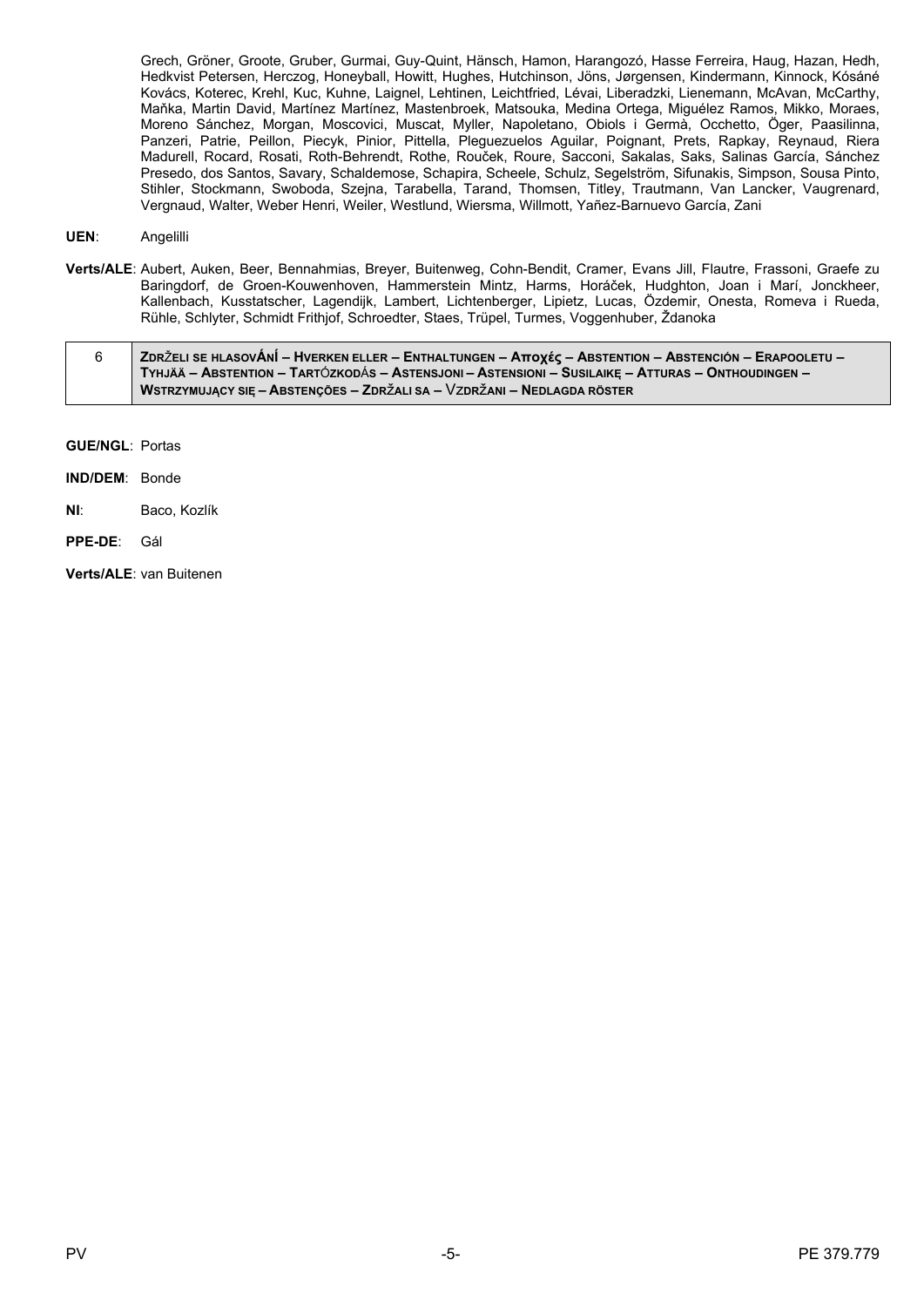Grech, Gröner, Groote, Gruber, Gurmai, Guy-Quint, Hänsch, Hamon, Harangozó, Hasse Ferreira, Haug, Hazan, Hedh, Hedkvist Petersen, Herczog, Honeyball, Howitt, Hughes, Hutchinson, Jöns, Jørgensen, Kindermann, Kinnock, Kósáné Kovács, Koterec, Krehl, Kuc, Kuhne, Laignel, Lehtinen, Leichtfried, Lévai, Liberadzki, Lienemann, McAvan, McCarthy, Maňka, Martin David, Martínez Martínez, Mastenbroek, Matsouka, Medina Ortega, Miguélez Ramos, Mikko, Moraes, Moreno Sánchez, Morgan, Moscovici, Muscat, Myller, Napoletano, Obiols i Germà, Occhetto, Öger, Paasilinna, Panzeri, Patrie, Peillon, Piecyk, Pinior, Pittella, Pleguezuelos Aguilar, Poignant, Prets, Rapkay, Reynaud, Riera Madurell, Rocard, Rosati, Roth-Behrendt, Rothe, Rouček, Roure, Sacconi, Sakalas, Saks, Salinas García, Sánchez Presedo, dos Santos, Savary, Schaldemose, Schapira, Scheele, Schulz, Segelström, Sifunakis, Simpson, Sousa Pinto, Stihler, Stockmann, Swoboda, Szejna, Tarabella, Tarand, Thomsen, Titley, Trautmann, Van Lancker, Vaugrenard, Vergnaud, Walter, Weber Henri, Weiler, Westlund, Wiersma, Willmott, Yañez-Barnuevo García, Zani

#### **UEN**: Angelilli

**Verts/ALE**: Aubert, Auken, Beer, Bennahmias, Breyer, Buitenweg, Cohn-Bendit, Cramer, Evans Jill, Flautre, Frassoni, Graefe zu Baringdorf, de Groen-Kouwenhoven, Hammerstein Mintz, Harms, Horáček, Hudghton, Joan i Marí, Jonckheer, Kallenbach, Kusstatscher, Lagendijk, Lambert, Lichtenberger, Lipietz, Lucas, Özdemir, Onesta, Romeva i Rueda, Rühle, Schlyter, Schmidt Frithjof, Schroedter, Staes, Trüpel, Turmes, Voggenhuber, Ždanoka

| ∣ ZDRŽELI SE HLASOVÁNÍ – HVERKEN ELLER – ENTHALTUNGEN – Αποχές – ABSTENTION – ABSTENCIÓN – ERAPOOLETU – ∕ |
|-----------------------------------------------------------------------------------------------------------|
| TYHJÄÄ – ABSTENTION – TARTÓZKODÁS – ASTENSJONI – ASTENSIONI – SUSILAIKE – ATTURAS – ONTHOUDINGEN –        |
| WSTRZYMUJĄCY SIĘ – ABSTENÇÕES – ZDRŽALI SA – VZDRŽANI – NEDLAGDA RÖSTER                                   |

**GUE/NGL**: Portas

**IND/DEM**: Bonde

**NI**: Baco, Kozlík

**PPE-DE**: Gál

**Verts/ALE**: van Buitenen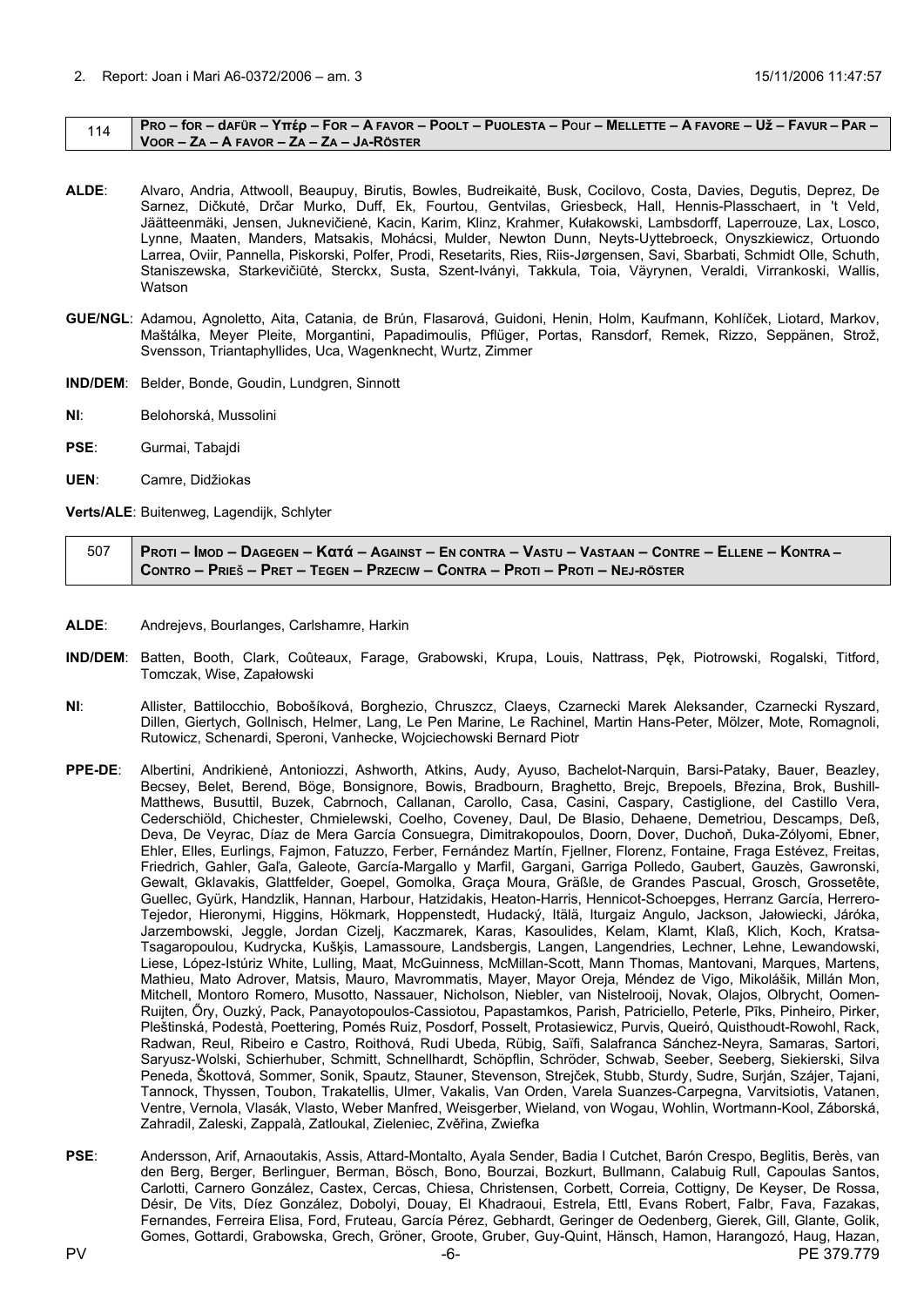#### <span id="page-5-0"></span>114 | PRO – for – dafür – Yttép – For – A Favor – Poolt – Puolesta – Pour – Mellette – A Favore – Už – Favur – Par – **VOOR – ZA – A FAVOR – ZA – ZA – JA-RÖSTER**

- **ALDE**: Alvaro, Andria, Attwooll, Beaupuy, Birutis, Bowles, Budreikaitė, Busk, Cocilovo, Costa, Davies, Degutis, Deprez, De Sarnez, Dičkutė, Drčar Murko, Duff, Ek, Fourtou, Gentvilas, Griesbeck, Hall, Hennis-Plasschaert, in 't Veld, Jäätteenmäki, Jensen, Juknevičienė, Kacin, Karim, Klinz, Krahmer, Kułakowski, Lambsdorff, Laperrouze, Lax, Losco, Lynne, Maaten, Manders, Matsakis, Mohácsi, Mulder, Newton Dunn, Neyts-Uyttebroeck, Onyszkiewicz, Ortuondo Larrea, Oviir, Pannella, Piskorski, Polfer, Prodi, Resetarits, Ries, Riis-Jørgensen, Savi, Sbarbati, Schmidt Olle, Schuth, Staniszewska, Starkevičiūtė, Sterckx, Susta, Szent-Iványi, Takkula, Toia, Väyrynen, Veraldi, Virrankoski, Wallis, Watson
- **GUE/NGL**: Adamou, Agnoletto, Aita, Catania, de Brún, Flasarová, Guidoni, Henin, Holm, Kaufmann, Kohlíček, Liotard, Markov, Maštálka, Meyer Pleite, Morgantini, Papadimoulis, Pflüger, Portas, Ransdorf, Remek, Rizzo, Seppänen, Strož, Svensson, Triantaphyllides, Uca, Wagenknecht, Wurtz, Zimmer
- **IND/DEM**: Belder, Bonde, Goudin, Lundgren, Sinnott
- **NI**: Belohorská, Mussolini
- **PSE**: Gurmai, Tabajdi
- **UEN**: Camre, Didžiokas

**Verts/ALE**: Buitenweg, Lagendijk, Schlyter

507 | PROTI – IMOD – DAGEGEN – Κατά – AGAINST – EN CONTRA – VASTU – VASTAAN – CONTRE – ELLENE – KONTRA – CONTRO – PRIEŠ – PRET – TEGEN – PRZECIW – CONTRA – PROTI – PROTI – NEJ-RÖSTER

- **ALDE**: Andrejevs, Bourlanges, Carlshamre, Harkin
- **IND/DEM**: Batten, Booth, Clark, Coûteaux, Farage, Grabowski, Krupa, Louis, Nattrass, Pęk, Piotrowski, Rogalski, Titford, Tomczak, Wise, Zapałowski
- **NI**: Allister, Battilocchio, Bobošíková, Borghezio, Chruszcz, Claeys, Czarnecki Marek Aleksander, Czarnecki Ryszard, Dillen, Giertych, Gollnisch, Helmer, Lang, Le Pen Marine, Le Rachinel, Martin Hans-Peter, Mölzer, Mote, Romagnoli, Rutowicz, Schenardi, Speroni, Vanhecke, Wojciechowski Bernard Piotr
- **PPE-DE**: Albertini, Andrikienė, Antoniozzi, Ashworth, Atkins, Audy, Ayuso, Bachelot-Narquin, Barsi-Pataky, Bauer, Beazley, Becsey, Belet, Berend, Böge, Bonsignore, Bowis, Bradbourn, Braghetto, Brejc, Brepoels, Březina, Brok, Bushill-Matthews, Busuttil, Buzek, Cabrnoch, Callanan, Carollo, Casa, Casini, Caspary, Castiglione, del Castillo Vera, Cederschiöld, Chichester, Chmielewski, Coelho, Coveney, Daul, De Blasio, Dehaene, Demetriou, Descamps, Deß, Deva, De Veyrac, Díaz de Mera García Consuegra, Dimitrakopoulos, Doorn, Dover, Duchoň, Duka-Zólyomi, Ebner, Ehler, Elles, Eurlings, Fajmon, Fatuzzo, Ferber, Fernández Martín, Fjellner, Florenz, Fontaine, Fraga Estévez, Freitas, Friedrich, Gahler, Gaľa, Galeote, García-Margallo y Marfil, Gargani, Garriga Polledo, Gaubert, Gauzès, Gawronski, Gewalt, Gklavakis, Glattfelder, Goepel, Gomolka, Graça Moura, Gräßle, de Grandes Pascual, Grosch, Grossetête, Guellec, Gyürk, Handzlik, Hannan, Harbour, Hatzidakis, Heaton-Harris, Hennicot-Schoepges, Herranz García, Herrero-Tejedor, Hieronymi, Higgins, Hökmark, Hoppenstedt, Hudacký, Itälä, Iturgaiz Angulo, Jackson, Jałowiecki, Járóka, Jarzembowski, Jeggle, Jordan Cizelj, Kaczmarek, Karas, Kasoulides, Kelam, Klamt, Klaß, Klich, Koch, Kratsa-Tsagaropoulou, Kudrycka, Kušķis, Lamassoure, Landsbergis, Langen, Langendries, Lechner, Lehne, Lewandowski, Liese, López-Istúriz White, Lulling, Maat, McGuinness, McMillan-Scott, Mann Thomas, Mantovani, Marques, Martens, Mathieu, Mato Adrover, Matsis, Mauro, Mavrommatis, Mayer, Mayor Oreja, Méndez de Vigo, Mikolášik, Millán Mon, Mitchell, Montoro Romero, Musotto, Nassauer, Nicholson, Niebler, van Nistelrooij, Novak, Olajos, Olbrycht, Oomen-Ruijten, Őry, Ouzký, Pack, Panayotopoulos-Cassiotou, Papastamkos, Parish, Patriciello, Peterle, Pīks, Pinheiro, Pirker, Pleštinská, Podestà, Poettering, Pomés Ruiz, Posdorf, Posselt, Protasiewicz, Purvis, Queiró, Quisthoudt-Rowohl, Rack, Radwan, Reul, Ribeiro e Castro, Roithová, Rudi Ubeda, Rübig, Saïfi, Salafranca Sánchez-Neyra, Samaras, Sartori, Saryusz-Wolski, Schierhuber, Schmitt, Schnellhardt, Schöpflin, Schröder, Schwab, Seeber, Seeberg, Siekierski, Silva Peneda, Škottová, Sommer, Sonik, Spautz, Stauner, Stevenson, Strejček, Stubb, Sturdy, Sudre, Surján, Szájer, Tajani, Tannock, Thyssen, Toubon, Trakatellis, Ulmer, Vakalis, Van Orden, Varela Suanzes-Carpegna, Varvitsiotis, Vatanen, Ventre, Vernola, Vlasák, Vlasto, Weber Manfred, Weisgerber, Wieland, von Wogau, Wohlin, Wortmann-Kool, Záborská, Zahradil, Zaleski, Zappalà, Zatloukal, Zieleniec, Zvěřina, Zwiefka
- PV -6- PE 379.779 **PSE**: Andersson, Arif, Arnaoutakis, Assis, Attard-Montalto, Ayala Sender, Badia I Cutchet, Barón Crespo, Beglitis, Berès, van den Berg, Berger, Berlinguer, Berman, Bösch, Bono, Bourzai, Bozkurt, Bullmann, Calabuig Rull, Capoulas Santos, Carlotti, Carnero González, Castex, Cercas, Chiesa, Christensen, Corbett, Correia, Cottigny, De Keyser, De Rossa, Désir, De Vits, Díez González, Dobolyi, Douay, El Khadraoui, Estrela, Ettl, Evans Robert, Falbr, Fava, Fazakas, Fernandes, Ferreira Elisa, Ford, Fruteau, García Pérez, Gebhardt, Geringer de Oedenberg, Gierek, Gill, Glante, Golik, Gomes, Gottardi, Grabowska, Grech, Gröner, Groote, Gruber, Guy-Quint, Hänsch, Hamon, Harangozó, Haug, Hazan,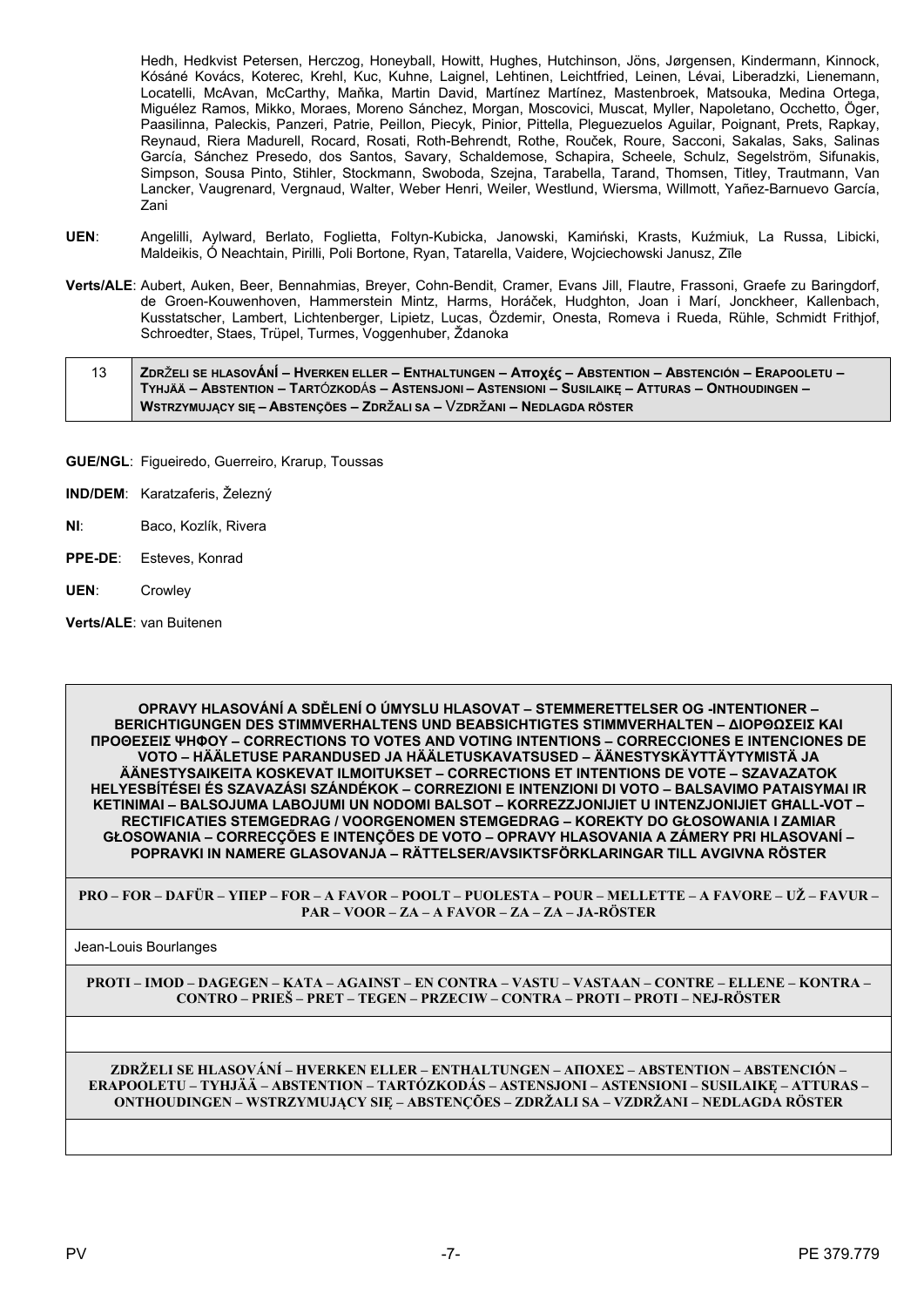Hedh, Hedkvist Petersen, Herczog, Honeyball, Howitt, Hughes, Hutchinson, Jöns, Jørgensen, Kindermann, Kinnock, Kósáné Kovács, Koterec, Krehl, Kuc, Kuhne, Laignel, Lehtinen, Leichtfried, Leinen, Lévai, Liberadzki, Lienemann, Locatelli, McAvan, McCarthy, Maňka, Martin David, Martínez Martínez, Mastenbroek, Matsouka, Medina Ortega, Miguélez Ramos, Mikko, Moraes, Moreno Sánchez, Morgan, Moscovici, Muscat, Myller, Napoletano, Occhetto, Öger, Paasilinna, Paleckis, Panzeri, Patrie, Peillon, Piecyk, Pinior, Pittella, Pleguezuelos Aguilar, Poignant, Prets, Rapkay, Reynaud, Riera Madurell, Rocard, Rosati, Roth-Behrendt, Rothe, Rouček, Roure, Sacconi, Sakalas, Saks, Salinas García, Sánchez Presedo, dos Santos, Savary, Schaldemose, Schapira, Scheele, Schulz, Segelström, Sifunakis, Simpson, Sousa Pinto, Stihler, Stockmann, Swoboda, Szejna, Tarabella, Tarand, Thomsen, Titley, Trautmann, Van Lancker, Vaugrenard, Vergnaud, Walter, Weber Henri, Weiler, Westlund, Wiersma, Willmott, Yañez-Barnuevo García, Zani

- **UEN**: Angelilli, Aylward, Berlato, Foglietta, Foltyn-Kubicka, Janowski, Kamiński, Krasts, Kuźmiuk, La Russa, Libicki, Maldeikis, Ó Neachtain, Pirilli, Poli Bortone, Ryan, Tatarella, Vaidere, Wojciechowski Janusz, Zīle
- **Verts/ALE**: Aubert, Auken, Beer, Bennahmias, Breyer, Cohn-Bendit, Cramer, Evans Jill, Flautre, Frassoni, Graefe zu Baringdorf, de Groen-Kouwenhoven, Hammerstein Mintz, Harms, Horáček, Hudghton, Joan i Marí, Jonckheer, Kallenbach, Kusstatscher, Lambert, Lichtenberger, Lipietz, Lucas, Özdemir, Onesta, Romeva i Rueda, Rühle, Schmidt Frithjof, Schroedter, Staes, Trüpel, Turmes, Voggenhuber, Ždanoka

| 13 | <b>ZDRŽELI SE HLASOVÁNÍ – HVERKEN ELLER – ENTHALTUNGEN – Αποχές – ABSTENTION – ABSTENCIÓN – ERAPOOLETU – /</b> |
|----|----------------------------------------------------------------------------------------------------------------|
|    | TYHJÄÄ – ABSTENTION – TARTÓZKODÁS – ASTENSJONI – ASTENSIONI – SUSILAIKE – ATTURAS – ONTHOUDINGEN –             |
|    | WSTRZYMUJĄCY SIĘ – ABSTENÇÕES – ZDRŽALI SA – VZDRŽANI – NEDLAGDA RÖSTER                                        |

- **GUE/NGL**: Figueiredo, Guerreiro, Krarup, Toussas
- **IND/DEM**: Karatzaferis, Železný
- **NI**: Baco, Kozlík, Rivera
- **PPE-DE**: Esteves, Konrad
- **UEN**: Crowley

**Verts/ALE**: van Buitenen

**OPRAVY HLASOVÁNÍ A SDĚLENÍ O ÚMYSLU HLASOVAT – STEMMERETTELSER OG -INTENTIONER – BERICHTIGUNGEN DES STIMMVERHALTENS UND BEABSICHTIGTES STIMMVERHALTEN – ΔΙΟΡΘΩΣΕΙΣ ΚΑΙ ΠΡΟΘΕΣΕΙΣ ΨΗΦΟΥ – CORRECTIONS TO VOTES AND VOTING INTENTIONS – CORRECCIONES E INTENCIONES DE VOTO – HÄÄLETUSE PARANDUSED JA HÄÄLETUSKAVATSUSED – ÄÄNESTYSKÄYTTÄYTYMISTÄ JA ÄÄNESTYSAIKEITA KOSKEVAT ILMOITUKSET – CORRECTIONS ET INTENTIONS DE VOTE – SZAVAZATOK HELYESBÍTÉSEI ÉS SZAVAZÁSI SZÁNDÉKOK – CORREZIONI E INTENZIONI DI VOTO – BALSAVIMO PATAISYMAI IR KETINIMAI – BALSOJUMA LABOJUMI UN NODOMI BALSOT – KORREZZJONIJIET U INTENZJONIJIET GĦALL-VOT – RECTIFICATIES STEMGEDRAG / VOORGENOMEN STEMGEDRAG – KOREKTY DO GŁOSOWANIA I ZAMIAR GŁOSOWANIA – CORRECÇÕES E INTENÇÕES DE VOTO – OPRAVY HLASOVANIA A ZÁMERY PRI HLASOVANÍ – POPRAVKI IN NAMERE GLASOVANJA – RÄTTELSER/AVSIKTSFÖRKLARINGAR TILL AVGIVNA RÖSTER**

**PRO – FOR – DAFÜR – ΥΠΕΡ – FOR – A FAVOR – POOLT – PUOLESTA – POUR – MELLETTE – A FAVORE – UŽ – FAVUR – PAR – VOOR – ZA – A FAVOR – ZA – ZA – JA-RÖSTER**

Jean-Louis Bourlanges

**PROTI – IMOD – DAGEGEN – ΚΑΤΑ – AGAINST – EN CONTRA – VASTU – VASTAAN – CONTRE – ELLENE – KONTRA – CONTRO – PRIEŠ – PRET – TEGEN – PRZECIW – CONTRA – PROTI – PROTI – NEJ-RÖSTER**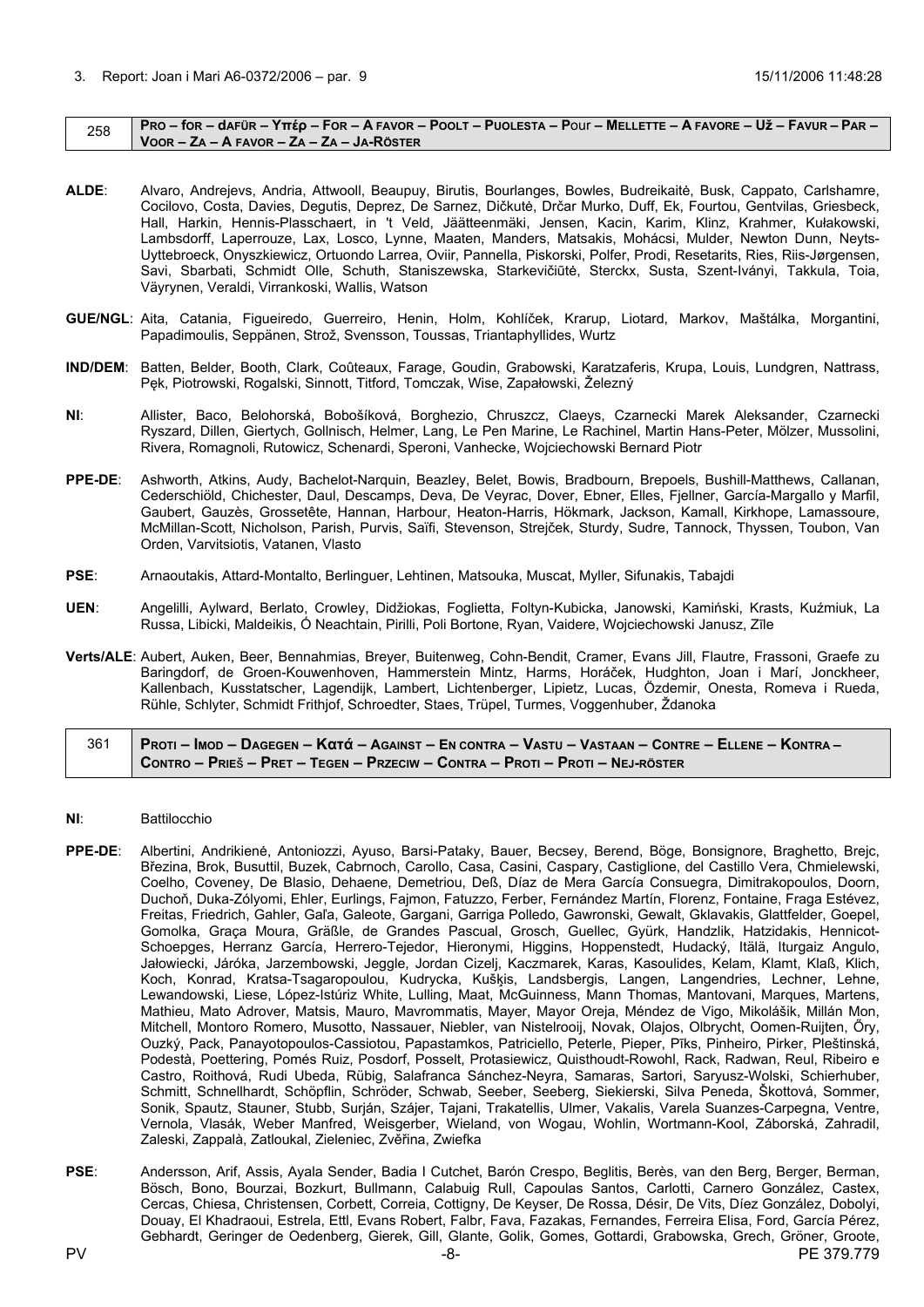#### <span id="page-7-0"></span> $258$  PRO – for – dafür – Υπέρ – For – A FAVOR – POOLT – PUOLESTA – POUI – MELLETTE – A FAVORE – Už – FAVUR – PAR – **VOOR – ZA – A FAVOR – ZA – ZA – JA-RÖSTER**

- **ALDE**: Alvaro, Andrejevs, Andria, Attwooll, Beaupuy, Birutis, Bourlanges, Bowles, Budreikaitė, Busk, Cappato, Carlshamre, Cocilovo, Costa, Davies, Degutis, Deprez, De Sarnez, Dičkutė, Drčar Murko, Duff, Ek, Fourtou, Gentvilas, Griesbeck, Hall, Harkin, Hennis-Plasschaert, in 't Veld, Jäätteenmäki, Jensen, Kacin, Karim, Klinz, Krahmer, Kułakowski, Lambsdorff, Laperrouze, Lax, Losco, Lynne, Maaten, Manders, Matsakis, Mohácsi, Mulder, Newton Dunn, Neyts-Uyttebroeck, Onyszkiewicz, Ortuondo Larrea, Oviir, Pannella, Piskorski, Polfer, Prodi, Resetarits, Ries, Riis-Jørgensen, Savi, Sbarbati, Schmidt Olle, Schuth, Staniszewska, Starkevičiūtė, Sterckx, Susta, Szent-Iványi, Takkula, Toia, Väyrynen, Veraldi, Virrankoski, Wallis, Watson
- **GUE/NGL**: Aita, Catania, Figueiredo, Guerreiro, Henin, Holm, Kohlíček, Krarup, Liotard, Markov, Maštálka, Morgantini, Papadimoulis, Seppänen, Strož, Svensson, Toussas, Triantaphyllides, Wurtz
- **IND/DEM**: Batten, Belder, Booth, Clark, Coûteaux, Farage, Goudin, Grabowski, Karatzaferis, Krupa, Louis, Lundgren, Nattrass, Pęk, Piotrowski, Rogalski, Sinnott, Titford, Tomczak, Wise, Zapałowski, Železný
- **NI**: Allister, Baco, Belohorská, Bobošíková, Borghezio, Chruszcz, Claeys, Czarnecki Marek Aleksander, Czarnecki Ryszard, Dillen, Giertych, Gollnisch, Helmer, Lang, Le Pen Marine, Le Rachinel, Martin Hans-Peter, Mölzer, Mussolini, Rivera, Romagnoli, Rutowicz, Schenardi, Speroni, Vanhecke, Wojciechowski Bernard Piotr
- **PPE-DE**: Ashworth, Atkins, Audy, Bachelot-Narquin, Beazley, Belet, Bowis, Bradbourn, Brepoels, Bushill-Matthews, Callanan, Cederschiöld, Chichester, Daul, Descamps, Deva, De Veyrac, Dover, Ebner, Elles, Fjellner, García-Margallo y Marfil, Gaubert, Gauzès, Grossetête, Hannan, Harbour, Heaton-Harris, Hökmark, Jackson, Kamall, Kirkhope, Lamassoure, McMillan-Scott, Nicholson, Parish, Purvis, Saïfi, Stevenson, Strejček, Sturdy, Sudre, Tannock, Thyssen, Toubon, Van Orden, Varvitsiotis, Vatanen, Vlasto
- **PSE**: Arnaoutakis, Attard-Montalto, Berlinguer, Lehtinen, Matsouka, Muscat, Myller, Sifunakis, Tabajdi
- **UEN**: Angelilli, Aylward, Berlato, Crowley, Didžiokas, Foglietta, Foltyn-Kubicka, Janowski, Kamiński, Krasts, Kuźmiuk, La Russa, Libicki, Maldeikis, Ó Neachtain, Pirilli, Poli Bortone, Ryan, Vaidere, Wojciechowski Janusz, Zīle
- **Verts/ALE**: Aubert, Auken, Beer, Bennahmias, Breyer, Buitenweg, Cohn-Bendit, Cramer, Evans Jill, Flautre, Frassoni, Graefe zu Baringdorf, de Groen-Kouwenhoven, Hammerstein Mintz, Harms, Horáček, Hudghton, Joan i Marí, Jonckheer, Kallenbach, Kusstatscher, Lagendijk, Lambert, Lichtenberger, Lipietz, Lucas, Özdemir, Onesta, Romeva i Rueda, Rühle, Schlyter, Schmidt Frithjof, Schroedter, Staes, Trüpel, Turmes, Voggenhuber, Ždanoka

# 361 | Proti – Imod – Dagegen – Κατά – Against – En contra – Vastu – Vastaan – Contre – Ellene – Kontra – CONTRO - PRIEŠ - PRET - TEGEN - PRZECIW - CONTRA - PROTI - PROTI - NEJ-RÖSTER

- **NI**: Battilocchio
- **PPE-DE**: Albertini, Andrikienė, Antoniozzi, Ayuso, Barsi-Pataky, Bauer, Becsey, Berend, Böge, Bonsignore, Braghetto, Brejc, Březina, Brok, Busuttil, Buzek, Cabrnoch, Carollo, Casa, Casini, Caspary, Castiglione, del Castillo Vera, Chmielewski, Coelho, Coveney, De Blasio, Dehaene, Demetriou, Deß, Díaz de Mera García Consuegra, Dimitrakopoulos, Doorn, Duchoň, Duka-Zólyomi, Ehler, Eurlings, Fajmon, Fatuzzo, Ferber, Fernández Martín, Florenz, Fontaine, Fraga Estévez, Freitas, Friedrich, Gahler, Gaľa, Galeote, Gargani, Garriga Polledo, Gawronski, Gewalt, Gklavakis, Glattfelder, Goepel, Gomolka, Graça Moura, Gräßle, de Grandes Pascual, Grosch, Guellec, Gyürk, Handzlik, Hatzidakis, Hennicot-Schoepges, Herranz García, Herrero-Tejedor, Hieronymi, Higgins, Hoppenstedt, Hudacký, Itälä, Iturgaiz Angulo, Jałowiecki, Járóka, Jarzembowski, Jeggle, Jordan Cizelj, Kaczmarek, Karas, Kasoulides, Kelam, Klamt, Klaß, Klich, Koch, Konrad, Kratsa-Tsagaropoulou, Kudrycka, Kušķis, Landsbergis, Langen, Langendries, Lechner, Lehne, Lewandowski, Liese, López-Istúriz White, Lulling, Maat, McGuinness, Mann Thomas, Mantovani, Marques, Martens, Mathieu, Mato Adrover, Matsis, Mauro, Mavrommatis, Mayer, Mayor Oreja, Méndez de Vigo, Mikolášik, Millán Mon, Mitchell, Montoro Romero, Musotto, Nassauer, Niebler, van Nistelrooij, Novak, Olajos, Olbrycht, Oomen-Ruijten, Őry, Ouzký, Pack, Panayotopoulos-Cassiotou, Papastamkos, Patriciello, Peterle, Pieper, Pīks, Pinheiro, Pirker, Pleštinská, Podestà, Poettering, Pomés Ruiz, Posdorf, Posselt, Protasiewicz, Quisthoudt-Rowohl, Rack, Radwan, Reul, Ribeiro e Castro, Roithová, Rudi Ubeda, Rübig, Salafranca Sánchez-Neyra, Samaras, Sartori, Saryusz-Wolski, Schierhuber, Schmitt, Schnellhardt, Schöpflin, Schröder, Schwab, Seeber, Seeberg, Siekierski, Silva Peneda, Škottová, Sommer, Sonik, Spautz, Stauner, Stubb, Surján, Szájer, Tajani, Trakatellis, Ulmer, Vakalis, Varela Suanzes-Carpegna, Ventre, Vernola, Vlasák, Weber Manfred, Weisgerber, Wieland, von Wogau, Wohlin, Wortmann-Kool, Záborská, Zahradil, Zaleski, Zappalà, Zatloukal, Zieleniec, Zvěřina, Zwiefka
- PV -8- PV -8- PE 379.779 PSE: Andersson, Arif, Assis, Ayala Sender, Badia I Cutchet, Barón Crespo, Beglitis, Berès, van den Berg, Berger, Berman, Bösch, Bono, Bourzai, Bozkurt, Bullmann, Calabuig Rull, Capoulas Santos, Carlotti, Carnero González, Castex, Cercas, Chiesa, Christensen, Corbett, Correia, Cottigny, De Keyser, De Rossa, Désir, De Vits, Díez González, Dobolyi, Douay, El Khadraoui, Estrela, Ettl, Evans Robert, Falbr, Fava, Fazakas, Fernandes, Ferreira Elisa, Ford, García Pérez, Gebhardt, Geringer de Oedenberg, Gierek, Gill, Glante, Golik, Gomes, Gottardi, Grabowska, Grech, Gröner, Groote,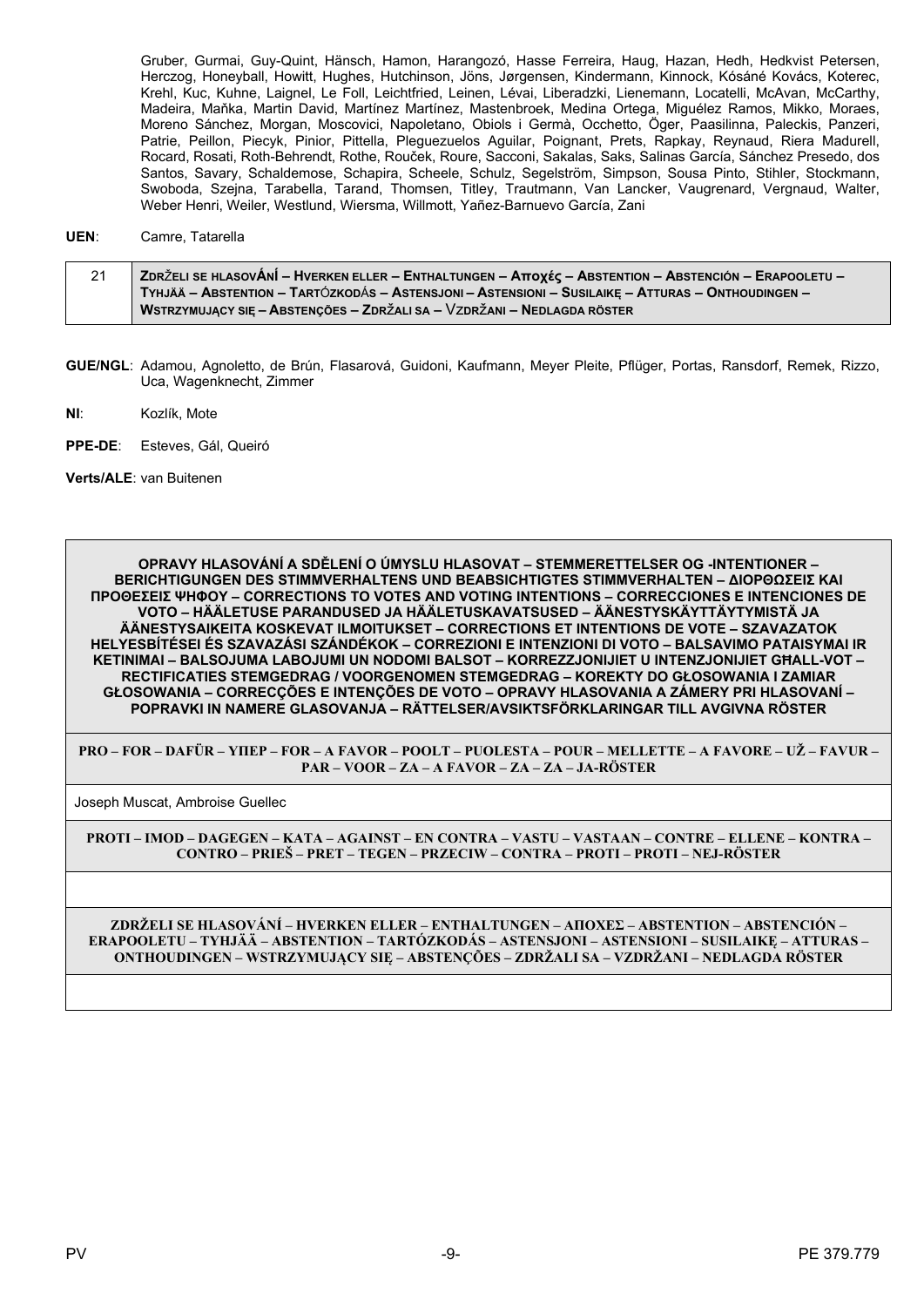Gruber, Gurmai, Guy-Quint, Hänsch, Hamon, Harangozó, Hasse Ferreira, Haug, Hazan, Hedh, Hedkvist Petersen, Herczog, Honeyball, Howitt, Hughes, Hutchinson, Jöns, Jørgensen, Kindermann, Kinnock, Kósáné Kovács, Koterec, Krehl, Kuc, Kuhne, Laignel, Le Foll, Leichtfried, Leinen, Lévai, Liberadzki, Lienemann, Locatelli, McAvan, McCarthy, Madeira, Maňka, Martin David, Martínez Martínez, Mastenbroek, Medina Ortega, Miguélez Ramos, Mikko, Moraes, Moreno Sánchez, Morgan, Moscovici, Napoletano, Obiols i Germà, Occhetto, Öger, Paasilinna, Paleckis, Panzeri, Patrie, Peillon, Piecyk, Pinior, Pittella, Pieguezuelos Aguilar, Poignant, Prets, Rapkay, Reynaud, Riera Madurell, Rocard, Rosati, Roth-Behrendt, Rothe, Rouček, Roure, Sacconi, Sakalas, Saks, Salinas García, Sánchez Presedo, dos Santos, Savary, Schaldemose, Schapira, Scheele, Schulz, Segelström, Simpson, Sousa Pinto, Stihler, Stockmann, Swoboda, Szejna, Tarabella, Tarand, Thomsen, Titley, Trautmann, Van Lancker, Vaugrenard, Vergnaud, Walter, Weber Henri, Weiler, Westlund, Wiersma, Willmott, Yañez-Barnuevo García, Zani

#### UEN: Camre, Tatarella

| 21 | ∣ ZDRŽELI SE HLASOVÁNÍ – HVERKEN ELLER – ENTHALTUNGEN – Αποχές – ABSTENTION – ABSTENCIÓN – ERAPOOLETU – ∕ |
|----|-----------------------------------------------------------------------------------------------------------|
|    | TYHJÄÄ – ABSTENTION – TARTÓZKODÁS – ASTENSJONI – ASTENSIONI – SUSILAIKE – ATTURAS – ONTHOUDINGEN –        |
|    | WSTRZYMUJĄCY SIĘ – ABSTENÇÕES – ZDRŽALI SA – VZDRŽANI – NEDLAGDA RÖSTER                                   |

- GUE/NGL: Adamou, Agnoletto, de Brún, Flasarová, Guidoni, Kaufmann, Meyer Pleite, Pflüger, Portas, Ransdorf, Remek, Rizzo, Uca, Wagenknecht, Zimmer
- NI: Kozlík, Mote
- PPE-DE: Esteves, Gál, Queiró

Verts/ALE: van Buitenen

OPRAVY HLASOVÁNÍ A SDĚLENÍ O ÚMYSLU HLASOVAT – STEMMERETTELSER OG -INTENTIONER – **BERICHTIGUNGEN DES STIMMVERHALTENS UND BEABSICHTIGTES STIMMVERHALTEN - ΔΙΟΡΘΩΣΕΙΣ ΚΑΙ ΠΡΟΘΕΣΕΙΣ ΨΗΦΟΥ - CORRECTIONS TO VOTES AND VOTING INTENTIONS - CORRECCIONES E INTENCIONES DE** VOTO – HÄÄLETUSE PARANDUSED JA HÄÄLETUSKAVATSUSED – ÄÄNESTYSKÄYTTÄYTYMISTÄ JA ÄÄNESTYSAIKEITA KOSKEVAT ILMOITUKSET – CORRECTIONS ET INTENTIONS DE VOTE – SZAVAZATOK HELYESBÍTÉSEI ÉS SZAVAZÁSI SZÁNDÉKOK – CORREZIONI E INTENZIONI DI VOTO – BALSAVIMO PATAISYMAI IR KETINIMAI - BALSOJUMA LABOJUMI UN NODOMI BALSOT - KORREZZJONIJIET U INTENZJONIJIET GHALL-VOT -RECTIFICATIES STEMGEDRAG / VOORGENOMEN STEMGEDRAG - KOREKTY DO GŁOSOWANIA I ZAMIAR GŁOSOWANIA – CORRECCÕES E INTENCÕES DE VOTO – OPRAVY HLASOVANIA A ZÁMERY PRI HLASOVANÍ – POPRAVKI IN NAMERE GLASOVANJA – RÄTTELSER/AVSIKTSFÖRKLARINGAR TILL AVGIVNA RÖSTER

PRO – FOR – DAFÜR – YIIEP – FOR – A FAVOR – POOLT – PUOLESTA – POUR – MELLETTE – A FAVORE – UŽ – FAVUR – PAR – VOOR – ZA – A FAVOR – ZA – ZA – JA-RÖSTER

Joseph Muscat, Ambroise Guellec

PROTI - IMOD - DAGEGEN - KATA - AGAINST - EN CONTRA - VASTU - VASTAAN - CONTRE - ELLENE - KONTRA -CONTRO - PRIEŠ - PRET - TEGEN - PRZECIW - CONTRA - PROTI - PROTI - NEJ-RÖSTER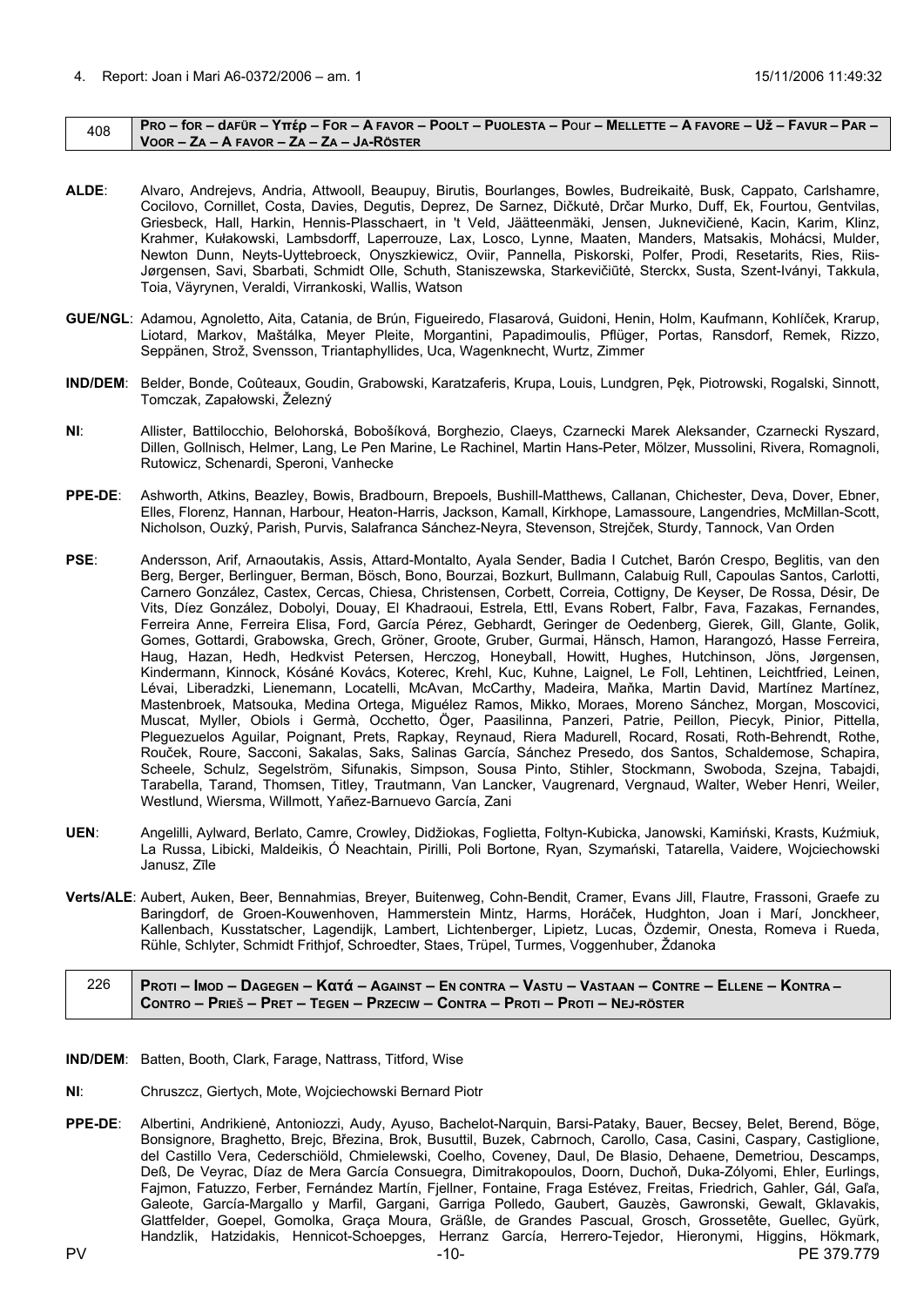#### <span id="page-9-0"></span> $_{408}$  | Pro – for – dafür – Yttép – For – A Favor – Poolt – Puolesta – Pour – Mellette – A Favore – Už – Favur – Par – **VOOR – ZA – A FAVOR – ZA – ZA – JA-RÖSTER**

- **ALDE**: Alvaro, Andrejevs, Andria, Attwooll, Beaupuy, Birutis, Bourlanges, Bowles, Budreikaitė, Busk, Cappato, Carlshamre, Cocilovo, Cornillet, Costa, Davies, Degutis, Deprez, De Sarnez, Dičkutė, Drčar Murko, Duff, Ek, Fourtou, Gentvilas, Griesbeck, Hall, Harkin, Hennis-Plasschaert, in 't Veld, Jäätteenmäki, Jensen, Juknevičienė, Kacin, Karim, Klinz, Krahmer, Kułakowski, Lambsdorff, Laperrouze, Lax, Losco, Lynne, Maaten, Manders, Matsakis, Mohácsi, Mulder, Newton Dunn, Neyts-Uyttebroeck, Onyszkiewicz, Oviir, Pannella, Piskorski, Polfer, Prodi, Resetarits, Ries, Riis-Jørgensen, Savi, Sbarbati, Schmidt Olle, Schuth, Staniszewska, Starkevičiūtė, Sterckx, Susta, Szent-Iványi, Takkula, Toia, Väyrynen, Veraldi, Virrankoski, Wallis, Watson
- **GUE/NGL**: Adamou, Agnoletto, Aita, Catania, de Brún, Figueiredo, Flasarová, Guidoni, Henin, Holm, Kaufmann, Kohlíček, Krarup, Liotard, Markov, Maštálka, Meyer Pleite, Morgantini, Papadimoulis, Pflüger, Portas, Ransdorf, Remek, Rizzo, Seppänen, Strož, Svensson, Triantaphyllides, Uca, Wagenknecht, Wurtz, Zimmer
- **IND/DEM**: Belder, Bonde, Coûteaux, Goudin, Grabowski, Karatzaferis, Krupa, Louis, Lundgren, Pęk, Piotrowski, Rogalski, Sinnott, Tomczak, Zapałowski, Železný
- **NI**: Allister, Battilocchio, Belohorská, Bobošíková, Borghezio, Claeys, Czarnecki Marek Aleksander, Czarnecki Ryszard, Dillen, Gollnisch, Helmer, Lang, Le Pen Marine, Le Rachinel, Martin Hans-Peter, Mölzer, Mussolini, Rivera, Romagnoli, Rutowicz, Schenardi, Speroni, Vanhecke
- **PPE-DE**: Ashworth, Atkins, Beazley, Bowis, Bradbourn, Brepoels, Bushill-Matthews, Callanan, Chichester, Deva, Dover, Ebner, Elles, Florenz, Hannan, Harbour, Heaton-Harris, Jackson, Kamall, Kirkhope, Lamassoure, Langendries, McMillan-Scott, Nicholson, Ouzký, Parish, Purvis, Salafranca Sánchez-Neyra, Stevenson, Strejček, Sturdy, Tannock, Van Orden
- **PSE**: Andersson, Arif, Arnaoutakis, Assis, Attard-Montalto, Ayala Sender, Badia I Cutchet, Barón Crespo, Beglitis, van den Berg, Berger, Berlinguer, Berman, Bösch, Bono, Bourzai, Bozkurt, Bullmann, Calabuig Rull, Capoulas Santos, Carlotti, Carnero González, Castex, Cercas, Chiesa, Christensen, Corbett, Correia, Cottigny, De Keyser, De Rossa, Désir, De Vits, Díez González, Dobolyi, Douay, El Khadraoui, Estrela, Ettl, Evans Robert, Falbr, Fava, Fazakas, Fernandes, Ferreira Anne, Ferreira Elisa, Ford, García Pérez, Gebhardt, Geringer de Oedenberg, Gierek, Gill, Glante, Golik, Gomes, Gottardi, Grabowska, Grech, Gröner, Groote, Gruber, Gurmai, Hänsch, Hamon, Harangozó, Hasse Ferreira, Haug, Hazan, Hedh, Hedkvist Petersen, Herczog, Honeyball, Howitt, Hughes, Hutchinson, Jöns, Jørgensen, Kindermann, Kinnock, Kósáné Kovács, Koterec, Krehl, Kuc, Kuhne, Laignel, Le Foll, Lehtinen, Leichtfried, Leinen, Lévai, Liberadzki, Lienemann, Locatelli, McAvan, McCarthy, Madeira, Maňka, Martin David, Martínez Martínez, Mastenbroek, Matsouka, Medina Ortega, Miguélez Ramos, Mikko, Moraes, Moreno Sánchez, Morgan, Moscovici, Muscat, Myller, Obiols i Germà, Occhetto, Öger, Paasilinna, Panzeri, Patrie, Peillon, Piecyk, Pinior, Pittella, Pleguezuelos Aguilar, Poignant, Prets, Rapkay, Reynaud, Riera Madurell, Rocard, Rosati, Roth-Behrendt, Rothe, Rouček, Roure, Sacconi, Sakalas, Saks, Salinas García, Sánchez Presedo, dos Santos, Schaldemose, Schapira, Scheele, Schulz, Segelström, Sifunakis, Simpson, Sousa Pinto, Stihler, Stockmann, Swoboda, Szejna, Tabajdi, Tarabella, Tarand, Thomsen, Titley, Trautmann, Van Lancker, Vaugrenard, Vergnaud, Walter, Weber Henri, Weiler, Westlund, Wiersma, Willmott, Yañez-Barnuevo García, Zani
- **UEN**: Angelilli, Aylward, Berlato, Camre, Crowley, Didžiokas, Foglietta, Foltyn-Kubicka, Janowski, Kamiński, Krasts, Kuźmiuk, La Russa, Libicki, Maldeikis, Ó Neachtain, Pirilli, Poli Bortone, Ryan, Szymański, Tatarella, Vaidere, Wojciechowski Janusz, Zīle
- **Verts/ALE**: Aubert, Auken, Beer, Bennahmias, Breyer, Buitenweg, Cohn-Bendit, Cramer, Evans Jill, Flautre, Frassoni, Graefe zu Baringdorf, de Groen-Kouwenhoven, Hammerstein Mintz, Harms, Horáček, Hudghton, Joan i Marí, Jonckheer, Kallenbach, Kusstatscher, Lagendijk, Lambert, Lichtenberger, Lipietz, Lucas, Özdemir, Onesta, Romeva i Rueda, Rühle, Schlyter, Schmidt Frithjof, Schroedter, Staes, Trüpel, Turmes, Voggenhuber, Ždanoka

226 | Proti – Imod – Dagegen – Κατά – Against – En contra – Vastu – Vastaan – Contre – Ellene – Kontra – CONTRO - PRIEŠ - PRET - TEGEN - PRZECIW - CONTRA - PROTI - PROTI - NEJ-RÖSTER

- **IND/DEM**: Batten, Booth, Clark, Farage, Nattrass, Titford, Wise
- **NI**: Chruszcz, Giertych, Mote, Wojciechowski Bernard Piotr
- PV -10- PV -10- PE 379.779 **PPE-DE**: Albertini, Andrikienė, Antoniozzi, Audy, Ayuso, Bachelot-Narquin, Barsi-Pataky, Bauer, Becsey, Belet, Berend, Böge, Bonsignore, Braghetto, Brejc, Březina, Brok, Busuttil, Buzek, Cabrnoch, Carollo, Casa, Casini, Caspary, Castiglione, del Castillo Vera, Cederschiöld, Chmielewski, Coelho, Coveney, Daul, De Blasio, Dehaene, Demetriou, Descamps, Deß, De Veyrac, Díaz de Mera García Consuegra, Dimitrakopoulos, Doorn, Duchoň, Duka-Zólyomi, Ehler, Eurlings, Fajmon, Fatuzzo, Ferber, Fernández Martín, Fjellner, Fontaine, Fraga Estévez, Freitas, Friedrich, Gahler, Gál, Gaľa, Galeote, García-Margallo y Marfil, Gargani, Garriga Polledo, Gaubert, Gauzès, Gawronski, Gewalt, Gklavakis, Glattfelder, Goepel, Gomolka, Graça Moura, Gräßle, de Grandes Pascual, Grosch, Grossetête, Guellec, Gyürk, Handzlik, Hatzidakis, Hennicot-Schoepges, Herranz García, Herrero-Tejedor, Hieronymi, Higgins, Hökmark,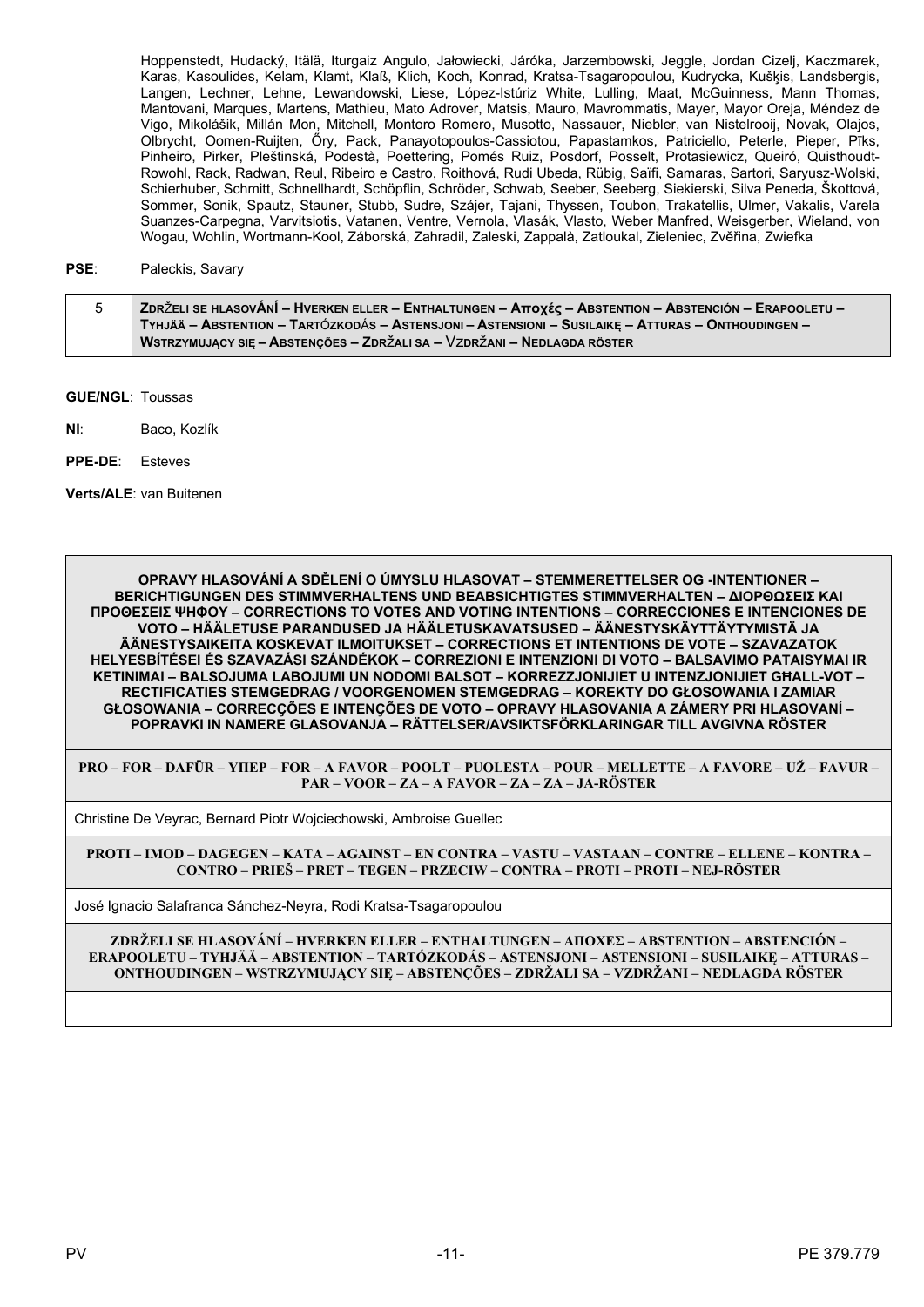Hoppenstedt, Hudacký, Itälä, Iturgaiz Angulo, Jałowiecki, Járóka, Jarzembowski, Jeggle, Jordan Cizelj, Kaczmarek, Karas, Kasoulides, Kelam, Klamt, Klaß, Klich, Koch, Konrad, Kratsa-Tsagaropoulou, Kudrycka, Kušķis, Landsbergis, Langen, Lechner, Lehne, Lewandowski, Liese, López-Istúriz White, Lulling, Maat, McGuinness, Mann Thomas, Mantovani, Marques, Martens, Mathieu, Mato Adrover, Matsis, Mauro, Mavrommatis, Mayer, Mayor Oreja, Méndez de Vigo, Mikolášik, Millán Mon, Mitchell, Montoro Romero, Musotto, Nassauer, Niebler, van Nistelrooij, Novak, Olajos, Olbrycht, Oomen-Ruijten, Öry, Pack, Panayotopoulos-Cassiotou, Papastamkos, Patriciello, Peterle, Pieper, Piks, Pinheiro, Pirker, Pleštinská, Podestà, Poettering, Pomés Ruiz, Posdorf, Posselt, Protasiewicz, Queiró, Quisthoudt-Rowohl, Rack, Radwan, Reul, Ribeiro e Castro, Roithová, Rudi Ubeda, Rübig, Saïfi, Samaras, Sartori, Saryusz-Wolski, Schierhuber, Schmitt, Schnellhardt, Schöpflin, Schröder, Schwab, Seeber, Seeberg, Siekierski, Silva Peneda, Škottová, Sommer, Sonik, Spautz, Stauner, Stubb, Sudre, Szájer, Tajani, Thyssen, Toubon, Trakatellis, Ulmer, Vakalis, Varela Suanzes-Carpegna, Varvitsiotis, Vatanen, Ventre, Vernola, Vlasák, Vlasto, Weber Manfred, Weisgerber, Wieland, von Wogau, Wohlin, Wortmann-Kool, Záborská, Zahradil, Zaleski, Zappalà, Zatloukal, Zieleniec, Zvěřina, Zwiefka

#### PSE: Paleckis, Savary

| <b>  ZDRŽELI SE HLASOVÁNÍ – HVERKEN ELLER – ENTHALTUNGEN – Αποχές – ABSTENTION – ABSTENCIÓN – ERAPOOLETU – ∕</b> |
|------------------------------------------------------------------------------------------------------------------|
| TYHJÄÄ – ABSTENTION – TARTÓZKODÁS – ASTENSJONI – ASTENSIONI – SUSILAIKE – ATTURAS – ONTHOUDINGEN –               |
| WSTRZYMUJĄCY SIĘ – ABSTENÇÕES – ZDRŽALI SA – VZDRŽANI – NEDLAGDA RÖSTER                                          |

**GUE/NGL: Toussas** 

 $Nl<sub>1</sub>$ Baco, Kozlík

PPE-DE: Esteves

Verts/ALE: van Buitenen

OPRAVY HLASOVÁNÍ A SDĚLENÍ O ÚMYSLU HLASOVAT – STEMMERETTELSER OG -INTENTIONER – **BERICHTIGUNGEN DES STIMMVERHALTENS UND BEABSICHTIGTES STIMMVERHALTEN - ΔΙΟΡΘΩΣΕΙΣ ΚΑΙ ΠΡΟΘΕΣΕΙΣ ΨΗΦΟΥ - CORRECTIONS TO VOTES AND VOTING INTENTIONS - CORRECCIONES E INTENCIONES DE** VOTO – HÄÄLETUSE PARANDUSED JA HÄÄLETUSKAVATSUSED – ÄÄNESTYSKÄYTTÄYTYMISTÄ JA ÄÄNESTYSAIKEITA KOSKEVAT ILMOITUKSET – CORRECTIONS ET INTENTIONS DE VOTE – SZAVAZATOK HELYESBÍTÉSEI ÉS SZAVAZÁSI SZÁNDÉKOK – CORREZIONI E INTENZIONI DI VOTO – BALSAVIMO PATAISYMAI IR KETINIMAI - BALSOJUMA LABOJUMI UN NODOMI BALSOT - KORREZZJONIJIET U INTENZJONIJIET GHALL-VOT -RECTIFICATIES STEMGEDRAG / VOORGENOMEN STEMGEDRAG - KOREKTY DO GŁOSOWANIA I ZAMIAR GŁOSOWANIA – CORRECCÕES E INTENCÕES DE VOTO – OPRAVY HLASOVANIA A ZÁMERY PRI HLASOVANÍ – POPRAVKI IN NAMERE GLASOVANJA - RÄTTELSER/AVSIKTSFÖRKLARINGAR TILL AVGIVNA RÖSTER

PRO – FOR – DAFÜR – YHEP – FOR – A FAVOR – POOLT – PUOLESTA – POUR – MELLETTE – A FAVORE – UŽ – FAVUR – PAR – VOOR – ZA – A FAVOR – ZA – ZA – JA-RÖSTER

Christine De Veyrac, Bernard Piotr Wojciechowski, Ambroise Guellec

PROTI – IMOD – DAGEGEN – KATA – AGAINST – EN CONTRA – VASTU – VASTAAN – CONTRE – ELLENE – KONTRA – CONTRO – PRIEŠ – PRET – TEGEN – PRZECIW – CONTRA – PROTI – PROTI – NEJ-RÖSTER

José Ignacio Salafranca Sánchez-Neyra, Rodi Kratsa-Tsagaropoulou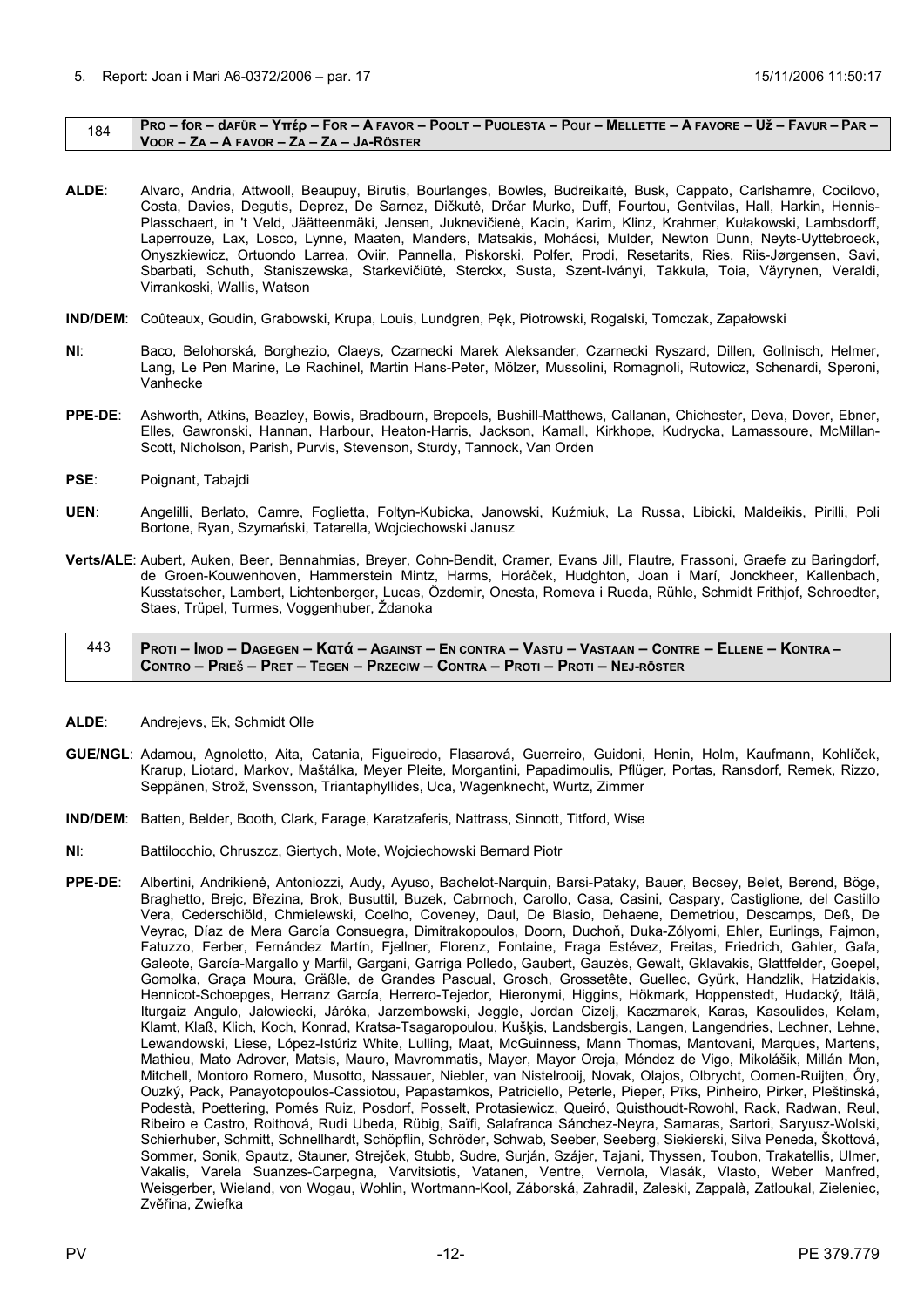#### <span id="page-11-0"></span>184 | PRO – for – dafür – Yttép – For – A Favor – Poolt – Puolesta – Pour – Mellette – A Favore – Už – Favur – Par – **VOOR – ZA – A FAVOR – ZA – ZA – JA-RÖSTER**

- **ALDE**: Alvaro, Andria, Attwooll, Beaupuy, Birutis, Bourlanges, Bowles, Budreikaitė, Busk, Cappato, Carlshamre, Cocilovo, Costa, Davies, Degutis, Deprez, De Sarnez, Dičkutė, Drčar Murko, Duff, Fourtou, Gentvilas, Hall, Harkin, Hennis-Plasschaert, in 't Veld, Jäätteenmäki, Jensen, Juknevičienė, Kacin, Karim, Klinz, Krahmer, Kułakowski, Lambsdorff, Laperrouze, Lax, Losco, Lynne, Maaten, Manders, Matsakis, Mohácsi, Mulder, Newton Dunn, Neyts-Uyttebroeck, Onyszkiewicz, Ortuondo Larrea, Oviir, Pannella, Piskorski, Polfer, Prodi, Resetarits, Ries, Riis-Jørgensen, Savi, Sbarbati, Schuth, Staniszewska, Starkevičiūtė, Sterckx, Susta, Szent-Iványi, Takkula, Toia, Väyrynen, Veraldi, Virrankoski, Wallis, Watson
- **IND/DEM**: Coûteaux, Goudin, Grabowski, Krupa, Louis, Lundgren, Pęk, Piotrowski, Rogalski, Tomczak, Zapałowski
- **NI**: Baco, Belohorská, Borghezio, Claeys, Czarnecki Marek Aleksander, Czarnecki Ryszard, Dillen, Gollnisch, Helmer, Lang, Le Pen Marine, Le Rachinel, Martin Hans-Peter, Mölzer, Mussolini, Romagnoli, Rutowicz, Schenardi, Speroni, Vanhecke
- **PPE-DE**: Ashworth, Atkins, Beazley, Bowis, Bradbourn, Brepoels, Bushill-Matthews, Callanan, Chichester, Deva, Dover, Ebner, Elles, Gawronski, Hannan, Harbour, Heaton-Harris, Jackson, Kamall, Kirkhope, Kudrycka, Lamassoure, McMillan-Scott, Nicholson, Parish, Purvis, Stevenson, Sturdy, Tannock, Van Orden
- **PSE**: Poignant, Tabajdi
- **UEN**: Angelilli, Berlato, Camre, Foglietta, Foltyn-Kubicka, Janowski, Kuźmiuk, La Russa, Libicki, Maldeikis, Pirilli, Poli Bortone, Ryan, Szymański, Tatarella, Wojciechowski Janusz
- **Verts/ALE**: Aubert, Auken, Beer, Bennahmias, Breyer, Cohn-Bendit, Cramer, Evans Jill, Flautre, Frassoni, Graefe zu Baringdorf, de Groen-Kouwenhoven, Hammerstein Mintz, Harms, Horáček, Hudghton, Joan i Marí, Jonckheer, Kallenbach, Kusstatscher, Lambert, Lichtenberger, Lucas, Özdemir, Onesta, Romeva i Rueda, Rühle, Schmidt Frithjof, Schroedter, Staes, Trüpel, Turmes, Voggenhuber, Ždanoka

# 443 PROTI – IMOD – DAGEGEN – Κατά – Against – En contra – Vastu – Vastaan – Contre – Ellene – Kontra – CONTRO - PRIEŠ - PRET - TEGEN - PRZECIW - CONTRA - PROTI - PROTI - NEJ-RÖSTER

- **ALDE**: Andrejevs, Ek, Schmidt Olle
- **GUE/NGL**: Adamou, Agnoletto, Aita, Catania, Figueiredo, Flasarová, Guerreiro, Guidoni, Henin, Holm, Kaufmann, Kohlíček, Krarup, Liotard, Markov, Maštálka, Meyer Pleite, Morgantini, Papadimoulis, Pflüger, Portas, Ransdorf, Remek, Rizzo, Seppänen, Strož, Svensson, Triantaphyllides, Uca, Wagenknecht, Wurtz, Zimmer
- **IND/DEM**: Batten, Belder, Booth, Clark, Farage, Karatzaferis, Nattrass, Sinnott, Titford, Wise
- **NI**: Battilocchio, Chruszcz, Giertych, Mote, Wojciechowski Bernard Piotr
- **PPE-DE**: Albertini, Andrikienė, Antoniozzi, Audy, Ayuso, Bachelot-Narquin, Barsi-Pataky, Bauer, Becsey, Belet, Berend, Böge, Braghetto, Brejc, Březina, Brok, Busuttil, Buzek, Cabrnoch, Carollo, Casa, Casini, Caspary, Castiglione, del Castillo Vera, Cederschiöld, Chmielewski, Coelho, Coveney, Daul, De Blasio, Dehaene, Demetriou, Descamps, Deß, De Veyrac, Díaz de Mera García Consuegra, Dimitrakopoulos, Doorn, Duchoň, Duka-Zólyomi, Ehler, Eurlings, Fajmon, Fatuzzo, Ferber, Fernández Martín, Fjellner, Florenz, Fontaine, Fraga Estévez, Freitas, Friedrich, Gahler, Gaľa, Galeote, García-Margallo y Marfil, Gargani, Garriga Polledo, Gaubert, Gauzès, Gewalt, Gklavakis, Glattfelder, Goepel, Gomolka, Graça Moura, Gräßle, de Grandes Pascual, Grosch, Grossetête, Guellec, Gyürk, Handzlik, Hatzidakis, Hennicot-Schoepges, Herranz García, Herrero-Tejedor, Hieronymi, Higgins, Hökmark, Hoppenstedt, Hudacký, Itälä, Iturgaiz Angulo, Jałowiecki, Járóka, Jarzembowski, Jeggle, Jordan Cizelj, Kaczmarek, Karas, Kasoulides, Kelam, Klamt, Klaß, Klich, Koch, Konrad, Kratsa-Tsagaropoulou, Kušķis, Landsbergis, Langen, Langendries, Lechner, Lehne, Lewandowski, Liese, López-Istúriz White, Lulling, Maat, McGuinness, Mann Thomas, Mantovani, Marques, Martens, Mathieu, Mato Adrover, Matsis, Mauro, Mavrommatis, Mayer, Mayor Oreja, Méndez de Vigo, Mikolášik, Millán Mon, Mitchell, Montoro Romero, Musotto, Nassauer, Niebler, van Nistelrooij, Novak, Olajos, Olbrycht, Oomen-Ruijten, Őry, Ouzký, Pack, Panayotopoulos-Cassiotou, Papastamkos, Patriciello, Peterle, Pieper, Pīks, Pinheiro, Pirker, Pleštinská, Podestà, Poettering, Pomés Ruiz, Posdorf, Posselt, Protasiewicz, Queiró, Quisthoudt-Rowohl, Rack, Radwan, Reul, Ribeiro e Castro, Roithová, Rudi Ubeda, Rübig, Saïfi, Salafranca Sánchez-Neyra, Samaras, Sartori, Saryusz-Wolski, Schierhuber, Schmitt, Schnellhardt, Schöpflin, Schröder, Schwab, Seeber, Seeberg, Siekierski, Silva Peneda, Škottová, Sommer, Sonik, Spautz, Stauner, Strejček, Stubb, Sudre, Surján, Szájer, Tajani, Thyssen, Toubon, Trakatellis, Ulmer, Vakalis, Varela Suanzes-Carpegna, Varvitsiotis, Vatanen, Ventre, Vernola, Vlasák, Vlasto, Weber Manfred, Weisgerber, Wieland, von Wogau, Wohlin, Wortmann-Kool, Záborská, Zahradil, Zaleski, Zappalà, Zatloukal, Zieleniec, Zvěřina, Zwiefka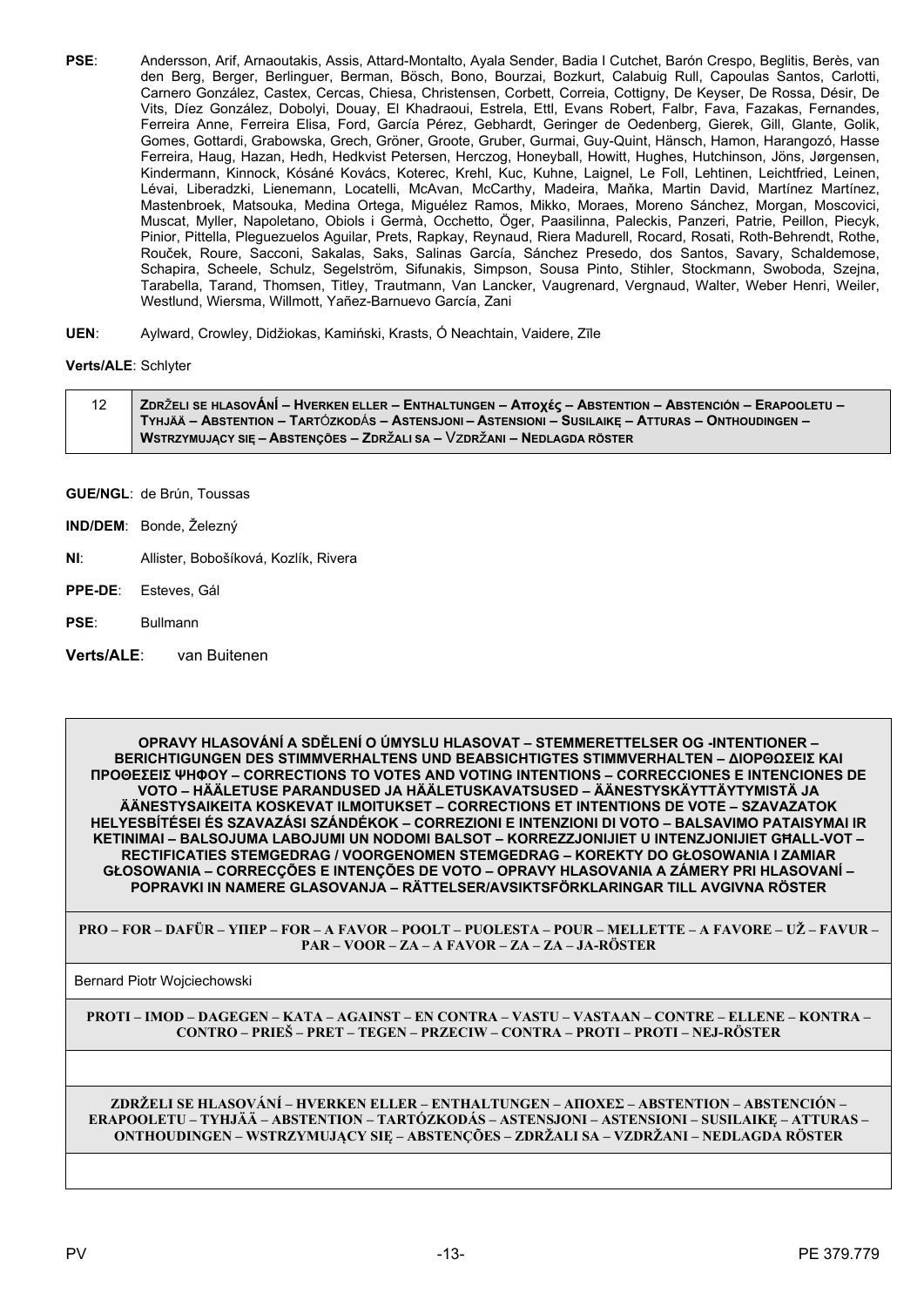- **PSE**: Andersson, Arif, Arnaoutakis, Assis, Attard-Montalto, Ayala Sender, Badia I Cutchet, Barón Crespo, Beglitis, Berès, van den Berg, Berger, Berlinguer, Berman, Bösch, Bono, Bourzai, Bozkurt, Calabuig Rull, Capoulas Santos, Carlotti, Carnero González, Castex, Cercas, Chiesa, Christensen, Corbett, Correia, Cottigny, De Keyser, De Rossa, Désir, De Vits, Díez González, Dobolyi, Douay, El Khadraoui, Estrela, Ettl, Evans Robert, Falbr, Fava, Fazakas, Fernandes, Ferreira Anne, Ferreira Elisa, Ford, García Pérez, Gebhardt, Geringer de Oedenberg, Gierek, Gill, Glante, Golik, Gomes, Gottardi, Grabowska, Grech, Gröner, Groote, Gruber, Gurmai, Guy-Quint, Hänsch, Hamon, Harangozó, Hasse Ferreira, Haug, Hazan, Hedh, Hedkvist Petersen, Herczog, Honeyball, Howitt, Hughes, Hutchinson, Jöns, Jørgensen, Kindermann, Kinnock, Kósáné Kovács, Koterec, Krehl, Kuc, Kuhne, Laignel, Le Foll, Lehtinen, Leichtfried, Leinen, Lévai, Liberadzki, Lienemann, Locatelli, McAvan, McCarthy, Madeira, Maňka, Martin David, Martínez Martínez, Mastenbroek, Matsouka, Medina Ortega, Miguélez Ramos, Mikko, Moraes, Moreno Sánchez, Morgan, Moscovici, Muscat, Myller, Napoletano, Obiols i Germà, Occhetto, Öger, Paasilinna, Paleckis, Panzeri, Patrie, Peillon, Piecyk, Pinior, Pittella, Pleguezuelos Aguilar, Prets, Rapkay, Reynaud, Riera Madurell, Rocard, Rosati, Roth-Behrendt, Rothe, Rouček, Roure, Sacconi, Sakalas, Saks, Salinas García, Sánchez Presedo, dos Santos, Savary, Schaldemose, Schapira, Scheele, Schulz, Segelström, Sifunakis, Simpson, Sousa Pinto, Stihler, Stockmann, Swoboda, Szejna, Tarabella, Tarand, Thomsen, Titley, Trautmann, Van Lancker, Vaugrenard, Vergnaud, Walter, Weber Henri, Weiler, Westlund, Wiersma, Willmott, Yañez-Barnuevo García, Zani
- **UEN**: Aylward, Crowley, Didžiokas, Kamiński, Krasts, Ó Neachtain, Vaidere, Zīle

### **Verts/ALE**: Schlyter

| 12 | ZDRŽELI SE HLASOVÁNÍ – HVERKEN ELLER – ENTHALTUNGEN – Αποχές – ABSTENTION – ABSTENCIÓN – ERAPOOLETU – |
|----|-------------------------------------------------------------------------------------------------------|
|    | TYHJÄÄ – ABSTENTION – TARTÓZKODÁS – ASTENSJONI – ASTENSIONI – SUSILAIKE – ATTURAS – ONTHOUDINGEN –    |
|    | WSTRZYMUJACY SIE – ABSTENCÕES – ZDRŽALI SA – VZDRŽANI – NEDLAGDA RÖSTER                               |

**GUE/NGL**: de Brún, Toussas

- **IND/DEM**: Bonde, Železný
- **NI**: Allister, Bobošíková, Kozlík, Rivera
- **PPE-DE**: Esteves, Gál
- **PSE**: Bullmann
- **Verts/ALE**: van Buitenen

**OPRAVY HLASOVÁNÍ A SDĚLENÍ O ÚMYSLU HLASOVAT – STEMMERETTELSER OG -INTENTIONER – BERICHTIGUNGEN DES STIMMVERHALTENS UND BEABSICHTIGTES STIMMVERHALTEN – ΔΙΟΡΘΩΣΕΙΣ ΚΑΙ ΠΡΟΘΕΣΕΙΣ ΨΗΦΟΥ – CORRECTIONS TO VOTES AND VOTING INTENTIONS – CORRECCIONES E INTENCIONES DE VOTO – HÄÄLETUSE PARANDUSED JA HÄÄLETUSKAVATSUSED – ÄÄNESTYSKÄYTTÄYTYMISTÄ JA ÄÄNESTYSAIKEITA KOSKEVAT ILMOITUKSET – CORRECTIONS ET INTENTIONS DE VOTE – SZAVAZATOK HELYESBÍTÉSEI ÉS SZAVAZÁSI SZÁNDÉKOK – CORREZIONI E INTENZIONI DI VOTO – BALSAVIMO PATAISYMAI IR KETINIMAI – BALSOJUMA LABOJUMI UN NODOMI BALSOT – KORREZZJONIJIET U INTENZJONIJIET GĦALL-VOT – RECTIFICATIES STEMGEDRAG / VOORGENOMEN STEMGEDRAG – KOREKTY DO GŁOSOWANIA I ZAMIAR GŁOSOWANIA – CORRECÇÕES E INTENÇÕES DE VOTO – OPRAVY HLASOVANIA A ZÁMERY PRI HLASOVANÍ – POPRAVKI IN NAMERE GLASOVANJA – RÄTTELSER/AVSIKTSFÖRKLARINGAR TILL AVGIVNA RÖSTER**

**PRO – FOR – DAFÜR – ΥΠΕΡ – FOR – A FAVOR – POOLT – PUOLESTA – POUR – MELLETTE – A FAVORE – UŽ – FAVUR – PAR – VOOR – ZA – A FAVOR – ZA – ZA – JA-RÖSTER**

Bernard Piotr Wojciechowski

**PROTI – IMOD – DAGEGEN – ΚΑΤΑ – AGAINST – EN CONTRA – VASTU – VASTAAN – CONTRE – ELLENE – KONTRA – CONTRO – PRIEŠ – PRET – TEGEN – PRZECIW – CONTRA – PROTI – PROTI – NEJ-RÖSTER**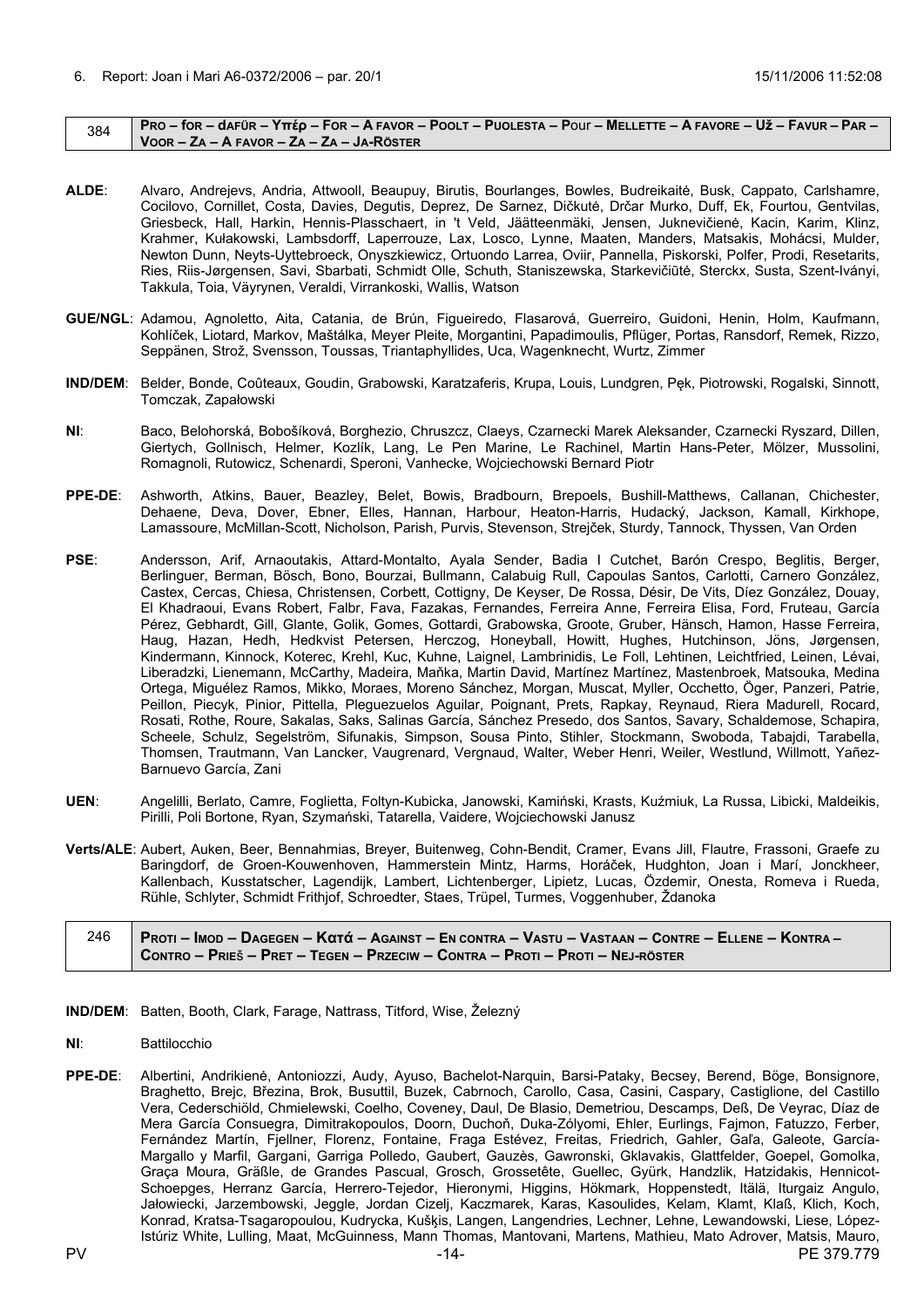#### <span id="page-13-0"></span> $384$  PRO – for – dafür – Yπέρ – For – A FAVOR – POOLT – PUOLESTA – POUI – MELLETTE – A FAVORE – Už – FAVUR – PAR – **VOOR – ZA – A FAVOR – ZA – ZA – JA-RÖSTER**

- **ALDE**: Alvaro, Andrejevs, Andria, Attwooll, Beaupuy, Birutis, Bourlanges, Bowles, Budreikaitė, Busk, Cappato, Carlshamre, Cocilovo, Cornillet, Costa, Davies, Degutis, Deprez, De Sarnez, Dičkutė, Drčar Murko, Duff, Ek, Fourtou, Gentvilas, Griesbeck, Hall, Harkin, Hennis-Plasschaert, in 't Veld, Jäätteenmäki, Jensen, Juknevičienė, Kacin, Karim, Klinz, Krahmer, Kułakowski, Lambsdorff, Laperrouze, Lax, Losco, Lynne, Maaten, Manders, Matsakis, Mohácsi, Mulder, Newton Dunn, Neyts-Uyttebroeck, Onyszkiewicz, Ortuondo Larrea, Oviir, Pannella, Piskorski, Polfer, Prodi, Resetarits, Ries, Riis-Jørgensen, Savi, Sbarbati, Schmidt Olle, Schuth, Staniszewska, Starkevičiūtė, Sterckx, Susta, Szent-Iványi, Takkula, Toia, Väyrynen, Veraldi, Virrankoski, Wallis, Watson
- **GUE/NGL**: Adamou, Agnoletto, Aita, Catania, de Brún, Figueiredo, Flasarová, Guerreiro, Guidoni, Henin, Holm, Kaufmann, Kohlíček, Liotard, Markov, Maštálka, Meyer Pleite, Morgantini, Papadimoulis, Pflüger, Portas, Ransdorf, Remek, Rizzo, Seppänen, Strož, Svensson, Toussas, Triantaphyllides, Uca, Wagenknecht, Wurtz, Zimmer
- **IND/DEM**: Belder, Bonde, Coûteaux, Goudin, Grabowski, Karatzaferis, Krupa, Louis, Lundgren, Pęk, Piotrowski, Rogalski, Sinnott, Tomczak, Zapałowski
- **NI**: Baco, Belohorská, Bobošíková, Borghezio, Chruszcz, Claeys, Czarnecki Marek Aleksander, Czarnecki Ryszard, Dillen, Giertych, Gollnisch, Helmer, Kozlík, Lang, Le Pen Marine, Le Rachinel, Martin Hans-Peter, Mölzer, Mussolini, Romagnoli, Rutowicz, Schenardi, Speroni, Vanhecke, Wojciechowski Bernard Piotr
- **PPE-DE**: Ashworth, Atkins, Bauer, Beazley, Belet, Bowis, Bradbourn, Brepoels, Bushill-Matthews, Callanan, Chichester, Dehaene, Deva, Dover, Ebner, Elles, Hannan, Harbour, Heaton-Harris, Hudacký, Jackson, Kamall, Kirkhope, Lamassoure, McMillan-Scott, Nicholson, Parish, Purvis, Stevenson, Strejček, Sturdy, Tannock, Thyssen, Van Orden
- PSE: Andersson, Arif, Arnaoutakis, Attard-Montalto, Ayala Sender, Badia I Cutchet, Barón Crespo, Beglitis, Berger, Berlinguer, Berman, Bösch, Bono, Bourzai, Bullmann, Calabuig Rull, Capoulas Santos, Carlotti, Carnero González, Castex, Cercas, Chiesa, Christensen, Corbett, Cottigny, De Keyser, De Rossa, Désir, De Vits, Díez González, Douay, El Khadraoui, Evans Robert, Falbr, Fava, Fazakas, Fernandes, Ferreira Anne, Ferreira Elisa, Ford, Fruteau, García Pérez, Gebhardt, Gill, Glante, Golik, Gomes, Gottardi, Grabowska, Groote, Gruber, Hänsch, Hamon, Hasse Ferreira, Haug, Hazan, Hedh, Hedkvist Petersen, Herczog, Honeyball, Howitt, Hughes, Hutchinson, Jöns, Jørgensen, Kindermann, Kinnock, Koterec, Krehl, Kuc, Kuhne, Laignel, Lambrinidis, Le Foll, Lehtinen, Leichtfried, Leinen, Lévai, Liberadzki, Lienemann, McCarthy, Madeira, Maňka, Martin David, Martínez Martínez, Mastenbroek, Matsouka, Medina Ortega, Miguélez Ramos, Mikko, Moraes, Moreno Sánchez, Morgan, Muscat, Myller, Occhetto, Öger, Panzeri, Patrie, Peillon, Piecyk, Pinior, Pittella, Pleguezuelos Aguilar, Poignant, Prets, Rapkay, Reynaud, Riera Madurell, Rocard, Rosati, Rothe, Roure, Sakalas, Saks, Salinas García, Sánchez Presedo, dos Santos, Savary, Schaldemose, Schapira, Scheele, Schulz, Segelström, Sifunakis, Simpson, Sousa Pinto, Stihler, Stockmann, Swoboda, Tabajdi, Tarabella, Thomsen, Trautmann, Van Lancker, Vaugrenard, Vergnaud, Walter, Weber Henri, Weiler, Westlund, Willmott, Yañez-Barnuevo García, Zani
- **UEN**: Angelilli, Berlato, Camre, Foglietta, Foltyn-Kubicka, Janowski, Kamiński, Krasts, Kuźmiuk, La Russa, Libicki, Maldeikis, Pirilli, Poli Bortone, Ryan, Szymański, Tatarella, Vaidere, Wojciechowski Janusz
- **Verts/ALE**: Aubert, Auken, Beer, Bennahmias, Breyer, Buitenweg, Cohn-Bendit, Cramer, Evans Jill, Flautre, Frassoni, Graefe zu Baringdorf, de Groen-Kouwenhoven, Hammerstein Mintz, Harms, Horáček, Hudghton, Joan i Marí, Jonckheer, Kallenbach, Kusstatscher, Lagendijk, Lambert, Lichtenberger, Lipietz, Lucas, Özdemir, Onesta, Romeva i Rueda, Rühle, Schlyter, Schmidt Frithjof, Schroedter, Staes, Trüpel, Turmes, Voggenhuber, Ždanoka

| 246 | Proti – Imod – Dagegen – Κατά – Against – En contra – Vastu – Vastaan – Contre – Ellene – Kontra – / |
|-----|------------------------------------------------------------------------------------------------------|
|     | <sup>'</sup> Contro – Prieš – Pret – Tegen – Przeciw – Contra – Proti – Proti – Nej-röster           |

- **IND/DEM**: Batten, Booth, Clark, Farage, Nattrass, Titford, Wise, Železný
- **NI**: Battilocchio
- PV -14- PV -14- PE 379.779 **PPE-DE**: Albertini, Andrikienė, Antoniozzi, Audy, Ayuso, Bachelot-Narquin, Barsi-Pataky, Becsey, Berend, Böge, Bonsignore, Braghetto, Brejc, Březina, Brok, Busuttil, Buzek, Cabrnoch, Carollo, Casa, Casini, Caspary, Castiglione, del Castillo Vera, Cederschiöld, Chmielewski, Coelho, Coveney, Daul, De Blasio, Demetriou, Descamps, Deß, De Veyrac, Díaz de Mera García Consuegra, Dimitrakopoulos, Doorn, Duchoň, Duka-Zólyomi, Ehler, Eurlings, Fajmon, Fatuzzo, Ferber, Fernández Martín, Fjellner, Florenz, Fontaine, Fraga Estévez, Freitas, Friedrich, Gahler, Gaľa, Galeote, García-Margallo y Marfil, Gargani, Garriga Polledo, Gaubert, Gauzès, Gawronski, Gklavakis, Glattfelder, Goepel, Gomolka, Graça Moura, Gräßle, de Grandes Pascual, Grosch, Grossetête, Guellec, Gyürk, Handzlik, Hatzidakis, Hennicot-Schoepges, Herranz García, Herrero-Tejedor, Hieronymi, Higgins, Hökmark, Hoppenstedt, Itälä, Iturgaiz Angulo, Jałowiecki, Jarzembowski, Jeggle, Jordan Cizelj, Kaczmarek, Karas, Kasoulides, Kelam, Klamt, Klaß, Klich, Koch, Konrad, Kratsa-Tsagaropoulou, Kudrycka, Kušķis, Langen, Langendries, Lechner, Lehne, Lewandowski, Liese, López-Istúriz White, Lulling, Maat, McGuinness, Mann Thomas, Mantovani, Martens, Mathieu, Mato Adrover, Matsis, Mauro,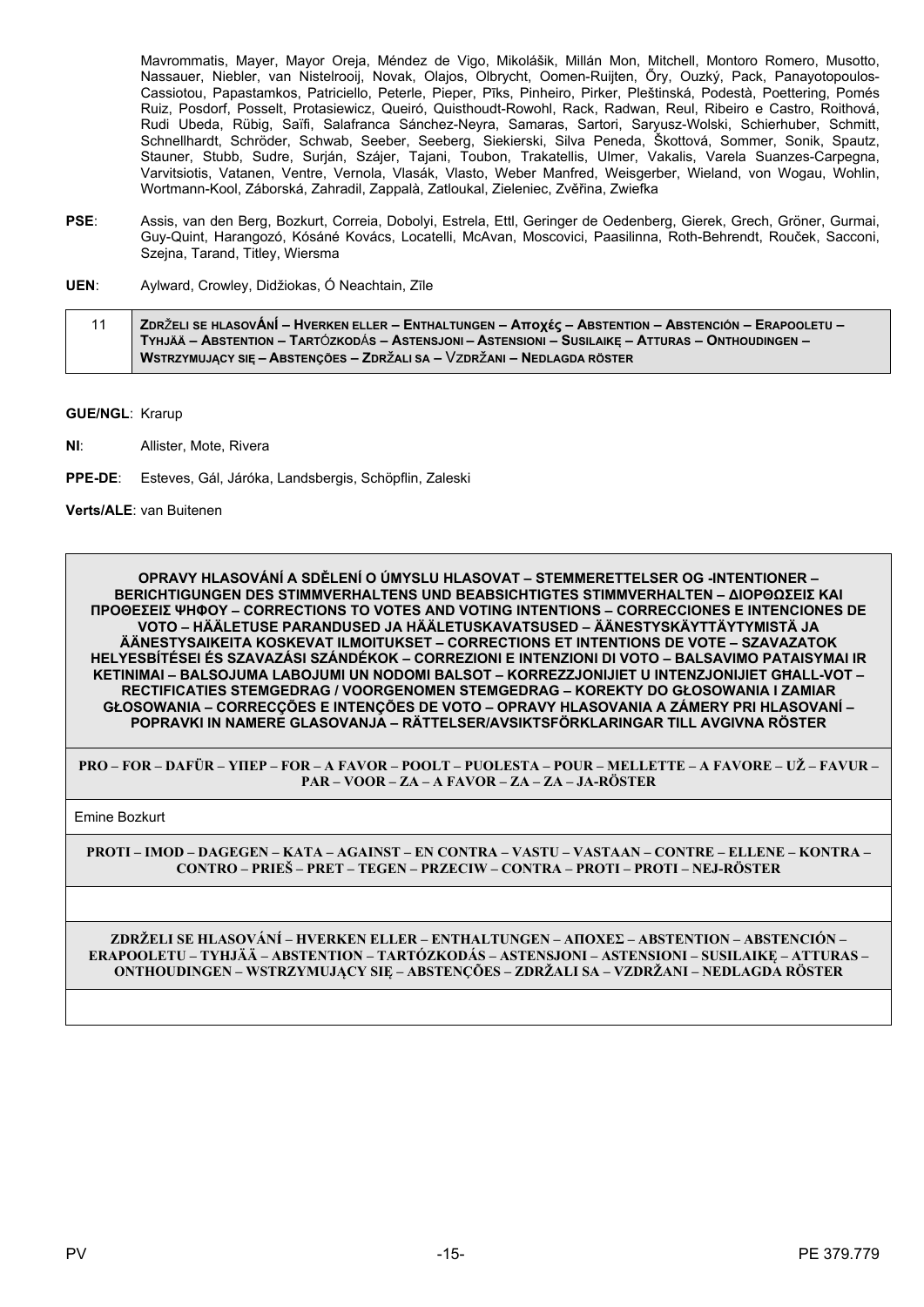Mavrommatis, Mayer, Mayor Oreja, Méndez de Vigo, Mikolášik, Millán Mon, Mitchell, Montoro Romero, Musotto, Nassauer, Niebler, van Nistelrooij, Novak, Olajos, Olbrycht, Oomen-Ruijten, Őry, Ouzký, Pack, Panayotopoulos-Cassiotou, Papastamkos, Patriciello, Peterle, Pieper, Pīks, Pinheiro, Pirker, Pleštinská, Podestà, Poettering, Pomés Ruiz, Posdorf, Posselt, Protasiewicz, Queiró, Quisthoudt-Rowohl, Rack, Radwan, Reul, Ribeiro e Castro, Roithová, Rudi Ubeda, Rübig, Saïfi, Salafranca Sánchez-Neyra, Samaras, Sartori, Saryusz-Wolski, Schierhuber, Schmitt, Schnellhardt, Schröder, Schwab, Seeber, Seeberg, Siekierski, Silva Peneda, Škottová, Sommer, Sonik, Spautz, Stauner, Stubb, Sudre, Surján, Szájer, Tajani, Toubon, Trakatellis, Ulmer, Vakalis, Varela Suanzes-Carpegna, Varvi Wortmann-Kool, Záborská, Zahradil, Zappalà, Zatloukal, Zieleniec, Zvěřina, Zwiefka

- PSE: Assis, van den Berg, Bozkurt, Correia, Dobolyi, Estrela, Ettl, Geringer de Oedenberg, Gierek, Grech, Gröner, Gurmai, Guy-Quint, Harangozó, Kósáné Kovács, Locatelli, McAvan, Moscovici, Paasilinna, Roth-Behrendt, Rouček, Sacconi, Szeina, Tarand, Titley, Wiersma
- Aylward, Crowley, Didžiokas, Ó Neachtain, Zīle UEN:
- $11$ ZDRŽELI SE HLASOVÁNÍ – HVERKEN ELLER – ENTHALTUNGEN – Αποχές – ABSTENTION – ABSTENCIÓN – ERAPOOLETU – TYHJÄÄ – ABSTENTION – TARTÓZKODÁS – ASTENSJONI – ASTENSIONI – SUSILAIKE – ATTURAS – ONTHOUDINGEN – WSTRZYMUJĄCY SIĘ – ABSTENÇÕES – ZDRŽALI SA – VZDRŽANI – NEDLAGDA RÖSTER

**GUE/NGL: Krarup** 

 $NI:$ Allister, Mote, Rivera

 $PPF-DF$ Esteves, Gál, Járóka, Landsbergis, Schöpflin, Zaleski

Verts/ALE: van Buitenen

OPRAVY HLASOVÁNÍ A SDĚLENÍ O ÚMYSLU HLASOVAT – STEMMERETTELSER OG -INTENTIONER – **BERICHTIGUNGEN DES STIMMVERHALTENS UND BEABSICHTIGTES STIMMVERHALTEN - ΔΙΟΡΘΩΣΕΙΣ ΚΑΙ ΠΡΟΘΕΣΕΙΣ ΨΗΦΟΥ - CORRECTIONS TO VOTES AND VOTING INTENTIONS - CORRECCIONES E INTENCIONES DE** VOTO – HÄÄLETUSE PARANDUSED JA HÄÄLETUSKAVATSUSED – ÄÄNESTYSKÄYTTÄYTYMISTÄ JA ÄÄNESTYSAIKEITA KOSKEVAT ILMOITUKSET – CORRECTIONS ET INTENTIONS DE VOTE – SZAVAZATOK HELYESBÍTÉSEI ÉS SZAVAZÁSI SZÁNDÉKOK – CORREZIONI E INTENZIONI DI VOTO – BALSAVIMO PATAISYMAI IR KETINIMAI - BALSOJUMA LABOJUMI UN NODOMI BALSOT - KORREZZJONIJIET U INTENZJONIJIET GHALL-VOT -RECTIFICATIES STEMGEDRAG / VOORGENOMEN STEMGEDRAG - KOREKTY DO GŁOSOWANIA I ZAMIAR GŁOSOWANIA – CORRECÇÕES E INTENÇÕES DE VOTO – OPRAVY HLASOVANIA A ZÁMERY PRI HLASOVANÍ – POPRAVKI IN NAMERE GLASOVANJA - RÄTTELSER/AVSIKTSFÖRKLARINGAR TILL AVGIVNA RÖSTER

PRO – FOR – DAFÜR – YHEP – FOR – A FAVOR – POOLT – PUOLESTA – POUR – MELLETTE – A FAVORE – UŽ – FAVUR – PAR – VOOR – ZA – A FAVOR – ZA – ZA – JA-RÖSTER

**Emine Bozkurt** 

PROTI – IMOD – DAGEGEN – KATA – AGAINST – EN CONTRA – VASTU – VASTAAN – CONTRE – ELLENE – KONTRA – CONTRO – PRIEŠ – PRET – TEGEN – PRZECIW – CONTRA – PROTI – PROTI – NEJ-RÖSTER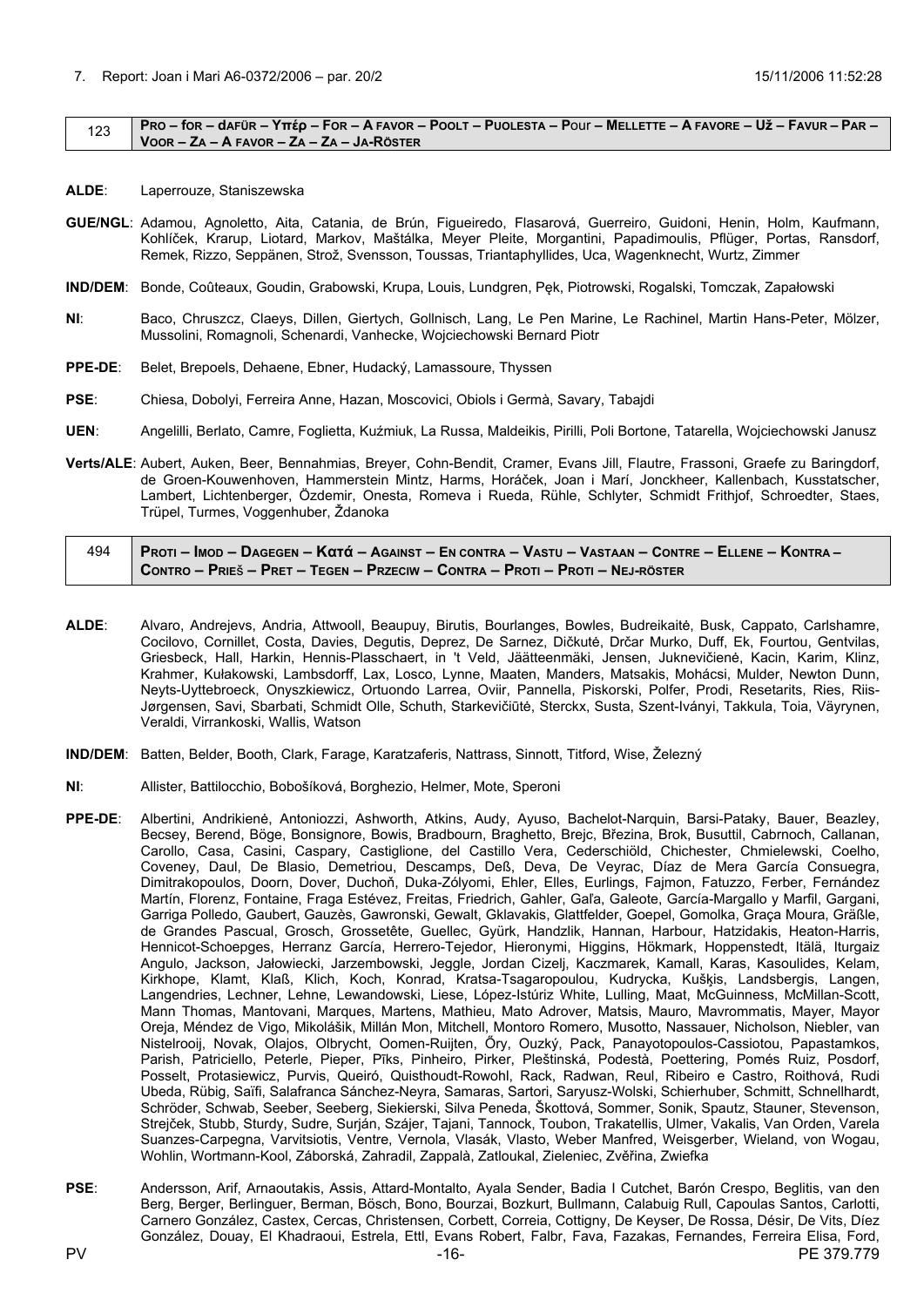#### <span id="page-15-0"></span> $123$  PRO – for – dafür – Υπέρ – For – A FAVOR – POOLT – PUOLESTA – POUI – MELLETTE – A FAVORE – Už – FAVUR – PAR – **VOOR – ZA – A FAVOR – ZA – ZA – JA-RÖSTER**

- **ALDE**: Laperrouze, Staniszewska
- **GUE/NGL**: Adamou, Agnoletto, Aita, Catania, de Brún, Figueiredo, Flasarová, Guerreiro, Guidoni, Henin, Holm, Kaufmann, Kohlíček, Krarup, Liotard, Markov, Maštálka, Meyer Pleite, Morgantini, Papadimoulis, Pflüger, Portas, Ransdorf, Remek, Rizzo, Seppänen, Strož, Svensson, Toussas, Triantaphyllides, Uca, Wagenknecht, Wurtz, Zimmer
- **IND/DEM**: Bonde, Coûteaux, Goudin, Grabowski, Krupa, Louis, Lundgren, Pęk, Piotrowski, Rogalski, Tomczak, Zapałowski
- **NI**: Baco, Chruszcz, Claeys, Dillen, Giertych, Gollnisch, Lang, Le Pen Marine, Le Rachinel, Martin Hans-Peter, Mölzer, Mussolini, Romagnoli, Schenardi, Vanhecke, Wojciechowski Bernard Piotr
- **PPE-DE**: Belet, Brepoels, Dehaene, Ebner, Hudacký, Lamassoure, Thyssen
- **PSE**: Chiesa, Dobolyi, Ferreira Anne, Hazan, Moscovici, Obiols i Germà, Savary, Tabajdi
- **UEN**: Angelilli, Berlato, Camre, Foglietta, Kuźmiuk, La Russa, Maldeikis, Pirilli, Poli Bortone, Tatarella, Wojciechowski Janusz
- **Verts/ALE**: Aubert, Auken, Beer, Bennahmias, Breyer, Cohn-Bendit, Cramer, Evans Jill, Flautre, Frassoni, Graefe zu Baringdorf, de Groen-Kouwenhoven, Hammerstein Mintz, Harms, Horáček, Joan i Marí, Jonckheer, Kallenbach, Kusstatscher, Lambert, Lichtenberger, Özdemir, Onesta, Romeva i Rueda, Rühle, Schlyter, Schmidt Frithjof, Schroedter, Staes, Trüpel, Turmes, Voggenhuber, Ždanoka

| 494 | PROTI – IMOD – DAGEGEN – Κατά – Against – En contra – Vastu – Vastaan – Contre – Ellene – Kontra – |
|-----|----------------------------------------------------------------------------------------------------|
|     | CONTRO – PRIEŠ – PRET – TEGEN – PRZECIW – CONTRA – PROTI – PROTI – NEJ-RÖSTER                      |

- **ALDE**: Alvaro, Andrejevs, Andria, Attwooll, Beaupuy, Birutis, Bourlanges, Bowles, Budreikaitė, Busk, Cappato, Carlshamre, Cocilovo, Cornillet, Costa, Davies, Degutis, Deprez, De Sarnez, Dičkutė, Drčar Murko, Duff, Ek, Fourtou, Gentvilas, Griesbeck, Hall, Harkin, Hennis-Plasschaert, in 't Veld, Jäätteenmäki, Jensen, Juknevičienė, Kacin, Karim, Klinz, Krahmer, Kułakowski, Lambsdorff, Lax, Losco, Lynne, Maaten, Manders, Matsakis, Mohácsi, Mulder, Newton Dunn, Neyts-Uyttebroeck, Onyszkiewicz, Ortuondo Larrea, Oviir, Pannella, Piskorski, Polfer, Prodi, Resetarits, Ries, Riis-Jørgensen, Savi, Sbarbati, Schmidt Olle, Schuth, Starkevičiūtė, Sterckx, Susta, Szent-Iványi, Takkula, Toia, Väyrynen, Veraldi, Virrankoski, Wallis, Watson
- **IND/DEM**: Batten, Belder, Booth, Clark, Farage, Karatzaferis, Nattrass, Sinnott, Titford, Wise, Železný
- **NI**: Allister, Battilocchio, Bobošíková, Borghezio, Helmer, Mote, Speroni
- **PPE-DE**: Albertini, Andrikienė, Antoniozzi, Ashworth, Atkins, Audy, Ayuso, Bachelot-Narquin, Barsi-Pataky, Bauer, Beazley, Becsey, Berend, Böge, Bonsignore, Bowis, Bradbourn, Braghetto, Brejc, Březina, Brok, Busuttil, Cabrnoch, Callanan, Carollo, Casa, Casini, Caspary, Castiglione, del Castillo Vera, Cederschiöld, Chichester, Chmielewski, Coelho, Coveney, Daul, De Blasio, Demetriou, Descamps, Deß, Deva, De Veyrac, Díaz de Mera García Consuegra, Dimitrakopoulos, Doorn, Dover, Duchoň, Duka-Zólyomi, Ehler, Elles, Eurlings, Fajmon, Fatuzzo, Ferber, Fernández Martín, Florenz, Fontaine, Fraga Estévez, Freitas, Friedrich, Gahler, Gaľa, Galeote, García-Margallo y Marfil, Gargani, Garriga Polledo, Gaubert, Gauzès, Gawronski, Gewalt, Gklavakis, Glattfelder, Goepel, Gomolka, Graça Moura, Gräßle, de Grandes Pascual, Grosch, Grossetête, Guellec, Gyürk, Handzlik, Hannan, Harbour, Hatzidakis, Heaton-Harris, Hennicot-Schoepges, Herranz García, Herrero-Tejedor, Hieronymi, Higgins, Hökmark, Hoppenstedt, Itälä, Iturgaiz Angulo, Jackson, Jałowiecki, Jarzembowski, Jeggle, Jordan Cizelj, Kaczmarek, Kamall, Karas, Kasoulides, Kelam, Kirkhope, Klamt, Klaß, Klich, Koch, Konrad, Kratsa-Tsagaropoulou, Kudrycka, Kušķis, Landsbergis, Langen, Langendries, Lechner, Lehne, Lewandowski, Liese, López-Istúriz White, Lulling, Maat, McGuinness, McMillan-Scott, Mann Thomas, Mantovani, Marques, Martens, Mathieu, Mato Adrover, Matsis, Mauro, Mavrommatis, Mayer, Mayor Oreja, Méndez de Vigo, Mikolášik, Millán Mon, Mitchell, Montoro Romero, Musotto, Nassauer, Nicholson, Niebler, van Nistelrooij, Novak, Olajos, Olbrycht, Oomen-Ruijten, Őry, Ouzký, Pack, Panayotopoulos-Cassiotou, Papastamkos, Parish, Patriciello, Peterle, Pieper, Pīks, Pinheiro, Pirker, Pleštinská, Podestà, Poettering, Pomés Ruiz, Posdorf, Posselt, Protasiewicz, Purvis, Queiró, Quisthoudt-Rowohl, Rack, Radwan, Reul, Ribeiro e Castro, Roithová, Rudi Ubeda, Rübig, Saïfi, Salafranca Sánchez-Neyra, Samaras, Sartori, Saryusz-Wolski, Schierhuber, Schmitt, Schnellhardt, Schröder, Schwab, Seeber, Seeberg, Siekierski, Silva Peneda, Škottová, Sommer, Sonik, Spautz, Stauner, Stevenson, Strejček, Stubb, Sturdy, Sudre, Surján, Szájer, Tajani, Tannock, Toubon, Trakatellis, Ulmer, Vakalis, Van Orden, Varela Suanzes-Carpegna, Varvitsiotis, Ventre, Vernola, Vlasák, Vlasto, Weber Manfred, Weisgerber, Wieland, von Wogau, Wohlin, Wortmann-Kool, Záborská, Zahradil, Zappalà, Zatloukal, Zieleniec, Zvěřina, Zwiefka
- **PSE**: Andersson, Arif, Arnaoutakis, Assis, Attard-Montalto, Ayala Sender, Badia I Cutchet, Barón Crespo, Beglitis, van den Berg, Berger, Berlinguer, Berman, Bösch, Bono, Bourzai, Bozkurt, Bullmann, Calabuig Rull, Capoulas Santos, Carlotti, Carnero González, Castex, Cercas, Christensen, Corbett, Correia, Cottigny, De Keyser, De Rossa, Désir, De Vits, Díez González, Douay, El Khadraoui, Estrela, Ettl, Evans Robert, Falbr, Fava, Fazakas, Fernandes, Ferreira Elisa, Ford,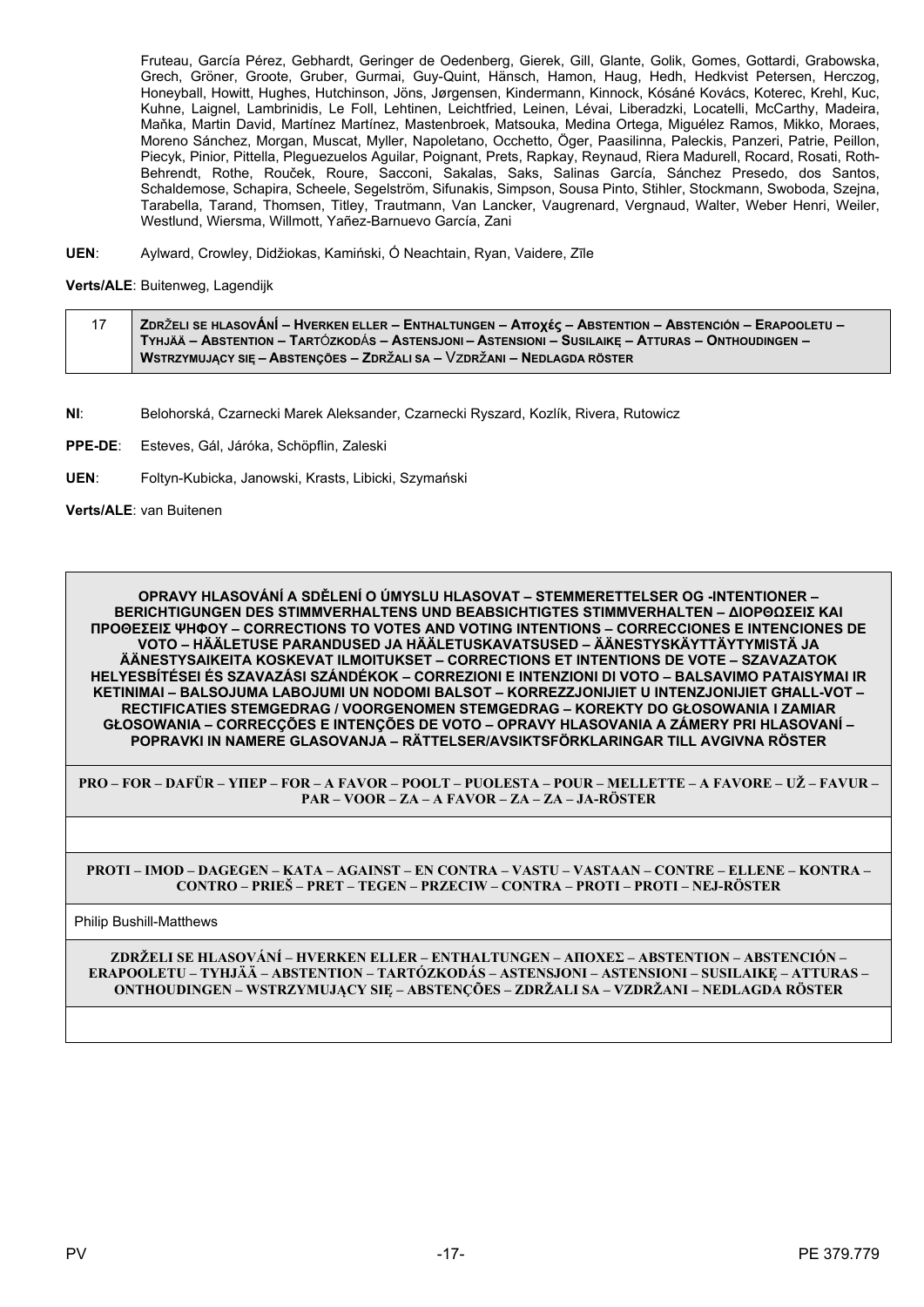Fruteau, García Pérez, Gebhardt, Geringer de Oedenberg, Gierek, Gill, Glante, Golik, Gomes, Gottardi, Grabowska, Grech, Gröner, Groote, Gruber, Gurmai, Guy-Quint, Hänsch, Hamon, Haug, Hedh, Hedkvist Petersen, Herczog, Honeyball, Howitt, Hughes, Hutchinson, Jöns, Jørgensen, Kindermann, Kinnock, Kósáné Kovács, Koterec, Krehl, Kuc, Kuhne, Laignel, Lambrinidis, Le Foll, Lehtinen, Leichtfried, Leinen, Lévai, Liberadzki, Locatelli, McCarthy, Madeira, Maňka, Martin David, Martínez Martínez, Mastenbroek, Matsouka, Medina Ortega, Miguélez Ramos, Mikko, Moraes, Moreno Sánchez, Morgan, Muscat, Myller, Napoletano, Occhetto, Öger, Paasilinna, Paleckis, Panzeri, Patrie, Peillon, Piecyk, Pinior, Pittella, Plequezuelos Aguilar, Poignant, Prets, Rapkay, Reynaud, Riera Madurell, Rocard, Rosati, Roth-Behrendt, Rothe, Rouček, Roure, Šacconi, Šakalas, Saks, Salinas García, Sánchez Presedo, dos Santos, Schaldemose, Schapira, Scheele, Segelström, Sifunakis, Simpson, Sousa Pinto, Stihler, Stockmann, Swoboda, Szejna, Tarabella, Tarand, Thomsen, Titley, Trautmann, Van Lancker, Vaugrenard, Vergnaud, Walter, Weber Henri, Weiler, Westlund, Wiersma, Willmott, Yañez-Barnuevo García, Zani

Aylward, Crowley, Didžiokas, Kamiński, Ó Neachtain, Ryan, Vaidere, Zīle UEN:

Verts/ALE: Buitenweg, Lagendijk

| -17 | ∣ ZDRŽELI SE HLASOVÁNÍ – HVERKEN ELLER – ENTHALTUNGEN – Αποχές – ABSTENTION – ABSTENCIÓN – ERAPOOLETU – ∕ |
|-----|-----------------------------------------------------------------------------------------------------------|
|     | TYHJÄÄ – ABSTENTION – TARTÓZKODÁS – ASTENSJONI – ASTENSIONI – SUSILAIKĘ – ATTURAS – ONTHOUDINGEN –        |
|     | WSTRZYMUJĄCY SIĘ – ABSTENÇÕES – ZDRŽALI SA – VZDRŽANI – NEDLAGDA RÖSTER                                   |

- NI: Belohorská, Czarnecki Marek Aleksander, Czarnecki Ryszard, Kozlík, Rivera, Rutowicz
- PPE-DE: Esteves, Gál, Járóka, Schöpflin, Zaleski
- UEN: Foltyn-Kubicka, Janowski, Krasts, Libicki, Szymański

Verts/ALE: van Buitenen

OPRAVY HLASOVÁNÍ A SDĚLENÍ O ÚMYSLU HLASOVAT – STEMMERETTELSER OG -INTENTIONER – **BERICHTIGUNGEN DES STIMMVERHALTENS UND BEABSICHTIGTES STIMMVERHALTEN - ΔΙΟΡΘΩΣΕΙΣ ΚΑΙ** ΠΡΟΘΕΣΕΙΣ ΨΗΦΟΥ - CORRECTIONS TO VOTES AND VOTING INTENTIONS - CORRECCIONES E INTENCIONES DE <u>VOTO – HÄÄLETUSE PARANDUSED JA HÄÄLETUSKAVATSUSED – ÄÄNESTYSKÄYTTÄYTYMISTÄ JA</u> ÄÄNESTYSAIKEITA KOSKEVAT ILMOITUKSET – CORRECTIONS ET INTENTIONS DE VOTE – SZAVAZATOK HELYESBÍTÉSEI ÉS SZAVAZÁSI SZÁNDÉKOK – CORREZIONI E INTENZIONI DI VOTO – BALSAVIMO PATAISYMAI IR KETINIMAI - BALSOJUMA LABOJUMI UN NODOMI BALSOT - KORREZZJONIJIET U INTENZJONIJIET GHALL-VOT -RECTIFICATIES STEMGEDRAG / VOORGENOMEN STEMGEDRAG - KOREKTY DO GŁOSOWANIA I ZAMIAR GŁOSOWANIA – CORRECÇÕES E INTENÇÕES DE VOTO – OPRAVY HLASOVANIA A ZÁMERY PRI HLASOVANÍ – POPRAVKI IN NAMERE GLASOVANJA – RÄTTELSER/AVSIKTSFÖRKLARINGAR TILL AVGIVNA RÖSTER

PRO – FOR – DAFÜR – YHEP – FOR – A FAVOR – POOLT – PUOLESTA – POUR – MELLETTE – A FAVORE – UŽ – FAVUR – PAR - VOOR - ZA - A FAVOR - ZA - ZA - JA-RÖSTER

PROTI – IMOD – DAGEGEN – KATA – AGAINST – EN CONTRA – VASTU – VASTAAN – CONTRE – ELLENE – KONTRA – CONTRO – PRIEŠ – PRET – TEGEN – PRZECIW – CONTRA – PROTI – PROTI – NEJ-RÖSTER

**Philip Bushill-Matthews**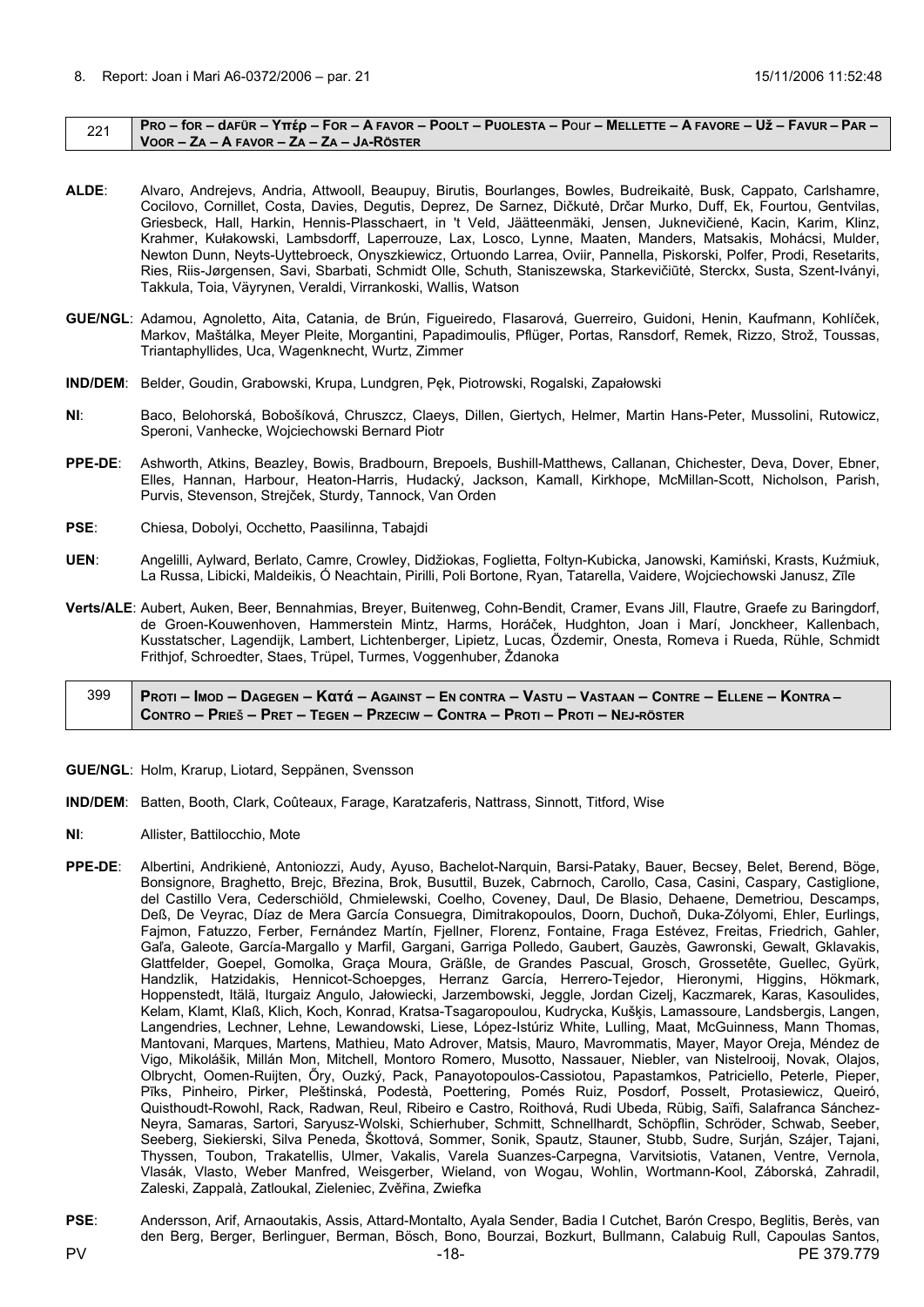#### <span id="page-17-0"></span> $221$  PRO – for – dafür – Υπέρ – For – A FAVOR – POOLT – PUOLESTA – POUI – MELLETTE – A FAVORE – Už – FAVUR – PAR – **VOOR – ZA – A FAVOR – ZA – ZA – JA-RÖSTER**

- **ALDE**: Alvaro, Andrejevs, Andria, Attwooll, Beaupuy, Birutis, Bourlanges, Bowles, Budreikaitė, Busk, Cappato, Carlshamre, Cocilovo, Cornillet, Costa, Davies, Degutis, Deprez, De Sarnez, Dičkutė, Drčar Murko, Duff, Ek, Fourtou, Gentvilas, Griesbeck, Hall, Harkin, Hennis-Plasschaert, in 't Veld, Jäätteenmäki, Jensen, Juknevičienė, Kacin, Karim, Klinz, Krahmer, Kułakowski, Lambsdorff, Laperrouze, Lax, Losco, Lynne, Maaten, Manders, Matsakis, Mohácsi, Mulder, Newton Dunn, Neyts-Uyttebroeck, Onyszkiewicz, Ortuondo Larrea, Oviir, Pannella, Piskorski, Polfer, Prodi, Resetarits, Ries, Riis-Jørgensen, Savi, Sbarbati, Schmidt Olle, Schuth, Staniszewska, Starkevičiūtė, Sterckx, Susta, Szent-Iványi, Takkula, Toia, Väyrynen, Veraldi, Virrankoski, Wallis, Watson
- **GUE/NGL**: Adamou, Agnoletto, Aita, Catania, de Brún, Figueiredo, Flasarová, Guerreiro, Guidoni, Henin, Kaufmann, Kohlíček, Markov, Maštálka, Meyer Pleite, Morgantini, Papadimoulis, Pflüger, Portas, Ransdorf, Remek, Rizzo, Strož, Toussas, Triantaphyllides, Uca, Wagenknecht, Wurtz, Zimmer
- **IND/DEM**: Belder, Goudin, Grabowski, Krupa, Lundgren, Pęk, Piotrowski, Rogalski, Zapałowski
- **NI**: Baco, Belohorská, Bobošíková, Chruszcz, Claeys, Dillen, Giertych, Helmer, Martin Hans-Peter, Mussolini, Rutowicz, Speroni, Vanhecke, Wojciechowski Bernard Piotr
- **PPE-DE**: Ashworth, Atkins, Beazley, Bowis, Bradbourn, Brepoels, Bushill-Matthews, Callanan, Chichester, Deva, Dover, Ebner, Elles, Hannan, Harbour, Heaton-Harris, Hudacký, Jackson, Kamall, Kirkhope, McMillan-Scott, Nicholson, Parish, Purvis, Stevenson, Strejček, Sturdy, Tannock, Van Orden
- **PSE**: Chiesa, Dobolyi, Occhetto, Paasilinna, Tabajdi
- **UEN**: Angelilli, Aylward, Berlato, Camre, Crowley, Didžiokas, Foglietta, Foltyn-Kubicka, Janowski, Kamiński, Krasts, Kuźmiuk, La Russa, Libicki, Maldeikis, Ó Neachtain, Pirilli, Poli Bortone, Ryan, Tatarella, Vaidere, Wojciechowski Janusz, Zīle
- **Verts/ALE**: Aubert, Auken, Beer, Bennahmias, Breyer, Buitenweg, Cohn-Bendit, Cramer, Evans Jill, Flautre, Graefe zu Baringdorf, de Groen-Kouwenhoven, Hammerstein Mintz, Harms, Horáček, Hudghton, Joan i Marí, Jonckheer, Kallenbach, Kusstatscher, Lagendijk, Lambert, Lichtenberger, Lipietz, Lucas, Özdemir, Onesta, Romeva i Rueda, Rühle, Schmidt Frithjof, Schroedter, Staes, Trüpel, Turmes, Voggenhuber, Ždanoka

399 | Proti – Imod – Dagegen – Κατά – Against – En contra – Vastu – Vastaan – Contre – Ellene – Kontra – CONTRO - PRIEŠ - PRET - TEGEN - PRZECIW - CONTRA - PROTI - PROTI - NEJ-RÖSTER

- **GUE/NGL**: Holm, Krarup, Liotard, Seppänen, Svensson
- **IND/DEM**: Batten, Booth, Clark, Coûteaux, Farage, Karatzaferis, Nattrass, Sinnott, Titford, Wise
- **NI**: Allister, Battilocchio, Mote
- **PPE-DE**: Albertini, Andrikienė, Antoniozzi, Audy, Ayuso, Bachelot-Narquin, Barsi-Pataky, Bauer, Becsey, Belet, Berend, Böge, Bonsignore, Braghetto, Brejc, Březina, Brok, Busuttil, Buzek, Cabrnoch, Carollo, Casa, Casini, Caspary, Castiglione, del Castillo Vera, Cederschiöld, Chmielewski, Coelho, Coveney, Daul, De Blasio, Dehaene, Demetriou, Descamps, Deß, De Veyrac, Díaz de Mera García Consuegra, Dimitrakopoulos, Doorn, Duchoň, Duka-Zólyomi, Ehler, Eurlings, Fajmon, Fatuzzo, Ferber, Fernández Martín, Fjellner, Florenz, Fontaine, Fraga Estévez, Freitas, Friedrich, Gahler, Gaľa, Galeote, García-Margallo y Marfil, Gargani, Garriga Polledo, Gaubert, Gauzès, Gawronski, Gewalt, Gklavakis, Glattfelder, Goepel, Gomolka, Graça Moura, Gräßle, de Grandes Pascual, Grosch, Grossetête, Guellec, Gyürk, Handzlik, Hatzidakis, Hennicot-Schoepges, Herranz García, Herrero-Tejedor, Hieronymi, Higgins, Hökmark, Hoppenstedt, Itälä, Iturgaiz Angulo, Jałowiecki, Jarzembowski, Jeggle, Jordan Cizelj, Kaczmarek, Karas, Kasoulides, Kelam, Klamt, Klaß, Klich, Koch, Konrad, Kratsa-Tsagaropoulou, Kudrycka, Kušķis, Lamassoure, Landsbergis, Langen, Langendries, Lechner, Lehne, Lewandowski, Liese, López-Istúriz White, Lulling, Maat, McGuinness, Mann Thomas, Mantovani, Marques, Martens, Mathieu, Mato Adrover, Matsis, Mauro, Mavrommatis, Mayer, Mayor Oreja, Méndez de Vigo, Mikolášik, Millán Mon, Mitchell, Montoro Romero, Musotto, Nassauer, Niebler, van Nistelrooij, Novak, Olajos, Olbrycht, Oomen-Ruijten, Őry, Ouzký, Pack, Panayotopoulos-Cassiotou, Papastamkos, Patriciello, Peterle, Pieper, Pīks, Pinheiro, Pirker, Pleštinská, Podestà, Poettering, Pomés Ruiz, Posdorf, Posselt, Protasiewicz, Queiró, Quisthoudt-Rowohl, Rack, Radwan, Reul, Ribeiro e Castro, Roithová, Rudi Ubeda, Rübig, Saïfi, Salafranca Sánchez-Neyra, Samaras, Sartori, Saryusz-Wolski, Schierhuber, Schmitt, Schnellhardt, Schöpflin, Schröder, Schwab, Seeber, Seeberg, Siekierski, Silva Peneda, Škottová, Sommer, Sonik, Spautz, Stauner, Stubb, Sudre, Surján, Szájer, Tajani, Thyssen, Toubon, Trakatellis, Ulmer, Vakalis, Varela Suanzes-Carpegna, Varvitsiotis, Vatanen, Ventre, Vernola, Vlasák, Vlasto, Weber Manfred, Weisgerber, Wieland, von Wogau, Wohlin, Wortmann-Kool, Záborská, Zahradil, Zaleski, Zappalà, Zatloukal, Zieleniec, Zvěřina, Zwiefka
- **PSE**: Andersson, Arif, Arnaoutakis, Assis, Attard-Montalto, Ayala Sender, Badia I Cutchet, Barón Crespo, Beglitis, Berès, van den Berg, Berger, Berlinguer, Berman, Bösch, Bono, Bourzai, Bozkurt, Bullmann, Calabuig Rull, Capoulas Santos,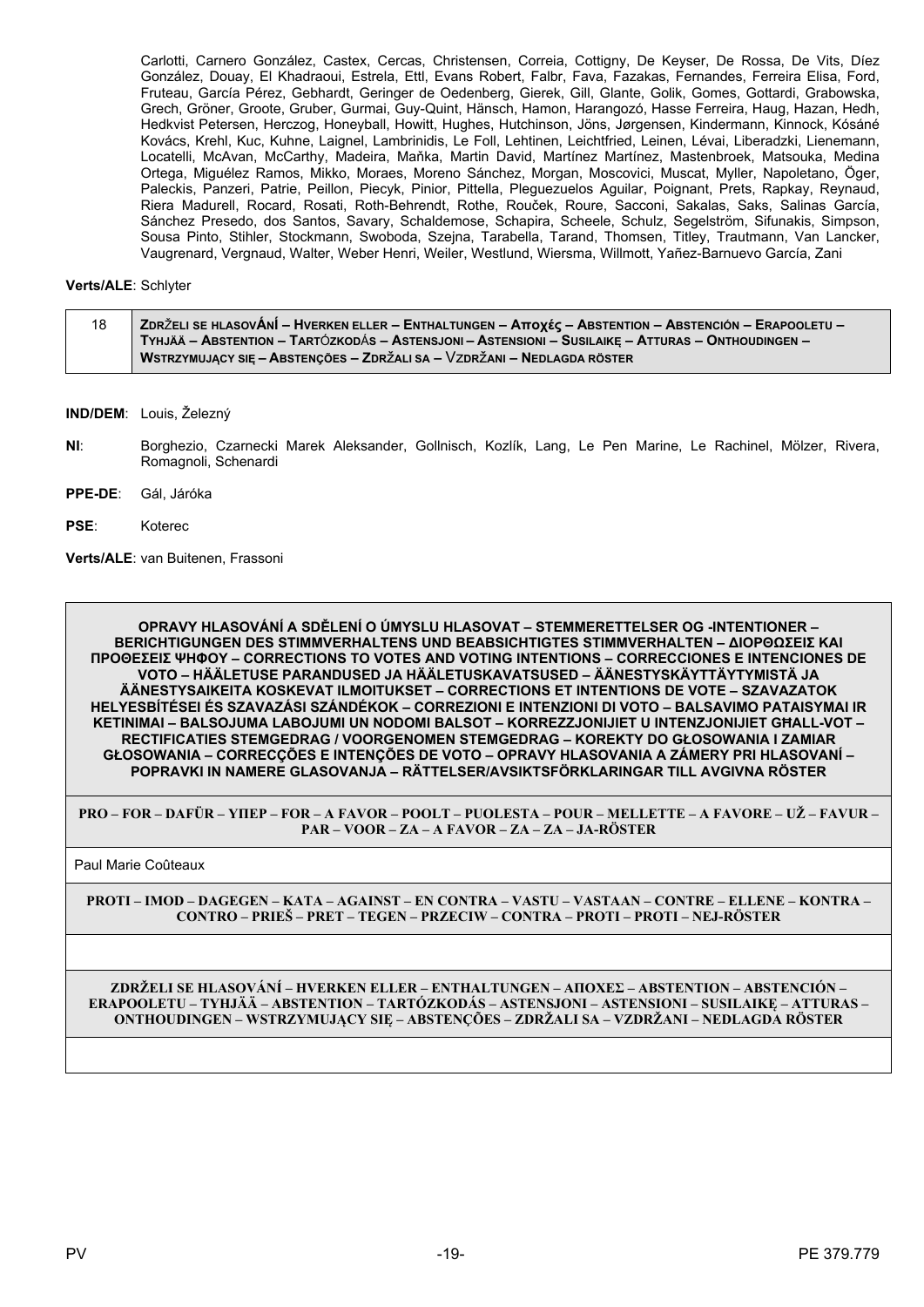Carlotti, Carnero González, Castex, Cercas, Christensen, Correia, Cottigny, De Keyser, De Rossa, De Vits, Díez González, Douay, El Khadraoui, Estrela, Ettl, Evans Robert, Falbr, Fava, Fazakas, Fernandes, Ferreira Elisa, Ford, Fruteau, García Pérez, Gebhardt, Geringer de Oedenberg, Gierek, Gill, Glante, Golik, Gomes, Gottardi, Grabowska, Grech, Gröner, Groote, Gruber, Gurmai, Guy-Quint, Hänsch, Hamon, Harangozó, Hasse Ferreira, Haug, Hazan, Hedh, Hedkvist Petersen, Herczog, Honeyball, Howitt, Hughes, Hutchinson, Jöns, Jørgensen, Kindermann, Kinnock, Kósáné Kovács, Krehl, Kuc, Kuhne, Laignel, Lambrinidis, Le Foll, Lehtinen, Leichtfried, Leinen, Lévai, Liberadzki, Lienemann, Locatelli, McAvan, McCarthy, Madeira, Maňka, Martin David, Martínez Martínez, Mastenbroek, Matsouka, Medina Ortega, Miguélez Ramos, Mikko, Moraes, Moreno Sánchez, Morgan, Moscovici, Muscat, Myller, Napoletano, Öger, Paleckis, Panzeri, Patrie, Peillon, Piecyk, Pinior, Pittella, Pleguezuelos Aguilar, Poignant, Prets, Rapkay, Reynaud, Riera Madurell, Rocard, Rosati, Roth-Behrendt, Rothe, Rouček, Roure, Sacconi, Sakalas, Saks, Salinas García, Sánchez Presedo, dos Santos, Savary, Schaldemose, Schapira, Scheele, Schulz, Segelström, Sifunakis, Simpson, Sousa Pinto, Stihler, Stockmann, Swoboda, Szejna, Tarabella, Tarand, Thomsen, Titley, Trautmann, Van Lancker, Vaugrenard, Vergnaud, Walter, Weber Henri, Weiler, Westlund, Wiersma, Willmott, Yañez-Barnuevo García, Zani

#### **Verts/ALE**: Schlyter

| 18 | (ZDRŽELI SE HLASOVÁNÍ – HVERKEN ELLER – ENTHALTUNGEN – Αποχές – ABSTENTION – ABSTENCIÓN – ERAPOOLETU – ∕  |
|----|-----------------------------------------------------------------------------------------------------------|
|    | <b>TYHJÄÄ – ABSTENTION – TARTÓZKODÁS – ASTENSJONI – ASTENSIONI – SUSILAIKE – ATTURAS – ONTHOUDINGEN –</b> |
|    | WSTRZYMUJĄCY SIĘ – ABSTENÇÕES – ZDRŽALI SA – VZDRŽANI – NEDLAGDA RÖSTER                                   |

**IND/DEM**: Louis, Železný

- **NI**: Borghezio, Czarnecki Marek Aleksander, Gollnisch, Kozlík, Lang, Le Pen Marine, Le Rachinel, Mölzer, Rivera, Romagnoli, Schenardi
- **PPE-DE**: Gál, Járóka
- **PSE**: Koterec

**Verts/ALE**: van Buitenen, Frassoni

**OPRAVY HLASOVÁNÍ A SDĚLENÍ O ÚMYSLU HLASOVAT – STEMMERETTELSER OG -INTENTIONER – BERICHTIGUNGEN DES STIMMVERHALTENS UND BEABSICHTIGTES STIMMVERHALTEN – ΔΙΟΡΘΩΣΕΙΣ ΚΑΙ ΠΡΟΘΕΣΕΙΣ ΨΗΦΟΥ – CORRECTIONS TO VOTES AND VOTING INTENTIONS – CORRECCIONES E INTENCIONES DE VOTO – HÄÄLETUSE PARANDUSED JA HÄÄLETUSKAVATSUSED – ÄÄNESTYSKÄYTTÄYTYMISTÄ JA ÄÄNESTYSAIKEITA KOSKEVAT ILMOITUKSET – CORRECTIONS ET INTENTIONS DE VOTE – SZAVAZATOK HELYESBÍTÉSEI ÉS SZAVAZÁSI SZÁNDÉKOK – CORREZIONI E INTENZIONI DI VOTO – BALSAVIMO PATAISYMAI IR KETINIMAI – BALSOJUMA LABOJUMI UN NODOMI BALSOT – KORREZZJONIJIET U INTENZJONIJIET GĦALL-VOT – RECTIFICATIES STEMGEDRAG / VOORGENOMEN STEMGEDRAG – KOREKTY DO GŁOSOWANIA I ZAMIAR GŁOSOWANIA – CORRECÇÕES E INTENÇÕES DE VOTO – OPRAVY HLASOVANIA A ZÁMERY PRI HLASOVANÍ – POPRAVKI IN NAMERE GLASOVANJA – RÄTTELSER/AVSIKTSFÖRKLARINGAR TILL AVGIVNA RÖSTER**

**PRO – FOR – DAFÜR – ΥΠΕΡ – FOR – A FAVOR – POOLT – PUOLESTA – POUR – MELLETTE – A FAVORE – UŽ – FAVUR – PAR – VOOR – ZA – A FAVOR – ZA – ZA – JA-RÖSTER**

Paul Marie Coûteaux

**PROTI – IMOD – DAGEGEN – ΚΑΤΑ – AGAINST – EN CONTRA – VASTU – VASTAAN – CONTRE – ELLENE – KONTRA – CONTRO – PRIEŠ – PRET – TEGEN – PRZECIW – CONTRA – PROTI – PROTI – NEJ-RÖSTER**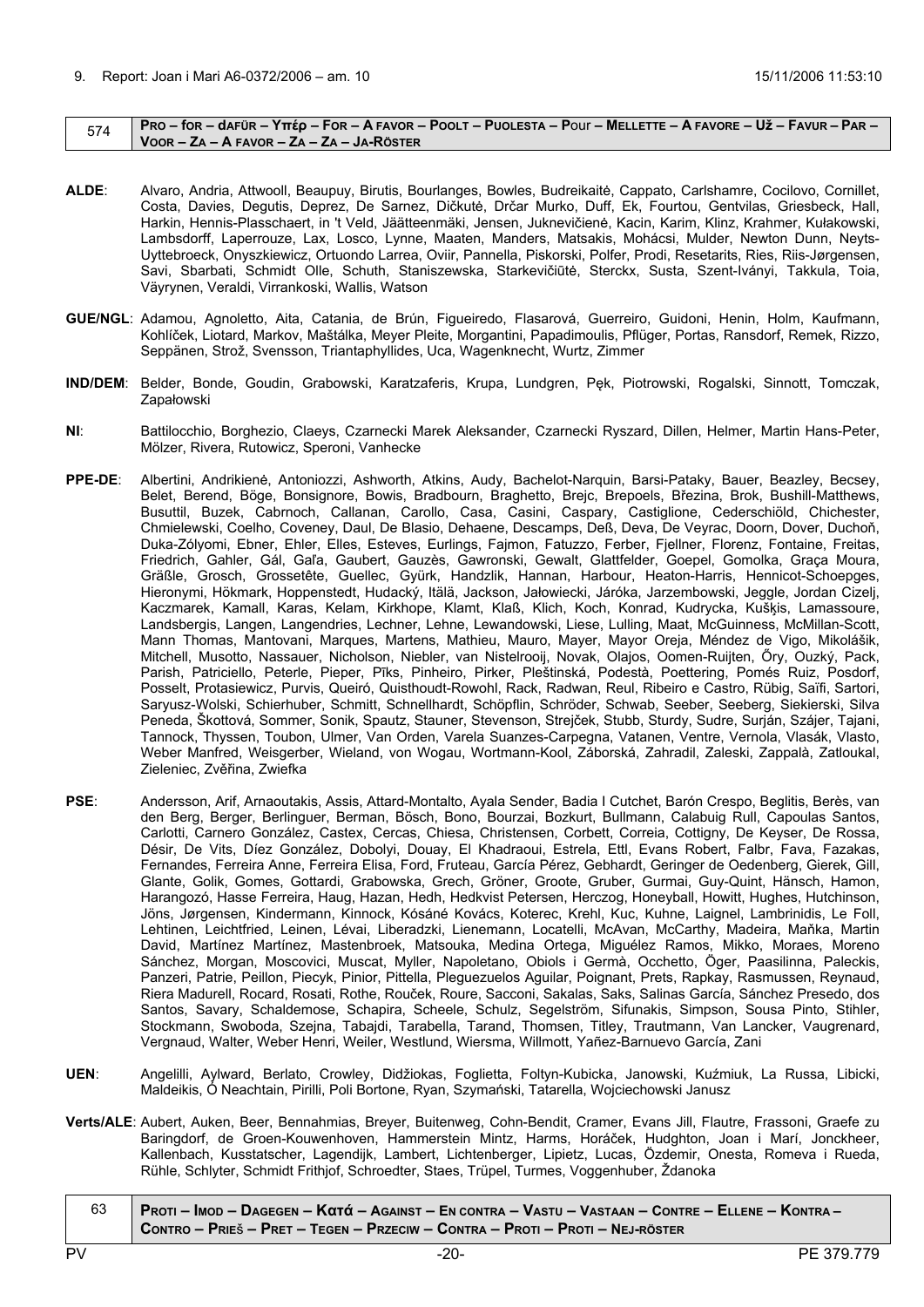#### <span id="page-19-0"></span> $_{574}$  PRO – for – dafür – Yttép – For – A Favor – Poolt – Puolesta – Pour – Mellette – A Favore – Už – Favur – Par – **VOOR – ZA – A FAVOR – ZA – ZA – JA-RÖSTER**

- **ALDE**: Alvaro, Andria, Attwooll, Beaupuy, Birutis, Bourlanges, Bowles, Budreikaitė, Cappato, Carlshamre, Cocilovo, Cornillet, Costa, Davies, Degutis, Deprez, De Sarnez, Dičkutė, Drčar Murko, Duff, Ek, Fourtou, Gentvilas, Griesbeck, Hall, Harkin, Hennis-Plasschaert, in 't Veld, Jäätteenmäki, Jensen, Juknevičienė, Kacin, Karim, Klinz, Krahmer, Kułakowski, Lambsdorff, Laperrouze, Lax, Losco, Lynne, Maaten, Manders, Matsakis, Mohácsi, Mulder, Newton Dunn, Neyts-Uyttebroeck, Onyszkiewicz, Ortuondo Larrea, Oviir, Pannella, Piskorski, Polfer, Prodi, Resetarits, Ries, Riis-Jørgensen, Savi, Sbarbati, Schmidt Olle, Schuth, Staniszewska, Starkevičiūtė, Sterckx, Susta, Szent-Iványi, Takkula, Toia, Väyrynen, Veraldi, Virrankoski, Wallis, Watson
- **GUE/NGL**: Adamou, Agnoletto, Aita, Catania, de Brún, Figueiredo, Flasarová, Guerreiro, Guidoni, Henin, Holm, Kaufmann, Kohlíček, Liotard, Markov, Maštálka, Meyer Pleite, Morgantini, Papadimoulis, Pflüger, Portas, Ransdorf, Remek, Rizzo, Seppänen, Strož, Svensson, Triantaphyllides, Uca, Wagenknecht, Wurtz, Zimmer
- **IND/DEM**: Belder, Bonde, Goudin, Grabowski, Karatzaferis, Krupa, Lundgren, Pęk, Piotrowski, Rogalski, Sinnott, Tomczak, Zapałowski
- **NI**: Battilocchio, Borghezio, Claeys, Czarnecki Marek Aleksander, Czarnecki Ryszard, Dillen, Helmer, Martin Hans-Peter, Mölzer, Rivera, Rutowicz, Speroni, Vanhecke
- **PPE-DE**: Albertini, Andrikienė, Antoniozzi, Ashworth, Atkins, Audy, Bachelot-Narquin, Barsi-Pataky, Bauer, Beazley, Becsey, Belet, Berend, Böge, Bonsignore, Bowis, Bradbourn, Braghetto, Brejc, Brepoels, Březina, Brok, Bushill-Matthews, Busuttil, Buzek, Cabrnoch, Callanan, Carollo, Casa, Casini, Caspary, Castiglione, Cederschiöld, Chichester, Chmielewski, Coelho, Coveney, Daul, De Blasio, Dehaene, Descamps, Deß, Deva, De Veyrac, Doorn, Dover, Duchoň, Duka-Zólyomi, Ebner, Ehler, Elles, Esteves, Eurlings, Fajmon, Fatuzzo, Ferber, Fjellner, Florenz, Fontaine, Freitas, Friedrich, Gahler, Gál, Gaľa, Gaubert, Gauzès, Gawronski, Gewalt, Glattfelder, Goepel, Gomolka, Graça Moura, Gräßle, Grosch, Grossetête, Guellec, Gyürk, Handzlik, Hannan, Harbour, Heaton-Harris, Hennicot-Schoepges, Hieronymi, Hökmark, Hoppenstedt, Hudacký, Itälä, Jackson, Jałowiecki, Járóka, Jarzembowski, Jeggle, Jordan Cizelj, Kaczmarek, Kamall, Karas, Kelam, Kirkhope, Klamt, Klaß, Klich, Koch, Konrad, Kudrycka, Kušķis, Lamassoure, Landsbergis, Langen, Langendries, Lechner, Lehne, Lewandowski, Liese, Lulling, Maat, McGuinness, McMillan-Scott, Mann Thomas, Mantovani, Marques, Martens, Mathieu, Mauro, Mayer, Mayor Oreja, Méndez de Vigo, Mikolášik, Mitchell, Musotto, Nassauer, Nicholson, Niebler, van Nistelrooij, Novak, Olajos, Oomen-Ruijten, Őry, Ouzký, Pack, Parish, Patriciello, Peterle, Pieper, Pīks, Pinheiro, Pirker, Pleštinská, Podestà, Poettering, Pomés Ruiz, Posdorf, Posselt, Protasiewicz, Purvis, Queiró, Quisthoudt-Rowohl, Rack, Radwan, Reul, Ribeiro e Castro, Rübig, Saïfi, Sartori, Saryusz-Wolski, Schierhuber, Schmitt, Schnellhardt, Schöpflin, Schröder, Schwab, Seeber, Seeberg, Siekierski, Silva Peneda, Škottová, Sommer, Sonik, Spautz, Stauner, Stevenson, Strejček, Stubb, Sturdy, Sudre, Surján, Szájer, Tajani, Tannock, Thyssen, Toubon, Ulmer, Van Orden, Varela Suanzes-Carpegna, Vatanen, Ventre, Vernola, Vlasák, Vlasto, Weber Manfred, Weisgerber, Wieland, von Wogau, Wortmann-Kool, Záborská, Zahradil, Zaleski, Zappalà, Zatloukal, Zieleniec, Zvěřina, Zwiefka
- **PSE**: Andersson, Arif, Arnaoutakis, Assis, Attard-Montalto, Ayala Sender, Badia I Cutchet, Barón Crespo, Beglitis, Berès, van den Berg, Berger, Berlinguer, Berman, Bösch, Bono, Bourzai, Bozkurt, Bullmann, Calabuig Rull, Capoulas Santos, Carlotti, Carnero González, Castex, Cercas, Chiesa, Christensen, Corbett, Correia, Cottigny, De Keyser, De Rossa, Désir, De Vits, Díez González, Dobolyi, Douay, El Khadraoui, Estrela, Ettl, Evans Robert, Falbr, Fava, Fazakas, Fernandes, Ferreira Anne, Ferreira Elisa, Ford, Fruteau, García Pérez, Gebhardt, Geringer de Oedenberg, Gierek, Gill, Glante, Golik, Gomes, Gottardi, Grabowska, Grech, Gröner, Groote, Gruber, Gurmai, Guy-Quint, Hänsch, Hamon, Harangozó, Hasse Ferreira, Haug, Hazan, Hedh, Hedkvist Petersen, Herczog, Honeyball, Howitt, Hughes, Hutchinson, Jöns, Jørgensen, Kindermann, Kinnock, Kósáné Kovács, Koterec, Krehl, Kuc, Kuhne, Laignel, Lambrinidis, Le Foll, Lehtinen, Leichtfried, Leinen, Lévai, Liberadzki, Lienemann, Locatelli, McAvan, McCarthy, Madeira, Maňka, Martin David, Martínez Martínez, Mastenbroek, Matsouka, Medina Ortega, Miguélez Ramos, Mikko, Moraes, Moreno Sánchez, Morgan, Moscovici, Muscat, Myller, Napoletano, Obiols i Germà, Occhetto, Öger, Paasilinna, Paleckis, Panzeri, Patrie, Peillon, Piecyk, Pinior, Pittella, Pleguezuelos Aguilar, Poignant, Prets, Rapkay, Rasmussen, Reynaud, Riera Madurell, Rocard, Rosati, Rothe, Rouček, Roure, Sacconi, Sakalas, Saks, Salinas García, Sánchez Presedo, dos Santos, Savary, Schaldemose, Schapira, Scheele, Schulz, Segelström, Sifunakis, Simpson, Sousa Pinto, Stihler, Stockmann, Swoboda, Szejna, Tabajdi, Tarabella, Tarand, Thomsen, Titley, Trautmann, Van Lancker, Vaugrenard, Vergnaud, Walter, Weber Henri, Weiler, Westlund, Wiersma, Willmott, Yañez-Barnuevo García, Zani
- **UEN**: Angelilli, Aylward, Berlato, Crowley, Didžiokas, Foglietta, Foltyn-Kubicka, Janowski, Kuźmiuk, La Russa, Libicki, Maldeikis, Ó Neachtain, Pirilli, Poli Bortone, Ryan, Szymański, Tatarella, Wojciechowski Janusz
- **Verts/ALE**: Aubert, Auken, Beer, Bennahmias, Breyer, Buitenweg, Cohn-Bendit, Cramer, Evans Jill, Flautre, Frassoni, Graefe zu Baringdorf, de Groen-Kouwenhoven, Hammerstein Mintz, Harms, Horáček, Hudghton, Joan i Marí, Jonckheer, Kallenbach, Kusstatscher, Lagendijk, Lambert, Lichtenberger, Lipietz, Lucas, Özdemir, Onesta, Romeva i Rueda, Rühle, Schlyter, Schmidt Frithjof, Schroedter, Staes, Trüpel, Turmes, Voggenhuber, Ždanoka
- 63 PROTI IMOD DAGEGEN Κατά AGAINST EN CONTRA VASTU VASTAAN CONTRE ELLENE KONTRA CONTRO - PRIEŠ - PRET - TEGEN - PRZECIW - CONTRA - PROTI - PROTI - NEJ-RÖSTER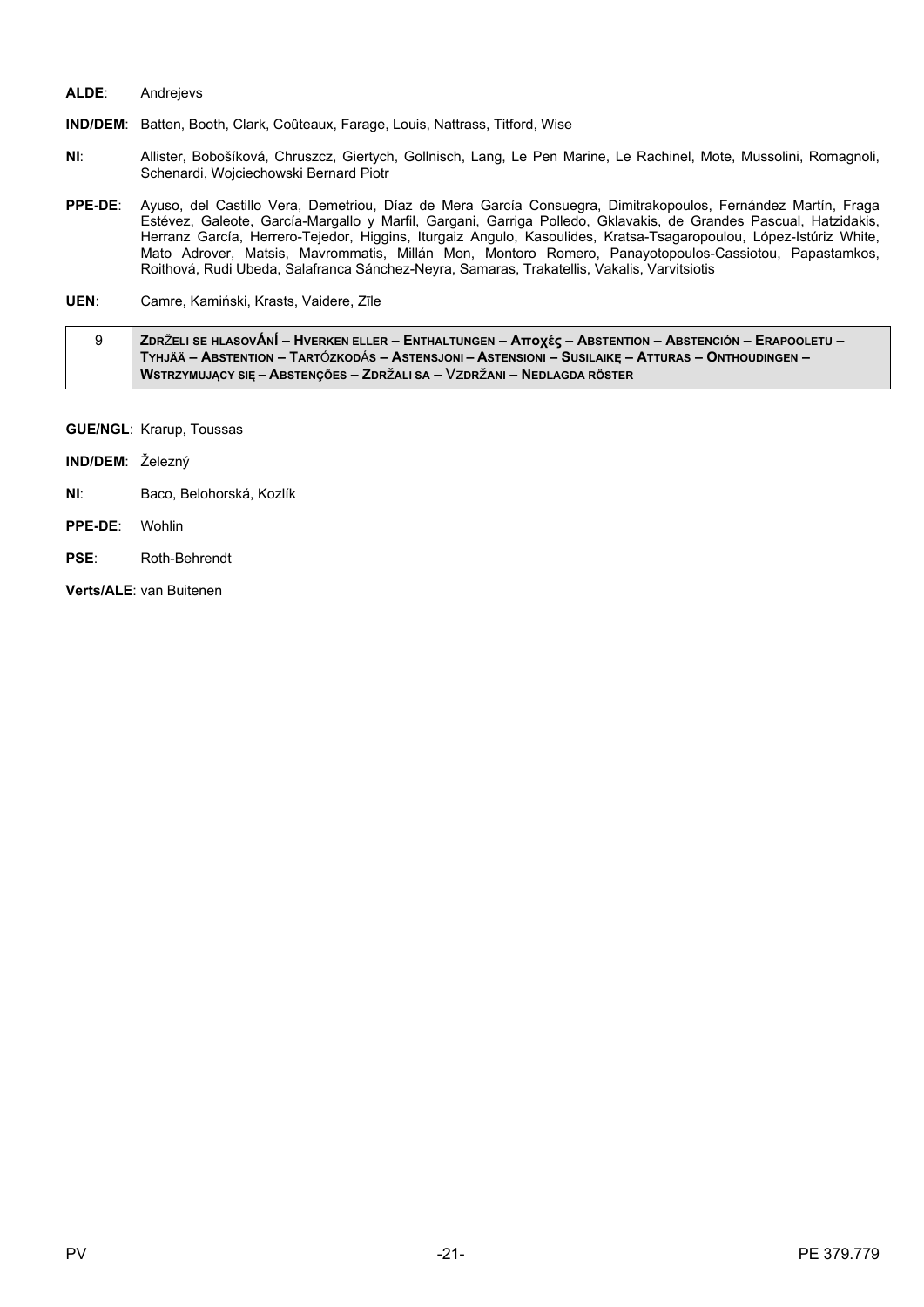#### ALDE: Andrejevs

IND/DEM: Batten, Booth, Clark, Coûteaux, Farage, Louis, Nattrass, Titford, Wise

- NI: Allister, Bobošíková, Chruszcz, Giertych, Gollnisch, Lang, Le Pen Marine, Le Rachinel, Mote, Mussolini, Romagnoli, Schenardi, Wojciechowski Bernard Piotr
- Ayuso, del Castillo Vera, Demetriou, Díaz de Mera García Consuegra, Dimitrakopoulos, Fernández Martín, Fraga PPE-DE: Estévez, Galeote, García-Margallo y Marfil, Gargani, Garriga Polledo, Gklavakis, de Grandes Pascual, Hatzidakis, Herranz García, Herrero-Tejedor, Higgins, Iturgaiz Angulo, Kasoulides, Kratsa-Tsagaropoulou, López-Istúriz White, Mato Adrover, Matsis, Mavrommatis, Millán Mon, Montoro Romero, Panayotopoulos-Cassiotou, Papastamkos, Roithová, Rudi Ubeda, Salafranca Sánchez-Neyra, Samaras, Trakatellis, Vakalis, Varvitsiotis
- UEN: Camre, Kamiński, Krasts, Vaidere, Zīle

| ZDRŽELI SE HLASOVÁNÍ – HVERKEN ELLER – ENTHALTUNGEN – Αποχές – ABSTENTION – ABSTENCIÓN – ERAPOOLETU – |
|-------------------------------------------------------------------------------------------------------|
| TYHJÄÄ – ABSTENTION – TARTÓZKODÁS – ASTENSJONI – ASTENSIONI – SUSILAIKE – ATTURAS – ONTHOUDINGEN –    |
| WSTRZYMUJACY SIE – ABSTENCÕES – ZDRŽALI SA – VZDRŽANI – NEDLAGDA RÖSTER                               |

- **GUE/NGL: Krarup, Toussas**
- IND/DEM: Železný
- $NI:$ Baco, Belohorská, Kozlík
- PPE-DE: Wohlin
- PSE: Roth-Behrendt

Verts/ALE: van Buitenen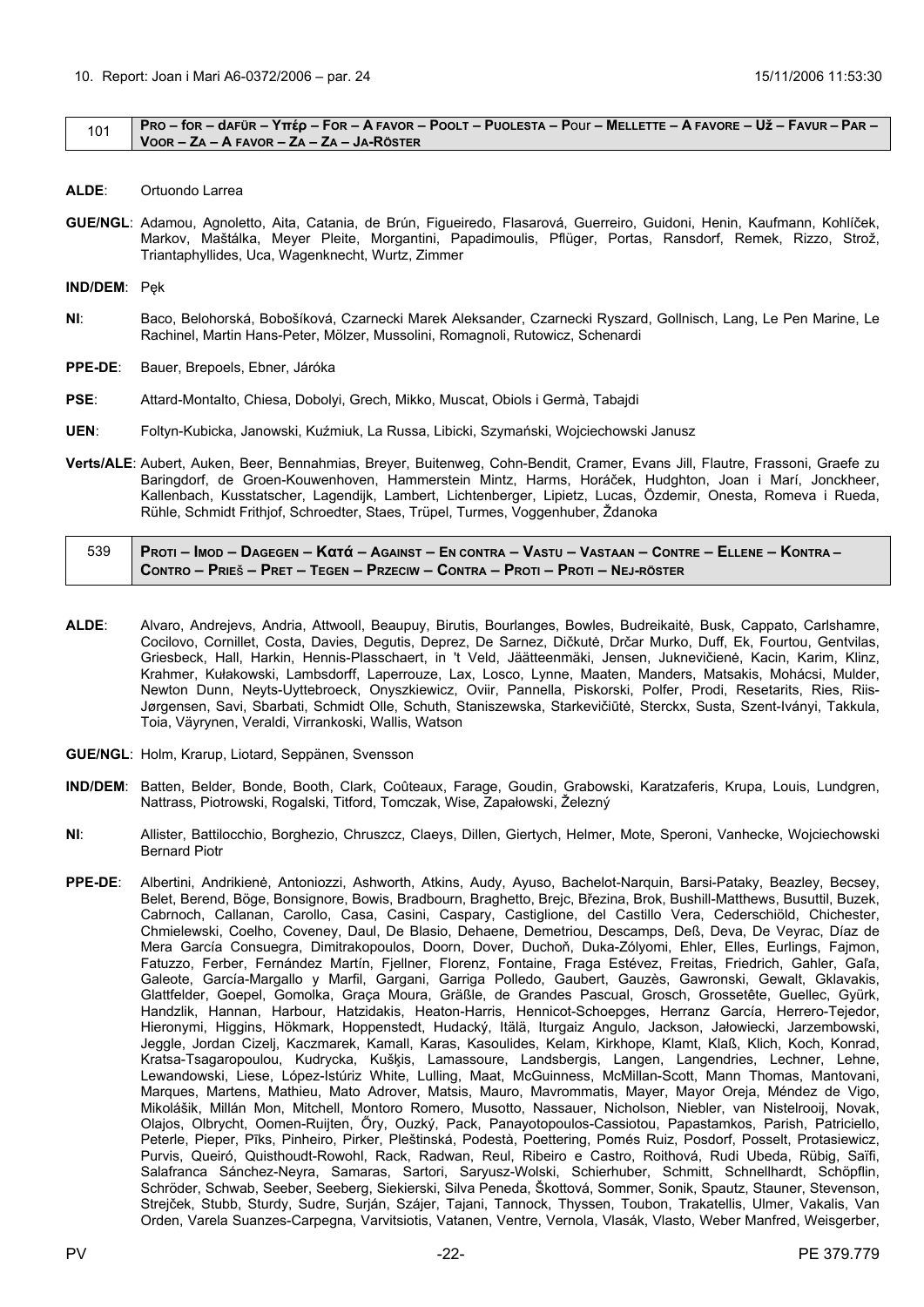#### <span id="page-21-0"></span>101 | PRO – for – dafür – Yttép – For – A Favor – Poolt – Puolesta – Pour – Mellette – A Favore – Už – Favur – Par – **VOOR – ZA – A FAVOR – ZA – ZA – JA-RÖSTER**

- **ALDE**: Ortuondo Larrea
- **GUE/NGL**: Adamou, Agnoletto, Aita, Catania, de Brún, Figueiredo, Flasarová, Guerreiro, Guidoni, Henin, Kaufmann, Kohlíček, Markov, Maštálka, Meyer Pleite, Morgantini, Papadimoulis, Pflüger, Portas, Ransdorf, Remek, Rizzo, Strož, Triantaphyllides, Uca, Wagenknecht, Wurtz, Zimmer

**IND/DEM**: Pęk

- **NI**: Baco, Belohorská, Bobošíková, Czarnecki Marek Aleksander, Czarnecki Ryszard, Gollnisch, Lang, Le Pen Marine, Le Rachinel, Martin Hans-Peter, Mölzer, Mussolini, Romagnoli, Rutowicz, Schenardi
- **PPE-DE**: Bauer, Brepoels, Ebner, Járóka
- **PSE**: Attard-Montalto, Chiesa, Dobolyi, Grech, Mikko, Muscat, Obiols i Germà, Tabajdi
- **UEN**: Foltyn-Kubicka, Janowski, Kuźmiuk, La Russa, Libicki, Szymański, Wojciechowski Janusz
- **Verts/ALE**: Aubert, Auken, Beer, Bennahmias, Breyer, Buitenweg, Cohn-Bendit, Cramer, Evans Jill, Flautre, Frassoni, Graefe zu Baringdorf, de Groen-Kouwenhoven, Hammerstein Mintz, Harms, Horáček, Hudghton, Joan i Marí, Jonckheer, Kallenbach, Kusstatscher, Lagendijk, Lambert, Lichtenberger, Lipietz, Lucas, Özdemir, Onesta, Romeva i Rueda, Rühle, Schmidt Frithjof, Schroedter, Staes, Trüpel, Turmes, Voggenhuber, Ždanoka

| 539   Proti – Imod – Dagegen – Kαtά – Against – En contra – Vastu – Vastaan – Contre – Ellene – Kontra – / |
|------------------------------------------------------------------------------------------------------------|
| $\mid$ Contro – Prieš – Pret – Tegen – Przeciw – Contra – Proti – Proti – Nej-röster                       |

- **ALDE**: Alvaro, Andrejevs, Andria, Attwooll, Beaupuy, Birutis, Bourlanges, Bowles, Budreikaitė, Busk, Cappato, Carlshamre, Cocilovo, Cornillet, Costa, Davies, Degutis, Deprez, De Sarnez, Dičkutė, Drčar Murko, Duff, Ek, Fourtou, Gentvilas, Griesbeck, Hall, Harkin, Hennis-Plasschaert, in 't Veld, Jäätteenmäki, Jensen, Juknevičienė, Kacin, Karim, Klinz, Krahmer, Kułakowski, Lambsdorff, Laperrouze, Lax, Losco, Lynne, Maaten, Manders, Matsakis, Mohácsi, Mulder, Newton Dunn, Neyts-Uyttebroeck, Onyszkiewicz, Oviir, Pannella, Piskorski, Polfer, Prodi, Resetarits, Ries, Riis-Jørgensen, Savi, Sbarbati, Schmidt Olle, Schuth, Staniszewska, Starkevičiūtė, Sterckx, Susta, Szent-Iványi, Takkula, Toia, Väyrynen, Veraldi, Virrankoski, Wallis, Watson
- **GUE/NGL**: Holm, Krarup, Liotard, Seppänen, Svensson
- **IND/DEM**: Batten, Belder, Bonde, Booth, Clark, Coûteaux, Farage, Goudin, Grabowski, Karatzaferis, Krupa, Louis, Lundgren, Nattrass, Piotrowski, Rogalski, Titford, Tomczak, Wise, Zapałowski, Železný
- **NI**: Allister, Battilocchio, Borghezio, Chruszcz, Claeys, Dillen, Giertych, Helmer, Mote, Speroni, Vanhecke, Wojciechowski Bernard Piotr
- **PPE-DE**: Albertini, Andrikienė, Antoniozzi, Ashworth, Atkins, Audy, Ayuso, Bachelot-Narquin, Barsi-Pataky, Beazley, Becsey, Belet, Berend, Böge, Bonsignore, Bowis, Bradbourn, Braghetto, Brejc, Březina, Brok, Bushill-Matthews, Busuttil, Buzek, Cabrnoch, Callanan, Carollo, Casa, Casini, Caspary, Castiglione, del Castillo Vera, Cederschiöld, Chichester, Chmielewski, Coelho, Coveney, Daul, De Blasio, Dehaene, Demetriou, Descamps, Deß, Deva, De Veyrac, Díaz de Mera García Consuegra, Dimitrakopoulos, Doorn, Dover, Duchoň, Duka-Zólyomi, Ehler, Elles, Eurlings, Fajmon, Fatuzzo, Ferber, Fernández Martín, Fjellner, Florenz, Fontaine, Fraga Estévez, Freitas, Friedrich, Gahler, Gaľa, Galeote, García-Margallo y Marfil, Gargani, Garriga Polledo, Gaubert, Gauzès, Gawronski, Gewalt, Gklavakis, Glattfelder, Goepel, Gomolka, Graça Moura, Gräßle, de Grandes Pascual, Grosch, Grossetête, Guellec, Gyürk, Handzlik, Hannan, Harbour, Hatzidakis, Heaton-Harris, Hennicot-Schoepges, Herranz García, Herrero-Tejedor, Hieronymi, Higgins, Hökmark, Hoppenstedt, Hudacký, Itälä, Iturgaiz Angulo, Jackson, Jałowiecki, Jarzembowski, Jeggle, Jordan Cizelj, Kaczmarek, Kamall, Karas, Kasoulides, Kelam, Kirkhope, Klamt, Klaß, Klich, Koch, Konrad, Kratsa-Tsagaropoulou, Kudrycka, Kušķis, Lamassoure, Landsbergis, Langen, Langendries, Lechner, Lehne, Lewandowski, Liese, López-Istúriz White, Lulling, Maat, McGuinness, McMillan-Scott, Mann Thomas, Mantovani, Marques, Martens, Mathieu, Mato Adrover, Matsis, Mauro, Mavrommatis, Mayer, Mayor Oreja, Méndez de Vigo, Mikolášik, Millán Mon, Mitchell, Montoro Romero, Musotto, Nassauer, Nicholson, Niebler, van Nistelrooij, Novak, Olajos, Olbrycht, Oomen-Ruijten, Őry, Ouzký, Pack, Panayotopoulos-Cassiotou, Papastamkos, Parish, Patriciello, Peterle, Pieper, Pīks, Pinheiro, Pirker, Pleštinská, Podestà, Poettering, Pomés Ruiz, Posdorf, Posselt, Protasiewicz, Purvis, Queiró, Quisthoudt-Rowohl, Rack, Radwan, Reul, Ribeiro e Castro, Roithová, Rudi Ubeda, Rübig, Saïfi, Salafranca Sánchez-Neyra, Samaras, Sartori, Saryusz-Wolski, Schierhuber, Schmitt, Schnellhardt, Schöpflin, Schröder, Schwab, Seeber, Seeberg, Siekierski, Silva Peneda, Škottová, Sommer, Sonik, Spautz, Stauner, Stevenson, Strejček, Stubb, Sturdy, Sudre, Surján, Szájer, Tajani, Tannock, Thyssen, Toubon, Trakatellis, Ulmer, Vakalis, Van Orden, Varela Suanzes-Carpegna, Varvitsiotis, Vatanen, Ventre, Vernola, Vlasák, Vlasto, Weber Manfred, Weisgerber,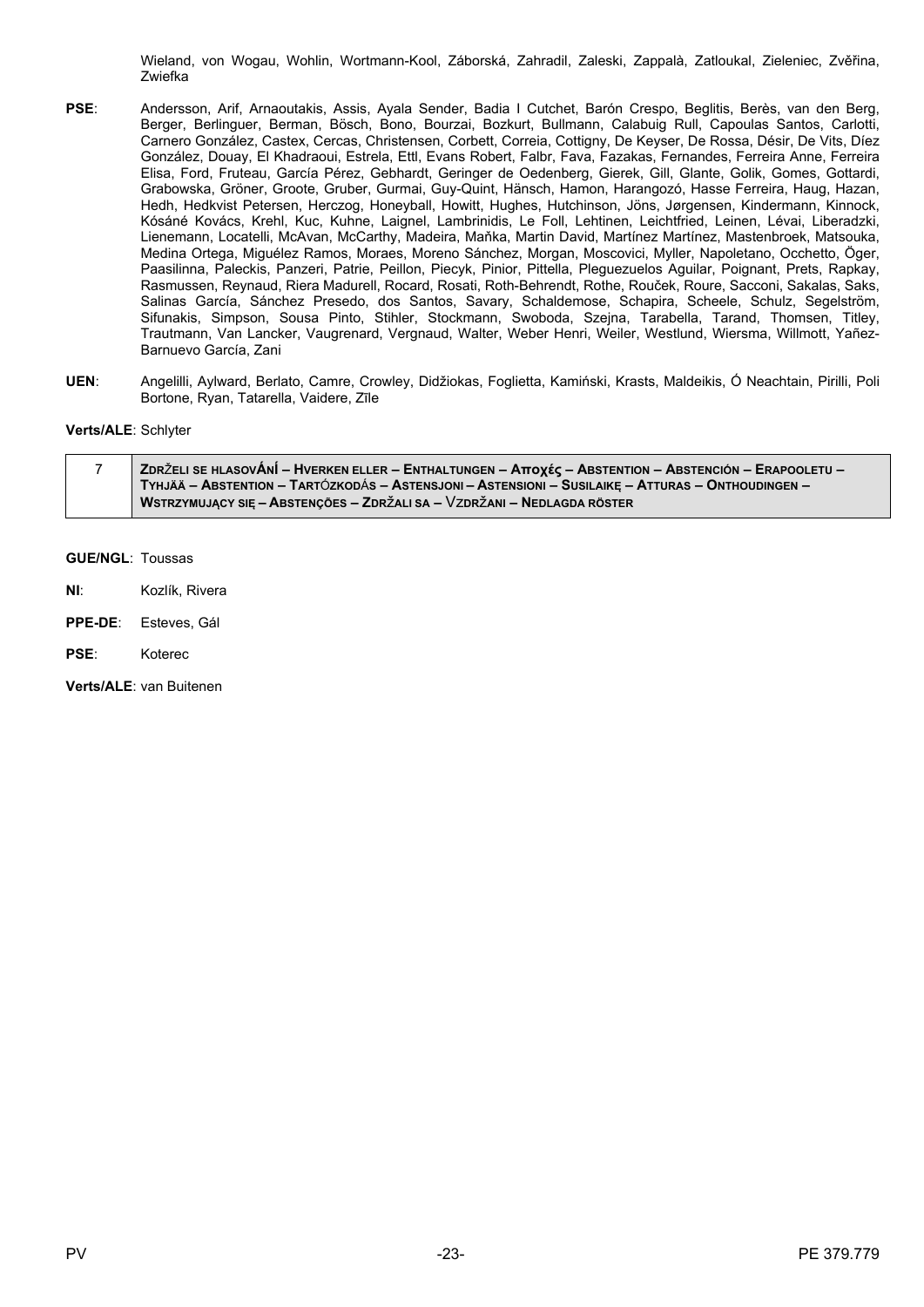Wieland, von Wogau, Wohlin, Wortmann-Kool, Záborská, Zahradil, Zaleski, Zappalà, Zatloukal, Zieleniec, Zvěřina, Zwiefka

- **PSE**: Andersson, Arif, Arnaoutakis, Assis, Ayala Sender, Badia I Cutchet, Barón Crespo, Beglitis, Berès, van den Berg, Berger, Berlinguer, Berman, Bösch, Bono, Bourzai, Bozkurt, Bullmann, Calabuig Rull, Capoulas Santos, Carlotti, Carnero González, Castex, Cercas, Christensen, Corbett, Correia, Cottigny, De Keyser, De Rossa, Désir, De Vits, Díez González, Douay, El Khadraoui, Estrela, Ettl, Evans Robert, Falbr, Fava, Fazakas, Fernandes, Ferreira Anne, Ferreira Elisa, Ford, Fruteau, García Pérez, Gebhardt, Geringer de Oedenberg, Gierek, Gill, Glante, Golik, Gomes, Gottardi, Grabowska, Gröner, Groote, Gruber, Gurmai, Guy-Quint, Hänsch, Hamon, Harangozó, Hasse Ferreira, Haug, Hazan, Hedh, Hedkvist Petersen, Herczog, Honeyball, Howitt, Hughes, Hutchinson, Jöns, Jørgensen, Kindermann, Kinnock, Kósáné Kovács, Krehl, Kuc, Kuhne, Laignel, Lambrinidis, Le Foll, Lehtinen, Leichtfried, Leinen, Lévai, Liberadzki, Lienemann, Locatelli, McAvan, McCarthy, Madeira, Maňka, Martin David, Martínez Martínez, Mastenbroek, Matsouka, Medina Ortega, Miguélez Ramos, Moraes, Moreno Sánchez, Morgan, Moscovici, Myller, Napoletano, Occhetto, Öger, Paasilinna, Paleckis, Panzeri, Patrie, Peillon, Piecyk, Pinior, Pittella, Pleguezuelos Aguilar, Poignant, Prets, Rapkay, Rasmussen, Reynaud, Riera Madurell, Rocard, Rosati, Roth-Behrendt, Rothe, Rouček, Roure, Sacconi, Sakalas, Saks, Salinas García, Sánchez Presedo, dos Santos, Savary, Schaldemose, Schapira, Scheele, Schulz, Segelström, Sifunakis, Simpson, Sousa Pinto, Stihler, Stockmann, Swoboda, Szejna, Tarabella, Tarand, Thomsen, Titley, Trautmann, Van Lancker, Vaugrenard, Vergnaud, Walter, Weber Henri, Weiler, Westlund, Wiersma, Willmott, Yañez-Barnuevo García, Zani
- **UEN**: Angelilli, Aylward, Berlato, Camre, Crowley, Didžiokas, Foglietta, Kamiński, Krasts, Maldeikis, Ó Neachtain, Pirilli, Poli Bortone, Ryan, Tatarella, Vaidere, Zīle

# **Verts/ALE**: Schlyter

| ZDRŽELI SE HLASOVÁNÍ – HVERKEN ELLER – ENTHALTUNGEN – Αποχές – ABSTENTION – ABSTENCIÓN – ERAPOOLETU – |
|-------------------------------------------------------------------------------------------------------|
| TYHJÄÄ – ABSTENTION – TARTÓZKODÁS – ASTENSJONI – ASTENSIONI – SUSILAIKE – ATTURAS – ONTHOUDINGEN –    |
| WSTRZYMUJĄCY SIĘ – ABSTENÇÕES – ZDRŽALI SA – VZDRŽANI – NEDLAGDA RÖSTER                               |

### **GUE/NGL**: Toussas

- **NI**: Kozlík, Rivera
- **PPE-DE**: Esteves, Gál
- **PSE**: Koterec

**Verts/ALE**: van Buitenen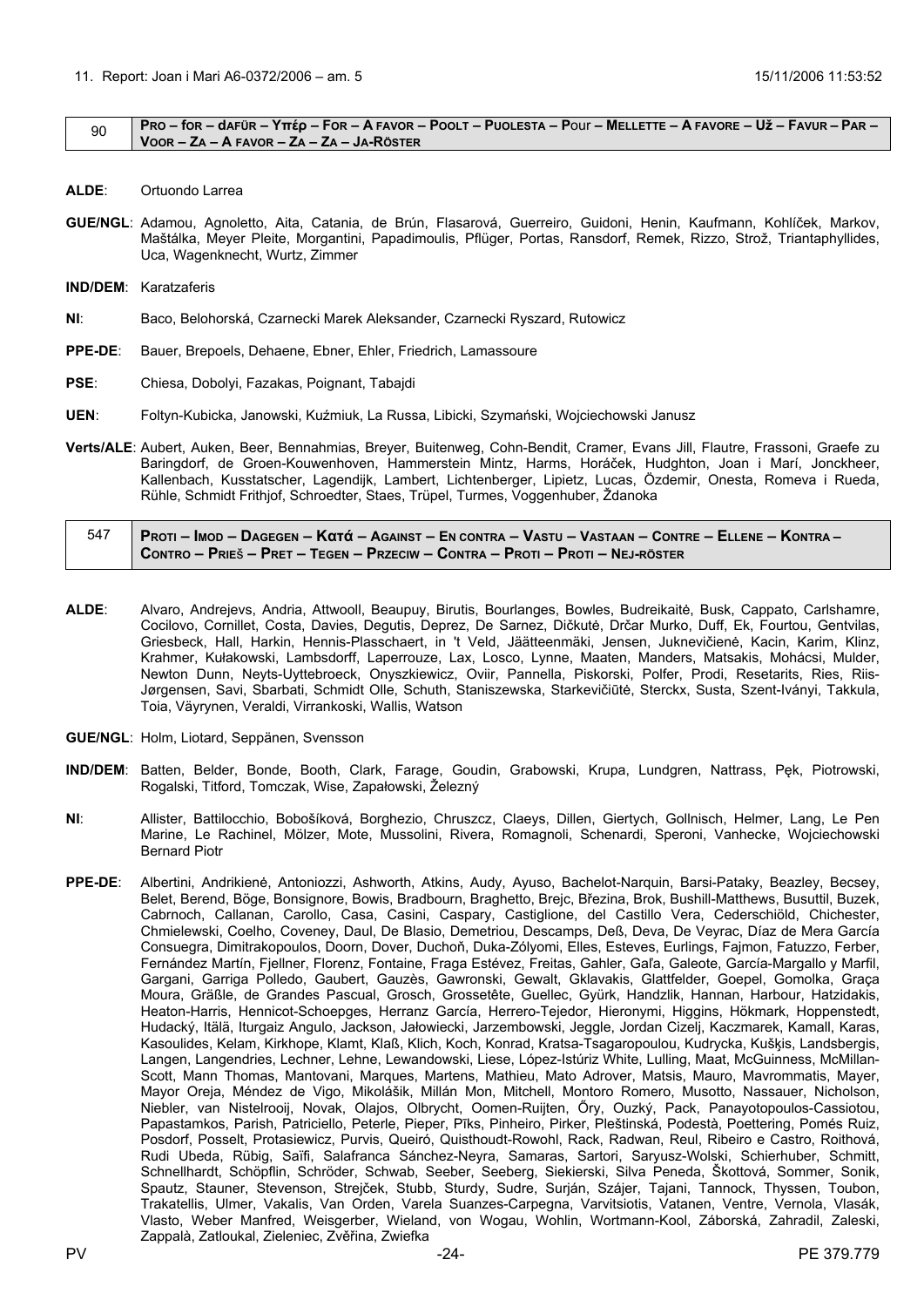#### <span id="page-23-0"></span> $\frac{1}{90}$  PRO – for – dafür – Yttép – For – A favor – Poolt – Puolesta – Pour – Mellette – A favore – Už – Favur – Par – **VOOR – ZA – A FAVOR – ZA – ZA – JA-RÖSTER**

- **ALDE**: Ortuondo Larrea
- **GUE/NGL**: Adamou, Agnoletto, Aita, Catania, de Brún, Flasarová, Guerreiro, Guidoni, Henin, Kaufmann, Kohlíček, Markov, Maštálka, Meyer Pleite, Morgantini, Papadimoulis, Pflüger, Portas, Ransdorf, Remek, Rizzo, Strož, Triantaphyllides, Uca, Wagenknecht, Wurtz, Zimmer
- **IND/DEM**: Karatzaferis
- **NI**: Baco, Belohorská, Czarnecki Marek Aleksander, Czarnecki Ryszard, Rutowicz
- **PPE-DE**: Bauer, Brepoels, Dehaene, Ebner, Ehler, Friedrich, Lamassoure
- **PSE**: Chiesa, Dobolyi, Fazakas, Poignant, Tabajdi
- **UEN**: Foltyn-Kubicka, Janowski, Kuźmiuk, La Russa, Libicki, Szymański, Wojciechowski Janusz
- **Verts/ALE**: Aubert, Auken, Beer, Bennahmias, Breyer, Buitenweg, Cohn-Bendit, Cramer, Evans Jill, Flautre, Frassoni, Graefe zu Baringdorf, de Groen-Kouwenhoven, Hammerstein Mintz, Harms, Horáček, Hudghton, Joan i Marí, Jonckheer, Kallenbach, Kusstatscher, Lagendijk, Lambert, Lichtenberger, Lipietz, Lucas, Özdemir, Onesta, Romeva i Rueda, Rühle, Schmidt Frithjof, Schroedter, Staes, Trüpel, Turmes, Voggenhuber, Ždanoka

| 547 | Proti – Imod – Dagegen – Κατά – Against – En contra – Vastu – Vastaan – Contre – Ellene – Kontra – / |
|-----|------------------------------------------------------------------------------------------------------|
|     | CONTRO – PRIEŠ – PRET – TEGEN – PRZECIW – CONTRA – PROTI – PROTI – NEJ-RÖSTER                        |

- **ALDE**: Alvaro, Andrejevs, Andria, Attwooll, Beaupuy, Birutis, Bourlanges, Bowles, Budreikaitė, Busk, Cappato, Carlshamre, Cocilovo, Cornillet, Costa, Davies, Degutis, Deprez, De Sarnez, Dičkutė, Drčar Murko, Duff, Ek, Fourtou, Gentvilas, Griesbeck, Hall, Harkin, Hennis-Plasschaert, in 't Veld, Jäätteenmäki, Jensen, Juknevičienė, Kacin, Karim, Klinz, Krahmer, Kułakowski, Lambsdorff, Laperrouze, Lax, Losco, Lynne, Maaten, Manders, Matsakis, Mohácsi, Mulder, Newton Dunn, Neyts-Uyttebroeck, Onyszkiewicz, Oviir, Pannella, Piskorski, Polfer, Prodi, Resetarits, Ries, Riis-Jørgensen, Savi, Sbarbati, Schmidt Olle, Schuth, Staniszewska, Starkevičiūtė, Sterckx, Susta, Szent-Iványi, Takkula, Toia, Väyrynen, Veraldi, Virrankoski, Wallis, Watson
- **GUE/NGL**: Holm, Liotard, Seppänen, Svensson
- **IND/DEM**: Batten, Belder, Bonde, Booth, Clark, Farage, Goudin, Grabowski, Krupa, Lundgren, Nattrass, Pęk, Piotrowski, Rogalski, Titford, Tomczak, Wise, Zapałowski, Železný
- **NI**: Allister, Battilocchio, Bobošíková, Borghezio, Chruszcz, Claeys, Dillen, Giertych, Gollnisch, Helmer, Lang, Le Pen Marine, Le Rachinel, Mölzer, Mote, Mussolini, Rivera, Romagnoli, Schenardi, Speroni, Vanhecke, Wojciechowski Bernard Piotr
- **PPE-DE**: Albertini, Andrikienė, Antoniozzi, Ashworth, Atkins, Audy, Ayuso, Bachelot-Narquin, Barsi-Pataky, Beazley, Becsey, Belet, Berend, Böge, Bonsignore, Bowis, Bradbourn, Braghetto, Brejc, Březina, Brok, Bushill-Matthews, Busuttil, Buzek, Cabrnoch, Callanan, Carollo, Casa, Casini, Caspary, Castiglione, del Castillo Vera, Cederschiöld, Chichester, Chmielewski, Coelho, Coveney, Daul, De Blasio, Demetriou, Descamps, Deß, Deva, De Veyrac, Díaz de Mera García Consuegra, Dimitrakopoulos, Doorn, Dover, Duchoň, Duka-Zólyomi, Elles, Esteves, Eurlings, Fajmon, Fatuzzo, Ferber, Fernández Martín, Fjellner, Florenz, Fontaine, Fraga Estévez, Freitas, Gahler, Gaľa, Galeote, García-Margallo y Marfil, Gargani, Garriga Polledo, Gaubert, Gauzès, Gawronski, Gewalt, Gklavakis, Glattfelder, Goepel, Gomolka, Graça Moura, Gräßle, de Grandes Pascual, Grosch, Grossetête, Guellec, Gyürk, Handzlik, Hannan, Harbour, Hatzidakis, Heaton-Harris, Hennicot-Schoepges, Herranz García, Herrero-Tejedor, Hieronymi, Higgins, Hökmark, Hoppenstedt, Hudacký, Itälä, Iturgaiz Angulo, Jackson, Jałowiecki, Jarzembowski, Jeggle, Jordan Cizelj, Kaczmarek, Kamall, Karas, Kasoulides, Kelam, Kirkhope, Klamt, Klaß, Klich, Koch, Konrad, Kratsa-Tsagaropoulou, Kudrycka, Kušķis, Landsbergis, Langen, Langendries, Lechner, Lehne, Lewandowski, Liese, López-Istúriz White, Lulling, Maat, McGuinness, McMillan-Scott, Mann Thomas, Mantovani, Marques, Martens, Mathieu, Mato Adrover, Matsis, Mauro, Mavrommatis, Mayer, Mayor Oreja, Méndez de Vigo, Mikolášik, Millán Mon, Mitchell, Montoro Romero, Musotto, Nassauer, Nicholson, Niebler, van Nistelrooij, Novak, Olajos, Olbrycht, Oomen-Ruijten, Őry, Ouzký, Pack, Panayotopoulos-Cassiotou, Papastamkos, Parish, Patriciello, Peterle, Pieper, Pīks, Pinheiro, Pirker, Pleštinská, Podestà, Poettering, Pomés Ruiz, Posdorf, Posselt, Protasiewicz, Purvis, Queiró, Quisthoudt-Rowohl, Rack, Radwan, Reul, Ribeiro e Castro, Roithová, Rudi Ubeda, Rübig, Saïfi, Salafranca Sánchez-Neyra, Samaras, Sartori, Saryusz-Wolski, Schierhuber, Schmitt, Schnellhardt, Schöpflin, Schröder, Schwab, Seeber, Seeberg, Siekierski, Silva Peneda, Škottová, Sommer, Sonik, Spautz, Stauner, Stevenson, Strejček, Stubb, Sturdy, Sudre, Surján, Szájer, Tajani, Tannock, Thyssen, Toubon, Trakatellis, Ulmer, Vakalis, Van Orden, Varela Suanzes-Carpegna, Varvitsiotis, Vatanen, Ventre, Vernola, Vlasák, Vlasto, Weber Manfred, Weisgerber, Wieland, von Wogau, Wohlin, Wortmann-Kool, Záborská, Zahradil, Zaleski, Zappalà, Zatloukal, Zieleniec, Zvěřina, Zwiefka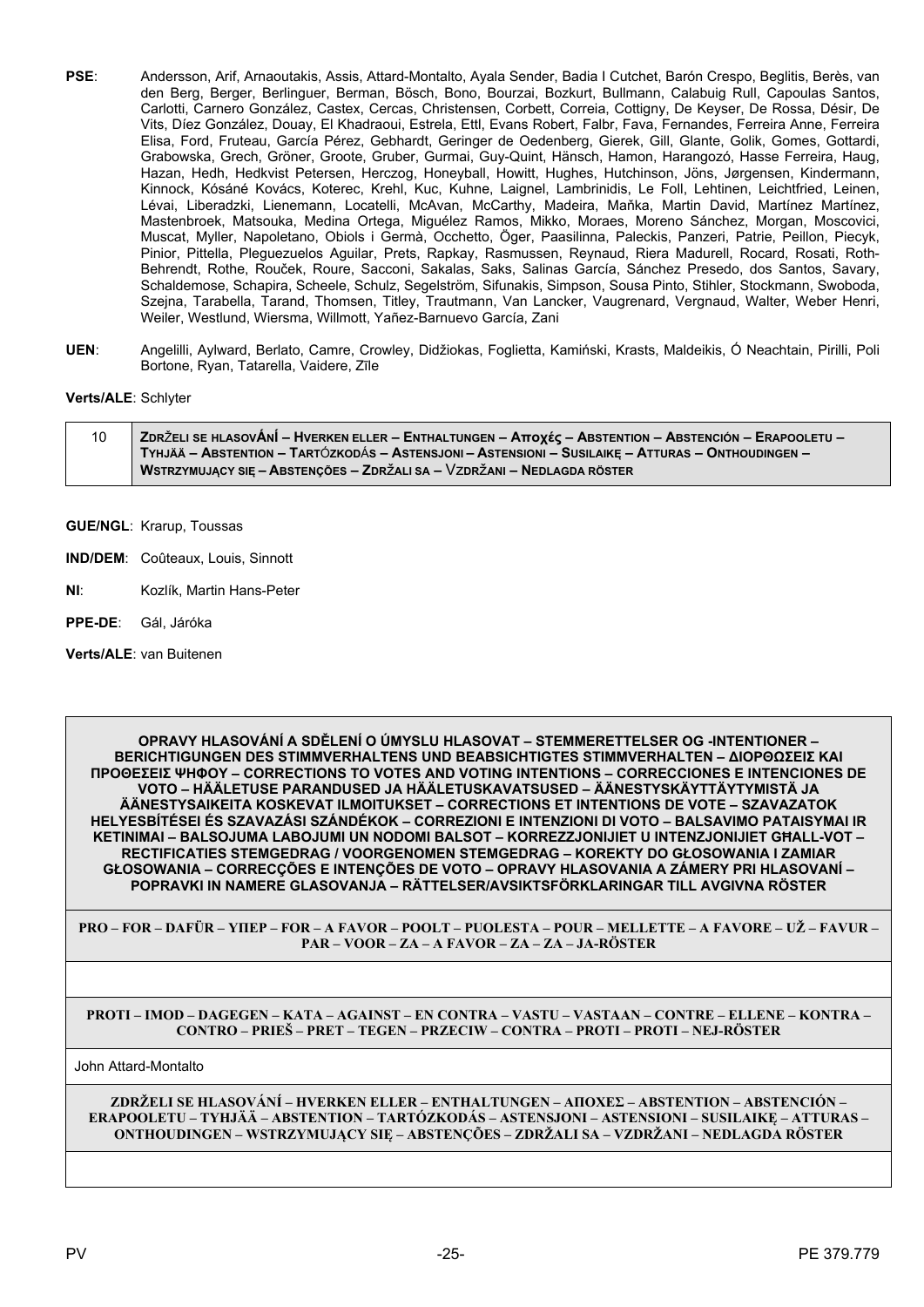- **PSE**: Andersson, Arif, Arnaoutakis, Assis, Attard-Montalto, Ayala Sender, Badia I Cutchet, Barón Crespo, Beglitis, Berès, van den Berg, Berger, Berlinguer, Berman, Bösch, Bono, Bourzai, Bozkurt, Bullmann, Calabuig Rull, Capoulas Santos, Carlotti, Carnero González, Castex, Cercas, Christensen, Corbett, Correia, Cottigny, De Keyser, De Rossa, Désir, De Vits, Díez González, Douay, El Khadraoui, Estrela, Ettl, Evans Robert, Falbr, Fava, Fernandes, Ferreira Anne, Ferreira Elisa, Ford, Fruteau, García Pérez, Gebhardt, Geringer de Oedenberg, Gierek, Gill, Glante, Golik, Gomes, Gottardi, Grabowska, Grech, Gröner, Groote, Gruber, Gurmai, Guy-Quint, Hänsch, Hamon, Harangozó, Hasse Ferreira, Haug, Hazan, Hedh, Hedkvist Petersen, Herczog, Honeyball, Howitt, Hughes, Hutchinson, Jöns, Jørgensen, Kindermann, Kinnock, Kósáné Kovács, Koterec, Krehl, Kuc, Kuhne, Laignel, Lambrinidis, Le Foll, Lehtinen, Leichtfried, Leinen, Lévai, Liberadzki, Lienemann, Locatelli, McAvan, McCarthy, Madeira, Maňka, Martin David, Martínez Martínez, Mastenbroek, Matsouka, Medina Ortega, Miguélez Ramos, Mikko, Moraes, Moreno Sánchez, Morgan, Moscovici, Muscat, Myller, Napoletano, Obiols i Germà, Occhetto, Öger, Paasilinna, Paleckis, Panzeri, Patrie, Peillon, Piecyk, Pinior, Pittella, Pleguezuelos Aguilar, Prets, Rapkay, Rasmussen, Reynaud, Riera Madurell, Rocard, Rosati, Roth-Behrendt, Rothe, Rouček, Roure, Sacconi, Sakalas, Saks, Salinas García, Sánchez Presedo, dos Santos, Savary, Schaldemose, Schapira, Scheele, Schulz, Segelström, Sifunakis, Simpson, Sousa Pinto, Stihler, Stockmann, Swoboda, Szejna, Tarabella, Tarand, Thomsen, Titley, Trautmann, Van Lancker, Vaugrenard, Vergnaud, Walter, Weber Henri, Weiler, Westlund, Wiersma, Willmott, Yañez-Barnuevo García, Zani
- **UEN**: Angelilli, Aylward, Berlato, Camre, Crowley, Didžiokas, Foglietta, Kamiński, Krasts, Maldeikis, Ó Neachtain, Pirilli, Poli Bortone, Ryan, Tatarella, Vaidere, Zīle

# **Verts/ALE**: Schlyter

- 10 ZDRŽELI SE HLASOVÁNÍ HVERKEN ELLER ENTHALTUNGEN Αποχές ABSTENTION ABSTENCIÓN ERAPOOLETU TYHJÄÄ – ABSTENTION – TARTÓZKODÁS – ASTENSJONI – ASTENSIONI – SUSILAIKĘ – ATTURAS – ONTHOUDINGEN – **WSTRZYMUJĄCY SIĘ – ABSTENÇÕES – ZDR**ž**ALI SA –** Vz**DR**ž**ANI – NEDLAGDA RÖSTER**
- **GUE/NGL**: Krarup, Toussas
- **IND/DEM**: Coûteaux, Louis, Sinnott
- **NI**: Kozlík, Martin Hans-Peter
- **PPE-DE**: Gál, Járóka
- **Verts/ALE**: van Buitenen

**OPRAVY HLASOVÁNÍ A SDĚLENÍ O ÚMYSLU HLASOVAT – STEMMERETTELSER OG -INTENTIONER – BERICHTIGUNGEN DES STIMMVERHALTENS UND BEABSICHTIGTES STIMMVERHALTEN – ΔΙΟΡΘΩΣΕΙΣ ΚΑΙ ΠΡΟΘΕΣΕΙΣ ΨΗΦΟΥ – CORRECTIONS TO VOTES AND VOTING INTENTIONS – CORRECCIONES E INTENCIONES DE VOTO – HÄÄLETUSE PARANDUSED JA HÄÄLETUSKAVATSUSED – ÄÄNESTYSKÄYTTÄYTYMISTÄ JA ÄÄNESTYSAIKEITA KOSKEVAT ILMOITUKSET – CORRECTIONS ET INTENTIONS DE VOTE – SZAVAZATOK HELYESBÍTÉSEI ÉS SZAVAZÁSI SZÁNDÉKOK – CORREZIONI E INTENZIONI DI VOTO – BALSAVIMO PATAISYMAI IR KETINIMAI – BALSOJUMA LABOJUMI UN NODOMI BALSOT – KORREZZJONIJIET U INTENZJONIJIET GĦALL-VOT – RECTIFICATIES STEMGEDRAG / VOORGENOMEN STEMGEDRAG – KOREKTY DO GŁOSOWANIA I ZAMIAR GŁOSOWANIA – CORRECÇÕES E INTENÇÕES DE VOTO – OPRAVY HLASOVANIA A ZÁMERY PRI HLASOVANÍ – POPRAVKI IN NAMERE GLASOVANJA – RÄTTELSER/AVSIKTSFÖRKLARINGAR TILL AVGIVNA RÖSTER**

**PRO – FOR – DAFÜR – ΥΠΕΡ – FOR – A FAVOR – POOLT – PUOLESTA – POUR – MELLETTE – A FAVORE – UŽ – FAVUR – PAR – VOOR – ZA – A FAVOR – ZA – ZA – JA-RÖSTER**

#### **PROTI – IMOD – DAGEGEN – ΚΑΤΑ – AGAINST – EN CONTRA – VASTU – VASTAAN – CONTRE – ELLENE – KONTRA – CONTRO – PRIEŠ – PRET – TEGEN – PRZECIW – CONTRA – PROTI – PROTI – NEJ-RÖSTER**

John Attard-Montalto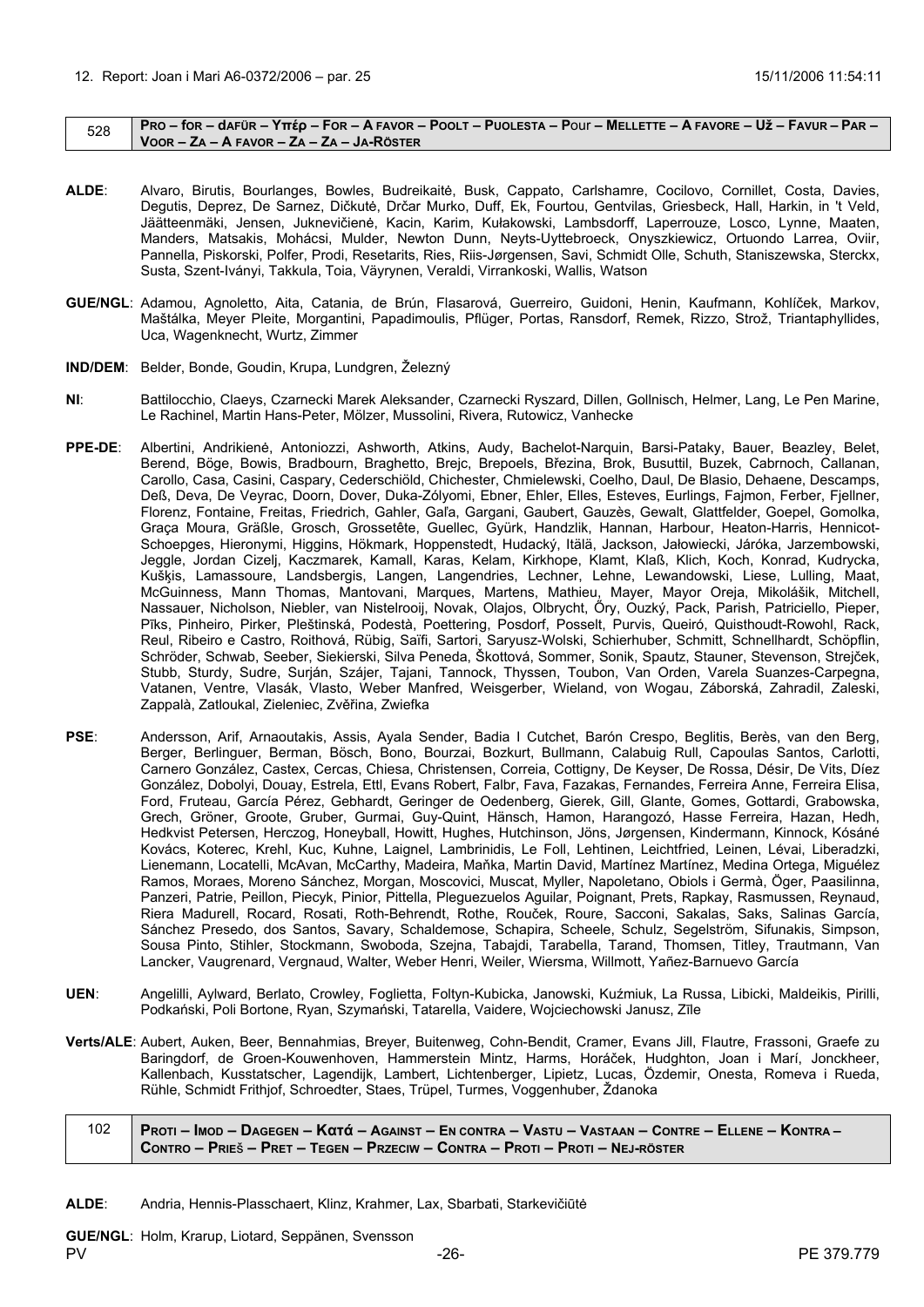#### <span id="page-25-0"></span> $_{528}$  | Pro – for – dafür – Yttép – For – A Favor – Poolt – Puolesta – Pour – Mellette – A Favore – Už – Favur – Par – **VOOR – ZA – A FAVOR – ZA – ZA – JA-RÖSTER**

- **ALDE**: Alvaro, Birutis, Bourlanges, Bowles, Budreikaitė, Busk, Cappato, Carlshamre, Cocilovo, Cornillet, Costa, Davies, Degutis, Deprez, De Sarnez, Dičkutė, Drčar Murko, Duff, Ek, Fourtou, Gentvilas, Griesbeck, Hall, Harkin, in 't Veld, Jäätteenmäki, Jensen, Juknevičienė, Kacin, Karim, Kułakowski, Lambsdorff, Laperrouze, Losco, Lynne, Maaten, Manders, Matsakis, Mohácsi, Mulder, Newton Dunn, Neyts-Uyttebroeck, Onyszkiewicz, Ortuondo Larrea, Oviir, Pannella, Piskorski, Polfer, Prodi, Resetarits, Ries, Riis-Jørgensen, Savi, Schmidt Olle, Schuth, Staniszewska, Sterckx, Susta, Szent-Iványi, Takkula, Toia, Väyrynen, Veraldi, Virrankoski, Wallis, Watson
- **GUE/NGL**: Adamou, Agnoletto, Aita, Catania, de Brún, Flasarová, Guerreiro, Guidoni, Henin, Kaufmann, Kohlíček, Markov, Maštálka, Meyer Pleite, Morgantini, Papadimoulis, Pflüger, Portas, Ransdorf, Remek, Rizzo, Strož, Triantaphyllides, Uca, Wagenknecht, Wurtz, Zimmer
- **IND/DEM**: Belder, Bonde, Goudin, Krupa, Lundgren, Železný
- **NI**: Battilocchio, Claeys, Czarnecki Marek Aleksander, Czarnecki Ryszard, Dillen, Gollnisch, Helmer, Lang, Le Pen Marine, Le Rachinel, Martin Hans-Peter, Mölzer, Mussolini, Rivera, Rutowicz, Vanhecke
- **PPE-DE**: Albertini, Andrikienė, Antoniozzi, Ashworth, Atkins, Audy, Bachelot-Narquin, Barsi-Pataky, Bauer, Beazley, Belet, Berend, Böge, Bowis, Bradbourn, Braghetto, Brejc, Brepoels, Březina, Brok, Busuttil, Buzek, Cabrnoch, Callanan, Carollo, Casa, Casini, Caspary, Cederschiöld, Chichester, Chmielewski, Coelho, Daul, De Blasio, Dehaene, Descamps, Deß, Deva, De Veyrac, Doorn, Dover, Duka-Zólyomi, Ebner, Ehler, Elles, Esteves, Eurlings, Fajmon, Ferber, Fjellner, Florenz, Fontaine, Freitas, Friedrich, Gahler, Gaľa, Gargani, Gaubert, Gauzès, Gewalt, Glattfelder, Goepel, Gomolka, Graça Moura, Gräßle, Grosch, Grossetête, Guellec, Gyürk, Handzlik, Hannan, Harbour, Heaton-Harris, Hennicot-Schoepges, Hieronymi, Higgins, Hökmark, Hoppenstedt, Hudacký, Itälä, Jackson, Jałowiecki, Járóka, Jarzembowski, Jeggle, Jordan Cizelj, Kaczmarek, Kamall, Karas, Kelam, Kirkhope, Klamt, Klaß, Klich, Koch, Konrad, Kudrycka, Kušķis, Lamassoure, Landsbergis, Langen, Langendries, Lechner, Lehne, Lewandowski, Liese, Lulling, Maat, McGuinness, Mann Thomas, Mantovani, Marques, Martens, Mathieu, Mayer, Mayor Oreja, Mikolášik, Mitchell, Nassauer, Nicholson, Niebler, van Nistelrooij, Novak, Olajos, Olbrycht, Őry, Ouzký, Pack, Parish, Patriciello, Pieper, Pīks, Pinheiro, Pirker, Pleštinská, Podestà, Poettering, Posdorf, Posselt, Purvis, Queiró, Quisthoudt-Rowohl, Rack, Reul, Ribeiro e Castro, Roithová, Rübig, Saïfi, Sartori, Saryusz-Wolski, Schierhuber, Schmitt, Schnellhardt, Schöpflin, Schröder, Schwab, Seeber, Siekierski, Silva Peneda, Škottová, Sommer, Sonik, Spautz, Stauner, Stevenson, Strejček, Stubb, Sturdy, Sudre, Surján, Szájer, Tajani, Tannock, Thyssen, Toubon, Van Orden, Varela Suanzes-Carpegna, Vatanen, Ventre, Vlasák, Vlasto, Weber Manfred, Weisgerber, Wieland, von Wogau, Záborská, Zahradil, Zaleski, Zappalà, Zatloukal, Zieleniec, Zvěřina, Zwiefka
- **PSE**: Andersson, Arif, Arnaoutakis, Assis, Ayala Sender, Badia I Cutchet, Barón Crespo, Beglitis, Berès, van den Berg, Berger, Berlinguer, Berman, Bösch, Bono, Bourzai, Bozkurt, Bullmann, Calabuig Rull, Capoulas Santos, Carlotti, Carnero González, Castex, Cercas, Chiesa, Christensen, Correia, Cottigny, De Keyser, De Rossa, Désir, De Vits, Díez González, Dobolyi, Douay, Estrela, Ettl, Evans Robert, Falbr, Fava, Fazakas, Fernandes, Ferreira Anne, Ferreira Elisa, Ford, Fruteau, García Pérez, Gebhardt, Geringer de Oedenberg, Gierek, Gill, Glante, Gomes, Gottardi, Grabowska, Grech, Gröner, Groote, Gruber, Gurmai, Guy-Quint, Hänsch, Hamon, Harangozó, Hasse Ferreira, Hazan, Hedh, Hedkvist Petersen, Herczog, Honeyball, Howitt, Hughes, Hutchinson, Jöns, Jørgensen, Kindermann, Kinnock, Kósáné Kovács, Koterec, Krehl, Kuc, Kuhne, Laignel, Lambrinidis, Le Foll, Lehtinen, Leichtfried, Leinen, Lévai, Liberadzki, Lienemann, Locatelli, McAvan, McCarthy, Madeira, Maňka, Martin David, Martínez Martínez, Medina Ortega, Miguélez Ramos, Moraes, Moreno Sánchez, Morgan, Moscovici, Muscat, Myller, Napoletano, Obiols i Germà, Öger, Paasilinna, Panzeri, Patrie, Peillon, Piecyk, Pinior, Pittella, Pleguezuelos Aguilar, Poignant, Prets, Rapkay, Rasmussen, Reynaud, Riera Madurell, Rocard, Rosati, Roth-Behrendt, Rothe, Rouček, Roure, Sacconi, Sakalas, Saks, Salinas García, Sánchez Presedo, dos Santos, Savary, Schaldemose, Schapira, Scheele, Schulz, Segelström, Sifunakis, Simpson, Sousa Pinto, Stihler, Stockmann, Swoboda, Szejna, Tabajdi, Tarabella, Tarand, Thomsen, Titley, Trautmann, Van Lancker, Vaugrenard, Vergnaud, Walter, Weber Henri, Weiler, Wiersma, Willmott, Yañez-Barnuevo García
- **UEN**: Angelilli, Aylward, Berlato, Crowley, Foglietta, Foltyn-Kubicka, Janowski, Kuźmiuk, La Russa, Libicki, Maldeikis, Pirilli, Podkański, Poli Bortone, Ryan, Szymański, Tatarella, Vaidere, Wojciechowski Janusz, Zīle
- **Verts/ALE**: Aubert, Auken, Beer, Bennahmias, Breyer, Buitenweg, Cohn-Bendit, Cramer, Evans Jill, Flautre, Frassoni, Graefe zu Baringdorf, de Groen-Kouwenhoven, Hammerstein Mintz, Harms, Horáček, Hudghton, Joan i Marí, Jonckheer, Kallenbach, Kusstatscher, Lagendijk, Lambert, Lichtenberger, Lipietz, Lucas, Özdemir, Onesta, Romeva i Rueda, Rühle, Schmidt Frithjof, Schroedter, Staes, Trüpel, Turmes, Voggenhuber, Ždanoka

102 | PROTI – IMOD – DAGEGEN – KOTÓ – AGAINST – EN CONTRA – VASTU – VASTAAN – CONTRE – ELLENE – KONTRA – CONTRO - PRIEŠ - PRET - TEGEN - PRZECIW - CONTRA - PROTI - PROTI - NEJ-RÖSTER

**ALDE**: Andria, Hennis-Plasschaert, Klinz, Krahmer, Lax, Sbarbati, Starkevičiūtė

**GUE/NGL**: Holm, Krarup, Liotard, Seppänen, Svensson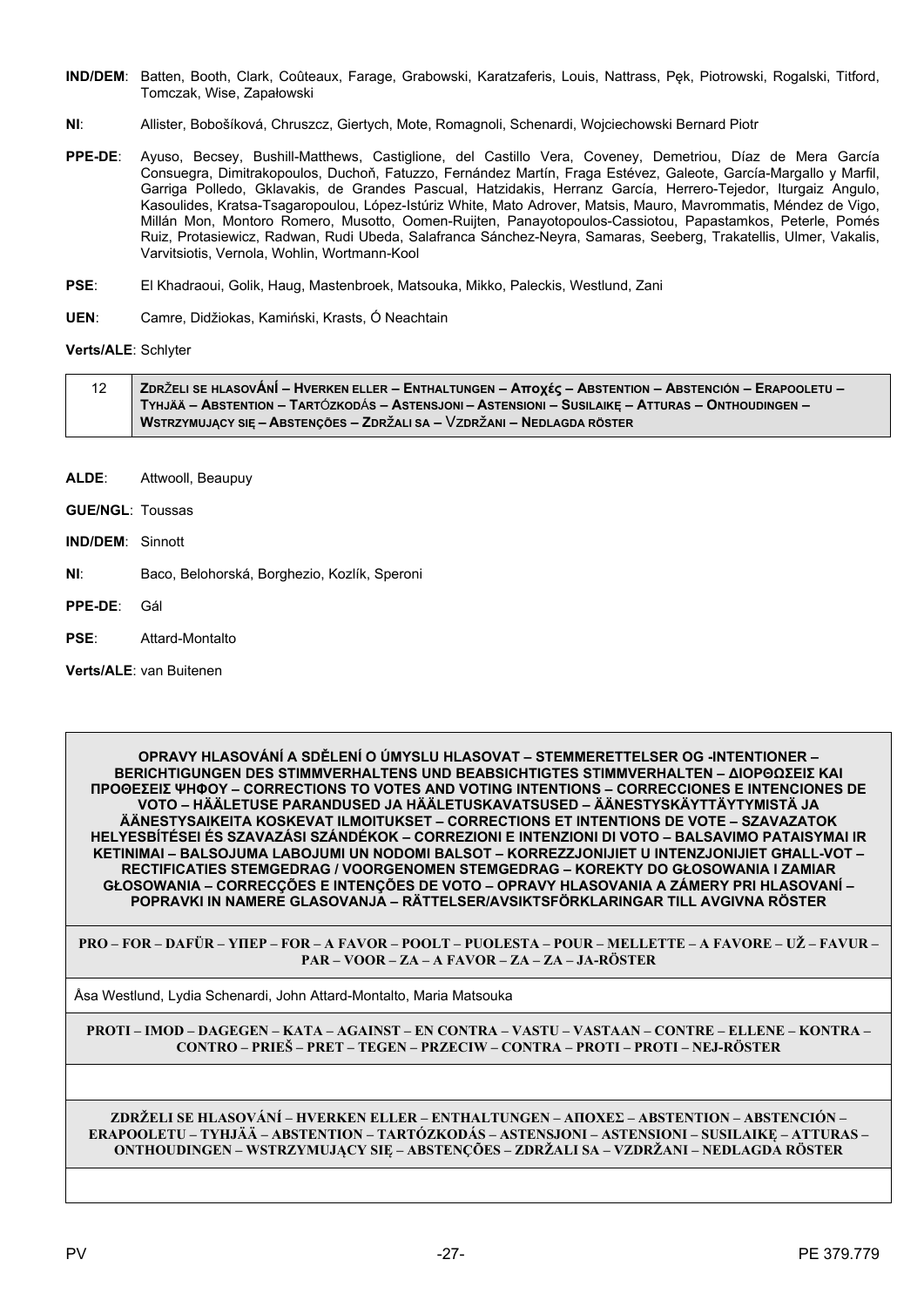- IND/DEM: Batten, Booth, Clark, Coûteaux, Farage, Grabowski, Karatzaferis, Louis, Nattrass, Pek, Piotrowski, Rogalski, Titford, Tomczak, Wise, Zapałowski
- $NI:$ Allister, Bobošíková, Chruszcz, Giertych, Mote, Romagnoli, Schenardi, Wojciechowski Bernard Piotr
- Ayuso, Becsey, Bushill-Matthews, Castiglione, del Castillo Vera, Coveney, Demetriou, Díaz de Mera García  $PPF-DF$ Consuegra, Dimitrakopoulos, Duchoň, Fatuzzo, Fernández Martín, Fraga Estévez, Galeote, García-Margallo y Marfil, Garriga Polledo, Gklavakis, de Grandes Pascual, Hatzidakis, Herranz García, Herrero-Tejedor, Iturgaiz Angulo, Kasoulides, Kratsa-Tsagaropoulou, López-Istúriz White, Mato Adrover, Matsis, Mauro, Mayrommatis, Méndez de Vigo, Millán Mon, Montoro Romero, Musotto, Oomen-Ruijten, Panayotopoulos-Cassiotou, Papastamkos, Peterle, Pomés Ruiz, Protasiewicz, Radwan, Rudi Ubeda, Salafranca Sánchez-Neyra, Samaras, Seeberg, Trakatellis, Ulmer, Vakalis, Varvitsiotis, Vernola, Wohlin, Wortmann-Kool
- PSE: El Khadraoui, Golik, Haug, Mastenbroek, Matsouka, Mikko, Paleckis, Westlund, Zani
- UFN: Camre, Didžiokas, Kamiński, Krasts, Ó Neachtain

Verts/ALE: Schlyter

| 12 | ZDRŽELI SE HLASOVÁNÍ – HVERKEN ELLER – ENTHALTUNGEN – Αποχές – ABSTENTION – ABSTENCIÓN – ERAPOOLETU – |
|----|-------------------------------------------------------------------------------------------------------|
|    | Tyhjää – Abstention – Tartózkodás – Astensjoni – Astensioni – Susilaikę – Atturas – Onthoudingen –    |
|    | WSTRZYMUJACY SIE – ABSTENCÕES – ZDRŽALI SA – VZDRŽANI – NEDLAGDA RÖSTER                               |

- ALDE: Attwooll, Beaupuy
- **GUE/NGL: Toussas**
- **IND/DEM: Sinnott**
- $NI:$ Baco, Belohorská, Borghezio, Kozlík, Speroni
- PPE-DE: Gál
- **PSF** Attard-Montalto

Verts/ALE: van Buitenen

OPRAVY HLASOVÁNÍ A SDĚLENÍ O ÚMYSLU HLASOVAT – STEMMERETTELSER OG -INTENTIONER -**BERICHTIGUNGEN DES STIMMVERHALTENS UND BEABSICHTIGTES STIMMVERHALTEN - ΔΙΟΡΘΩΣΕΙΣ ΚΑΙ ΠΡΟΘΕΣΕΙΣ ΨΗΦΟΥ – CORRECTIONS TO VOTES AND VOTING INTENTIONS – CORRECCIONES E INTENCIONES DE** VOTO – HÄÄLETUSE PARANDUSED JA HÄÄLETUSKAVATSUSED – ÄÄNESTYSKÄYTTÄYTYMISTÄ JA ÄÄNESTYSAIKEITA KOSKEVAT ILMOITUKSET – CORRECTIONS ET INTENTIONS DE VOTE – SZAVAZATOK HELYESBÍTÉSEI ÉS SZAVAZÁSI SZÁNDÉKOK – CORREZIONI E INTENZIONI DI VOTO – BALSAVIMO PATAISYMAI IR KETINIMAI - BALSOJUMA LABOJUMI UN NODOMI BALSOT - KORREZZJONIJIET U INTENZJONIJIET GHALL-VOT -RECTIFICATIES STEMGEDRAG / VOORGENOMEN STEMGEDRAG - KOREKTY DO GŁOSOWANIA I ZAMIAR GŁOSOWANIA – CORRECÇÕES E INTENÇÕES DE VOTO – OPRAVY HLASOVANIA A ZÁMERY PRI HLASOVANÍ – POPRAVKI IN NAMERE GLASOVANJA - RÄTTELSER/AVSIKTSFÖRKLARINGAR TILL AVGIVNA RÖSTER

PRO – FOR – DAFÜR – YHEP – FOR – A FAVOR – POOLT – PUOLESTA – POUR – MELLETTE – A FAVORE – UŽ – FAVUR – PAR - VOOR - ZA - A FAVOR - ZA - ZA - JA-RÖSTER

Åsa Westlund, Lydia Schenardi, John Attard-Montalto, Maria Matsouka

PROTI – IMOD – DAGEGEN – KATA – AGAINST – EN CONTRA – VASTU – VASTAAN – CONTRE – ELLENE – KONTRA – CONTRO – PRIEŠ – PRET – TEGEN – PRZECIW – CONTRA – PROTI – PROTI – NEJ-RÖSTER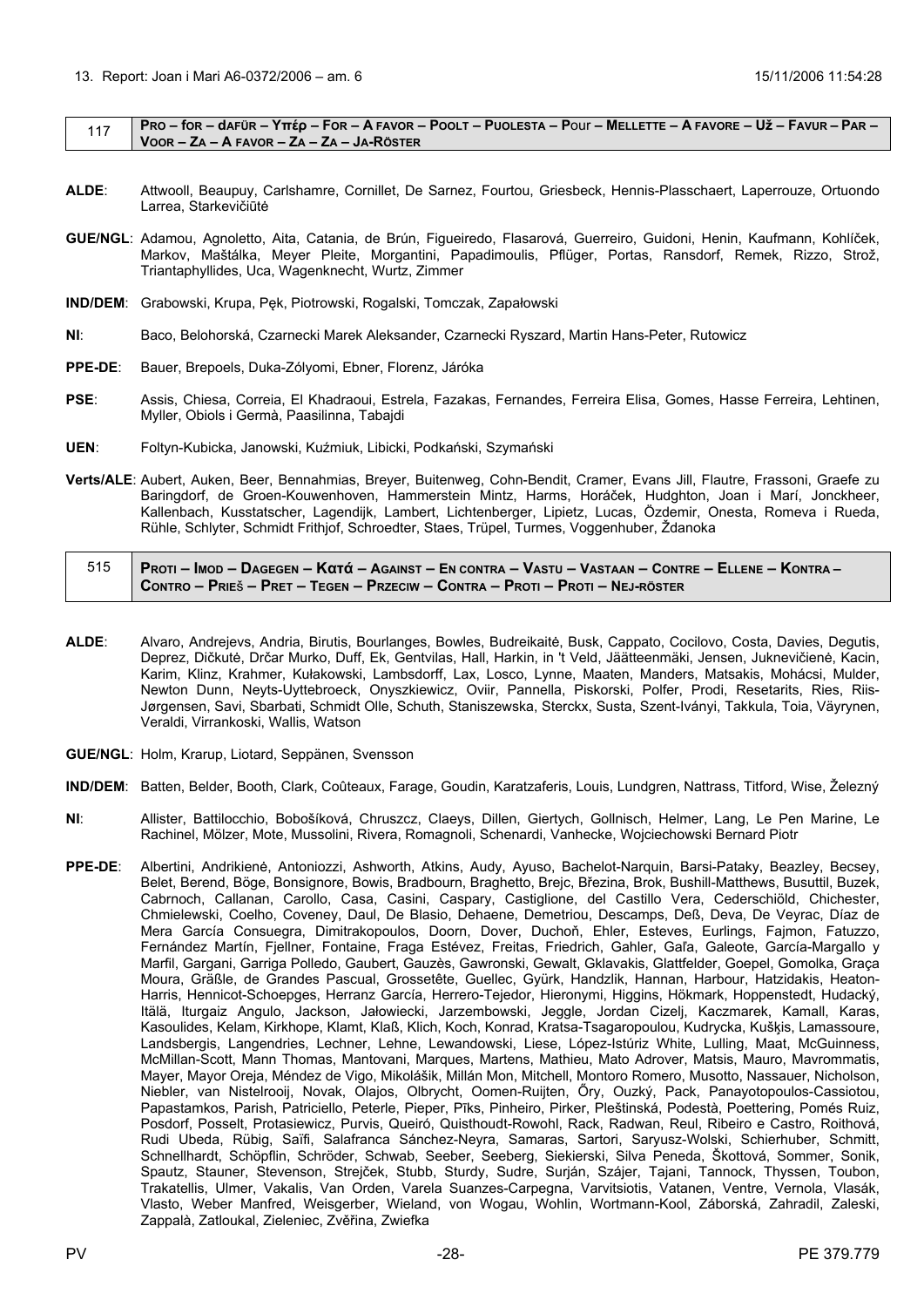<span id="page-27-0"></span>

|  | PRO – for – dafür – Υπέρ – For – A FAVOR – POOLT – PUOLESTA – Pour – MELLETTE – A FAVORE – Už – FAVUR – PAR – |
|--|---------------------------------------------------------------------------------------------------------------|
|  | VOOR – ZA – A FAVOR – ZA – ZA – JA-RÖSTER                                                                     |

- **ALDE**: Attwooll, Beaupuy, Carlshamre, Cornillet, De Sarnez, Fourtou, Griesbeck, Hennis-Plasschaert, Laperrouze, Ortuondo Larrea, Starkevičiūtė
- **GUE/NGL**: Adamou, Agnoletto, Aita, Catania, de Brún, Figueiredo, Flasarová, Guerreiro, Guidoni, Henin, Kaufmann, Kohlíček, Markov, Maštálka, Meyer Pleite, Morgantini, Papadimoulis, Pflüger, Portas, Ransdorf, Remek, Rizzo, Strož, Triantaphyllides, Uca, Wagenknecht, Wurtz, Zimmer
- **IND/DEM**: Grabowski, Krupa, Pęk, Piotrowski, Rogalski, Tomczak, Zapałowski
- **NI**: Baco, Belohorská, Czarnecki Marek Aleksander, Czarnecki Ryszard, Martin Hans-Peter, Rutowicz
- **PPE-DE**: Bauer, Brepoels, Duka-Zólyomi, Ebner, Florenz, Járóka
- **PSE**: Assis, Chiesa, Correia, El Khadraoui, Estrela, Fazakas, Fernandes, Ferreira Elisa, Gomes, Hasse Ferreira, Lehtinen, Myller, Obiols i Germà, Paasilinna, Tabajdi
- **UEN**: Foltyn-Kubicka, Janowski, Kuźmiuk, Libicki, Podkański, Szymański
- **Verts/ALE**: Aubert, Auken, Beer, Bennahmias, Breyer, Buitenweg, Cohn-Bendit, Cramer, Evans Jill, Flautre, Frassoni, Graefe zu Baringdorf, de Groen-Kouwenhoven, Hammerstein Mintz, Harms, Horáček, Hudghton, Joan i Marí, Jonckheer, Kallenbach, Kusstatscher, Lagendijk, Lambert, Lichtenberger, Lipietz, Lucas, Özdemir, Onesta, Romeva i Rueda, Rühle, Schlyter, Schmidt Frithjof, Schroedter, Staes, Trüpel, Turmes, Voggenhuber, Ždanoka

| 515   Proti – Imod – Dagegen – Kαtά – Against – En contra – Vastu – Vastaan – Contre – Ellene – Kontra – / |
|------------------------------------------------------------------------------------------------------------|
| Contro – Prieš – Pret – Tegen – Przeciw – Contra – Proti – Proti – Nej-röster i                            |

- **ALDE**: Alvaro, Andrejevs, Andria, Birutis, Bourlanges, Bowles, Budreikaitė, Busk, Cappato, Cocilovo, Costa, Davies, Degutis, Deprez, Dičkutė, Drčar Murko, Duff, Ek, Gentvilas, Hall, Harkin, in 't Veld, Jäätteenmäki, Jensen, Juknevičienė, Kacin, Karim, Klinz, Krahmer, Kułakowski, Lambsdorff, Lax, Losco, Lynne, Maaten, Manders, Matsakis, Mohácsi, Mulder, Newton Dunn, Neyts-Uyttebroeck, Onyszkiewicz, Oviir, Pannella, Piskorski, Polfer, Prodi, Resetarits, Ries, Riis-Jørgensen, Savi, Sbarbati, Schmidt Olle, Schuth, Staniszewska, Sterckx, Susta, Szent-Iványi, Takkula, Toia, Väyrynen, Veraldi, Virrankoski, Wallis, Watson
- **GUE/NGL**: Holm, Krarup, Liotard, Seppänen, Svensson
- **IND/DEM**: Batten, Belder, Booth, Clark, Coûteaux, Farage, Goudin, Karatzaferis, Louis, Lundgren, Nattrass, Titford, Wise, Železný
- **NI**: Allister, Battilocchio, Bobošíková, Chruszcz, Claeys, Dillen, Giertych, Gollnisch, Helmer, Lang, Le Pen Marine, Le Rachinel, Mölzer, Mote, Mussolini, Rivera, Romagnoli, Schenardi, Vanhecke, Wojciechowski Bernard Piotr
- **PPE-DE**: Albertini, Andrikienė, Antoniozzi, Ashworth, Atkins, Audy, Ayuso, Bachelot-Narquin, Barsi-Pataky, Beazley, Becsey, Belet, Berend, Böge, Bonsignore, Bowis, Bradbourn, Braghetto, Brejc, Březina, Brok, Bushill-Matthews, Busuttil, Buzek, Cabrnoch, Callanan, Carollo, Casa, Casini, Caspary, Castiglione, del Castillo Vera, Cederschiöld, Chichester, Chmielewski, Coelho, Coveney, Daul, De Blasio, Dehaene, Demetriou, Descamps, Deß, Deva, De Veyrac, Díaz de Mera García Consuegra, Dimitrakopoulos, Doorn, Dover, Duchoň, Ehler, Esteves, Eurlings, Fajmon, Fatuzzo, Fernández Martín, Fjellner, Fontaine, Fraga Estévez, Freitas, Friedrich, Gahler, Gaľa, Galeote, García-Margallo y Marfil, Gargani, Garriga Polledo, Gaubert, Gauzès, Gawronski, Gewalt, Gklavakis, Glattfelder, Goepel, Gomolka, Graça Moura, Gräßle, de Grandes Pascual, Grossetête, Guellec, Gyürk, Handzlik, Hannan, Harbour, Hatzidakis, Heaton-Harris, Hennicot-Schoepges, Herranz García, Herrero-Tejedor, Hieronymi, Higgins, Hökmark, Hoppenstedt, Hudacký, Itälä, Iturgaiz Angulo, Jackson, Jałowiecki, Jarzembowski, Jeggle, Jordan Cizelj, Kaczmarek, Kamall, Karas, Kasoulides, Kelam, Kirkhope, Klamt, Klaß, Klich, Koch, Konrad, Kratsa-Tsagaropoulou, Kudrycka, Kušķis, Lamassoure, Landsbergis, Langendries, Lechner, Lehne, Lewandowski, Liese, López-Istúriz White, Lulling, Maat, McGuinness, McMillan-Scott, Mann Thomas, Mantovani, Marques, Martens, Mathieu, Mato Adrover, Matsis, Mauro, Mavrommatis, Mayer, Mayor Oreja, Méndez de Vigo, Mikolášik, Millán Mon, Mitchell, Montoro Romero, Musotto, Nassauer, Nicholson, Niebler, van Nistelrooij, Novak, Olajos, Olbrycht, Oomen-Ruijten, Őry, Ouzký, Pack, Panayotopoulos-Cassiotou, Papastamkos, Parish, Patriciello, Peterle, Pieper, Pīks, Pinheiro, Pirker, Pleštinská, Podestà, Poettering, Pomés Ruiz, Posdorf, Posselt, Protasiewicz, Purvis, Queiró, Quisthoudt-Rowohl, Rack, Radwan, Reul, Ribeiro e Castro, Roithová, Rudi Ubeda, Rübig, Saïfi, Salafranca Sánchez-Neyra, Samaras, Sartori, Saryusz-Wolski, Schierhuber, Schmitt, Schnellhardt, Schöpflin, Schröder, Schwab, Seeber, Seeberg, Siekierski, Silva Peneda, Škottová, Sommer, Sonik, Spautz, Stauner, Stevenson, Strejček, Stubb, Sturdy, Sudre, Surján, Szájer, Tajani, Tannock, Thyssen, Toubon, Trakatellis, Ulmer, Vakalis, Van Orden, Varela Suanzes-Carpegna, Varvitsiotis, Vatanen, Ventre, Vernola, Vlasák, Vlasto, Weber Manfred, Weisgerber, Wieland, von Wogau, Wohlin, Wortmann-Kool, Záborská, Zahradil, Zaleski, Zappalà, Zatloukal, Zieleniec, Zvěřina, Zwiefka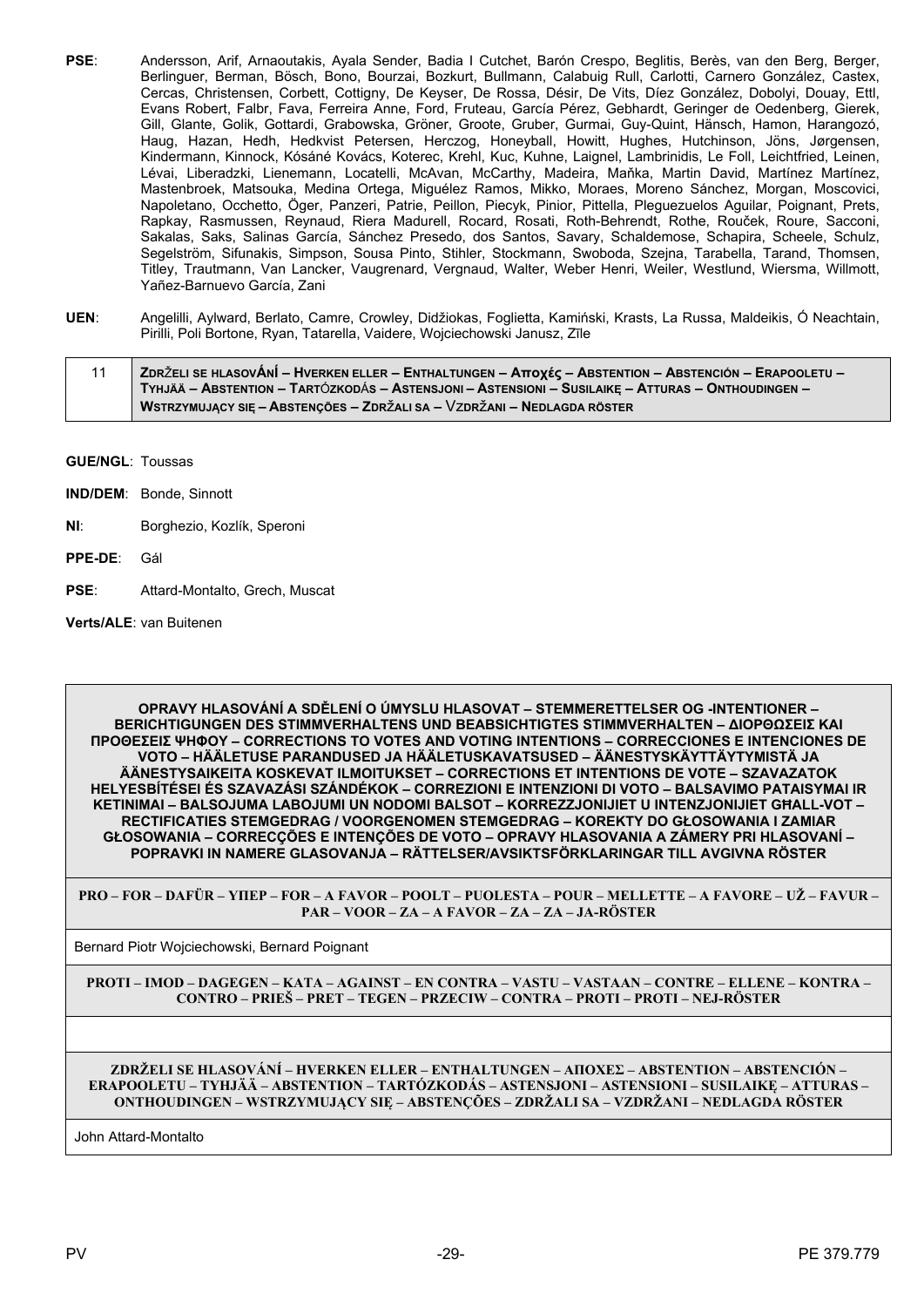- **PSE**: Andersson, Arif, Arnaoutakis, Ayala Sender, Badia I Cutchet, Barón Crespo, Beglitis, Berès, van den Berg, Berger, Berlinguer, Berman, Bösch, Bono, Bourzai, Bozkurt, Bullmann, Calabuig Rull, Carlotti, Carnero González, Castex, Cercas, Christensen, Corbett, Cottigny, De Keyser, De Rossa, Désir, De Vits, Díez González, Dobolyi, Douay, Ettl, Evans Robert, Falbr, Fava, Ferreira Anne, Ford, Fruteau, García Pérez, Gebhardt, Geringer de Oedenberg, Gierek, Gill, Glante, Golik, Gottardi, Grabowska, Gröner, Groote, Gruber, Gurmai, Guy-Quint, Hänsch, Hamon, Harangozó, Haug, Hazan, Hedh, Hedkvist Petersen, Herczog, Honeyball, Howitt, Hughes, Hutchinson, Jöns, Jørgensen, Kindermann, Kinnock, Kósáné Kovács, Koterec, Krehl, Kuc, Kuhne, Laignel, Lambrinidis, Le Foll, Leichtfried, Leinen, Lévai, Liberadzki, Lienemann, Locatelli, McAvan, McCarthy, Madeira, Maňka, Martin David, Martínez Martínez, Mastenbroek, Matsouka, Medina Ortega, Miguélez Ramos, Mikko, Moraes, Moreno Sánchez, Morgan, Moscovici, Napoletano, Occhetto, Öger, Panzeri, Patrie, Peillon, Piecyk, Pinior, Pittella, Pleguezuelos Aguilar, Poignant, Prets, Rapkay, Rasmussen, Reynaud, Riera Madurell, Rocard, Rosati, Roth-Behrendt, Rothe, Rouček, Roure, Sacconi, Sakalas, Saks, Salinas García, Sánchez Presedo, dos Santos, Savary, Schaldemose, Schapira, Scheele, Schulz, Segelström, Sifunakis, Simpson, Sousa Pinto, Stihler, Stockmann, Swoboda, Szejna, Tarabella, Tarand, Thomsen, Titley, Trautmann, Van Lancker, Vaugrenard, Vergnaud, Walter, Weber Henri, Weiler, Westlund, Wiersma, Willmott, Yañez-Barnuevo García, Zani
- **UEN**: Angelilli, Aylward, Berlato, Camre, Crowley, Didžiokas, Foglietta, Kamiński, Krasts, La Russa, Maldeikis, Ó Neachtain, Pirilli, Poli Bortone, Ryan, Tatarella, Vaidere, Wojciechowski Janusz, Zīle

| 11 | ZDRŽELI SE HLASOVÁNÍ – HVERKEN ELLER – ENTHALTUNGEN – Αποχές – ABSTENTION – ABSTENCIÓN – ERAPOOLETU – |
|----|-------------------------------------------------------------------------------------------------------|
|    | TYHJÄÄ – ABSTENTION – TARTÓZKODÁS – ASTENSJONI – ASTENSIONI – SUSILAIKE – ATTURAS – ONTHOUDINGEN –    |
|    | <b>WSTRZYMUJĄCY SIĘ – ABSTENÇÕES – ZDRŽALI SA – VZDRŽANI – NEDLAGDA RÖSTER</b>                        |

- **GUE/NGL**: Toussas
- **IND/DEM**: Bonde, Sinnott
- **NI**: Borghezio, Kozlík, Speroni
- **PPE-DE**: Gál
- **PSE**: Attard-Montalto, Grech, Muscat

**Verts/ALE**: van Buitenen

**OPRAVY HLASOVÁNÍ A SDĚLENÍ O ÚMYSLU HLASOVAT – STEMMERETTELSER OG -INTENTIONER – BERICHTIGUNGEN DES STIMMVERHALTENS UND BEABSICHTIGTES STIMMVERHALTEN – ΔΙΟΡΘΩΣΕΙΣ ΚΑΙ ΠΡΟΘΕΣΕΙΣ ΨΗΦΟΥ – CORRECTIONS TO VOTES AND VOTING INTENTIONS – CORRECCIONES E INTENCIONES DE VOTO – HÄÄLETUSE PARANDUSED JA HÄÄLETUSKAVATSUSED – ÄÄNESTYSKÄYTTÄYTYMISTÄ JA ÄÄNESTYSAIKEITA KOSKEVAT ILMOITUKSET – CORRECTIONS ET INTENTIONS DE VOTE – SZAVAZATOK HELYESBÍTÉSEI ÉS SZAVAZÁSI SZÁNDÉKOK – CORREZIONI E INTENZIONI DI VOTO – BALSAVIMO PATAISYMAI IR KETINIMAI – BALSOJUMA LABOJUMI UN NODOMI BALSOT – KORREZZJONIJIET U INTENZJONIJIET GĦALL-VOT – RECTIFICATIES STEMGEDRAG / VOORGENOMEN STEMGEDRAG – KOREKTY DO GŁOSOWANIA I ZAMIAR GŁOSOWANIA – CORRECÇÕES E INTENÇÕES DE VOTO – OPRAVY HLASOVANIA A ZÁMERY PRI HLASOVANÍ – POPRAVKI IN NAMERE GLASOVANJA – RÄTTELSER/AVSIKTSFÖRKLARINGAR TILL AVGIVNA RÖSTER**

**PRO – FOR – DAFÜR – ΥΠΕΡ – FOR – A FAVOR – POOLT – PUOLESTA – POUR – MELLETTE – A FAVORE – UŽ – FAVUR – PAR – VOOR – ZA – A FAVOR – ZA – ZA – JA-RÖSTER**

Bernard Piotr Wojciechowski, Bernard Poignant

**PROTI – IMOD – DAGEGEN – ΚΑΤΑ – AGAINST – EN CONTRA – VASTU – VASTAAN – CONTRE – ELLENE – KONTRA – CONTRO – PRIEŠ – PRET – TEGEN – PRZECIW – CONTRA – PROTI – PROTI – NEJ-RÖSTER**

**ZDRŽELI SE HLASOVÁNÍ – HVERKEN ELLER – ENTHALTUNGEN – ΑΠOΧΕΣ – ABSTENTION – ABSTENCIÓN – ERAPOOLETU – TYHJÄÄ – ABSTENTION – TARTÓZKODÁS – ASTENSJONI – ASTENSIONI – SUSILAIKĘ – ATTURAS – ONTHOUDINGEN – WSTRZYMUJĄCY SIĘ – ABSTENÇÕES – ZDRŽALI SA – VZDRŽANI – NEDLAGDA RÖSTER**

John Attard-Montalto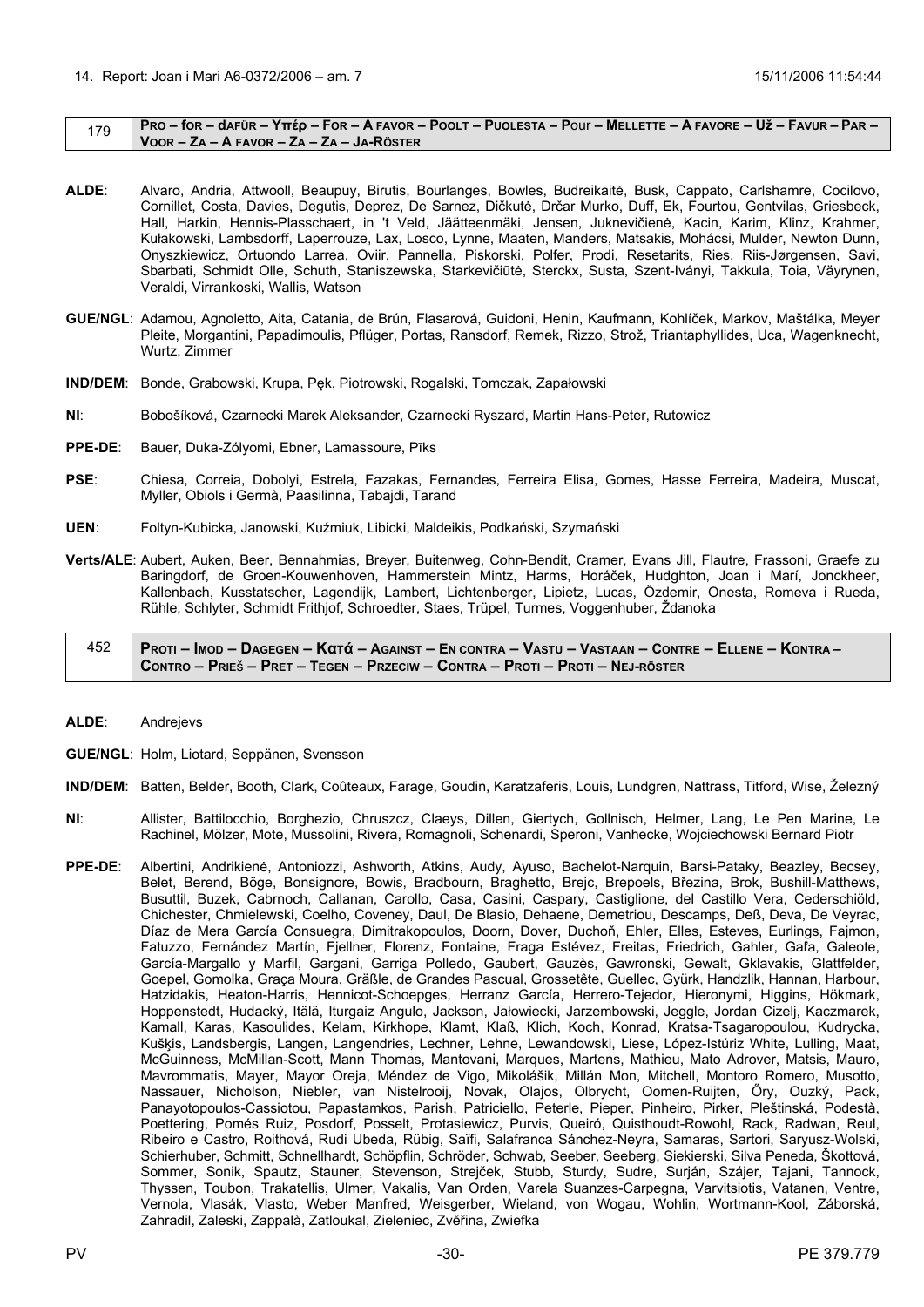#### <span id="page-29-0"></span> $179$  PRO – for – dafür – Yttép – For – A Favor – Poolt – Puolesta – Pour – Mellette – A Favore – Už – Favur – Par – **VOOR – ZA – A FAVOR – ZA – ZA – JA-RÖSTER**

- **ALDE**: Alvaro, Andria, Attwooll, Beaupuy, Birutis, Bourlanges, Bowles, Budreikaitė, Busk, Cappato, Carlshamre, Cocilovo, Cornillet, Costa, Davies, Degutis, Deprez, De Sarnez, Dičkutė, Drčar Murko, Duff, Ek, Fourtou, Gentvilas, Griesbeck, Hall, Harkin, Hennis-Plasschaert, in 't Veld, Jäätteenmäki, Jensen, Juknevičienė, Kacin, Karim, Klinz, Krahmer, Kułakowski, Lambsdorff, Laperrouze, Lax, Losco, Lynne, Maaten, Manders, Matsakis, Mohácsi, Mulder, Newton Dunn, Onyszkiewicz, Ortuondo Larrea, Oviir, Pannella, Piskorski, Polfer, Prodi, Resetarits, Ries, Riis-Jørgensen, Savi, Sbarbati, Schmidt Olle, Schuth, Staniszewska, Starkevičiūtė, Sterckx, Susta, Szent-Iványi, Takkula, Toia, Väyrynen, Veraldi, Virrankoski, Wallis, Watson
- **GUE/NGL**: Adamou, Agnoletto, Aita, Catania, de Brún, Flasarová, Guidoni, Henin, Kaufmann, Kohlíček, Markov, Maštálka, Meyer Pleite, Morgantini, Papadimoulis, Pflüger, Portas, Ransdorf, Remek, Rizzo, Strož, Triantaphyllides, Uca, Wagenknecht, Wurtz, Zimmer
- **IND/DEM**: Bonde, Grabowski, Krupa, Pęk, Piotrowski, Rogalski, Tomczak, Zapałowski
- **NI**: Bobošíková, Czarnecki Marek Aleksander, Czarnecki Ryszard, Martin Hans-Peter, Rutowicz
- **PPE-DE**: Bauer, Duka-Zólyomi, Ebner, Lamassoure, Pīks
- **PSE**: Chiesa, Correia, Dobolyi, Estrela, Fazakas, Fernandes, Ferreira Elisa, Gomes, Hasse Ferreira, Madeira, Muscat, Myller, Obiols i Germà, Paasilinna, Tabajdi, Tarand
- **UEN**: Foltyn-Kubicka, Janowski, Kuźmiuk, Libicki, Maldeikis, Podkański, Szymański
- **Verts/ALE**: Aubert, Auken, Beer, Bennahmias, Breyer, Buitenweg, Cohn-Bendit, Cramer, Evans Jill, Flautre, Frassoni, Graefe zu Baringdorf, de Groen-Kouwenhoven, Hammerstein Mintz, Harms, Horáček, Hudghton, Joan i Marí, Jonckheer, Kallenbach, Kusstatscher, Lagendijk, Lambert, Lichtenberger, Lipietz, Lucas, Özdemir, Onesta, Romeva i Rueda, Rühle, Schlyter, Schmidt Frithjof, Schroedter, Staes, Trüpel, Turmes, Voggenhuber, Ždanoka

# 452 | Proti – Imod – Dagegen – Κατά – Against – En contra – Vastu – Vastaan – Contre – Ellene – Kontra – CONTRO - PRIEŠ - PRET - TEGEN - PRZECIW - CONTRA - PROTI - PROTI - NEJ-RÖSTER

- **ALDE**: Andrejevs
- **GUE/NGL**: Holm, Liotard, Seppänen, Svensson
- **IND/DEM**: Batten, Belder, Booth, Clark, Coûteaux, Farage, Goudin, Karatzaferis, Louis, Lundgren, Nattrass, Titford, Wise, Železný
- **NI**: Allister, Battilocchio, Borghezio, Chruszcz, Claeys, Dillen, Giertych, Gollnisch, Helmer, Lang, Le Pen Marine, Le Rachinel, Mölzer, Mote, Mussolini, Rivera, Romagnoli, Schenardi, Speroni, Vanhecke, Wojciechowski Bernard Piotr
- **PPE-DE**: Albertini, Andrikienė, Antoniozzi, Ashworth, Atkins, Audy, Ayuso, Bachelot-Narquin, Barsi-Pataky, Beazley, Becsey, Belet, Berend, Böge, Bonsignore, Bowis, Bradbourn, Braghetto, Brejc, Brepoels, Březina, Brok, Bushill-Matthews, Busuttil, Buzek, Cabrnoch, Callanan, Carollo, Casa, Casini, Caspary, Castiglione, del Castillo Vera, Cederschiöld, Chichester, Chmielewski, Coelho, Coveney, Daul, De Blasio, Dehaene, Demetriou, Descamps, Deß, Deva, De Veyrac, Díaz de Mera García Consuegra, Dimitrakopoulos, Doorn, Dover, Duchoň, Ehler, Elles, Esteves, Eurlings, Fajmon, Fatuzzo, Fernández Martín, Fjellner, Florenz, Fontaine, Fraga Estévez, Freitas, Friedrich, Gahler, Gaľa, Galeote, García-Margallo y Marfil, Gargani, Garriga Polledo, Gaubert, Gauzès, Gawronski, Gewalt, Gklavakis, Glattfelder, Goepel, Gomolka, Graça Moura, Gräßle, de Grandes Pascual, Grossetête, Guellec, Gyürk, Handzlik, Hannan, Harbour, Hatzidakis, Heaton-Harris, Hennicot-Schoepges, Herranz García, Herrero-Tejedor, Hieronymi, Higgins, Hökmark, Hoppenstedt, Hudacký, Itälä, Iturgaiz Angulo, Jackson, Jałowiecki, Jarzembowski, Jeggle, Jordan Cizelj, Kaczmarek, Kamall, Karas, Kasoulides, Kelam, Kirkhope, Klamt, Klaß, Klich, Koch, Konrad, Kratsa-Tsagaropoulou, Kudrycka, Kušķis, Landsbergis, Langen, Langendries, Lechner, Lehne, Lewandowski, Liese, López-Istúriz White, Lulling, Maat, McGuinness, McMillan-Scott, Mann Thomas, Mantovani, Marques, Martens, Mathieu, Mato Adrover, Matsis, Mauro, Mavrommatis, Mayer, Mayor Oreja, Méndez de Vigo, Mikolášik, Millán Mon, Mitchell, Montoro Romero, Musotto, Nassauer, Nicholson, Niebler, van Nistelrooij, Novak, Olajos, Olbrycht, Oomen-Ruijten, Őry, Ouzký, Pack, Panayotopoulos-Cassiotou, Papastamkos, Parish, Patriciello, Peterle, Pieper, Pinheiro, Pirker, Pleštinská, Podestà, Poettering, Pomés Ruiz, Posdorf, Posselt, Protasiewicz, Purvis, Queiró, Quisthoudt-Rowohl, Rack, Radwan, Reul, Ribeiro e Castro, Roithová, Rudi Ubeda, Rübig, Saïfi, Salafranca Sánchez-Neyra, Samaras, Sartori, Saryusz-Wolski, Schierhuber, Schmitt, Schnellhardt, Schöpflin, Schröder, Schwab, Seeber, Seeberg, Siekierski, Silva Peneda, Škottová, Sommer, Sonik, Spautz, Stauner, Stevenson, Strejček, Stubb, Sturdy, Sudre, Surján, Szájer, Tajani, Tannock, Thyssen, Toubon, Trakatellis, Ulmer, Vakalis, Van Orden, Varela Suanzes-Carpegna, Varvitsiotis, Vatanen, Ventre, Vernola, Vlasák, Vlasto, Weber Manfred, Weisgerber, Wieland, von Wogau, Wohlin, Wortmann-Kool, Záborská, Zahradil, Zaleski, Zappalà, Zatloukal, Zieleniec, Zvěřina, Zwiefka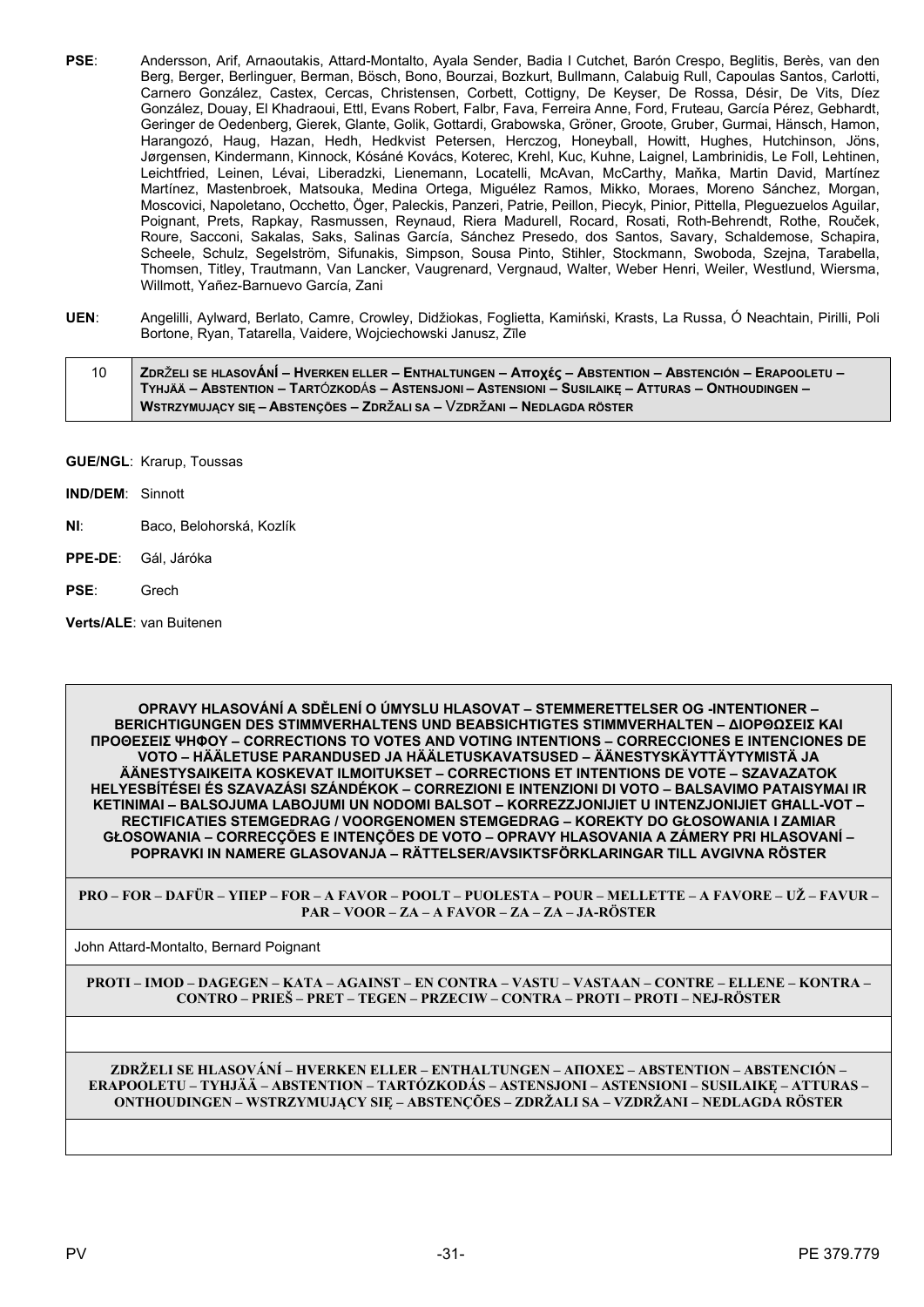- **PSE**: Andersson, Arif, Arnaoutakis, Attard-Montalto, Ayala Sender, Badia I Cutchet, Barón Crespo, Beglitis, Berès, van den Berg, Berger, Berlinguer, Berman, Bösch, Bono, Bourzai, Bozkurt, Bullmann, Calabuig Rull, Capoulas Santos, Carlotti, Carnero González, Castex, Cercas, Christensen, Corbett, Cottigny, De Keyser, De Rossa, Désir, De Vits, Díez González, Douay, El Khadraoui, Ettl, Evans Robert, Falbr, Fava, Ferreira Anne, Ford, Fruteau, García Pérez, Gebhardt, Geringer de Oedenberg, Gierek, Glante, Golik, Gottardi, Grabowska, Gröner, Groote, Gruber, Gurmai, Hänsch, Hamon, Harangozó, Haug, Hazan, Hedh, Hedkvist Petersen, Herczog, Honeyball, Howitt, Hughes, Hutchinson, Jöns, Jørgensen, Kindermann, Kinnock, Kósáné Kovács, Koterec, Krehl, Kuc, Kuhne, Laignel, Lambrinidis, Le Foll, Lehtinen, Leichtfried, Leinen, Lévai, Liberadzki, Lienemann, Locatelli, McAvan, McCarthy, Maňka, Martin David, Martínez Martínez, Mastenbroek, Matsouka, Medina Ortega, Miguélez Ramos, Mikko, Moraes, Moreno Sánchez, Morgan, Moscovici, Napoletano, Occhetto, Öger, Paleckis, Panzeri, Patrie, Peillon, Piecyk, Pinior, Pittella, Pleguezuelos Aguilar, Poignant, Prets, Rapkay, Rasmussen, Reynaud, Riera Madurell, Rocard, Rosati, Roth-Behrendt, Rothe, Rouček, Roure, Sacconi, Sakalas, Saks, Salinas García, Sánchez Presedo, dos Santos, Savary, Schaldemose, Schapira, Scheele, Schulz, Segelström, Sifunakis, Simpson, Sousa Pinto, Stihler, Stockmann, Swoboda, Szejna, Tarabella, Thomsen, Titley, Trautmann, Van Lancker, Vaugrenard, Vergnaud, Walter, Weber Henri, Weiler, Westlund, Wiersma, Willmott, Yañez-Barnuevo García, Zani
- **UEN**: Angelilli, Aylward, Berlato, Camre, Crowley, Didžiokas, Foglietta, Kamiński, Krasts, La Russa, Ó Neachtain, Pirilli, Poli Bortone, Ryan, Tatarella, Vaidere, Wojciechowski Janusz, Zīle

| 10 | ZDRŽELI SE HLASOVÁNÍ – HVERKEN ELLER – ENTHALTUNGEN – Αποχές – ABSTENTION – ABSTENCIÓN – ERAPOOLETU – ∕ |
|----|---------------------------------------------------------------------------------------------------------|
|    | TYHJÄÄ – ABSTENTION – TARTÓZKODÁS – ASTENSJONI – ASTENSIONI – SUSILAIKE – ATTURAS – ONTHOUDINGEN –      |
|    | NSTRZYMUJĄCY SIĘ – ABSTENÇÕES – ZDRŽALI SA – VZDRŽANI – NEDLAGDA RÖSTER                                 |

- **GUE/NGL**: Krarup, Toussas
- **IND/DEM**: Sinnott
- **NI**: Baco, Belohorská, Kozlík
- **PPE-DE**: Gál, Járóka
- **PSE**: Grech

**Verts/ALE**: van Buitenen

**OPRAVY HLASOVÁNÍ A SDĚLENÍ O ÚMYSLU HLASOVAT – STEMMERETTELSER OG -INTENTIONER – BERICHTIGUNGEN DES STIMMVERHALTENS UND BEABSICHTIGTES STIMMVERHALTEN – ΔΙΟΡΘΩΣΕΙΣ ΚΑΙ ΠΡΟΘΕΣΕΙΣ ΨΗΦΟΥ – CORRECTIONS TO VOTES AND VOTING INTENTIONS – CORRECCIONES E INTENCIONES DE VOTO – HÄÄLETUSE PARANDUSED JA HÄÄLETUSKAVATSUSED – ÄÄNESTYSKÄYTTÄYTYMISTÄ JA ÄÄNESTYSAIKEITA KOSKEVAT ILMOITUKSET – CORRECTIONS ET INTENTIONS DE VOTE – SZAVAZATOK HELYESBÍTÉSEI ÉS SZAVAZÁSI SZÁNDÉKOK – CORREZIONI E INTENZIONI DI VOTO – BALSAVIMO PATAISYMAI IR KETINIMAI – BALSOJUMA LABOJUMI UN NODOMI BALSOT – KORREZZJONIJIET U INTENZJONIJIET GĦALL-VOT – RECTIFICATIES STEMGEDRAG / VOORGENOMEN STEMGEDRAG – KOREKTY DO GŁOSOWANIA I ZAMIAR GŁOSOWANIA – CORRECÇÕES E INTENÇÕES DE VOTO – OPRAVY HLASOVANIA A ZÁMERY PRI HLASOVANÍ – POPRAVKI IN NAMERE GLASOVANJA – RÄTTELSER/AVSIKTSFÖRKLARINGAR TILL AVGIVNA RÖSTER**

**PRO – FOR – DAFÜR – ΥΠΕΡ – FOR – A FAVOR – POOLT – PUOLESTA – POUR – MELLETTE – A FAVORE – UŽ – FAVUR – PAR – VOOR – ZA – A FAVOR – ZA – ZA – JA-RÖSTER**

John Attard-Montalto, Bernard Poignant

**PROTI – IMOD – DAGEGEN – ΚΑΤΑ – AGAINST – EN CONTRA – VASTU – VASTAAN – CONTRE – ELLENE – KONTRA – CONTRO – PRIEŠ – PRET – TEGEN – PRZECIW – CONTRA – PROTI – PROTI – NEJ-RÖSTER**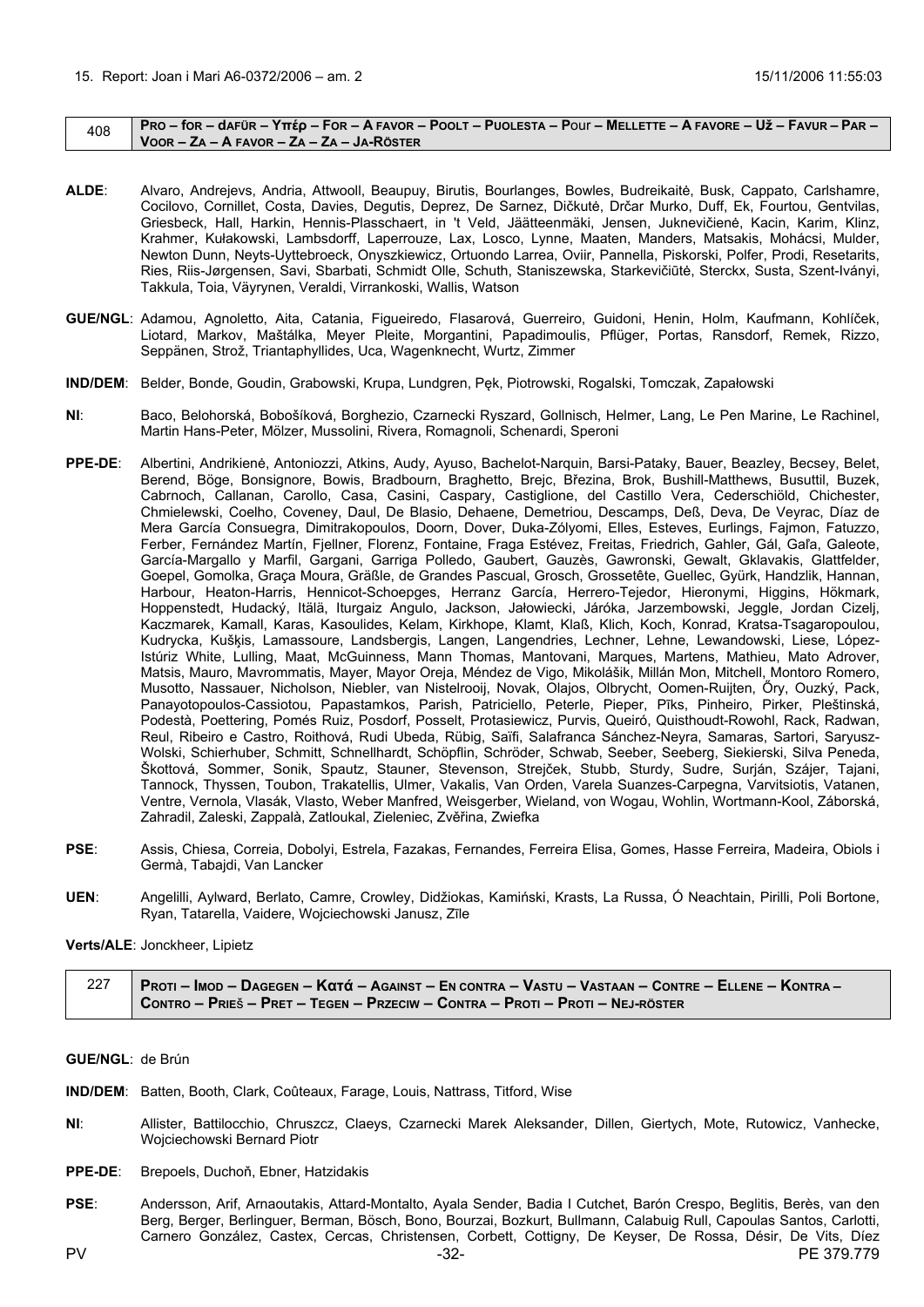#### <span id="page-31-0"></span> $_{408}$  | Pro – for – dafür – Yttép – For – A favor – Poolt – Puolesta – Pour – Mellette – A favore – Už – Favur – Par – **VOOR – ZA – A FAVOR – ZA – ZA – JA-RÖSTER**

- **ALDE**: Alvaro, Andrejevs, Andria, Attwooll, Beaupuy, Birutis, Bourlanges, Bowles, Budreikaitė, Busk, Cappato, Carlshamre, Cocilovo, Cornillet, Costa, Davies, Degutis, Deprez, De Sarnez, Dičkutė, Drčar Murko, Duff, Ek, Fourtou, Gentvilas, Griesbeck, Hall, Harkin, Hennis-Plasschaert, in 't Veld, Jäätteenmäki, Jensen, Juknevičienė, Kacin, Karim, Klinz, Krahmer, Kułakowski, Lambsdorff, Laperrouze, Lax, Losco, Lynne, Maaten, Manders, Matsakis, Mohácsi, Mulder, Newton Dunn, Neyts-Uyttebroeck, Onyszkiewicz, Ortuondo Larrea, Oviir, Pannella, Piskorski, Polfer, Prodi, Resetarits, Ries, Riis-Jørgensen, Savi, Sbarbati, Schmidt Olle, Schuth, Staniszewska, Starkevičiūtė, Sterckx, Susta, Szent-Iványi, Takkula, Toia, Väyrynen, Veraldi, Virrankoski, Wallis, Watson
- **GUE/NGL**: Adamou, Agnoletto, Aita, Catania, Figueiredo, Flasarová, Guerreiro, Guidoni, Henin, Holm, Kaufmann, Kohlíček, Liotard, Markov, Maštálka, Meyer Pleite, Morgantini, Papadimoulis, Pflüger, Portas, Ransdorf, Remek, Rizzo, Seppänen, Strož, Triantaphyllides, Uca, Wagenknecht, Wurtz, Zimmer
- **IND/DEM**: Belder, Bonde, Goudin, Grabowski, Krupa, Lundgren, Pęk, Piotrowski, Rogalski, Tomczak, Zapałowski
- **NI**: Baco, Belohorská, Bobošíková, Borghezio, Czarnecki Ryszard, Gollnisch, Helmer, Lang, Le Pen Marine, Le Rachinel, Martin Hans-Peter, Mölzer, Mussolini, Rivera, Romagnoli, Schenardi, Speroni
- **PPE-DE**: Albertini, Andrikienė, Antoniozzi, Atkins, Audy, Ayuso, Bachelot-Narquin, Barsi-Pataky, Bauer, Beazley, Becsey, Belet, Berend, Böge, Bonsignore, Bowis, Bradbourn, Braghetto, Brejc, Březina, Brok, Bushill-Matthews, Busuttil, Buzek, Cabrnoch, Callanan, Carollo, Casa, Casini, Caspary, Castiglione, del Castillo Vera, Cederschiöld, Chichester, Chmielewski, Coelho, Coveney, Daul, De Blasio, Dehaene, Demetriou, Descamps, Deß, Deva, De Veyrac, Díaz de Mera García Consuegra, Dimitrakopoulos, Doorn, Dover, Duka-Zólyomi, Elles, Esteves, Eurlings, Fajmon, Fatuzzo, Ferber, Fernández Martín, Fjellner, Florenz, Fontaine, Fraga Estévez, Freitas, Friedrich, Gahler, Gál, Gaľa, Galeote, García-Margallo y Marfil, Gargani, Garriga Polledo, Gaubert, Gauzès, Gawronski, Gewalt, Gklavakis, Glattfelder, Goepel, Gomolka, Graça Moura, Gräßle, de Grandes Pascual, Grosch, Grossetête, Guellec, Gyürk, Handzlik, Hannan, Harbour, Heaton-Harris, Hennicot-Schoepges, Herranz García, Herrero-Tejedor, Hieronymi, Higgins, Hökmark, Hoppenstedt, Hudacký, Itälä, Iturgaiz Angulo, Jackson, Jałowiecki, Járóka, Jarzembowski, Jeggle, Jordan Cizelj, Kaczmarek, Kamall, Karas, Kasoulides, Kelam, Kirkhope, Klamt, Klaß, Klich, Koch, Konrad, Kratsa-Tsagaropoulou, Kudrycka, Kušķis, Lamassoure, Landsbergis, Langen, Langendries, Lechner, Lehne, Lewandowski, Liese, López-Istúriz White, Lulling, Maat, McGuinness, Mann Thomas, Mantovani, Marques, Martens, Mathieu, Mato Adrover, Matsis, Mauro, Mavrommatis, Mayer, Mayor Oreja, Méndez de Vigo, Mikolášik, Millán Mon, Mitchell, Montoro Romero, Musotto, Nassauer, Nicholson, Niebler, van Nistelrooij, Novak, Olajos, Olbrycht, Oomen-Ruijten, Őry, Ouzký, Pack, Panayotopoulos-Cassiotou, Papastamkos, Parish, Patriciello, Peterle, Pieper, Pīks, Pinheiro, Pirker, Pleštinská, Podestà, Poettering, Pomés Ruiz, Posdorf, Posselt, Protasiewicz, Purvis, Queiró, Quisthoudt-Rowohl, Rack, Radwan, Reul, Ribeiro e Castro, Roithová, Rudi Ubeda, Rübig, Saïfi, Salafranca Sánchez-Neyra, Samaras, Sartori, Saryusz-Wolski, Schierhuber, Schmitt, Schnellhardt, Schöpflin, Schröder, Schwab, Seeber, Seeberg, Siekierski, Silva Peneda, Škottová, Sommer, Sonik, Spautz, Stauner, Stevenson, Strejček, Stubb, Sturdy, Sudre, Surján, Szájer, Tajani, Tannock, Thyssen, Toubon, Trakatellis, Ulmer, Vakalis, Van Orden, Varela Suanzes-Carpegna, Varvitsiotis, Vatanen, Ventre, Vernola, Vlasák, Vlasto, Weber Manfred, Weisgerber, Wieland, von Wogau, Wohlin, Wortmann-Kool, Záborská, Zahradil, Zaleski, Zappalà, Zatloukal, Zieleniec, Zvěřina, Zwiefka
- **PSE**: Assis, Chiesa, Correia, Dobolyi, Estrela, Fazakas, Fernandes, Ferreira Elisa, Gomes, Hasse Ferreira, Madeira, Obiols i Germà, Tabajdi, Van Lancker
- **UEN**: Angelilli, Aylward, Berlato, Camre, Crowley, Didžiokas, Kamiński, Krasts, La Russa, Ó Neachtain, Pirilli, Poli Bortone, Ryan, Tatarella, Vaidere, Wojciechowski Janusz, Zīle

#### **Verts/ALE**: Jonckheer, Lipietz

| Proti – Imod – Dagegen – Κατά – Against – En contra – Vastu – Vastaan – Contre – Ellene – Kontra – |
|----------------------------------------------------------------------------------------------------|
| Contro – Prieš – Pret – Tegen – Przeciw – Contra – Proti – Proti – Nej-röster                      |

**GUE/NGL**: de Brún

- **IND/DEM**: Batten, Booth, Clark, Coûteaux, Farage, Louis, Nattrass, Titford, Wise
- **NI**: Allister, Battilocchio, Chruszcz, Claeys, Czarnecki Marek Aleksander, Dillen, Giertych, Mote, Rutowicz, Vanhecke, Wojciechowski Bernard Piotr
- **PPE-DE**: Brepoels, Duchoň, Ebner, Hatzidakis
- PSE: Andersson, Arif, Arnaoutakis, Attard-Montalto, Ayala Sender, Badia I Cutchet, Barón Crespo, Beglitis, Berès, van den Berg, Berger, Berlinguer, Berman, Bösch, Bono, Bourzai, Bozkurt, Bullmann, Calabuig Rull, Capoulas Santos, Carlotti, Carnero González, Castex, Cercas, Christensen, Corbett, Cottigny, De Keyser, De Rossa, Désir, De Vits, Díez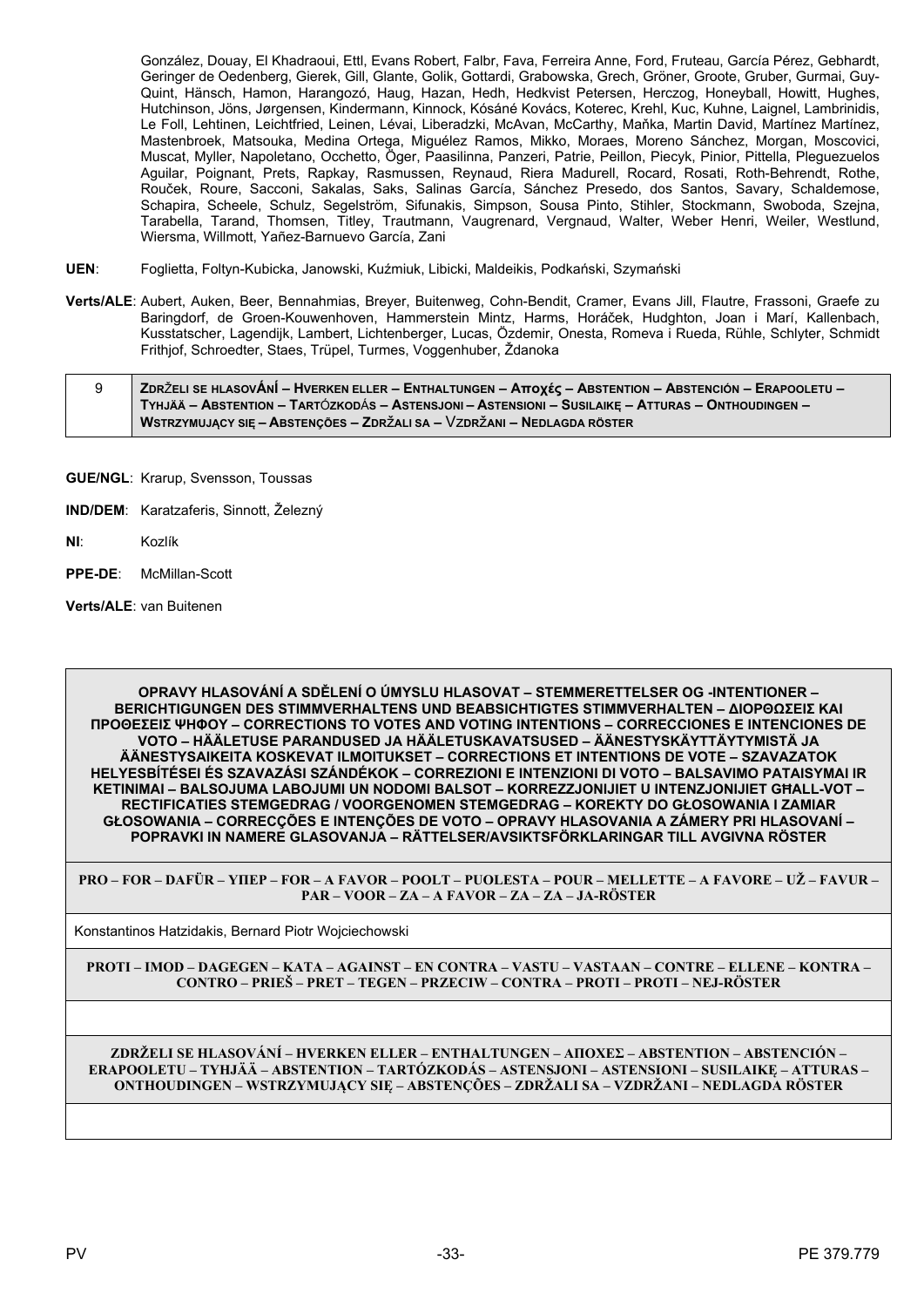González, Douay, El Khadraoui, Ettl, Evans Robert, Falbr, Fava, Ferreira Anne, Ford, Fruteau, García Pérez, Gebhardt, Geringer de Oedenberg, Gierek, Gill, Glante, Golik, Gottardi, Grabowska, Grech, Gröner, Groote, Gruber, Gurmai, Guy-Quint, Hänsch, Hamon, Harangozó, Haug, Hazan, Hedh, Hedkvist Petersen, Herczog, Honeyball, Howitt, Hughes, Hutchinson, Jöns, Jørgensen, Kindermann, Kinnock, Kósáné Kovács, Koterec, Krehl, Kuc, Kuhne, Laignel, Lambrinidis, Le Foll, Lehtinen, Leichtfried, Leinen, Lévai, Liberadzki, McAvan, McCarthy, Maňka, Martin David, Martínez Martínez, Mastenbroek, Matsouka, Medina Ortega, Miguélez Ramos, Mikko, Moraes, Moreno Sánchez, Morgan, Moscovici, Muscat, Myller, Napoletano, Occhetto, Öger, Paasilinna, Panzeri, Patrie, Peillon, Piecyk, Pinior, Pittella, Pleguezuelos Aguilar, Poignant, Prets, Rapkay, Rasmussen, Reynaud, Riera Madurell, Rocard, Rosati, Roth-Behrendt, Rothe, Rouček, Roure, Sacconi, Sakalas, Saks, Salinas García, Sánchez Presedo, dos Santos, Savary, Schaldemose, Schapira, Scheele, Schulz, Segelström, Sifunakis, Simpson, Sousa Pinto, Stihler, Stockmann, Swoboda, Szejna, Tarabella, Tarand, Thomsen, Titley, Trautmann, Vaugrenard, Vergnaud, Walter, Weber Henri, Weiler, Westlund, Wiersma, Willmott, Yañez-Barnuevo García, Zani

- **UEN**: Foglietta, Foltyn-Kubicka, Janowski, Kuźmiuk, Libicki, Maldeikis, Podkański, Szymański
- **Verts/ALE**: Aubert, Auken, Beer, Bennahmias, Breyer, Buitenweg, Cohn-Bendit, Cramer, Evans Jill, Flautre, Frassoni, Graefe zu Baringdorf, de Groen-Kouwenhoven, Hammerstein Mintz, Harms, Horáček, Hudghton, Joan i Marí, Kallenbach, Kusstatscher, Lagendijk, Lambert, Lichtenberger, Lucas, Özdemir, Onesta, Romeva i Rueda, Rühle, Schlyter, Schmidt Frithjof, Schroedter, Staes, Trüpel, Turmes, Voggenhuber, Ždanoka

| ZDRŽELI SE HLASOVÁNÍ - HVERKEN ELLER - ENTHALTUNGEN - Aποχές - ABSTENTION - ABSTENCIÓN - ERAPOOLETU - |
|-------------------------------------------------------------------------------------------------------|
| TYHJÄÄ – ABSTENTION – TARTÓZKODÁS – ASTENSJONI – ASTENSIONI – SUSILAIKE – ATTURAS – ONTHOUDINGEN –    |
| WSTRZYMUJACY SIE – ABSTENCÕES – ZDRŽALI SA – VZDRŽANI – NEDLAGDA RÖSTER                               |

- **GUE/NGL**: Krarup, Svensson, Toussas
- **IND/DEM**: Karatzaferis, Sinnott, Železný
- **NI**: Kozlík
- **PPE-DE**: McMillan-Scott
- **Verts/ALE**: van Buitenen

**OPRAVY HLASOVÁNÍ A SDĚLENÍ O ÚMYSLU HLASOVAT – STEMMERETTELSER OG -INTENTIONER – BERICHTIGUNGEN DES STIMMVERHALTENS UND BEABSICHTIGTES STIMMVERHALTEN – ΔΙΟΡΘΩΣΕΙΣ ΚΑΙ ΠΡΟΘΕΣΕΙΣ ΨΗΦΟΥ – CORRECTIONS TO VOTES AND VOTING INTENTIONS – CORRECCIONES E INTENCIONES DE VOTO – HÄÄLETUSE PARANDUSED JA HÄÄLETUSKAVATSUSED – ÄÄNESTYSKÄYTTÄYTYMISTÄ JA ÄÄNESTYSAIKEITA KOSKEVAT ILMOITUKSET – CORRECTIONS ET INTENTIONS DE VOTE – SZAVAZATOK HELYESBÍTÉSEI ÉS SZAVAZÁSI SZÁNDÉKOK – CORREZIONI E INTENZIONI DI VOTO – BALSAVIMO PATAISYMAI IR KETINIMAI – BALSOJUMA LABOJUMI UN NODOMI BALSOT – KORREZZJONIJIET U INTENZJONIJIET GĦALL-VOT – RECTIFICATIES STEMGEDRAG / VOORGENOMEN STEMGEDRAG – KOREKTY DO GŁOSOWANIA I ZAMIAR GŁOSOWANIA – CORRECÇÕES E INTENÇÕES DE VOTO – OPRAVY HLASOVANIA A ZÁMERY PRI HLASOVANÍ – POPRAVKI IN NAMERE GLASOVANJA – RÄTTELSER/AVSIKTSFÖRKLARINGAR TILL AVGIVNA RÖSTER**

**PRO – FOR – DAFÜR – ΥΠΕΡ – FOR – A FAVOR – POOLT – PUOLESTA – POUR – MELLETTE – A FAVORE – UŽ – FAVUR – PAR – VOOR – ZA – A FAVOR – ZA – ZA – JA-RÖSTER**

Konstantinos Hatzidakis, Bernard Piotr Wojciechowski

**PROTI – IMOD – DAGEGEN – ΚΑΤΑ – AGAINST – EN CONTRA – VASTU – VASTAAN – CONTRE – ELLENE – KONTRA – CONTRO – PRIEŠ – PRET – TEGEN – PRZECIW – CONTRA – PROTI – PROTI – NEJ-RÖSTER**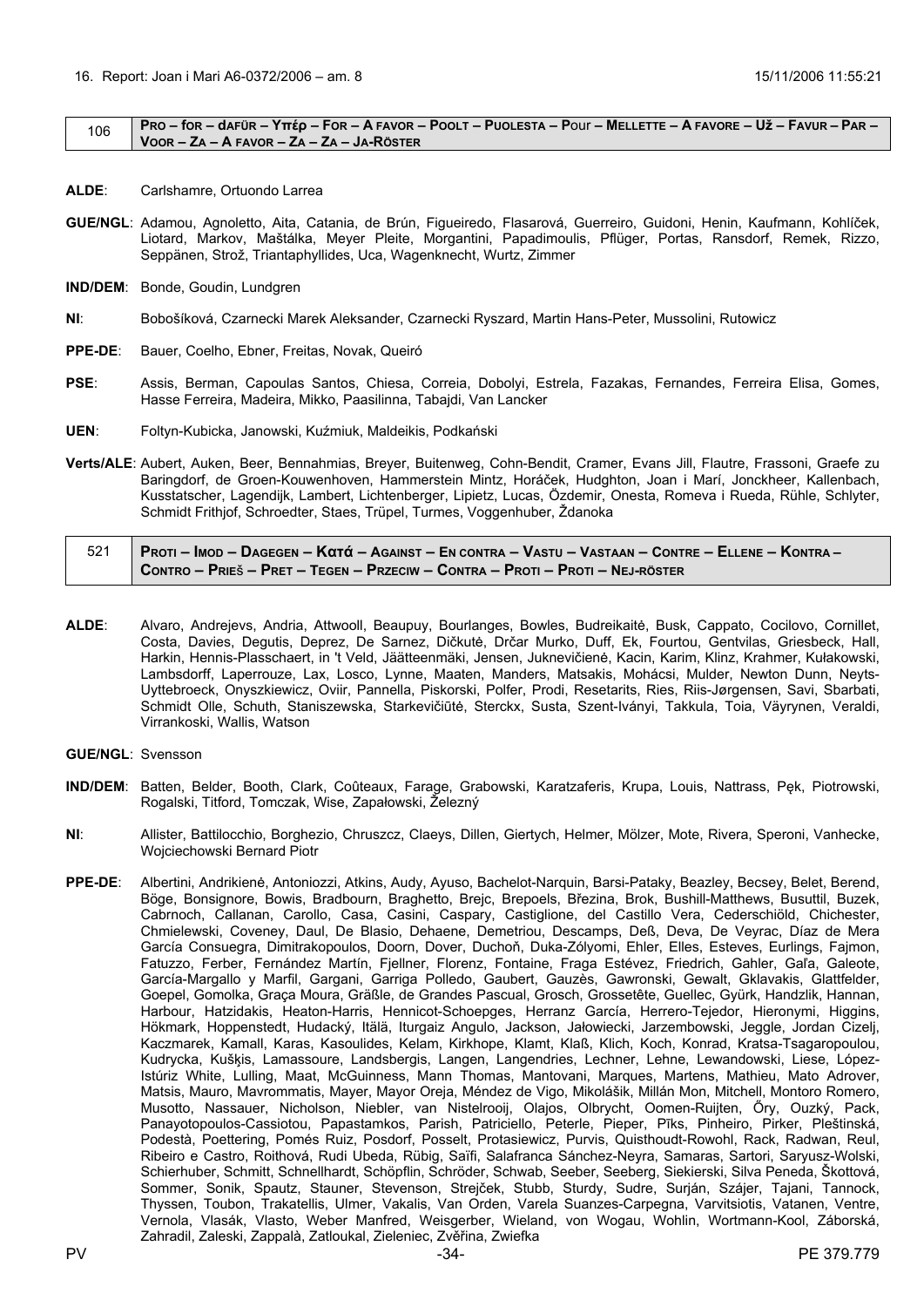#### <span id="page-33-0"></span>106 | PRO – for – dafür – Yttép – For – A Favor – Poolt – Puolesta – Pour – Mellette – A Favore – Už – Favur – Par – **VOOR – ZA – A FAVOR – ZA – ZA – JA-RÖSTER**

- **ALDE**: Carlshamre, Ortuondo Larrea
- **GUE/NGL**: Adamou, Agnoletto, Aita, Catania, de Brún, Figueiredo, Flasarová, Guerreiro, Guidoni, Henin, Kaufmann, Kohlíček, Liotard, Markov, Maštálka, Meyer Pleite, Morgantini, Papadimoulis, Pflüger, Portas, Ransdorf, Remek, Rizzo, Seppänen, Strož, Triantaphyllides, Uca, Wagenknecht, Wurtz, Zimmer
- **IND/DEM**: Bonde, Goudin, Lundgren
- **NI**: Bobošíková, Czarnecki Marek Aleksander, Czarnecki Ryszard, Martin Hans-Peter, Mussolini, Rutowicz
- **PPE-DE**: Bauer, Coelho, Ebner, Freitas, Novak, Queiró
- **PSE**: Assis, Berman, Capoulas Santos, Chiesa, Correia, Dobolyi, Estrela, Fazakas, Fernandes, Ferreira Elisa, Gomes, Hasse Ferreira, Madeira, Mikko, Paasilinna, Tabajdi, Van Lancker
- **UEN**: Foltyn-Kubicka, Janowski, Kuźmiuk, Maldeikis, Podkański
- **Verts/ALE**: Aubert, Auken, Beer, Bennahmias, Breyer, Buitenweg, Cohn-Bendit, Cramer, Evans Jill, Flautre, Frassoni, Graefe zu Baringdorf, de Groen-Kouwenhoven, Hammerstein Mintz, Horáček, Hudghton, Joan i Marí, Jonckheer, Kallenbach, Kusstatscher, Lagendijk, Lambert, Lichtenberger, Lipietz, Lucas, Özdemir, Onesta, Romeva i Rueda, Rühle, Schlyter, Schmidt Frithjof, Schroedter, Staes, Trüpel, Turmes, Voggenhuber, Ždanoka

| 521   Proti – Imod – Dagegen – Kαtά – Against – En contra – Vastu – Vastaan – Contre – Ellene – Kontra – / |
|------------------------------------------------------------------------------------------------------------|
| CONTRO – PRIEŠ – PRET – TEGEN – PRZECIW – CONTRA – PROTI – PROTI – NEJ-RÖSTER                              |

- **ALDE**: Alvaro, Andrejevs, Andria, Attwooll, Beaupuy, Bourlanges, Bowles, Budreikaitė, Busk, Cappato, Cocilovo, Cornillet, Costa, Davies, Degutis, Deprez, De Sarnez, Dičkutė, Drčar Murko, Duff, Ek, Fourtou, Gentvilas, Griesbeck, Hall, Harkin, Hennis-Plasschaert, in 't Veld, Jäätteenmäki, Jensen, Juknevičienė, Kacin, Karim, Klinz, Krahmer, Kułakowski, Lambsdorff, Laperrouze, Lax, Losco, Lynne, Maaten, Manders, Matsakis, Mohácsi, Mulder, Newton Dunn, Neyts-Uyttebroeck, Onyszkiewicz, Oviir, Pannella, Piskorski, Polfer, Prodi, Resetarits, Ries, Riis-Jørgensen, Savi, Sbarbati, Schmidt Olle, Schuth, Staniszewska, Starkevičiūtė, Sterckx, Susta, Szent-Iványi, Takkula, Toia, Väyrynen, Veraldi, Virrankoski, Wallis, Watson
- **GUE/NGL**: Svensson
- **IND/DEM**: Batten, Belder, Booth, Clark, Coûteaux, Farage, Grabowski, Karatzaferis, Krupa, Louis, Nattrass, Pęk, Piotrowski, Rogalski, Titford, Tomczak, Wise, Zapałowski, Železný
- **NI**: Allister, Battilocchio, Borghezio, Chruszcz, Claeys, Dillen, Giertych, Helmer, Mölzer, Mote, Rivera, Speroni, Vanhecke, Wojciechowski Bernard Piotr
- **PPE-DE**: Albertini, Andrikienė, Antoniozzi, Atkins, Audy, Ayuso, Bachelot-Narquin, Barsi-Pataky, Beazley, Becsey, Belet, Berend, Böge, Bonsignore, Bowis, Bradbourn, Braghetto, Brejc, Brepoels, Březina, Brok, Bushill-Matthews, Busuttil, Buzek, Cabrnoch, Callanan, Carollo, Casa, Casini, Caspary, Castiglione, del Castillo Vera, Cederschiöld, Chichester, Chmielewski, Coveney, Daul, De Blasio, Dehaene, Demetriou, Descamps, Deß, Deva, De Veyrac, Díaz de Mera García Consuegra, Dimitrakopoulos, Doorn, Dover, Duchoň, Duka-Zólyomi, Ehler, Elles, Esteves, Eurlings, Fajmon, Fatuzzo, Ferber, Fernández Martín, Fiellner, Florenz, Fontaine, Fraga Estévez, Friedrich, Gahler, Gala, Galeote, García-Margallo y Marfil, Gargani, Garriga Polledo, Gaubert, Gauzès, Gawronski, Gewalt, Gklavakis, Glattfelder, Goepel, Gomolka, Graça Moura, Gräßle, de Grandes Pascual, Grosch, Grossetête, Guellec, Gyürk, Handzlik, Hannan, Harbour, Hatzidakis, Heaton-Harris, Hennicot-Schoepges, Herranz García, Herrero-Tejedor, Hieronymi, Higgins, Hökmark, Hoppenstedt, Hudacký, Itälä, Iturgaiz Angulo, Jackson, Jałowiecki, Jarzembowski, Jeggle, Jordan Cizelj, Kaczmarek, Kamall, Karas, Kasoulides, Kelam, Kirkhope, Klamt, Klaß, Klich, Koch, Konrad, Kratsa-Tsagaropoulou, Kudrycka, Kušķis, Lamassoure, Landsbergis, Langen, Langendries, Lechner, Lehne, Lewandowski, Liese, López-Istúriz White, Lulling, Maat, McGuinness, Mann Thomas, Mantovani, Marques, Martens, Mathieu, Mato Adrover, Matsis, Mauro, Mavrommatis, Mayer, Mayor Oreja, Méndez de Vigo, Mikolášik, Millán Mon, Mitchell, Montoro Romero, Musotto, Nassauer, Nicholson, Niebler, van Nistelrooij, Olajos, Olbrycht, Oomen-Ruijten, Őry, Ouzký, Pack, Panayotopoulos-Cassiotou, Papastamkos, Parish, Patriciello, Peterle, Pieper, Pīks, Pinheiro, Pirker, Pleštinská, Podestà, Poettering, Pomés Ruiz, Posdorf, Posselt, Protasiewicz, Purvis, Quisthoudt-Rowohl, Rack, Radwan, Reul, Ribeiro e Castro, Roithová, Rudi Ubeda, Rübig, Saïfi, Salafranca Sánchez-Neyra, Samaras, Sartori, Saryusz-Wolski, Schierhuber, Schmitt, Schnellhardt, Schöpflin, Schröder, Schwab, Seeber, Seeberg, Siekierski, Silva Peneda, Škottová, Sommer, Sonik, Spautz, Stauner, Stevenson, Strejček, Stubb, Sturdy, Sudre, Surján, Szájer, Tajani, Tannock, Thyssen, Toubon, Trakatellis, Ulmer, Vakalis, Van Orden, Varela Suanzes-Carpegna, Varvitsiotis, Vatanen, Ventre, Vernola, Vlasák, Vlasto, Weber Manfred, Weisgerber, Wieland, von Wogau, Wohlin, Wortmann-Kool, Záborská, Zahradil, Zaleski, Zappalà, Zatloukal, Zieleniec, Zvěřina, Zwiefka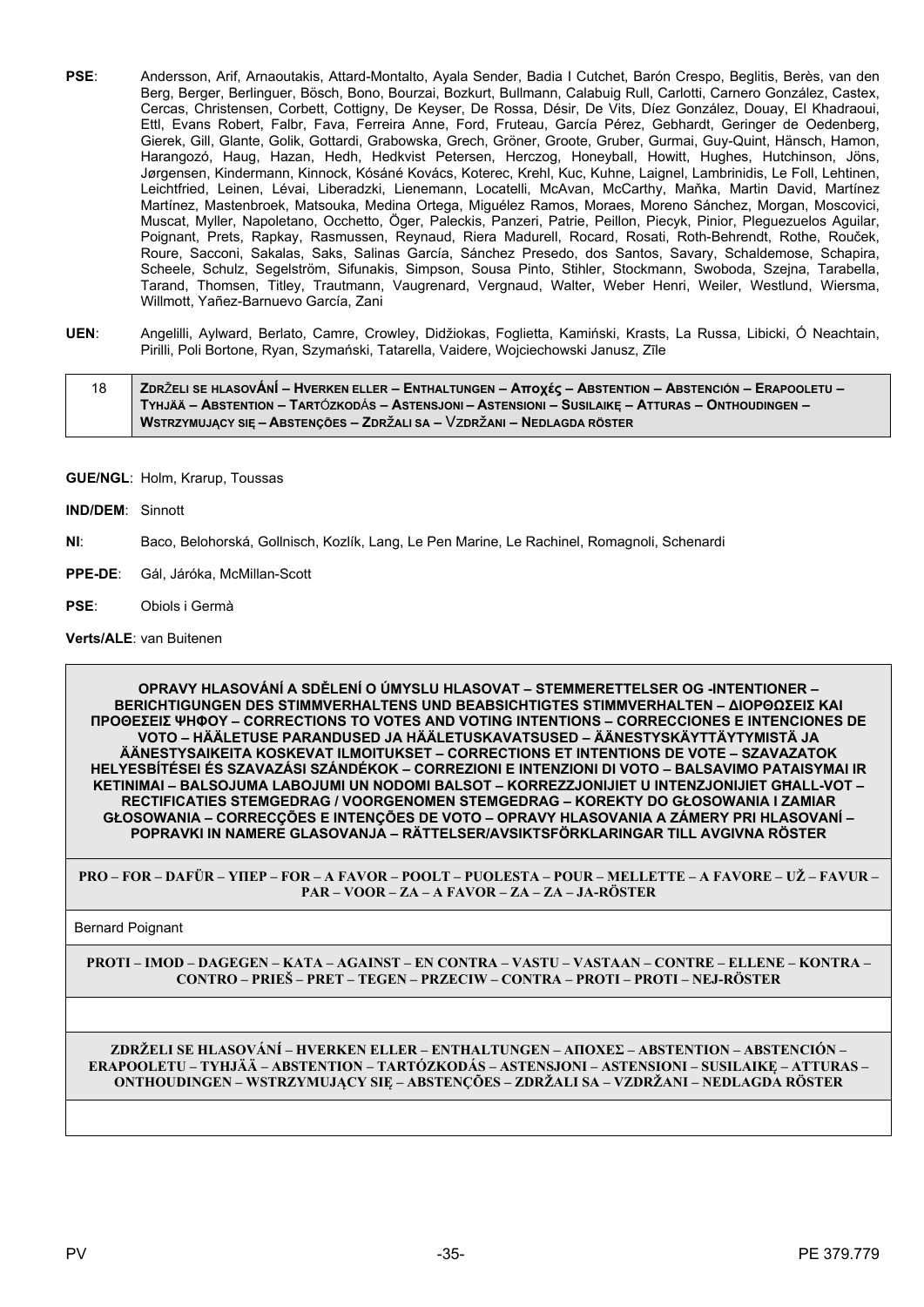- PSE: Andersson, Arif, Arnaoutakis, Attard-Montalto, Ayala Sender, Badia I Cutchet, Barón Crespo, Beglitis, Berès, van den Berg, Berger, Berlinguer, Bösch, Bono, Bourzai, Bozkurt, Bullmann, Calabuig Rull, Carlotti, Carnero González, Castex, Cercas, Christensen, Corbett, Cottigny, De Keyser, De Rossa, Désir, De Vits, Díez González, Douay, El Khadraoui, Ettl, Evans Robert, Falbr, Fava, Ferreira Anne, Ford, Fruteau, García Pérez, Gebhardt, Geringer de Oedenberg, Gierek, Gill, Glante, Golik, Gottardi, Grabowska, Grech, Gröner, Groote, Gruber, Gurmai, Guy-Quint, Hänsch, Hamon, Harangozó, Haug, Hazan, Hedh, Hedkvist Petersen, Herczog, Honeyball, Howitt, Hughes, Hutchinson, Jöns, Jørgensen, Kindermann, Kinnock, Kósáné Kovács, Koterec, Krehl, Kuc, Kuhne, Laignel, Lambrinidis, Le Foll, Lehtinen, Leichtfried, Leinen, Lévai, Liberadzki, Lienemann, Locatelli, McAvan, McCarthy, Maňka, Martin David, Martínez Martínez, Mastenbroek, Matsouka, Medina Ortega, Miguélez Ramos, Moraes, Moreno Sánchez, Morgan, Moscovici, Muscat, Myller, Napoletano, Occhetto, Öger, Paleckis, Panzeri, Patrie, Peillon, Piecyk, Pinior, Pleguezuelos Aguilar, Poignant, Prets, Rapkay, Rasmussen, Reynaud, Riera Madurell, Rocard, Rosati, Roth-Behrendt, Rothe, Rouček, Roure, Sacconi, Sakalas, Saks, Salinas García, Sánchez Presedo, dos Santos, Savary, Schaldemose, Schapira, Scheele, Schulz, Segelström, Sifunakis, Simpson, Sousa Pinto, Stihler, Stockmann, Swoboda, Szejna, Tarabella, Tarand, Thomsen, Titley, Trautmann, Vaugrenard, Vergnaud, Walter, Weber Henri, Weiler, Westlund, Wiersma, Willmott, Yañez-Barnuevo García, Zani
- **UEN**: Angelilli, Aylward, Berlato, Camre, Crowley, Didžiokas, Foglietta, Kamiński, Krasts, La Russa, Libicki, Ó Neachtain, Pirilli, Poli Bortone, Ryan, Szymański, Tatarella, Vaidere, Wojciechowski Janusz, Zīle

18 ZDRŽELI SE HLASOVÁNÍ – HVERKEN ELLER – ENTHALTUNGEN – Αποχές – ABSTENTION – ABSTENCIÓN – ERAPOOLETU – TYHJÄÄ – ABSTENTION – TARTÓZKODÁS – ASTENSJONI – ASTENSIONI – SUSILAIKE – ATTURAS – ONTHOUDINGEN – **WSTRZYMUJĄCY SIĘ – ABSTENÇÕES – ZDR**ž**ALI SA –** Vz**DR**ž**ANI – NEDLAGDA RÖSTER**

### **GUE/NGL**: Holm, Krarup, Toussas

- **IND/DEM**: Sinnott
- **NI**: Baco, Belohorská, Gollnisch, Kozlík, Lang, Le Pen Marine, Le Rachinel, Romagnoli, Schenardi
- **PPE-DE**: Gál, Járóka, McMillan-Scott
- **PSE**: Obiols i Germà

# **Verts/ALE**: van Buitenen

**OPRAVY HLASOVÁNÍ A SDĚLENÍ O ÚMYSLU HLASOVAT – STEMMERETTELSER OG -INTENTIONER – BERICHTIGUNGEN DES STIMMVERHALTENS UND BEABSICHTIGTES STIMMVERHALTEN – ΔΙΟΡΘΩΣΕΙΣ ΚΑΙ ΠΡΟΘΕΣΕΙΣ ΨΗΦΟΥ – CORRECTIONS TO VOTES AND VOTING INTENTIONS – CORRECCIONES E INTENCIONES DE VOTO – HÄÄLETUSE PARANDUSED JA HÄÄLETUSKAVATSUSED – ÄÄNESTYSKÄYTTÄYTYMISTÄ JA ÄÄNESTYSAIKEITA KOSKEVAT ILMOITUKSET – CORRECTIONS ET INTENTIONS DE VOTE – SZAVAZATOK HELYESBÍTÉSEI ÉS SZAVAZÁSI SZÁNDÉKOK – CORREZIONI E INTENZIONI DI VOTO – BALSAVIMO PATAISYMAI IR KETINIMAI – BALSOJUMA LABOJUMI UN NODOMI BALSOT – KORREZZJONIJIET U INTENZJONIJIET GĦALL-VOT – RECTIFICATIES STEMGEDRAG / VOORGENOMEN STEMGEDRAG – KOREKTY DO GŁOSOWANIA I ZAMIAR GŁOSOWANIA – CORRECÇÕES E INTENÇÕES DE VOTO – OPRAVY HLASOVANIA A ZÁMERY PRI HLASOVANÍ – POPRAVKI IN NAMERE GLASOVANJA – RÄTTELSER/AVSIKTSFÖRKLARINGAR TILL AVGIVNA RÖSTER**

**PRO – FOR – DAFÜR – ΥΠΕΡ – FOR – A FAVOR – POOLT – PUOLESTA – POUR – MELLETTE – A FAVORE – UŽ – FAVUR – PAR – VOOR – ZA – A FAVOR – ZA – ZA – JA-RÖSTER**

Bernard Poignant

**PROTI – IMOD – DAGEGEN – ΚΑΤΑ – AGAINST – EN CONTRA – VASTU – VASTAAN – CONTRE – ELLENE – KONTRA – CONTRO – PRIEŠ – PRET – TEGEN – PRZECIW – CONTRA – PROTI – PROTI – NEJ-RÖSTER**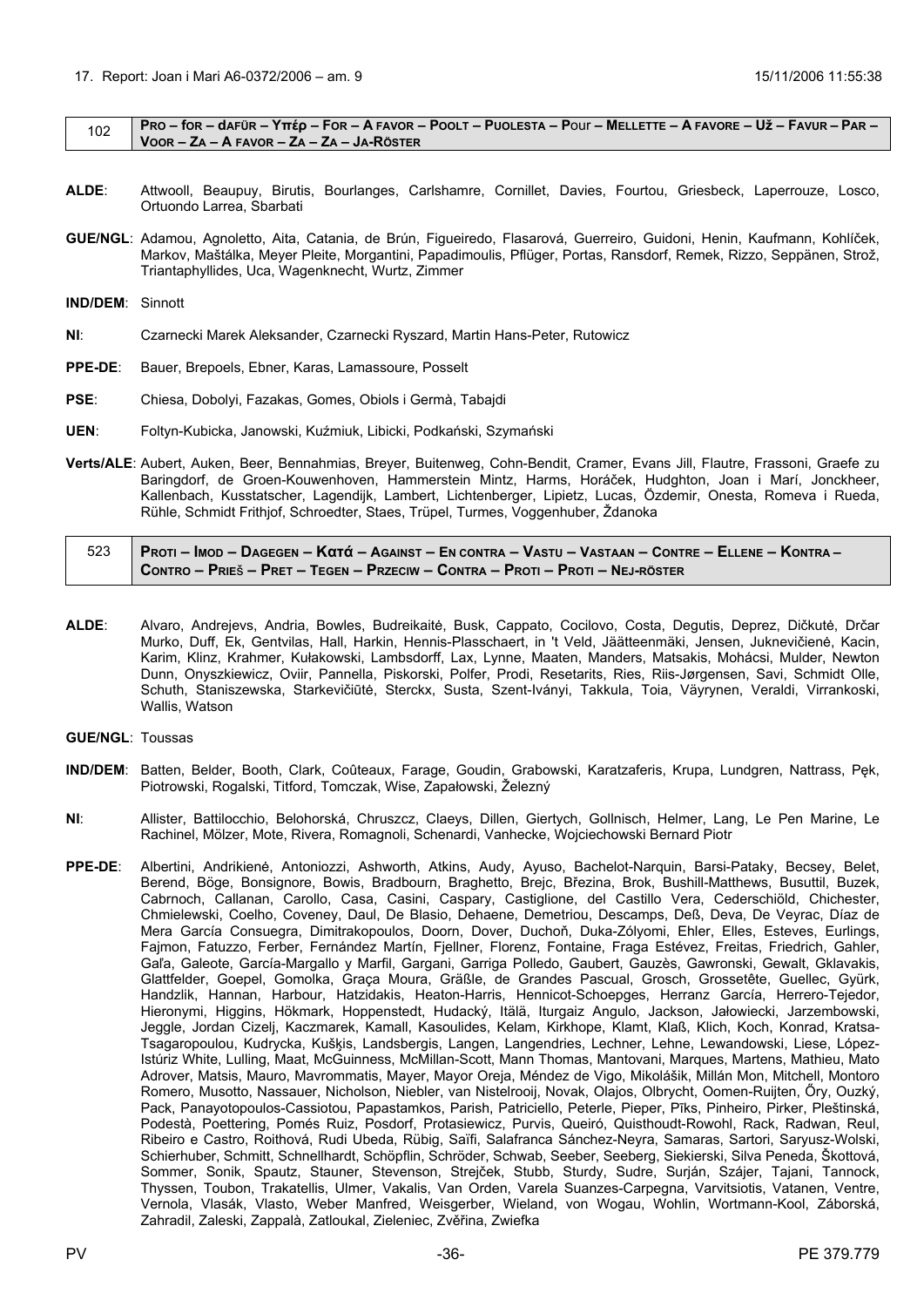<span id="page-35-0"></span>

|  | 102 PRO – for – dafür – Υπέρ – For – A favor – Poolt – Puolesta – Pour – Mellette – A favore – Už – Favur – Par |
|--|-----------------------------------------------------------------------------------------------------------------|
|  | $\sqrt{100R - Z}$ a – A Favor – Za – Za – Ja-Röster                                                             |

- **ALDE**: Attwooll, Beaupuy, Birutis, Bourlanges, Carlshamre, Cornillet, Davies, Fourtou, Griesbeck, Laperrouze, Losco, Ortuondo Larrea, Sbarbati
- **GUE/NGL**: Adamou, Agnoletto, Aita, Catania, de Brún, Figueiredo, Flasarová, Guerreiro, Guidoni, Henin, Kaufmann, Kohlíček, Markov, Maštálka, Meyer Pleite, Morgantini, Papadimoulis, Pflüger, Portas, Ransdorf, Remek, Rizzo, Seppänen, Strož, Triantaphyllides, Uca, Wagenknecht, Wurtz, Zimmer

**IND/DEM**: Sinnott

- **NI**: Czarnecki Marek Aleksander, Czarnecki Ryszard, Martin Hans-Peter, Rutowicz
- **PPE-DE**: Bauer, Brepoels, Ebner, Karas, Lamassoure, Posselt
- **PSE**: Chiesa, Dobolyi, Fazakas, Gomes, Obiols i Germà, Tabajdi
- **UEN**: Foltyn-Kubicka, Janowski, Kuźmiuk, Libicki, Podkański, Szymański
- **Verts/ALE**: Aubert, Auken, Beer, Bennahmias, Breyer, Buitenweg, Cohn-Bendit, Cramer, Evans Jill, Flautre, Frassoni, Graefe zu Baringdorf, de Groen-Kouwenhoven, Hammerstein Mintz, Harms, Horáček, Hudghton, Joan i Marí, Jonckheer, Kallenbach, Kusstatscher, Lagendijk, Lambert, Lichtenberger, Lipietz, Lucas, Özdemir, Onesta, Romeva i Rueda, Rühle, Schmidt Frithjof, Schroedter, Staes, Trüpel, Turmes, Voggenhuber, Ždanoka

| 523 Proti – Imod – Dagegen – Κατά – Against – En contra – Vastu – Vastaan – Contre – Ellene – Kontra – ⁄ |
|----------------------------------------------------------------------------------------------------------|
| CONTRO – PRIEŠ – PRET – TEGEN – PRZECIW – CONTRA – PROTI – PROTI – NEJ-RÖSTER                            |

**ALDE**: Alvaro, Andrejevs, Andria, Bowles, Budreikaitė, Busk, Cappato, Cocilovo, Costa, Degutis, Deprez, Dičkutė, Drčar Murko, Duff, Ek, Gentvilas, Hall, Harkin, Hennis-Plasschaert, in 't Veld, Jäätteenmäki, Jensen, Juknevičienė, Kacin, Karim, Klinz, Krahmer, Kułakowski, Lambsdorff, Lax, Lynne, Maaten, Manders, Matsakis, Mohácsi, Mulder, Newton Dunn, Onyszkiewicz, Oviir, Pannella, Piskorski, Polfer, Prodi, Resetarits, Ries, Riis-Jørgensen, Savi, Schmidt Olle, Schuth, Staniszewska, Starkevičiūtė, Sterckx, Susta, Szent-Iványi, Takkula, Toia, Väyrynen, Veraldi, Virrankoski, Wallis, Watson

**GUE/NGL**: Toussas

- **IND/DEM**: Batten, Belder, Booth, Clark, Coûteaux, Farage, Goudin, Grabowski, Karatzaferis, Krupa, Lundgren, Nattrass, Pęk, Piotrowski, Rogalski, Titford, Tomczak, Wise, Zapałowski, Železný
- **NI**: Allister, Battilocchio, Belohorská, Chruszcz, Claeys, Dillen, Giertych, Gollnisch, Helmer, Lang, Le Pen Marine, Le Rachinel, Mölzer, Mote, Rivera, Romagnoli, Schenardi, Vanhecke, Wojciechowski Bernard Piotr
- **PPE-DE**: Albertini, Andrikienė, Antoniozzi, Ashworth, Atkins, Audy, Ayuso, Bachelot-Narquin, Barsi-Pataky, Becsey, Belet, Berend, Böge, Bonsignore, Bowis, Bradbourn, Braghetto, Brejc, Březina, Brok, Bushill-Matthews, Busuttil, Buzek, Cabrnoch, Callanan, Carollo, Casa, Casini, Caspary, Castiglione, del Castillo Vera, Cederschiöld, Chichester, Chmielewski, Coelho, Coveney, Daul, De Blasio, Dehaene, Demetriou, Descamps, Deß, Deva, De Veyrac, Díaz de Mera García Consuegra, Dimitrakopoulos, Doorn, Dover, Duchoň, Duka-Zólyomi, Ehler, Elles, Esteves, Eurlings, Fajmon, Fatuzzo, Ferber, Fernández Martín, Fjellner, Florenz, Fontaine, Fraga Estévez, Freitas, Friedrich, Gahler, Gaľa, Galeote, García-Margallo y Marfil, Gargani, Garriga Polledo, Gaubert, Gauzès, Gawronski, Gewalt, Gklavakis, Glattfelder, Goepel, Gomolka, Graça Moura, Gräßle, de Grandes Pascual, Grosch, Grossetête, Guellec, Gyürk, Handzlik, Hannan, Harbour, Hatzidakis, Heaton-Harris, Hennicot-Schoepges, Herranz García, Herrero-Tejedor, Hieronymi, Higgins, Hökmark, Hoppenstedt, Hudacký, Itälä, Iturgaiz Angulo, Jackson, Jałowiecki, Jarzembowski, Jeggle, Jordan Cizelj, Kaczmarek, Kamall, Kasoulides, Kelam, Kirkhope, Klamt, Klaß, Klich, Koch, Konrad, Kratsa-Tsagaropoulou, Kudrycka, Kušķis, Landsbergis, Langen, Langendries, Lechner, Lehne, Lewandowski, Liese, López-Istúriz White, Lulling, Maat, McGuinness, McMillan-Scott, Mann Thomas, Mantovani, Marques, Martens, Mathieu, Mato Adrover, Matsis, Mauro, Mavrommatis, Mayer, Mayor Oreja, Méndez de Vigo, Mikolášik, Millán Mon, Mitchell, Montoro Romero, Musotto, Nassauer, Nicholson, Niebler, van Nistelrooij, Novak, Olajos, Olbrycht, Oomen-Ruijten, Őry, Ouzký, Pack, Panayotopoulos-Cassiotou, Papastamkos, Parish, Patriciello, Peterle, Pieper, Pīks, Pinheiro, Pirker, Pleštinská, Podestà, Poettering, Pomés Ruiz, Posdorf, Protasiewicz, Purvis, Queiró, Quisthoudt-Rowohl, Rack, Radwan, Reul, Ribeiro e Castro, Roithová, Rudi Ubeda, Rübig, Saïfi, Salafranca Sánchez-Neyra, Samaras, Sartori, Saryusz-Wolski, Schierhuber, Schmitt, Schnellhardt, Schöpflin, Schröder, Schwab, Seeber, Seeberg, Siekierski, Silva Peneda, Škottová, Sommer, Sonik, Spautz, Stauner, Stevenson, Strejček, Stubb, Sturdy, Sudre, Surján, Szájer, Tajani, Tannock, Thyssen, Toubon, Trakatellis, Ulmer, Vakalis, Van Orden, Varela Suanzes-Carpegna, Varvitsiotis, Vatanen, Ventre, Vernola, Vlasák, Vlasto, Weber Manfred, Weisgerber, Wieland, von Wogau, Wohlin, Wortmann-Kool, Záborská, Zahradil, Zaleski, Zappalà, Zatloukal, Zieleniec, Zvěřina, Zwiefka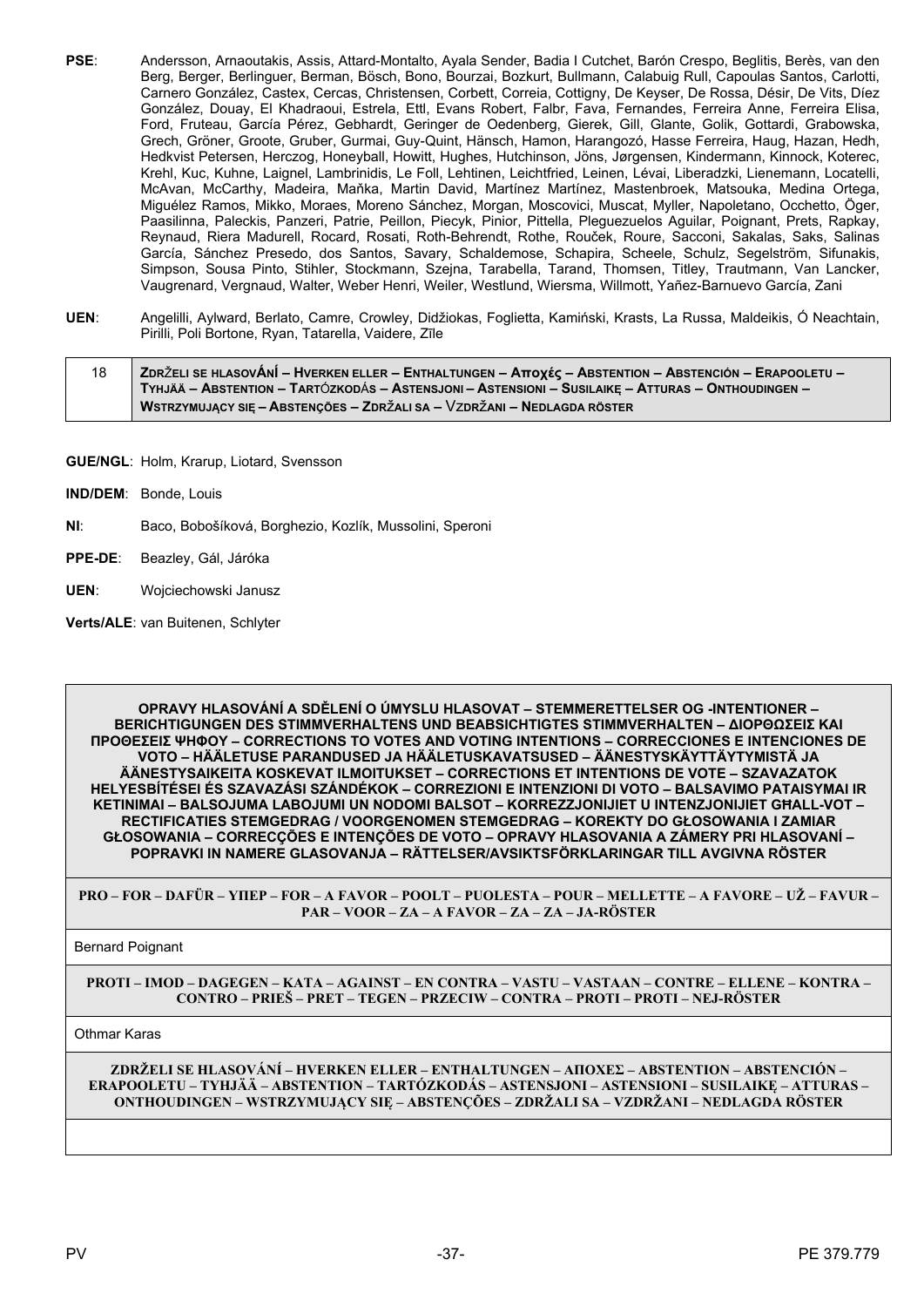- **PSE**: Andersson, Arnaoutakis, Assis, Attard-Montalto, Ayala Sender, Badia I Cutchet, Barón Crespo, Beglitis, Berès, van den Berg, Berger, Berlinguer, Berman, Bösch, Bono, Bourzai, Bozkurt, Bullmann, Calabuig Rull, Capoulas Santos, Carlotti, Carnero González, Castex, Cercas, Christensen, Corbett, Correia, Cottigny, De Keyser, De Rossa, Désir, De Vits, Díez González, Douay, El Khadraoui, Estrela, Ettl, Evans Robert, Falbr, Fava, Fernandes, Ferreira Anne, Ferreira Elisa, Ford, Fruteau, García Pérez, Gebhardt, Geringer de Oedenberg, Gierek, Gill, Glante, Golik, Gottardi, Grabowska, Grech, Gröner, Groote, Gruber, Gurmai, Guy-Quint, Hänsch, Hamon, Harangozó, Hasse Ferreira, Haug, Hazan, Hedh, Hedkvist Petersen, Herczog, Honeyball, Howitt, Hughes, Hutchinson, Jöns, Jørgensen, Kindermann, Kinnock, Koterec, Krehl, Kuc, Kuhne, Laignel, Lambrinidis, Le Foll, Lehtinen, Leichtfried, Leinen, Lévai, Liberadzki, Lienemann, Locatelli, McAvan, McCarthy, Madeira, Maňka, Martin David, Martínez Martínez, Mastenbroek, Matsouka, Medina Ortega, Miguélez Ramos, Mikko, Moraes, Moreno Sánchez, Morgan, Moscovici, Muscat, Myller, Napoletano, Occhetto, Öger, Paasilinna, Paleckis, Panzeri, Patrie, Peillon, Piecyk, Pinior, Pittella, Pleguezuelos Aguilar, Poignant, Prets, Rapkay, Reynaud, Riera Madurell, Rocard, Rosati, Roth-Behrendt, Rothe, Rouček, Roure, Sacconi, Sakalas, Saks, Salinas García, Sánchez Presedo, dos Santos, Savary, Schaldemose, Schapira, Scheele, Schulz, Segelström, Sifunakis, Simpson, Sousa Pinto, Stihler, Stockmann, Szejna, Tarabella, Tarand, Thomsen, Titley, Trautmann, Van Lancker, Vaugrenard, Vergnaud, Walter, Weber Henri, Weiler, Westlund, Wiersma, Willmott, Yañez-Barnuevo García, Zani
- **UEN**: Angelilli, Aylward, Berlato, Camre, Crowley, Didžiokas, Foglietta, Kamiński, Krasts, La Russa, Maldeikis, Ó Neachtain, Pirilli, Poli Bortone, Ryan, Tatarella, Vaidere, Zīle

| 18 | <b>ZDRŽELI SE HLASOVÁNÍ – HVERKEN ELLER – ENTHALTUNGEN – Αποχές – ABSTENTION – ABSTENCIÓN – ERAPOOLETU –</b> |
|----|--------------------------------------------------------------------------------------------------------------|
|    | TYHJÄÄ – ABSTENTION – TARTÓZKODÁS – ASTENSJONI – ASTENSIONI – SUSILAIKE – ATTURAS – ONTHOUDINGEN –           |
|    | WSTRZYMUJĄCY SIĘ – ABSTENÇÕES – ZDRŽALI SA – VZDRŽANI – NEDLAGDA RÖSTER                                      |

- **GUE/NGL**: Holm, Krarup, Liotard, Svensson
- **IND/DEM**: Bonde, Louis
- **NI**: Baco, Bobošíková, Borghezio, Kozlík, Mussolini, Speroni
- **PPE-DE**: Beazley, Gál, Járóka
- **UEN**: Wojciechowski Janusz
- **Verts/ALE**: van Buitenen, Schlyter

**OPRAVY HLASOVÁNÍ A SDĚLENÍ O ÚMYSLU HLASOVAT – STEMMERETTELSER OG -INTENTIONER – BERICHTIGUNGEN DES STIMMVERHALTENS UND BEABSICHTIGTES STIMMVERHALTEN – ΔΙΟΡΘΩΣΕΙΣ ΚΑΙ ΠΡΟΘΕΣΕΙΣ ΨΗΦΟΥ – CORRECTIONS TO VOTES AND VOTING INTENTIONS – CORRECCIONES E INTENCIONES DE VOTO – HÄÄLETUSE PARANDUSED JA HÄÄLETUSKAVATSUSED – ÄÄNESTYSKÄYTTÄYTYMISTÄ JA ÄÄNESTYSAIKEITA KOSKEVAT ILMOITUKSET – CORRECTIONS ET INTENTIONS DE VOTE – SZAVAZATOK HELYESBÍTÉSEI ÉS SZAVAZÁSI SZÁNDÉKOK – CORREZIONI E INTENZIONI DI VOTO – BALSAVIMO PATAISYMAI IR KETINIMAI – BALSOJUMA LABOJUMI UN NODOMI BALSOT – KORREZZJONIJIET U INTENZJONIJIET GĦALL-VOT – RECTIFICATIES STEMGEDRAG / VOORGENOMEN STEMGEDRAG – KOREKTY DO GŁOSOWANIA I ZAMIAR GŁOSOWANIA – CORRECÇÕES E INTENÇÕES DE VOTO – OPRAVY HLASOVANIA A ZÁMERY PRI HLASOVANÍ – POPRAVKI IN NAMERE GLASOVANJA – RÄTTELSER/AVSIKTSFÖRKLARINGAR TILL AVGIVNA RÖSTER**

**PRO – FOR – DAFÜR – ΥΠΕΡ – FOR – A FAVOR – POOLT – PUOLESTA – POUR – MELLETTE – A FAVORE – UŽ – FAVUR – PAR – VOOR – ZA – A FAVOR – ZA – ZA – JA-RÖSTER**

Bernard Poignant

**PROTI – IMOD – DAGEGEN – ΚΑΤΑ – AGAINST – EN CONTRA – VASTU – VASTAAN – CONTRE – ELLENE – KONTRA – CONTRO – PRIEŠ – PRET – TEGEN – PRZECIW – CONTRA – PROTI – PROTI – NEJ-RÖSTER**

Othmar Karas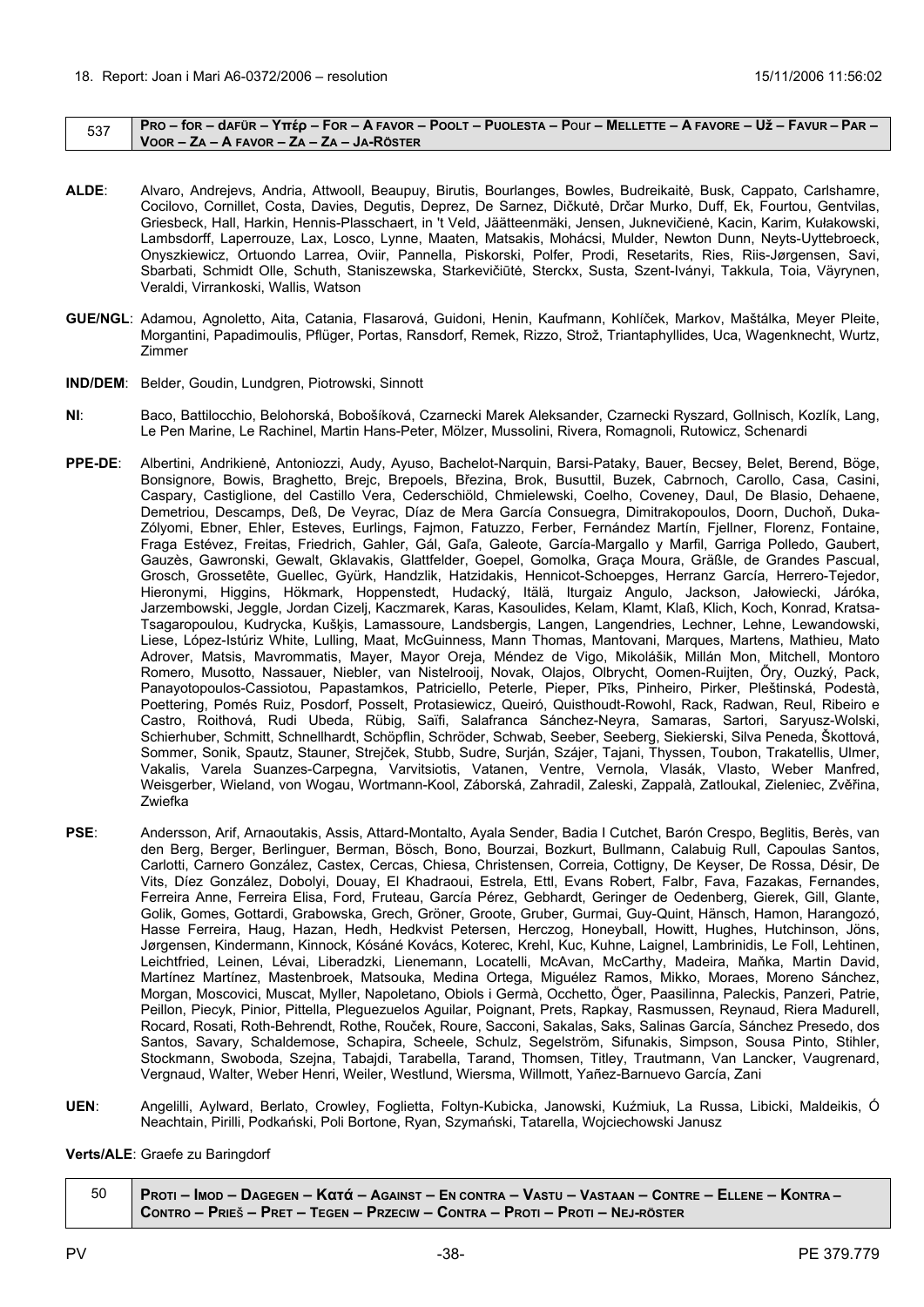<span id="page-37-0"></span>

|  | PRO – for – dafür – Υπέρ – For – A FAVOR – POOLT – PUOLESTA – Pour – MELLETTE – A FAVORE – UŽ – FAVUR – PAR – |
|--|---------------------------------------------------------------------------------------------------------------|
|  | VOOR – ZA – A FAVOR – ZA – ZA – JA-RÖSTER                                                                     |

- **ALDE**: Alvaro, Andrejevs, Andria, Attwooll, Beaupuy, Birutis, Bourlanges, Bowles, Budreikaitė, Busk, Cappato, Carlshamre, Cocilovo, Cornillet, Costa, Davies, Degutis, Deprez, De Sarnez, Dičkutė, Drčar Murko, Duff, Ek, Fourtou, Gentvilas, Griesbeck, Hall, Harkin, Hennis-Plasschaert, in 't Veld, Jäätteenmäki, Jensen, Juknevičienė, Kacin, Karim, Kułakowski, Lambsdorff, Laperrouze, Lax, Losco, Lynne, Maaten, Matsakis, Mohácsi, Mulder, Newton Dunn, Neyts-Uyttebroeck, Onyszkiewicz, Ortuondo Larrea, Oviir, Pannella, Piskorski, Polfer, Prodi, Resetarits, Ries, Riis-Jørgensen, Savi, Sbarbati, Schmidt Olle, Schuth, Staniszewska, Starkevičiūtė, Sterckx, Susta, Szent-Iványi, Takkula, Toia, Väyrynen, Veraldi, Virrankoski, Wallis, Watson
- **GUE/NGL**: Adamou, Agnoletto, Aita, Catania, Flasarová, Guidoni, Henin, Kaufmann, Kohlíček, Markov, Maštálka, Meyer Pleite, Morgantini, Papadimoulis, Pflüger, Portas, Ransdorf, Remek, Rizzo, Strož, Triantaphyllides, Uca, Wagenknecht, Wurtz, Zimmer
- **IND/DEM**: Belder, Goudin, Lundgren, Piotrowski, Sinnott
- **NI**: Baco, Battilocchio, Belohorská, Bobošíková, Czarnecki Marek Aleksander, Czarnecki Ryszard, Gollnisch, Kozlík, Lang, Le Pen Marine, Le Rachinel, Martin Hans-Peter, Mölzer, Mussolini, Rivera, Romagnoli, Rutowicz, Schenardi
- **PPE-DE**: Albertini, Andrikienė, Antoniozzi, Audy, Ayuso, Bachelot-Narquin, Barsi-Pataky, Bauer, Becsey, Belet, Berend, Böge, Bonsignore, Bowis, Braghetto, Brejc, Brepoels, Březina, Brok, Busuttil, Buzek, Cabrnoch, Carollo, Casa, Casini, Caspary, Castiglione, del Castillo Vera, Cederschiöld, Chmielewski, Coelho, Coveney, Daul, De Blasio, Dehaene, Demetriou, Descamps, Deß, De Veyrac, Díaz de Mera García Consuegra, Dimitrakopoulos, Doorn, Duchoň, Duka-Zólyomi, Ebner, Ehler, Esteves, Eurlings, Fajmon, Fatuzzo, Ferber, Fernández Martín, Fjellner, Florenz, Fontaine, Fraga Estévez, Freitas, Friedrich, Gahler, Gál, Gaľa, Galeote, García-Margallo y Marfil, Garriga Polledo, Gaubert, Gauzès, Gawronski, Gewalt, Gklavakis, Glattfelder, Goepel, Gomolka, Graça Moura, Gräßle, de Grandes Pascual, Grosch, Grossetête, Guellec, Gyürk, Handzlik, Hatzidakis, Hennicot-Schoepges, Herranz García, Herrero-Tejedor, Hieronymi, Higgins, Hökmark, Hoppenstedt, Hudacký, Itälä, Iturgaiz Angulo, Jackson, Jałowiecki, Járóka, Jarzembowski, Jeggle, Jordan Cizelj, Kaczmarek, Karas, Kasoulides, Kelam, Klamt, Klaß, Klich, Koch, Konrad, Kratsa-Tsagaropoulou, Kudrycka, Kušķis, Lamassoure, Landsbergis, Langen, Langendries, Lechner, Lehne, Lewandowski, Liese, López-Istúriz White, Lulling, Maat, McGuinness, Mann Thomas, Mantovani, Marques, Martens, Mathieu, Mato Adrover, Matsis, Mavrommatis, Mayer, Mayor Oreja, Méndez de Vigo, Mikolášik, Millán Mon, Mitchell, Montoro Romero, Musotto, Nassauer, Niebler, van Nistelrooij, Novak, Olajos, Olbrycht, Oomen-Ruijten, Őry, Ouzký, Pack, Panayotopoulos-Cassiotou, Papastamkos, Patriciello, Peterle, Pieper, Pīks, Pinheiro, Pirker, Pleštinská, Podestà, Poettering, Pomés Ruiz, Posdorf, Posselt, Protasiewicz, Queiró, Quisthoudt-Rowohl, Rack, Radwan, Reul, Ribeiro e Castro, Roithová, Rudi Ubeda, Rübig, Saïfi, Salafranca Sánchez-Neyra, Samaras, Sartori, Saryusz-Wolski, Schierhuber, Schmitt, Schnellhardt, Schöpflin, Schröder, Schwab, Seeber, Seeberg, Siekierski, Silva Peneda, Škottová, Sommer, Sonik, Spautz, Stauner, Strejček, Stubb, Sudre, Surján, Szájer, Tajani, Thyssen, Toubon, Trakatellis, Ulmer, Vakalis, Varela Suanzes-Carpegna, Varvitsiotis, Vatanen, Ventre, Vernola, Vlasák, Vlasto, Weber Manfred, Weisgerber, Wieland, von Wogau, Wortmann-Kool, Záborská, Zahradil, Zaleski, Zappalà, Zatloukal, Zieleniec, Zvěřina, Zwiefka
- **PSE**: Andersson, Arif, Arnaoutakis, Assis, Attard-Montalto, Ayala Sender, Badia I Cutchet, Barón Crespo, Beglitis, Berès, van den Berg, Berger, Berlinguer, Berman, Bösch, Bono, Bourzai, Bozkurt, Bullmann, Calabuig Rull, Capoulas Santos, Carlotti, Carnero González, Castex, Cercas, Chiesa, Christensen, Correia, Cottigny, De Keyser, De Rossa, Désir, De Vits, Díez González, Dobolyi, Douay, El Khadraoui, Estrela, Ettl, Evans Robert, Falbr, Fava, Fazakas, Fernandes, Ferreira Anne, Ferreira Elisa, Ford, Fruteau, García Pérez, Gebhardt, Geringer de Oedenberg, Gierek, Gill, Glante, Golik, Gomes, Gottardi, Grabowska, Grech, Gröner, Groote, Gruber, Gurmai, Guy-Quint, Hänsch, Hamon, Harangozó, Hasse Ferreira, Haug, Hazan, Hedh, Hedkvist Petersen, Herczog, Honeyball, Howitt, Hughes, Hutchinson, Jöns, Jørgensen, Kindermann, Kinnock, Kósáné Kovács, Koterec, Krehl, Kuc, Kuhne, Laignel, Lambrinidis, Le Foll, Lehtinen, Leichtfried, Leinen, Lévai, Liberadzki, Lienemann, Locatelli, McAvan, McCarthy, Madeira, Maňka, Martin David, Martínez Martínez, Mastenbroek, Matsouka, Medina Ortega, Miguélez Ramos, Mikko, Moraes, Moreno Sánchez, Morgan, Moscovici, Muscat, Myller, Napoletano, Obiols i Germà, Occhetto, Öger, Paasilinna, Paleckis, Panzeri, Patrie, Peillon, Piecyk, Pinior, Pittella, Pleguezuelos Aguilar, Poignant, Prets, Rapkay, Rasmussen, Reynaud, Riera Madurell, Rocard, Rosati, Roth-Behrendt, Rothe, Rouček, Roure, Sacconi, Sakalas, Saks, Salinas García, Sánchez Presedo, dos Santos, Savary, Schaldemose, Schapira, Scheele, Schulz, Segelström, Sifunakis, Simpson, Sousa Pinto, Stihler, Stockmann, Swoboda, Szejna, Tabajdi, Tarabella, Tarand, Thomsen, Titley, Trautmann, Van Lancker, Vaugrenard, Vergnaud, Walter, Weber Henri, Weiler, Westlund, Wiersma, Willmott, Yañez-Barnuevo García, Zani
- **UEN**: Angelilli, Aylward, Berlato, Crowley, Foglietta, Foltyn-Kubicka, Janowski, Kuźmiuk, La Russa, Libicki, Maldeikis, Ó Neachtain, Pirilli, Podkański, Poli Bortone, Ryan, Szymański, Tatarella, Wojciechowski Janusz

**Verts/ALE**: Graefe zu Baringdorf

| 50 | RROTI – Imod – Dagegen – Κατά – Against – En contra – Vastu – Vastaan – Contre – Ellene – Kontra – |
|----|----------------------------------------------------------------------------------------------------|
|    | CONTRO – PRIEŠ – PRET – TEGEN – PRZECIW – CONTRA – PROTI – PROTI – NEJ-RÖSTER                      |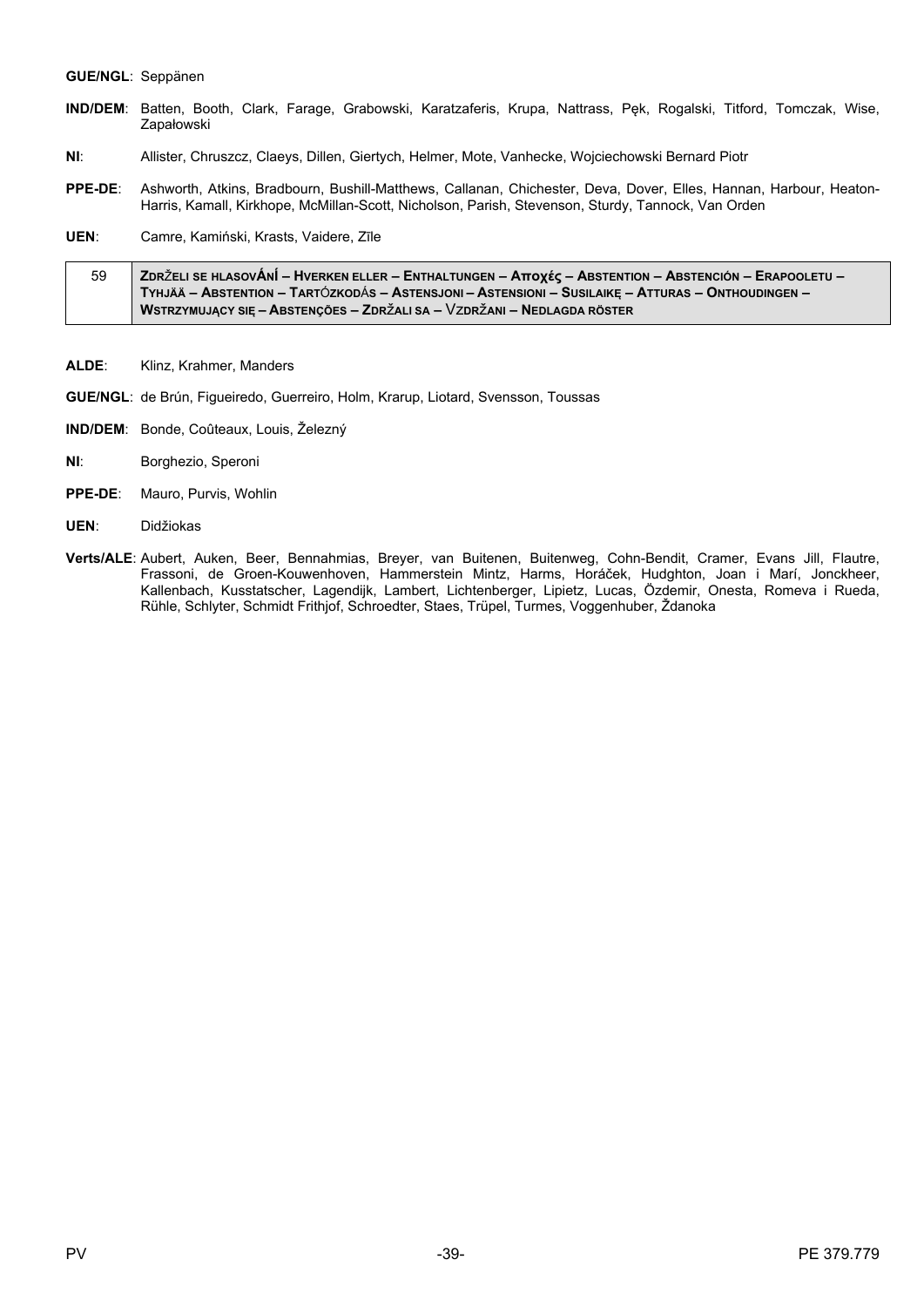#### **GUE/NGL: Seppänen**

- IND/DEM: Batten, Booth, Clark, Farage, Grabowski, Karatzaferis, Krupa, Nattrass, Pek, Rogalski, Titford, Tomczak, Wise, Zapałowski
- NI: Allister, Chruszcz, Claeys, Dillen, Giertych, Helmer, Mote, Vanhecke, Wojciechowski Bernard Piotr
- Ashworth, Atkins, Bradbourn, Bushill-Matthews, Callanan, Chichester, Deva, Dover, Elles, Hannan, Harbour, Heaton-PPE-DE: Harris, Kamall, Kirkhope, McMillan-Scott, Nicholson, Parish, Stevenson, Sturdy, Tannock, Van Orden
- UEN: Camre, Kamiński, Krasts, Vaidere, Zīle

| 59 | ZDRŽELI SE HLASOVÁNÍ – HVERKEN ELLER – ENTHALTUNGEN – Αποχές – ABSTENTION – ABSTENCIÓN – ERAPOOLETU – ∕ |
|----|---------------------------------------------------------------------------------------------------------|
|    | , Tyhjää – Abstention – Tartózkodás – Astensjoni – Astensioni – Susilaikę – Atturas – Onthoudingen –    |
|    | WSTRZYMUJĄCY SIĘ – ABSTENÇÕES – ZDRŽALI SA – VZDRŽANI – NEDLAGDA RÖSTER                                 |

- ALDE: Klinz, Krahmer, Manders
- GUE/NGL: de Brún, Figueiredo, Guerreiro, Holm, Krarup, Liotard, Svensson, Toussas
- IND/DEM: Bonde, Coûteaux, Louis, Železný
- $NI:$ Borghezio, Speroni
- PPE-DE: Mauro, Purvis, Wohlin
- UEN: Didžiokas
- Verts/ALE: Aubert, Auken, Beer, Bennahmias, Breyer, van Buitenen, Buitenweg, Cohn-Bendit, Cramer, Evans Jill, Flautre,<br>Frassoni, de Groen-Kouwenhoven, Hammerstein Mintz, Harms, Horáček, Hudghton, Joan i Marí, Jonckheer,<br>Ka Rühle, Schlyter, Schmidt Frithjof, Schroedter, Staes, Trüpel, Turmes, Voggenhuber, Ždanoka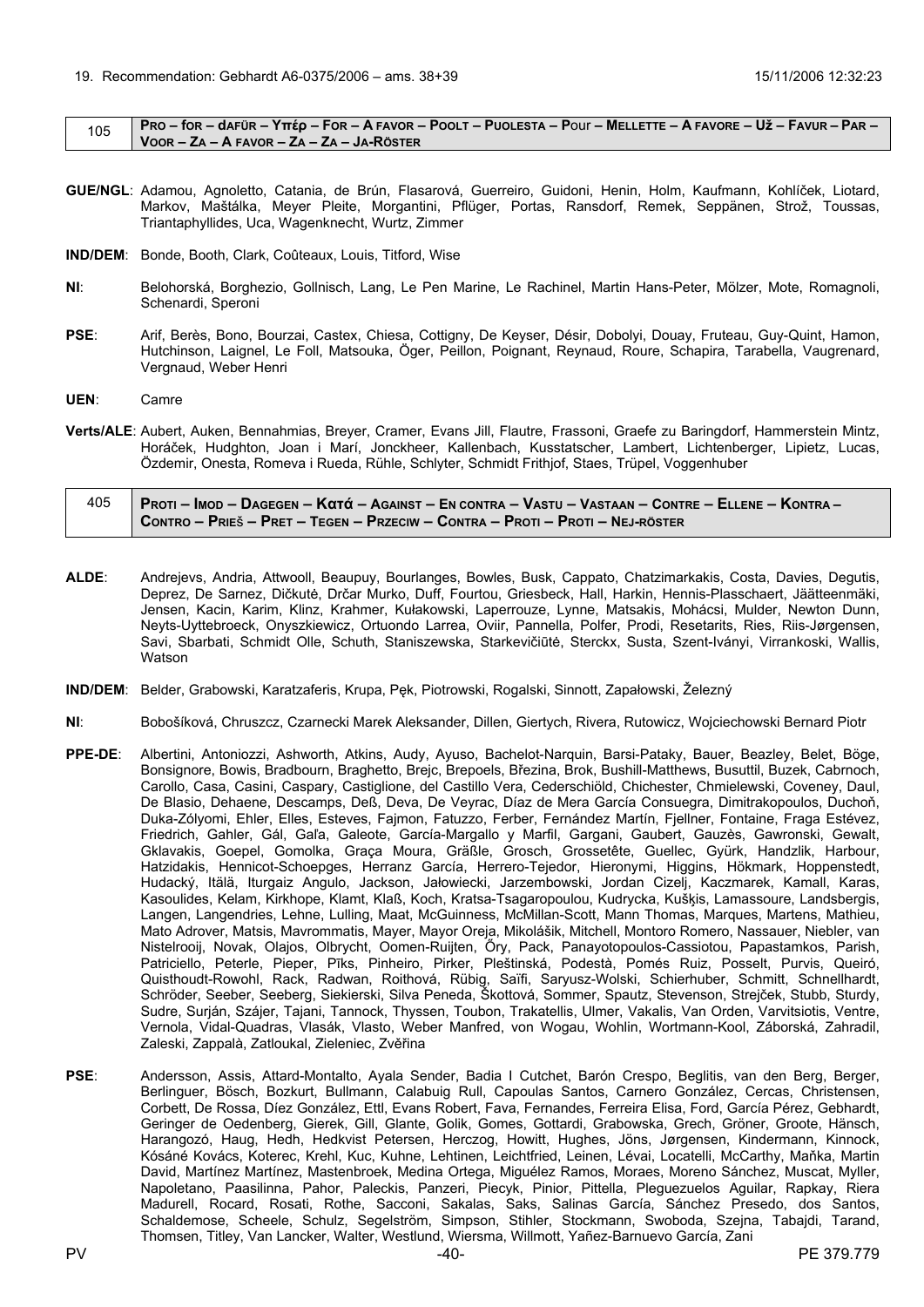<span id="page-39-0"></span>

|  | PRO – for – dafür – Υπέρ – For – A favor – Poolt – Puolesta – Pour – Mellette – A favore – Už – Favur – Par – |
|--|---------------------------------------------------------------------------------------------------------------|
|  | $\sqrt{100R - Z}$ a – A Favor – Za – Za – Ja-Röster                                                           |

- **GUE/NGL**: Adamou, Agnoletto, Catania, de Brún, Flasarová, Guerreiro, Guidoni, Henin, Holm, Kaufmann, Kohlíček, Liotard, Markov, Maštálka, Meyer Pleite, Morgantini, Pflüger, Portas, Ransdorf, Remek, Seppänen, Strož, Toussas, Triantaphyllides, Uca, Wagenknecht, Wurtz, Zimmer
- **IND/DEM**: Bonde, Booth, Clark, Coûteaux, Louis, Titford, Wise
- **NI**: Belohorská, Borghezio, Gollnisch, Lang, Le Pen Marine, Le Rachinel, Martin Hans-Peter, Mölzer, Mote, Romagnoli, Schenardi, Speroni
- **PSE**: Arif, Berès, Bono, Bourzai, Castex, Chiesa, Cottigny, De Keyser, Désir, Dobolyi, Douay, Fruteau, Guy-Quint, Hamon, Hutchinson, Laignel, Le Foll, Matsouka, Öger, Peillon, Poignant, Reynaud, Roure, Schapira, Tarabella, Vaugrenard, Vergnaud, Weber Henri
- **UEN**: Camre
- **Verts/ALE**: Aubert, Auken, Bennahmias, Breyer, Cramer, Evans Jill, Flautre, Frassoni, Graefe zu Baringdorf, Hammerstein Mintz, Horáček, Hudghton, Joan i Marí, Jonckheer, Kallenbach, Kusstatscher, Lambert, Lichtenberger, Lipietz, Lucas, Özdemir, Onesta, Romeva i Rueda, Rühle, Schlyter, Schmidt Frithjof, Staes, Trüpel, Voggenhuber

| 405 | <u>  Proti – Imod – Dagegen – Κατά – Against – En contra – Vastu – Vastaan – Contre – Ellene – Kontra – /</u> |
|-----|---------------------------------------------------------------------------------------------------------------|
|     | Contro – Prieš – Pret – Tegen – Przeciw – Contra – Proti – Proti – Nej-röster                                 |

- **ALDE**: Andrejevs, Andria, Attwooll, Beaupuy, Bourlanges, Bowles, Busk, Cappato, Chatzimarkakis, Costa, Davies, Degutis, Deprez, De Sarnez, Dičkutė, Drčar Murko, Duff, Fourtou, Griesbeck, Hall, Harkin, Hennis-Plasschaert, Jäätteenmäki, Jensen, Kacin, Karim, Klinz, Krahmer, Kułakowski, Laperrouze, Lynne, Matsakis, Mohácsi, Mulder, Newton Dunn, Neyts-Uyttebroeck, Onyszkiewicz, Ortuondo Larrea, Oviir, Pannella, Polfer, Prodi, Resetarits, Ries, Riis-Jørgensen, Savi, Sbarbati, Schmidt Olle, Schuth, Staniszewska, Starkevičiūtė, Sterckx, Susta, Szent-Iványi, Virrankoski, Wallis, Watson
- **IND/DEM**: Belder, Grabowski, Karatzaferis, Krupa, Pęk, Piotrowski, Rogalski, Sinnott, Zapałowski, Železný
- **NI**: Bobošíková, Chruszcz, Czarnecki Marek Aleksander, Dillen, Giertych, Rivera, Rutowicz, Wojciechowski Bernard Piotr
- **PPE-DE**: Albertini, Antoniozzi, Ashworth, Atkins, Audy, Ayuso, Bachelot-Narquin, Barsi-Pataky, Bauer, Beazley, Belet, Böge, Bonsignore, Bowis, Bradbourn, Braghetto, Brejc, Brepoels, Březina, Brok, Bushill-Matthews, Busuttil, Buzek, Cabrnoch, Carollo, Casa, Casini, Caspary, Castiglione, del Castillo Vera, Cederschiöld, Chichester, Chmielewski, Coveney, Daul, De Blasio, Dehaene, Descamps, Deß, Deva, De Veyrac, Díaz de Mera García Consuegra, Dimitrakopoulos, Duchoň, Duka-Zólyomi, Ehler, Elles, Esteves, Fajmon, Fatuzzo, Ferber, Fernández Martín, Fjellner, Fontaine, Fraga Estévez, Friedrich, Gahler, Gál, Gaľa, Galeote, García-Margallo y Marfil, Gargani, Gaubert, Gauzès, Gawronski, Gewalt, Gklavakis, Goepel, Gomolka, Graça Moura, Gräßle, Grosch, Grossetête, Guellec, Gyürk, Handzlik, Harbour, Hatzidakis, Hennicot-Schoepges, Herranz García, Herrero-Tejedor, Hieronymi, Higgins, Hökmark, Hoppenstedt, Hudacký, Itälä, Iturgaiz Angulo, Jackson, Jałowiecki, Jarzembowski, Jordan Cizelj, Kaczmarek, Kamall, Karas, Kasoulides, Kelam, Kirkhope, Klamt, Klaß, Koch, Kratsa-Tsagaropoulou, Kudrycka, Kušķis, Lamassoure, Landsbergis, Langen, Langendries, Lehne, Lulling, Maat, McGuinness, McMillan-Scott, Mann Thomas, Marques, Martens, Mathieu, Mato Adrover, Matsis, Mavrommatis, Mayer, Mayor Oreja, Mikolášik, Mitchell, Montoro Romero, Nassauer, Niebler, van Nistelrooij, Novak, Olajos, Olbrycht, Oomen-Ruijten, Őry, Pack, Panayotopoulos-Cassiotou, Papastamkos, Parish, Patriciello, Peterle, Pieper, Pīks, Pinheiro, Pirker, Pleštinská, Podestà, Pomés Ruiz, Posselt, Purvis, Queiró, Quisthoudt-Rowohl, Rack, Radwan, Roithová, Rübig, Saïfi, Saryusz-Wolski, Schierhuber, Schmitt, Schnellhardt, Schröder, Seeber, Seeberg, Siekierski, Silva Peneda, Škottová, Sommer, Spautz, Stevenson, Strejček, Stubb, Sturdy, Sudre, Surján, Szájer, Tajani, Tannock, Thyssen, Toubon, Trakatellis, Ulmer, Vakalis, Van Orden, Varvitsiotis, Ventre, Vernola, Vidal-Quadras, Vlasák, Vlasto, Weber Manfred, von Wogau, Wohlin, Wortmann-Kool, Záborská, Zahradil, Zaleski, Zappalà, Zatloukal, Zieleniec, Zvěřina
- **PSE**: Andersson, Assis, Attard-Montalto, Ayala Sender, Badia I Cutchet, Barón Crespo, Beglitis, van den Berg, Berger, Berlinguer, Bösch, Bozkurt, Bullmann, Calabuig Rull, Capoulas Santos, Carnero González, Cercas, Christensen, Corbett, De Rossa, Díez González, Ettl, Evans Robert, Fava, Fernandes, Ferreira Elisa, Ford, García Pérez, Gebhardt, Geringer de Oedenberg, Gierek, Gill, Glante, Golik, Gomes, Gottardi, Grabowska, Grech, Gröner, Groote, Hänsch, Harangozó, Haug, Hedh, Hedkvist Petersen, Herczog, Howitt, Hughes, Jöns, Jørgensen, Kindermann, Kinnock, Kósáné Kovács, Koterec, Krehl, Kuc, Kuhne, Lehtinen, Leichtfried, Leinen, Lévai, Locatelli, McCarthy, Maňka, Martin David, Martínez Martínez, Mastenbroek, Medina Ortega, Miguélez Ramos, Moraes, Moreno Sánchez, Muscat, Myller, Napoletano, Paasilinna, Pahor, Paleckis, Panzeri, Piecyk, Pinior, Pittella, Pleguezuelos Aguilar, Rapkay, Riera Madurell, Rocard, Rosati, Rothe, Sacconi, Sakalas, Saks, Salinas García, Sánchez Presedo, dos Santos, Schaldemose, Scheele, Schulz, Segelström, Simpson, Stihler, Stockmann, Swoboda, Szejna, Tabajdi, Tarand, Thomsen, Titley, Van Lancker, Walter, Westlund, Wiersma, Willmott, Yañez-Barnuevo García, Zani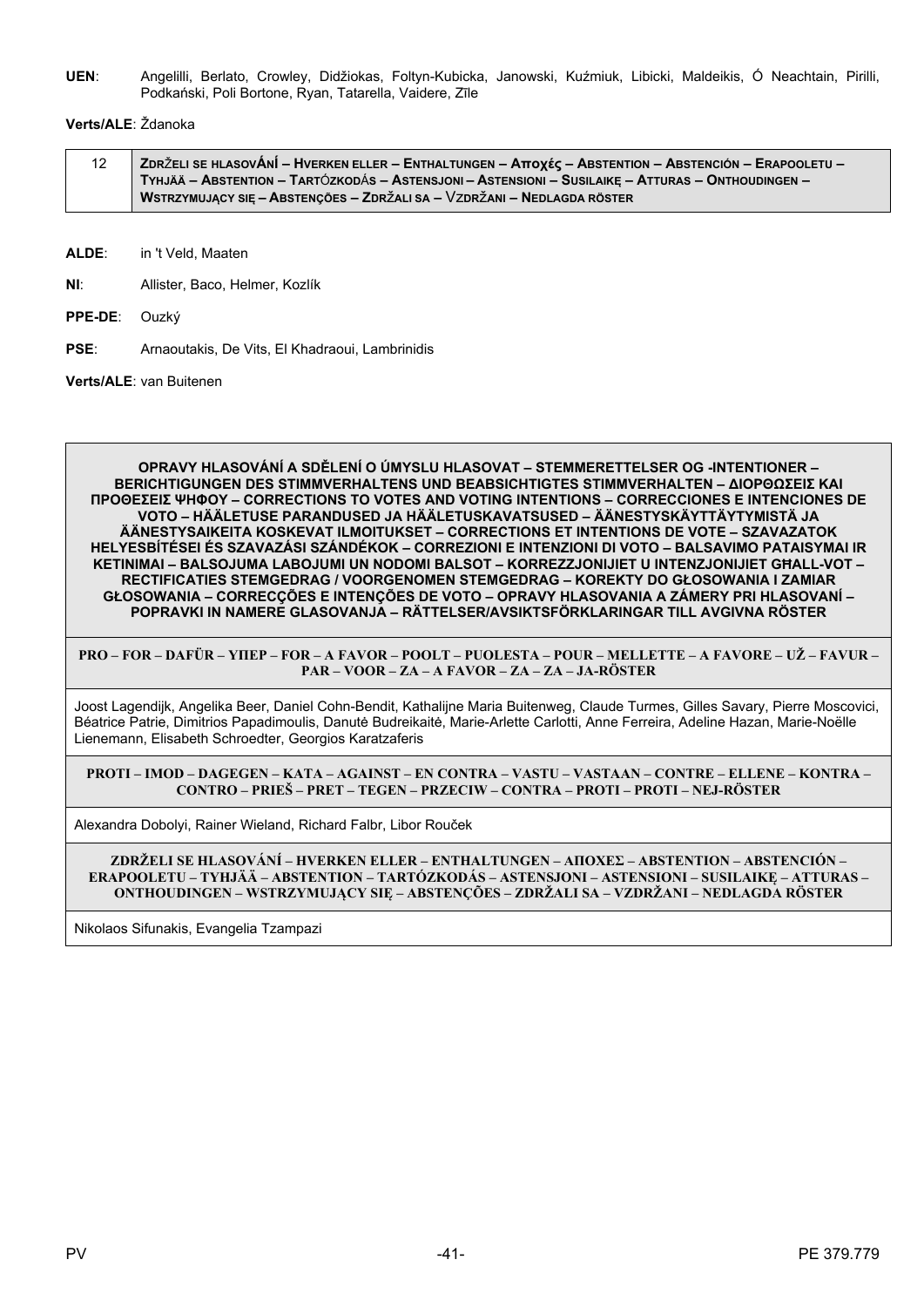UEN: Angelilli, Berlato, Crowley, Didžiokas, Foltyn-Kubicka, Janowski, Kuźmiuk, Libicki, Maldeikis, Ó Neachtain, Pirilli, Podkański, Poli Bortone, Ryan, Tatarella, Vaidere, Zīle

### Verts/ALE: Ždanoka

| ZDRŽELI SE HLASOVÁNÍ – HVERKEN ELLER – ENTHALTUNGEN – Aποχές – ABSTENTION – ABSTENCIÓN – ERAPOOLETU – / |
|---------------------------------------------------------------------------------------------------------|
| TYHJÄÄ – ABSTENTION – TARTÓZKODÁS – ASTENSJONI – ASTENSIONI – SUSILAIKE – ATTURAS – ONTHOUDINGEN –      |
| WSTRZYMUJACY SIE – ABSTENCÕES – ZDRŽALI SA – VZDRŽANI – NEDLAGDA RÖSTER                                 |

ALDE: in 't Veld. Maaten

 $N\Gamma$ Allister, Baco, Helmer, Kozlík

- PPE-DE: Ouzký
- **PSF** Arnaoutakis, De Vits, El Khadraoui, Lambrinidis

Verts/ALE: van Buitenen

OPRAVY HLASOVÁNÍ A SDĚLENÍ O ÚMYSLU HLASOVAT – STEMMERETTELSER OG -INTENTIONER – **BERICHTIGUNGEN DES STIMMVERHALTENS UND BEABSICHTIGTES STIMMVERHALTEN - ΔΙΟΡΘΩΣΕΙΣ ΚΑΙ ΠΡΟΘΕΣΕΙΣ ΨΗΦΟΥ - CORRECTIONS TO VOTES AND VOTING INTENTIONS - CORRECCIONES E INTENCIONES DE** VOTO – HÄÄLETUSE PARANDUSED JA HÄÄLETUSKAVATSUSED – ÄÄNESTYSKÄYTTÄYTYMISTÄ JA ÄÄNESTYSAIKEITA KOSKEVAT ILMOITUKSET – CORRECTIONS ET INTENTIONS DE VOTE – SZAVAZATOK HELYESBÍTÉSEI ÉS SZAVAZÁSI SZÁNDÉKOK – CORREZIONI E INTENZIONI DI VOTO – BALSAVIMO PATAISYMAI IR KETINIMAI - BALSOJUMA LABOJUMI UN NODOMI BALSOT - KORREZZJONIJIET U INTENZJONIJIET GHALL-VOT -RECTIFICATIES STEMGEDRAG / VOORGENOMEN STEMGEDRAG - KOREKTY DO GŁOSOWANIA I ZAMIAR GŁOSOWANIA – CORRECÇÕES E INTENÇÕES DE VOTO – OPRAVY HLASOVANIA A ZÁMERY PRI HLASOVANÍ – POPRAVKI IN NAMERE GLASOVANJA – RÄTTELSER/AVSIKTSFÖRKLARINGAR TILL AVGIVNA RÖSTER

PRO – FOR – DAFÜR – YIIEP – FOR – A FAVOR – POOLT – PUOLESTA – POUR – MELLETTE – A FAVORE – UŽ – FAVUR – PAR - VOOR - ZA - A FAVOR - ZA - ZA - JA-RÖSTER

Joost Lagendijk, Angelika Beer, Daniel Cohn-Bendit, Kathalijne Maria Buitenweg, Claude Turmes, Gilles Savary, Pierre Moscovici, Béatrice Patrie, Dimitrios Papadimoulis, Danutė Budreikaitė, Marie-Arlette Carlotti, Anne Ferreira, Adeline Hazan, Marie-Noëlle Lienemann, Elisabeth Schroedter, Georgios Karatzaferis

PROTI - IMOD - DAGEGEN - KATA - AGAINST - EN CONTRA - VASTU - VASTAAN - CONTRE - ELLENE - KONTRA -CONTRO - PRIEŠ - PRET - TEGEN - PRZECIW - CONTRA - PROTI - PROTI - NEJ-RÖSTER

Alexandra Dobolvi, Rainer Wieland, Richard Falbr, Libor Rouček

ZDRŽELI SE HLASOVÁNÍ – HVERKEN ELLER – ENTHALTUNGEN – ΑΠΟΧΕΣ – ABSTENTION – ABSTENCIÓN – ERAPOOLETU – TYHJÄÄ – ABSTENTION – TARTÓZKODÁS – ASTENSJONI – ASTENSIONI – SUSILAIKE – ATTURAS – ONTHOUDINGEN – WSTRZYMUJĄCY SIĘ – ABSTENÇÕES – ZDRŽALI SA – VZDRŽANI – NEDLAGDA RÖSTER

Nikolaos Sifunakis, Evangelia Tzampazi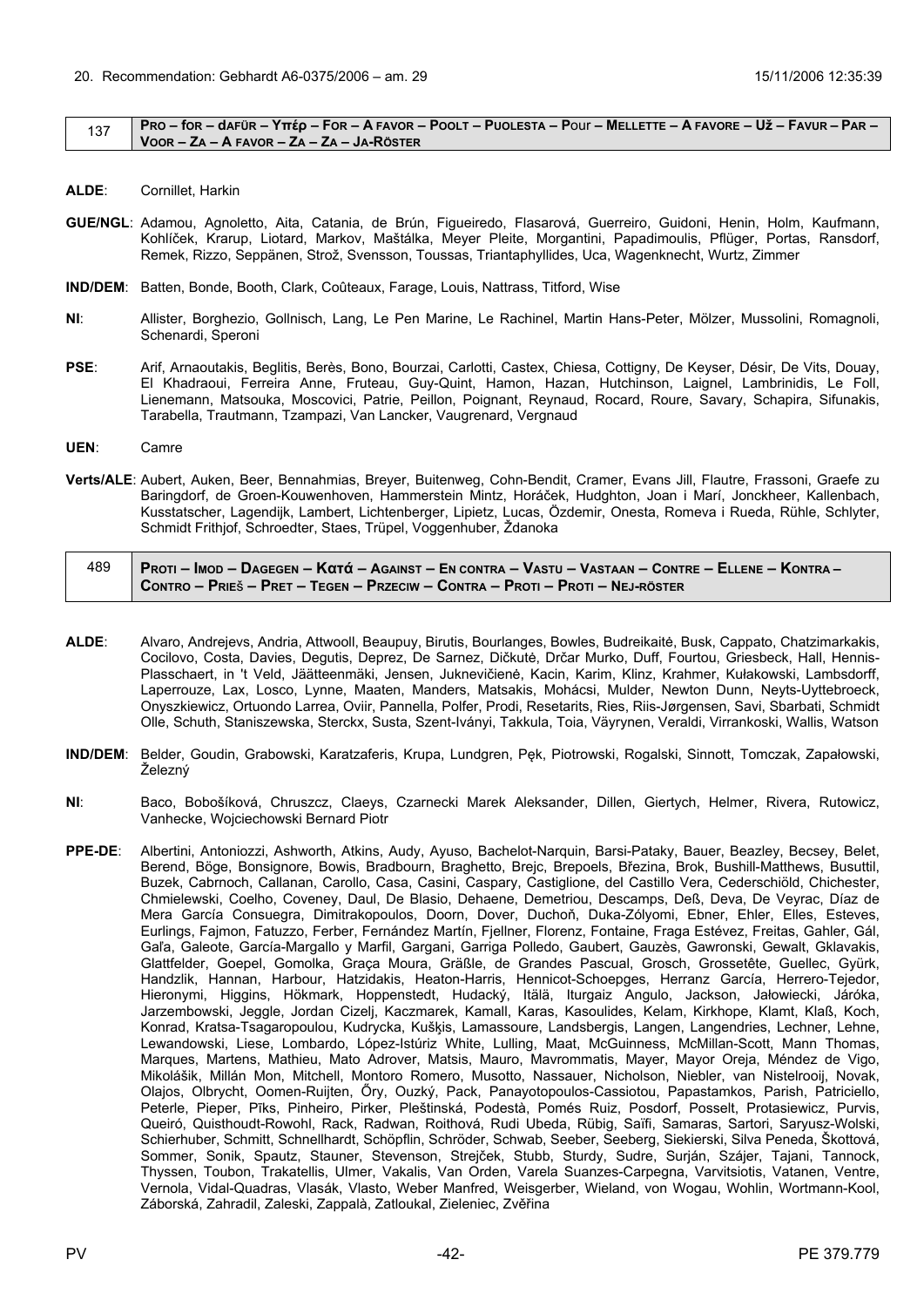#### <span id="page-41-0"></span> $\frac{137}{137}$  PRO – for – dafür – Yttép – For – A Favor – Poolt – Puolesta – Pour – Mellette – A Favore – Už – Favur – Par – **VOOR – ZA – A FAVOR – ZA – ZA – JA-RÖSTER**

- **ALDE**: Cornillet, Harkin
- **GUE/NGL**: Adamou, Agnoletto, Aita, Catania, de Brún, Figueiredo, Flasarová, Guerreiro, Guidoni, Henin, Holm, Kaufmann, Kohlíček, Krarup, Liotard, Markov, Maštálka, Meyer Pleite, Morgantini, Papadimoulis, Pflüger, Portas, Ransdorf, Remek, Rizzo, Seppänen, Strož, Svensson, Toussas, Triantaphyllides, Uca, Wagenknecht, Wurtz, Zimmer
- **IND/DEM**: Batten, Bonde, Booth, Clark, Coûteaux, Farage, Louis, Nattrass, Titford, Wise
- **NI**: Allister, Borghezio, Gollnisch, Lang, Le Pen Marine, Le Rachinel, Martin Hans-Peter, Mölzer, Mussolini, Romagnoli, Schenardi, Speroni
- **PSE**: Arif, Arnaoutakis, Beglitis, Berès, Bono, Bourzai, Carlotti, Castex, Chiesa, Cottigny, De Keyser, Désir, De Vits, Douay, El Khadraoui, Ferreira Anne, Fruteau, Guy-Quint, Hamon, Hazan, Hutchinson, Laignel, Lambrinidis, Le Foll, Lienemann, Matsouka, Moscovici, Patrie, Peillon, Poignant, Reynaud, Rocard, Roure, Savary, Schapira, Sifunakis, Tarabella, Trautmann, Tzampazi, Van Lancker, Vaugrenard, Vergnaud
- **UEN**: Camre
- **Verts/ALE**: Aubert, Auken, Beer, Bennahmias, Breyer, Buitenweg, Cohn-Bendit, Cramer, Evans Jill, Flautre, Frassoni, Graefe zu Baringdorf, de Groen-Kouwenhoven, Hammerstein Mintz, Horáček, Hudghton, Joan i Marí, Jonckheer, Kallenbach, Kusstatscher, Lagendijk, Lambert, Lichtenberger, Lipietz, Lucas, Özdemir, Onesta, Romeva i Rueda, Rühle, Schlyter, Schmidt Frithjof, Schroedter, Staes, Trüpel, Voggenhuber, Ždanoka

| 489 | <u>  Proti – Imod – Dagegen – Κατά – Against – En contra – Vastu – Vastaan – Contre – Ellene – Kontra – </u> |
|-----|--------------------------------------------------------------------------------------------------------------|
|     | CONTRO – PRIEŠ – PRET – TEGEN – PRZECIW – CONTRA – PROTI – PROTI – NEJ-RÖSTER                                |

- **ALDE**: Alvaro, Andrejevs, Andria, Attwooll, Beaupuy, Birutis, Bourlanges, Bowles, Budreikaitė, Busk, Cappato, Chatzimarkakis, Cocilovo, Costa, Davies, Degutis, Deprez, De Sarnez, Dičkutė, Drčar Murko, Duff, Fourtou, Griesbeck, Hall, Hennis-Plasschaert, in 't Veld, Jäätteenmäki, Jensen, Juknevičienė, Kacin, Karim, Klinz, Krahmer, Kułakowski, Lambsdorff, Laperrouze, Lax, Losco, Lynne, Maaten, Manders, Matsakis, Mohácsi, Mulder, Newton Dunn, Neyts-Uyttebroeck, Onyszkiewicz, Ortuondo Larrea, Oviir, Pannella, Polfer, Prodi, Resetarits, Ries, Riis-Jørgensen, Savi, Sbarbati, Schmidt Olle, Schuth, Staniszewska, Sterckx, Susta, Szent-Iványi, Takkula, Toia, Väyrynen, Veraldi, Virrankoski, Wallis, Watson
- **IND/DEM**: Belder, Goudin, Grabowski, Karatzaferis, Krupa, Lundgren, Pęk, Piotrowski, Rogalski, Sinnott, Tomczak, Zapałowski, Železný
- **NI**: Baco, Bobošíková, Chruszcz, Claeys, Czarnecki Marek Aleksander, Dillen, Giertych, Helmer, Rivera, Rutowicz, Vanhecke, Wojciechowski Bernard Piotr
- **PPE-DE**: Albertini, Antoniozzi, Ashworth, Atkins, Audy, Ayuso, Bachelot-Narquin, Barsi-Pataky, Bauer, Beazley, Becsey, Belet, Berend, Böge, Bonsignore, Bowis, Bradbourn, Braghetto, Brejc, Brepoels, Březina, Brok, Bushill-Matthews, Busuttil, Buzek, Cabrnoch, Callanan, Carollo, Casa, Casini, Caspary, Castiglione, del Castillo Vera, Cederschiöld, Chichester, Chmielewski, Coelho, Coveney, Daul, De Blasio, Dehaene, Demetriou, Descamps, Deß, Deva, De Veyrac, Díaz de Mera García Consuegra, Dimitrakopoulos, Doorn, Dover, Duchoň, Duka-Zólyomi, Ebner, Ehler, Elles, Esteves, Eurlings, Fajmon, Fatuzzo, Ferber, Fernández Martín, Fjellner, Florenz, Fontaine, Fraga Estévez, Freitas, Gahler, Gál, Gaľa, Galeote, García-Margallo y Marfil, Gargani, Garriga Polledo, Gaubert, Gauzès, Gawronski, Gewalt, Gklavakis, Glattfelder, Goepel, Gomolka, Graça Moura, Gräßle, de Grandes Pascual, Grosch, Grossetête, Guellec, Gyürk, Handzlik, Hannan, Harbour, Hatzidakis, Heaton-Harris, Hennicot-Schoepges, Herranz García, Herrero-Tejedor, Hieronymi, Higgins, Hökmark, Hoppenstedt, Hudacký, Itälä, Iturgaiz Angulo, Jackson, Jałowiecki, Járóka, Jarzembowski, Jeggle, Jordan Cizelj, Kaczmarek, Kamall, Karas, Kasoulides, Kelam, Kirkhope, Klamt, Klaß, Koch, Konrad, Kratsa-Tsagaropoulou, Kudrycka, Kušķis, Lamassoure, Landsbergis, Langen, Langendries, Lechner, Lehne, Lewandowski, Liese, Lombardo, López-Istúriz White, Lulling, Maat, McGuinness, McMillan-Scott, Mann Thomas, Marques, Martens, Mathieu, Mato Adrover, Matsis, Mauro, Mavrommatis, Mayer, Mayor Oreja, Méndez de Vigo, Mikolášik, Millán Mon, Mitchell, Montoro Romero, Musotto, Nassauer, Nicholson, Niebler, van Nistelrooij, Novak, Olajos, Olbrycht, Oomen-Ruijten, Őry, Ouzký, Pack, Panayotopoulos-Cassiotou, Papastamkos, Parish, Patriciello, Peterle, Pieper, Pīks, Pinheiro, Pirker, Pleštinská, Podestà, Pomés Ruiz, Posdorf, Posselt, Protasiewicz, Purvis, Queiró, Quisthoudt-Rowohl, Rack, Radwan, Roithová, Rudi Ubeda, Rübig, Saïfi, Samaras, Sartori, Saryusz-Wolski, Schierhuber, Schmitt, Schnellhardt, Schöpflin, Schröder, Schwab, Seeber, Seeberg, Siekierski, Silva Peneda, Škottová, Sommer, Sonik, Spautz, Stauner, Stevenson, Strejček, Stubb, Sturdy, Sudre, Surján, Szájer, Tajani, Tannock, Thyssen, Toubon, Trakatellis, Ulmer, Vakalis, Van Orden, Varela Suanzes-Carpegna, Varvitsiotis, Vatanen, Ventre, Vernola, Vidal-Quadras, Vlasák, Vlasto, Weber Manfred, Weisgerber, Wieland, von Wogau, Wohlin, Wortmann-Kool, Záborská, Zahradil, Zaleski, Zappalà, Zatloukal, Zieleniec, Zvěřina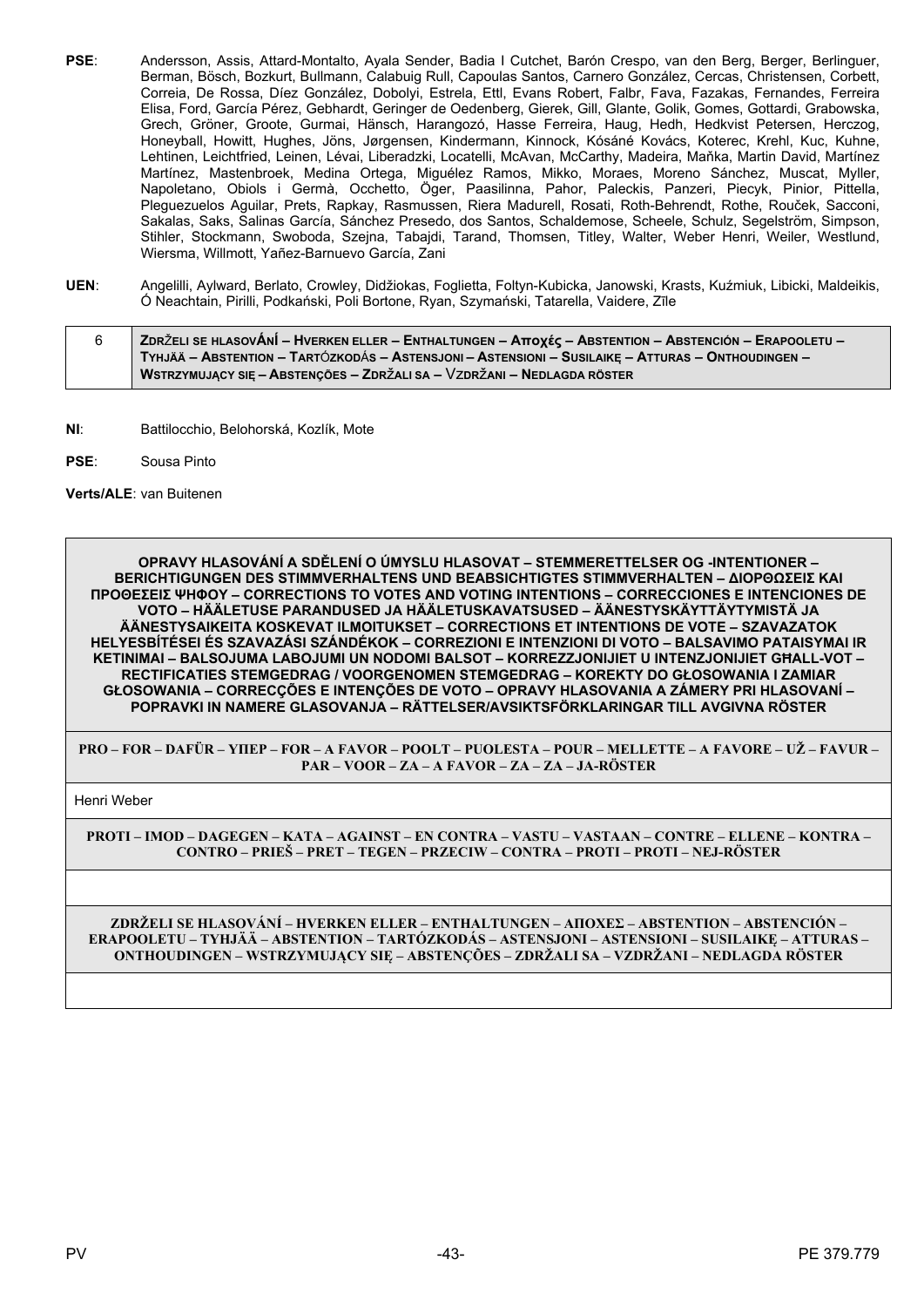- **PSE**: Andersson, Assis, Attard-Montalto, Ayala Sender, Badia I Cutchet, Barón Crespo, van den Berg, Berger, Berlinguer, Berman, Bösch, Bozkurt, Bullmann, Calabuig Rull, Capoulas Santos, Carnero González, Cercas, Christensen, Corbett, Correia, De Rossa, Díez González, Dobolyi, Estrela, Ettl, Evans Robert, Falbr, Fava, Fazakas, Fernandes, Ferreira Elisa, Ford, García Pérez, Gebhardt, Geringer de Oedenberg, Gierek, Gill, Glante, Golik, Gomes, Gottardi, Grabowska, Grech, Gröner, Groote, Gurmai, Hänsch, Harangozó, Hasse Ferreira, Haug, Hedh, Hedkvist Petersen, Herczog, Honeyball, Howitt, Hughes, Jöns, Jørgensen, Kindermann, Kinnock, Kósáné Kovács, Koterec, Krehl, Kuc, Kuhne, Lehtinen, Leichtfried, Leinen, Lévai, Liberadzki, Locatelli, McAvan, McCarthy, Madeira, Maňka, Martin David, Martínez Martínez, Mastenbroek, Medina Ortega, Miguélez Ramos, Mikko, Moraes, Moreno Sánchez, Muscat, Myller, Napoletano, Obiols i Germà, Occhetto, Öger, Paasilinna, Pahor, Paleckis, Panzeri, Piecyk, Pinior, Pittella, Pleguezuelos Aguilar, Prets, Rapkay, Rasmussen, Riera Madurell, Rosati, Roth-Behrendt, Rothe, Rouček, Sacconi, Sakalas, Saks, Salinas García, Sánchez Presedo, dos Santos, Schaldemose, Scheele, Schulz, Segelström, Simpson, Stihler, Stockmann, Swoboda, Szejna, Tabajdi, Tarand, Thomsen, Titley, Walter, Weber Henri, Weiler, Westlund, Wiersma, Willmott, Yañez-Barnuevo García, Zani
- **UEN**: Angelilli, Aylward, Berlato, Crowley, Didžiokas, Foglietta, Foltyn-Kubicka, Janowski, Krasts, Kuźmiuk, Libicki, Maldeikis, Ó Neachtain, Pirilli, Podkański, Poli Bortone, Ryan, Szymański, Tatarella, Vaidere, Zīle
- 6 ZDRŽELI SE HLASOVÁNÍ HVERKEN ELLER ENTHALTUNGEN Aποχές ABSTENTION ABSTENCIÓN ERAPOOLETU TYHJÄÄ - ABSTENTION - TARTÓZKODÁS - ASTENSJONI - ASTENSIONI - SUSILAIKE - ATTURAS - ONTHOUDINGEN -**WSTRZYMUJĄCY SIĘ – ABSTENÇÕES – ZDR**ž**ALI SA –** Vz**DR**ž**ANI – NEDLAGDA RÖSTER**
- **NI**: Battilocchio, Belohorská, Kozlík, Mote
- **PSE**: Sousa Pinto

**Verts/ALE**: van Buitenen

**OPRAVY HLASOVÁNÍ A SDĚLENÍ O ÚMYSLU HLASOVAT – STEMMERETTELSER OG -INTENTIONER – BERICHTIGUNGEN DES STIMMVERHALTENS UND BEABSICHTIGTES STIMMVERHALTEN – ΔΙΟΡΘΩΣΕΙΣ ΚΑΙ ΠΡΟΘΕΣΕΙΣ ΨΗΦΟΥ – CORRECTIONS TO VOTES AND VOTING INTENTIONS – CORRECCIONES E INTENCIONES DE VOTO – HÄÄLETUSE PARANDUSED JA HÄÄLETUSKAVATSUSED – ÄÄNESTYSKÄYTTÄYTYMISTÄ JA ÄÄNESTYSAIKEITA KOSKEVAT ILMOITUKSET – CORRECTIONS ET INTENTIONS DE VOTE – SZAVAZATOK HELYESBÍTÉSEI ÉS SZAVAZÁSI SZÁNDÉKOK – CORREZIONI E INTENZIONI DI VOTO – BALSAVIMO PATAISYMAI IR KETINIMAI – BALSOJUMA LABOJUMI UN NODOMI BALSOT – KORREZZJONIJIET U INTENZJONIJIET GĦALL-VOT – RECTIFICATIES STEMGEDRAG / VOORGENOMEN STEMGEDRAG – KOREKTY DO GŁOSOWANIA I ZAMIAR GŁOSOWANIA – CORRECÇÕES E INTENÇÕES DE VOTO – OPRAVY HLASOVANIA A ZÁMERY PRI HLASOVANÍ – POPRAVKI IN NAMERE GLASOVANJA – RÄTTELSER/AVSIKTSFÖRKLARINGAR TILL AVGIVNA RÖSTER**

**PRO – FOR – DAFÜR – ΥΠΕΡ – FOR – A FAVOR – POOLT – PUOLESTA – POUR – MELLETTE – A FAVORE – UŽ – FAVUR – PAR – VOOR – ZA – A FAVOR – ZA – ZA – JA-RÖSTER**

Henri Weber

**PROTI – IMOD – DAGEGEN – ΚΑΤΑ – AGAINST – EN CONTRA – VASTU – VASTAAN – CONTRE – ELLENE – KONTRA – CONTRO – PRIEŠ – PRET – TEGEN – PRZECIW – CONTRA – PROTI – PROTI – NEJ-RÖSTER**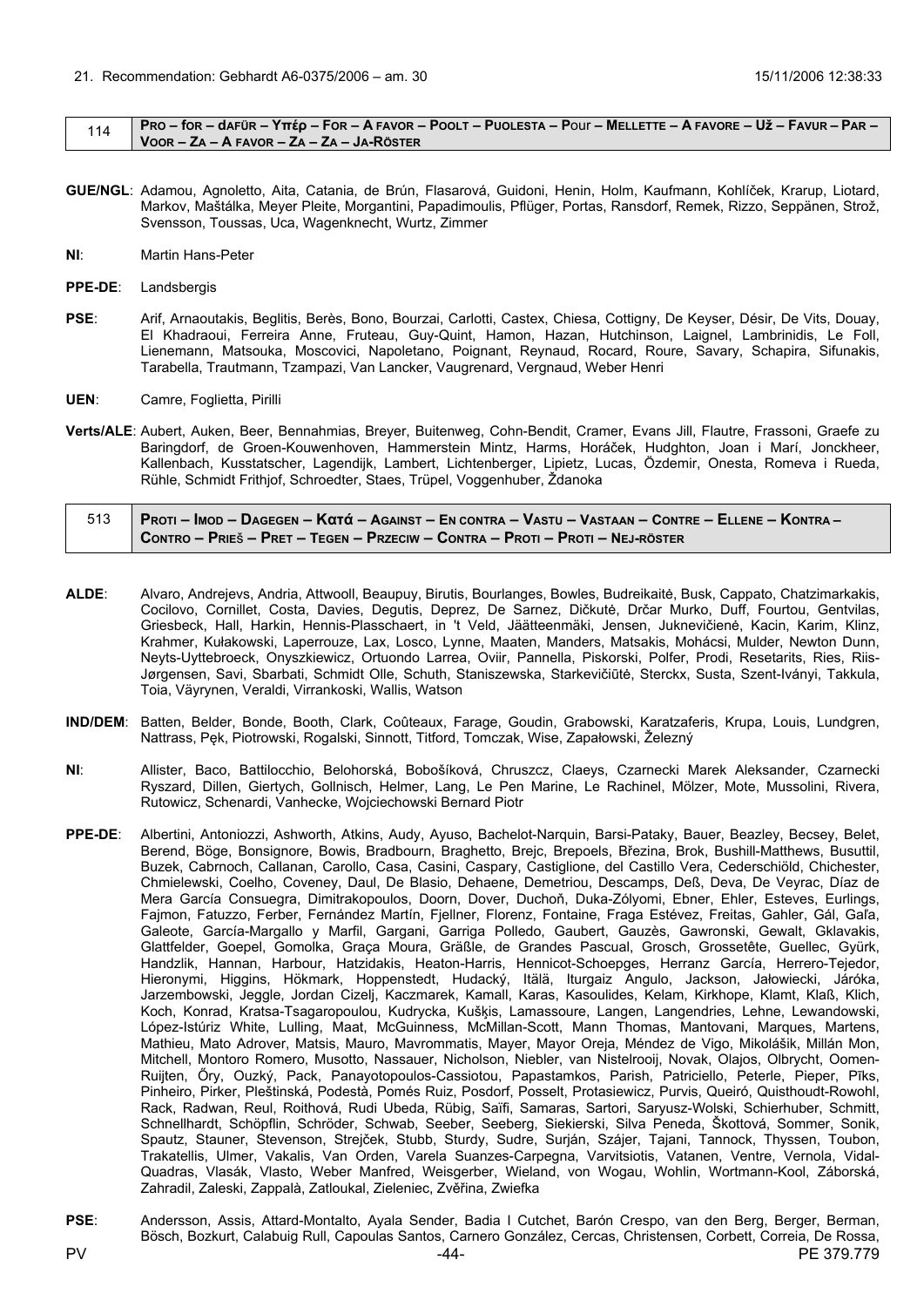#### <span id="page-43-0"></span>114 | PRO – for – dafür – Yttép – For – A Favor – Poolt – Puolesta – Pour – Mellette – A Favore – Už – Favur – Par – **VOOR – ZA – A FAVOR – ZA – ZA – JA-RÖSTER**

- **GUE/NGL**: Adamou, Agnoletto, Aita, Catania, de Brún, Flasarová, Guidoni, Henin, Holm, Kaufmann, Kohlíček, Krarup, Liotard, Markov, Maštálka, Meyer Pleite, Morgantini, Papadimoulis, Pflüger, Portas, Ransdorf, Remek, Rizzo, Seppänen, Strož, Svensson, Toussas, Uca, Wagenknecht, Wurtz, Zimmer
- **NI**: Martin Hans-Peter
- **PPE-DE**: Landsbergis
- **PSE**: Arif, Arnaoutakis, Beglitis, Berès, Bono, Bourzai, Carlotti, Castex, Chiesa, Cottigny, De Keyser, Désir, De Vits, Douay, El Khadraoui, Ferreira Anne, Fruteau, Guy-Quint, Hamon, Hazan, Hutchinson, Laignel, Lambrinidis, Le Foll, Lienemann, Matsouka, Moscovici, Napoletano, Poignant, Reynaud, Rocard, Roure, Savary, Schapira, Sifunakis, Tarabella, Trautmann, Tzampazi, Van Lancker, Vaugrenard, Vergnaud, Weber Henri
- **UEN**: Camre, Foglietta, Pirilli
- **Verts/ALE**: Aubert, Auken, Beer, Bennahmias, Breyer, Buitenweg, Cohn-Bendit, Cramer, Evans Jill, Flautre, Frassoni, Graefe zu Baringdorf, de Groen-Kouwenhoven, Hammerstein Mintz, Harms, Horáček, Hudghton, Joan i Marí, Jonckheer, Kallenbach, Kusstatscher, Lagendijk, Lambert, Lichtenberger, Lipietz, Lucas, Özdemir, Onesta, Romeva i Rueda, Rühle, Schmidt Frithjof, Schroedter, Staes, Trüpel, Voggenhuber, Ždanoka

| 513 Proti – Imod – Dagegen – Κατά – Against – En contra – Vastu – Vastaan – Contre – Ellene – Kontra – |
|--------------------------------------------------------------------------------------------------------|
| CONTRO – PRIEŠ – PRET – TEGEN – PRZECIW – CONTRA – PROTI – PROTI – NEJ-RÖSTER                          |

- **ALDE**: Alvaro, Andrejevs, Andria, Attwooll, Beaupuy, Birutis, Bourlanges, Bowles, Budreikaitė, Busk, Cappato, Chatzimarkakis, Cocilovo, Cornillet, Costa, Davies, Degutis, Deprez, De Sarnez, Dičkutė, Drčar Murko, Duff, Fourtou, Gentvilas, Griesbeck, Hall, Harkin, Hennis-Plasschaert, in 't Veld, Jäätteenmäki, Jensen, Juknevičienė, Kacin, Karim, Klinz, Krahmer, Kułakowski, Laperrouze, Lax, Losco, Lynne, Maaten, Manders, Matsakis, Mohácsi, Mulder, Newton Dunn, Neyts-Uyttebroeck, Onyszkiewicz, Ortuondo Larrea, Oviir, Pannella, Piskorski, Polfer, Prodi, Resetarits, Ries, Riis-Jørgensen, Savi, Sbarbati, Schmidt Olle, Schuth, Staniszewska, Starkevičiūtė, Sterckx, Susta, Szent-Iványi, Takkula, Toia, Väyrynen, Veraldi, Virrankoski, Wallis, Watson
- **IND/DEM**: Batten, Belder, Bonde, Booth, Clark, Coûteaux, Farage, Goudin, Grabowski, Karatzaferis, Krupa, Louis, Lundgren, Nattrass, Pęk, Piotrowski, Rogalski, Sinnott, Titford, Tomczak, Wise, Zapałowski, Železný
- **NI**: Allister, Baco, Battilocchio, Belohorská, Bobošíková, Chruszcz, Claeys, Czarnecki Marek Aleksander, Czarnecki Ryszard, Dillen, Giertych, Gollnisch, Helmer, Lang, Le Pen Marine, Le Rachinel, Mölzer, Mote, Mussolini, Rivera, Rutowicz, Schenardi, Vanhecke, Wojciechowski Bernard Piotr
- **PPE-DE**: Albertini, Antoniozzi, Ashworth, Atkins, Audy, Ayuso, Bachelot-Narquin, Barsi-Pataky, Bauer, Beazley, Becsey, Belet, Berend, Böge, Bonsignore, Bowis, Bradbourn, Braghetto, Brejc, Brepoels, Březina, Brok, Bushill-Matthews, Busuttil, Buzek, Cabrnoch, Callanan, Carollo, Casa, Casini, Caspary, Castiglione, del Castillo Vera, Cederschiöld, Chichester, Chmielewski, Coelho, Coveney, Daul, De Blasio, Dehaene, Demetriou, Descamps, Deß, Deva, De Veyrac, Díaz de Mera García Consuegra, Dimitrakopoulos, Doorn, Dover, Duchoň, Duka-Zólyomi, Ebner, Ehler, Esteves, Eurlings, Fajmon, Fatuzzo, Ferber, Fernández Martín, Fjellner, Florenz, Fontaine, Fraga Estévez, Freitas, Gahler, Gál, Gaľa, Galeote, García-Margallo y Marfil, Gargani, Garriga Polledo, Gaubert, Gauzès, Gawronski, Gewalt, Gklavakis, Glattfelder, Goepel, Gomolka, Graça Moura, Gräßle, de Grandes Pascual, Grosch, Grossetête, Guellec, Gyürk, Handzlik, Hannan, Harbour, Hatzidakis, Heaton-Harris, Hennicot-Schoepges, Herranz García, Herrero-Tejedor, Hieronymi, Higgins, Hökmark, Hoppenstedt, Hudacký, Itälä, Iturgaiz Angulo, Jackson, Jałowiecki, Járóka, Jarzembowski, Jeggle, Jordan Cizelj, Kaczmarek, Kamall, Karas, Kasoulides, Kelam, Kirkhope, Klamt, Klaß, Klich, Koch, Konrad, Kratsa-Tsagaropoulou, Kudrycka, Kušķis, Lamassoure, Langen, Langendries, Lehne, Lewandowski, López-Istúriz White, Lulling, Maat, McGuinness, McMillan-Scott, Mann Thomas, Mantovani, Marques, Martens, Mathieu, Mato Adrover, Matsis, Mauro, Mavrommatis, Mayer, Mayor Oreja, Méndez de Vigo, Mikolášik, Millán Mon, Mitchell, Montoro Romero, Musotto, Nassauer, Nicholson, Niebler, van Nistelrooij, Novak, Olajos, Olbrycht, Oomen-Ruijten, Őry, Ouzký, Pack, Panayotopoulos-Cassiotou, Papastamkos, Parish, Patriciello, Peterle, Pieper, Pīks, Pinheiro, Pirker, Pleštinská, Podestà, Pomés Ruiz, Posdorf, Posselt, Protasiewicz, Purvis, Queiró, Quisthoudt-Rowohl, Rack, Radwan, Reul, Roithová, Rudi Ubeda, Rübig, Saïfi, Samaras, Sartori, Saryusz-Wolski, Schierhuber, Schmitt, Schnellhardt, Schöpflin, Schröder, Schwab, Seeber, Seeberg, Siekierski, Silva Peneda, Škottová, Sommer, Sonik, Spautz, Stauner, Stevenson, Strejček, Stubb, Sturdy, Sudre, Surján, Szájer, Tajani, Tannock, Thyssen, Toubon, Trakatellis, Ulmer, Vakalis, Van Orden, Varela Suanzes-Carpegna, Varvitsiotis, Vatanen, Ventre, Vernola, Vidal-Quadras, Vlasák, Vlasto, Weber Manfred, Weisgerber, Wieland, von Wogau, Wohlin, Wortmann-Kool, Záborská, Zahradil, Zaleski, Zappalà, Zatloukal, Zieleniec, Zvěřina, Zwiefka
- PV 2379.779 244- 220 244- 220 2379.779 2379.779 2379.779 2379.779 2379.779 2379.779 2379.7 **PSE**: Andersson, Assis, Attard-Montalto, Ayala Sender, Badia I Cutchet, Barón Crespo, van den Berg, Berger, Berman, Bösch, Bozkurt, Calabuig Rull, Capoulas Santos, Carnero González, Cercas, Christensen, Corbett, Correia, De Rossa,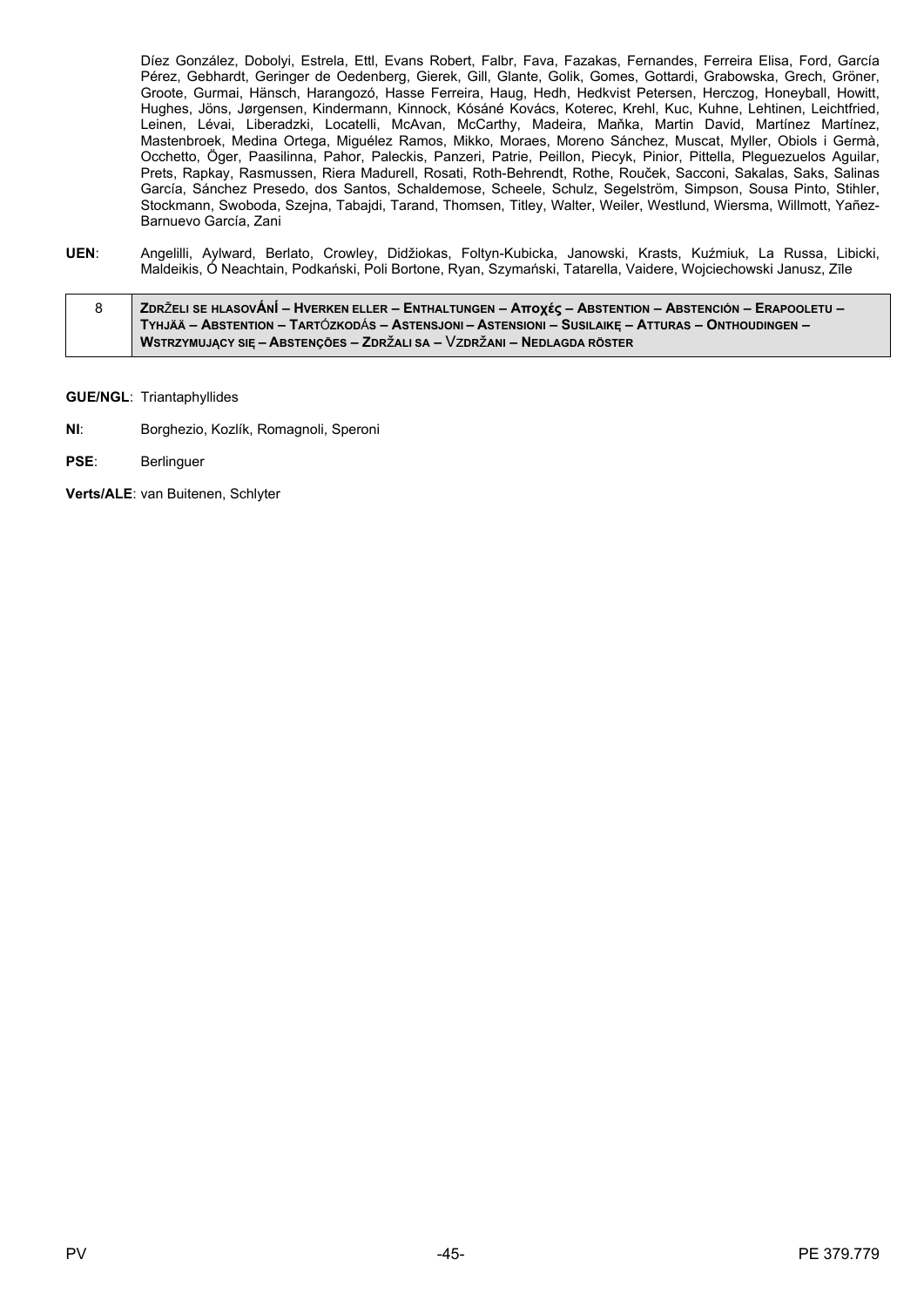Díez González, Dobolyi, Estrela, Ettl, Evans Robert, Falbr, Fava, Fazakas, Fernandes, Ferreira Elisa, Ford, García Pérez, Gebhardt, Geringer de Oedenberg, Gierek, Gill, Glante, Golik, Gomes, Gottardi, Grabowska, Grech, Gröner, Groote, Gurmai, Hänsch, Harangozó, Hasse Ferreira, Haug, Hedh, Hedkvist Petersen, Herczog, Honeyball, Howitt, Hughes, Jöns, Jørgensen, Kindermann, Kinnock, Kósáné Kovács, Koterec, Krehl, Kuc, Kuhne, Lehtinen, Leichtfried, Leinen, Lévai, Liberadzki, Locatelli, McAvan, McCarthy, Madeira, Maňka, Martin David, Martínez Martínez, Mastenbroek, Medina Ortega, Miguélez Ramos, Mikko, Moraes, Moreno Sánchez, Muscat, Myller, Obiols i Germà, Occhetto, Öger, Paasilinna, Pahor, Paleckis, Panzeri, Patrie, Peillon, Piecyk, Pinior, Pittella, Pleguezuelos Aguilar, Prets, Rapkay, Rasmussen, Riera Madurell, Rosati, Roth-Behrendt, Rothe, Rouček, Sacconi, Sakalas, Saks, Salinas García, Sánchez Presedo, dos Santos, Schaldemose, Scheele, Schulz, Segelström, Simpson, Sousa Pinto, Stihler, Stockmann, Swoboda, Szejna, Tabajdi, Tarand, Thomsen, Titley, Walter, Weiler, Westlund, Wiersma, Willmott, Yañez-Barnuevo García, Zani

- **UEN**: Angelilli, Aylward, Berlato, Crowley, Didžiokas, Foltyn-Kubicka, Janowski, Krasts, Kuźmiuk, La Russa, Libicki, Maldeikis, Ó Neachtain, Podkański, Poli Bortone, Ryan, Szymański, Tatarella, Vaidere, Wojciechowski Janusz, Zīle
- 8 ZDRŽELI SE HLASOVÁNÍ HVERKEN ELLER ENTHALTUNGEN ATTOXÉC ABSTENTION ABSTENCIÓN ERAPOOLETU TYHJÄÄ – ABSTENTION – TARTÓZKODÁS – ASTENSJONI – ASTENSIONI – SUSILAIKĘ – ATTURAS – ONTHOUDINGEN – **WSTRZYMUJĄCY SIĘ – ABSTENÇÕES – ZDR**ž**ALI SA –** Vz**DR**ž**ANI – NEDLAGDA RÖSTER**

**GUE/NGL**: Triantaphyllides

- **NI**: Borghezio, Kozlík, Romagnoli, Speroni
- **PSE**: Berlinguer

**Verts/ALE**: van Buitenen, Schlyter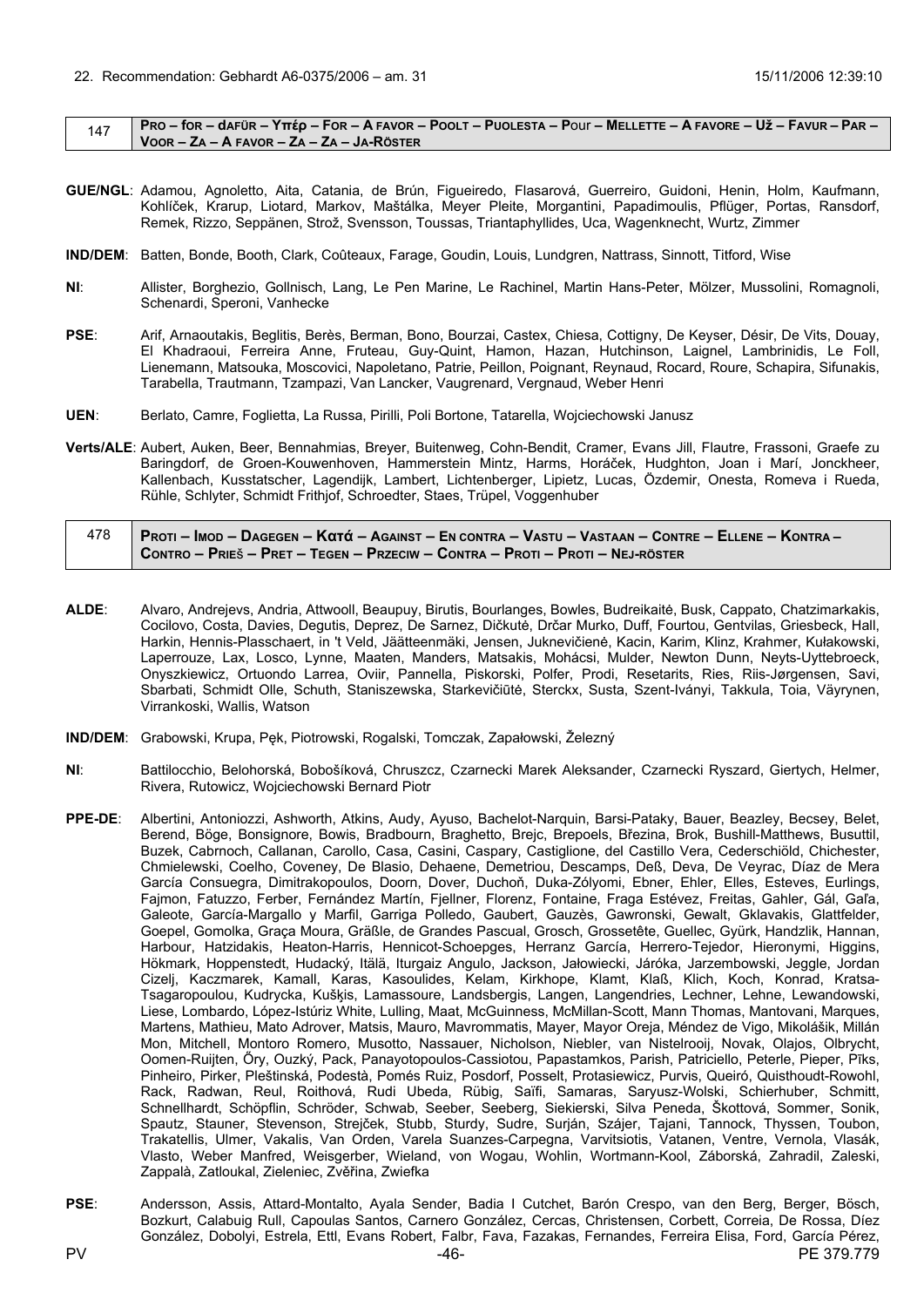#### <span id="page-45-0"></span> $147$  PRO – for – dafür – Yttép – For – A Favor – Poolt – Puolesta – Pour – Mellette – A Favore – Už – Favur – Par – **VOOR – ZA – A FAVOR – ZA – ZA – JA-RÖSTER**

- **GUE/NGL**: Adamou, Agnoletto, Aita, Catania, de Brún, Figueiredo, Flasarová, Guerreiro, Guidoni, Henin, Holm, Kaufmann, Kohlíček, Krarup, Liotard, Markov, Maštálka, Meyer Pleite, Morgantini, Papadimoulis, Pflüger, Portas, Ransdorf, Remek, Rizzo, Seppänen, Strož, Svensson, Toussas, Triantaphyllides, Uca, Wagenknecht, Wurtz, Zimmer
- **IND/DEM**: Batten, Bonde, Booth, Clark, Coûteaux, Farage, Goudin, Louis, Lundgren, Nattrass, Sinnott, Titford, Wise
- **NI**: Allister, Borghezio, Gollnisch, Lang, Le Pen Marine, Le Rachinel, Martin Hans-Peter, Mölzer, Mussolini, Romagnoli, Schenardi, Speroni, Vanhecke
- PSE: Arif, Arnaoutakis, Beglitis, Berès, Berman, Bono, Bourzai, Castex, Chiesa, Cottigny, De Keyser, Désir, De Vits, Douay, El Khadraoui, Ferreira Anne, Fruteau, Guy-Quint, Hamon, Hazan, Hutchinson, Laignel, Lambrinidis, Le Foll, Lienemann, Matsouka, Moscovici, Napoletano, Patrie, Peillon, Poignant, Reynaud, Rocard, Roure, Schapira, Sifunakis, Tarabella, Trautmann, Tzampazi, Van Lancker, Vaugrenard, Vergnaud, Weber Henri
- **UEN**: Berlato, Camre, Foglietta, La Russa, Pirilli, Poli Bortone, Tatarella, Wojciechowski Janusz
- **Verts/ALE**: Aubert, Auken, Beer, Bennahmias, Breyer, Buitenweg, Cohn-Bendit, Cramer, Evans Jill, Flautre, Frassoni, Graefe zu Baringdorf, de Groen-Kouwenhoven, Hammerstein Mintz, Harms, Horáček, Hudghton, Joan i Marí, Jonckheer, Kallenbach, Kusstatscher, Lagendijk, Lambert, Lichtenberger, Lipietz, Lucas, Özdemir, Onesta, Romeva i Rueda, Rühle, Schlyter, Schmidt Frithjof, Schroedter, Staes, Trüpel, Voggenhuber

| 478 | Proti – Imod – Dagegen – Κατά – Against – En contra – Vastu – Vastaan – Contre – Ellene – Kontra – |
|-----|----------------------------------------------------------------------------------------------------|
|     | CONTRO – PRIEŠ – PRET – TEGEN – PRZECIW – CONTRA – PROTI – PROTI – NEJ-RÖSTER                      |

- **ALDE**: Alvaro, Andrejevs, Andria, Attwooll, Beaupuy, Birutis, Bourlanges, Bowles, Budreikaitė, Busk, Cappato, Chatzimarkakis, Cocilovo, Costa, Davies, Degutis, Deprez, De Sarnez, Dičkutė, Drčar Murko, Duff, Fourtou, Gentvilas, Griesbeck, Hall, Harkin, Hennis-Plasschaert, in 't Veld, Jäätteenmäki, Jensen, Juknevičienė, Kacin, Karim, Klinz, Krahmer, Kułakowski, Laperrouze, Lax, Losco, Lynne, Maaten, Manders, Matsakis, Mohácsi, Mulder, Newton Dunn, Neyts-Uyttebroeck, Onyszkiewicz, Ortuondo Larrea, Oviir, Pannella, Piskorski, Polfer, Prodi, Resetarits, Ries, Riis-Jørgensen, Savi, Sbarbati, Schmidt Olle, Schuth, Staniszewska, Starkevičiūtė, Sterckx, Susta, Szent-Iványi, Takkula, Toia, Väyrynen, Virrankoski, Wallis, Watson
- **IND/DEM**: Grabowski, Krupa, Pęk, Piotrowski, Rogalski, Tomczak, Zapałowski, Železný
- **NI**: Battilocchio, Belohorská, Bobošíková, Chruszcz, Czarnecki Marek Aleksander, Czarnecki Ryszard, Giertych, Helmer, Rivera, Rutowicz, Wojciechowski Bernard Piotr
- **PPE-DE**: Albertini, Antoniozzi, Ashworth, Atkins, Audy, Ayuso, Bachelot-Narquin, Barsi-Pataky, Bauer, Beazley, Becsey, Belet, Berend, Böge, Bonsignore, Bowis, Bradbourn, Braghetto, Brejc, Brepoels, Březina, Brok, Bushill-Matthews, Busuttil, Buzek, Cabrnoch, Callanan, Carollo, Casa, Casini, Caspary, Castiglione, del Castillo Vera, Cederschiöld, Chichester, Chmielewski, Coelho, Coveney, De Blasio, Dehaene, Demetriou, Descamps, Deß, Deva, De Veyrac, Díaz de Mera García Consuegra, Dimitrakopoulos, Doorn, Dover, Duchoň, Duka-Zólyomi, Ebner, Ehler, Elles, Esteves, Eurlings, Fajmon, Fatuzzo, Ferber, Fernández Martín, Fjellner, Florenz, Fontaine, Fraga Estévez, Freitas, Gahler, Gál, Gaľa, Galeote, García-Margallo y Marfil, Garriga Polledo, Gaubert, Gauzès, Gawronski, Gewalt, Gklavakis, Glattfelder, Goepel, Gomolka, Graça Moura, Gräßle, de Grandes Pascual, Grosch, Grossetête, Guellec, Gyürk, Handzlik, Hannan, Harbour, Hatzidakis, Heaton-Harris, Hennicot-Schoepges, Herranz García, Herrero-Tejedor, Hieronymi, Higgins, Hökmark, Hoppenstedt, Hudacký, Itälä, Iturgaiz Angulo, Jackson, Jałowiecki, Járóka, Jarzembowski, Jeggle, Jordan Cizelj, Kaczmarek, Kamall, Karas, Kasoulides, Kelam, Kirkhope, Klamt, Klaß, Klich, Koch, Konrad, Kratsa-Tsagaropoulou, Kudrycka, Kušķis, Lamassoure, Landsbergis, Langen, Langendries, Lechner, Lehne, Lewandowski, Liese, Lombardo, López-Istúriz White, Lulling, Maat, McGuinness, McMillan-Scott, Mann Thomas, Mantovani, Marques, Martens, Mathieu, Mato Adrover, Matsis, Mauro, Mavrommatis, Mayer, Mayor Oreja, Méndez de Vigo, Mikolášik, Millán Mon, Mitchell, Montoro Romero, Musotto, Nassauer, Nicholson, Niebler, van Nistelrooij, Novak, Olajos, Olbrycht, Oomen-Ruijten, Őry, Ouzký, Pack, Panayotopoulos-Cassiotou, Papastamkos, Parish, Patriciello, Peterle, Pieper, Pīks, Pinheiro, Pirker, Pleštinská, Podestà, Pomés Ruiz, Posdorf, Posselt, Protasiewicz, Purvis, Queiró, Quisthoudt-Rowohl, Rack, Radwan, Reul, Roithová, Rudi Ubeda, Rübig, Saïfi, Samaras, Saryusz-Wolski, Schierhuber, Schmitt, Schnellhardt, Schöpflin, Schröder, Schwab, Seeber, Seeberg, Siekierski, Silva Peneda, Škottová, Sommer, Sonik, Spautz, Stauner, Stevenson, Strejček, Stubb, Sturdy, Sudre, Surján, Szájer, Tajani, Tannock, Thyssen, Toubon, Trakatellis, Ulmer, Vakalis, Van Orden, Varela Suanzes-Carpegna, Varvitsiotis, Vatanen, Ventre, Vernola, Vlasák, Vlasto, Weber Manfred, Weisgerber, Wieland, von Wogau, Wohlin, Wortmann-Kool, Záborská, Zahradil, Zaleski, Zappalà, Zatloukal, Zieleniec, Zvěřina, Zwiefka
- PV -46- PE 379.779 **PSE**: Andersson, Assis, Attard-Montalto, Ayala Sender, Badia I Cutchet, Barón Crespo, van den Berg, Berger, Bösch, Bozkurt, Calabuig Rull, Capoulas Santos, Carnero González, Cercas, Christensen, Corbett, Correia, De Rossa, Díez González, Dobolyi, Estrela, Ettl, Evans Robert, Falbr, Fava, Fazakas, Fernandes, Ferreira Elisa, Ford, García Pérez,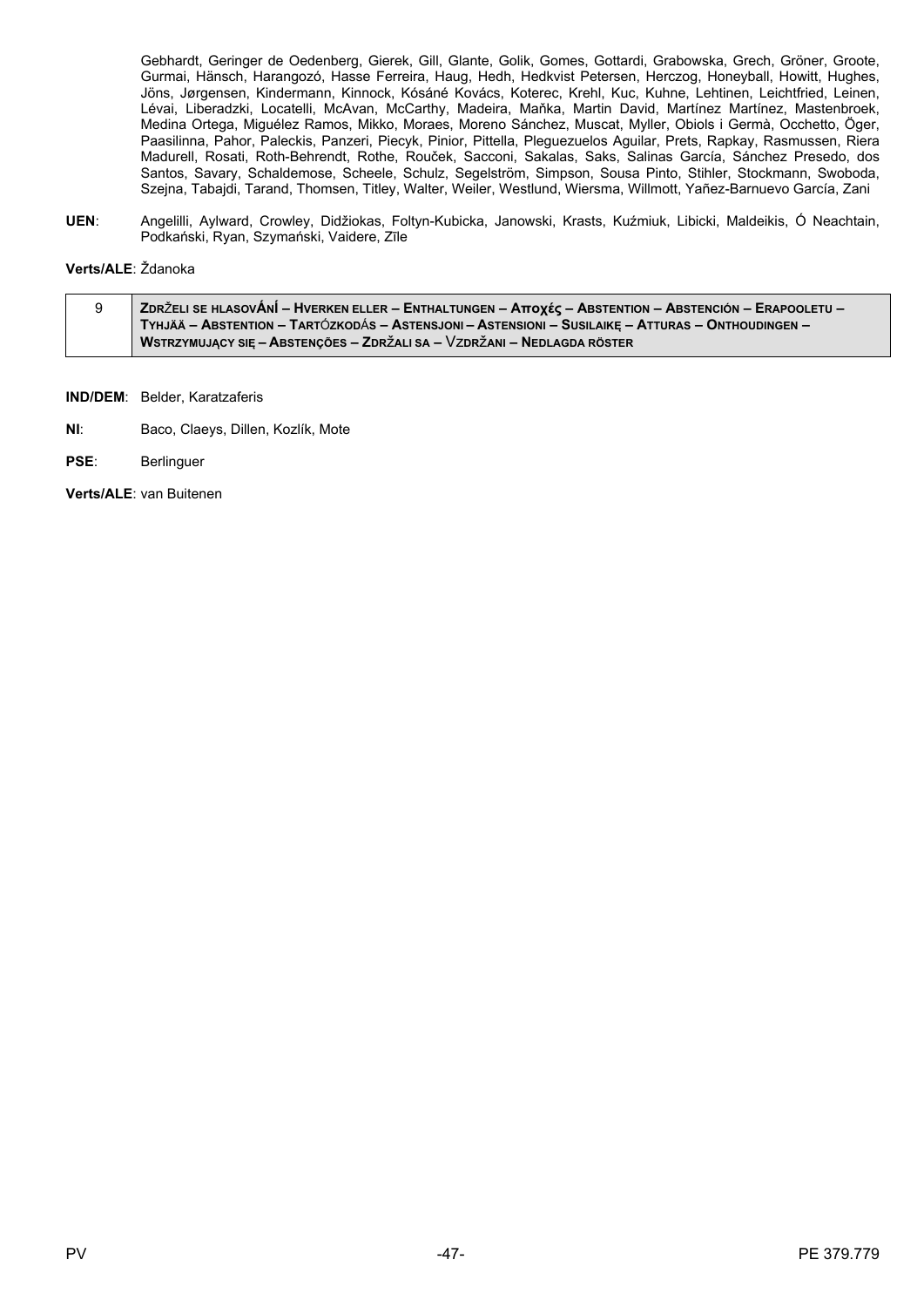Gebhardt, Geringer de Oedenberg, Gierek, Gill, Glante, Golik, Gomes, Gottardi, Grabowska, Grech, Gröner, Groote, Gurmai, Hänsch, Harangozó, Hasse Ferreira, Haug, Hedh, Hedkvist Petersen, Herczog, Honeyball, Howitt, Hughes, Jöns, Jørgensen, Kindermann, Kinnock, Kósáné Kovács, Koterec, Krehl, Kuc, Kuhne, Lehtinen, Leichtfried, Leinen, Lévai, Liberadzki, Locatelli, McAvan, McCarthy, Madeira, Maňka, Martin David, Martínez Martínez, Mastenbroek, Medina Ortega, Miguélez Ramos, Mikko, Moraes, Moreno Sánchez, Muscat, Myller, Obiols i Germà, Occhetto, Öger, Paasilinna, Pahor, Paleckis, Panzeri, Piecyk, Pinior, Pittella, Pleguezuelos Aguilar, Prets, Rapkay, Rasmussen, Riera Madurell, Rosati, Roth-Behrendt, Rothe, Rouček, Sacconi, Sakalas, Saks, Salinas García, Sánchez Presedo, dos Santos, Savary, Schaldemose, Scheele, Schulz, Segelström, Simpson, Sousa Pinto, Stihler, Stockmann, Swoboda, Szejna, Tabajdi, Tarand, Thomsen, Titley, Walter, Weiler, Westlund, Wiersma, Willmott, Yañez-Barnuevo García, Zani

UEN: Angelilli, Aylward, Crowley, Didžiokas, Foltyn-Kubicka, Janowski, Krasts, Kuźmiuk, Libicki, Maldeikis, Ó Neachtain, Podkański, Ryan, Szymański, Vaidere, Zīle

Verts/ALE: Ždanoka

| ZDRŽELI SE HLASOVÁNÍ – HVERKEN ELLER – ENTHALTUNGEN – Αποχές – ABSTENTION – ABSTENCIÓN – ERAPOOLETU – ∕ |
|---------------------------------------------------------------------------------------------------------|
| TYHJÄÄ – ABSTENTION – TARTÓZKODÁS – ASTENSJONI – ASTENSIONI – SUSILAIKE – ATTURAS – ONTHOUDINGEN –      |
| WSTRZYMUJĄCY SIĘ – ABSTENÇÕES – ZDRŽALI SA – VZDRŽANI – NEDLAGDA RÖSTER                                 |

IND/DEM: Belder, Karatzaferis

- $NI:$ Baco, Claeys, Dillen, Kozlík, Mote
- PSE: Berlinguer

Verts/ALE: van Buitenen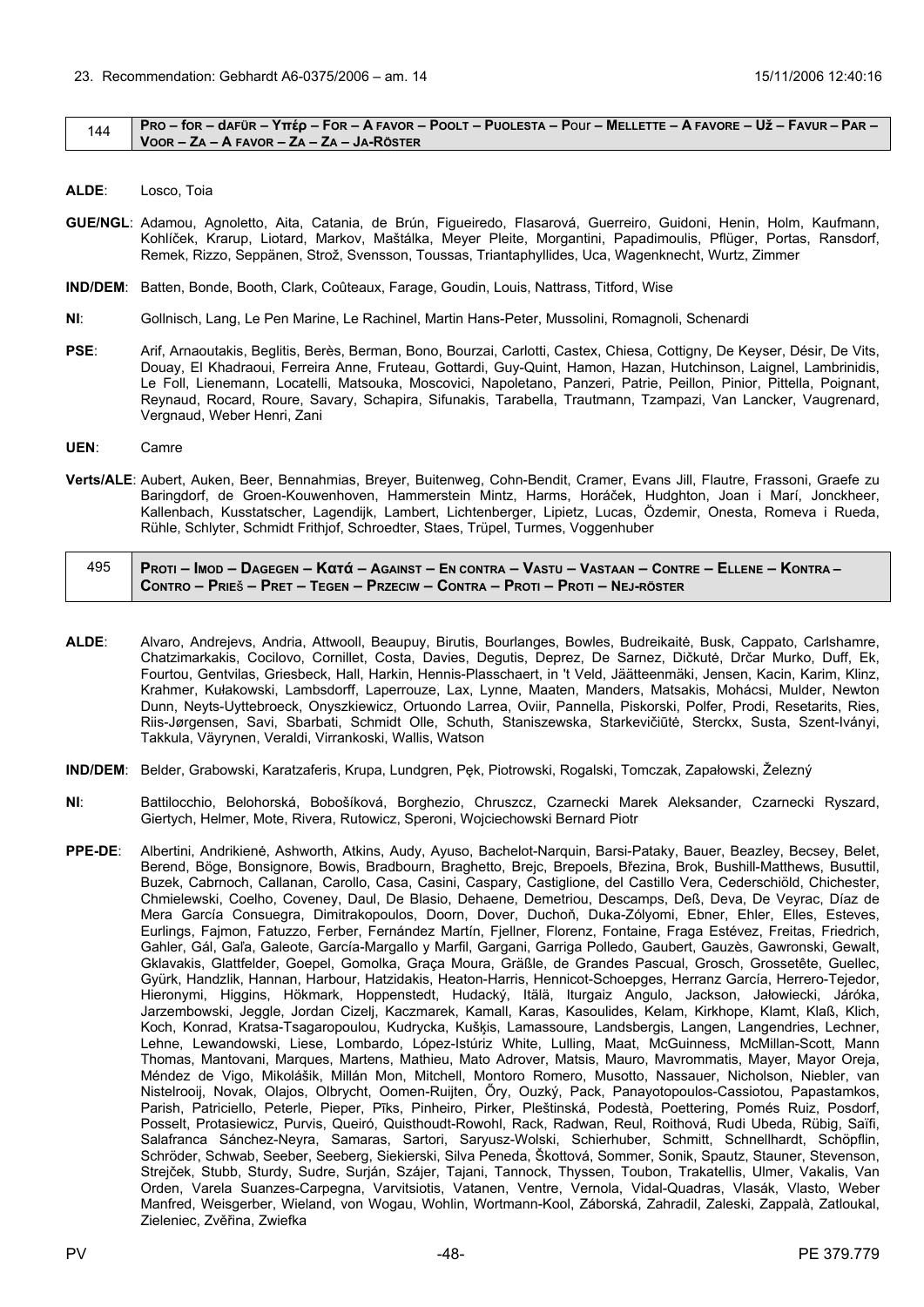#### <span id="page-47-0"></span> $144$  PRO – for – dafür – Yttép – For – A Favor – Poolt – Puolesta – Pour – Mellette – A Favore – Už – Favur – Par – **VOOR – ZA – A FAVOR – ZA – ZA – JA-RÖSTER**

- **ALDE**: Losco, Toia
- **GUE/NGL**: Adamou, Agnoletto, Aita, Catania, de Brún, Figueiredo, Flasarová, Guerreiro, Guidoni, Henin, Holm, Kaufmann, Kohlíček, Krarup, Liotard, Markov, Maštálka, Meyer Pleite, Morgantini, Papadimoulis, Pflüger, Portas, Ransdorf, Remek, Rizzo, Seppänen, Strož, Svensson, Toussas, Triantaphyllides, Uca, Wagenknecht, Wurtz, Zimmer
- **IND/DEM**: Batten, Bonde, Booth, Clark, Coûteaux, Farage, Goudin, Louis, Nattrass, Titford, Wise
- **NI**: Gollnisch, Lang, Le Pen Marine, Le Rachinel, Martin Hans-Peter, Mussolini, Romagnoli, Schenardi
- **PSE**: Arif, Arnaoutakis, Beglitis, Berès, Berman, Bono, Bourzai, Carlotti, Castex, Chiesa, Cottigny, De Keyser, Désir, De Vits, Douay, El Khadraoui, Ferreira Anne, Fruteau, Gottardi, Guy-Quint, Hamon, Hazan, Hutchinson, Laignel, Lambrinidis, Le Foll, Lienemann, Locatelli, Matsouka, Moscovici, Napoletano, Panzeri, Patrie, Peillon, Pinior, Pittella, Poignant, Reynaud, Rocard, Roure, Savary, Schapira, Sifunakis, Tarabella, Trautmann, Tzampazi, Van Lancker, Vaugrenard, Vergnaud, Weber Henri, Zani
- **UEN**: Camre
- **Verts/ALE**: Aubert, Auken, Beer, Bennahmias, Breyer, Buitenweg, Cohn-Bendit, Cramer, Evans Jill, Flautre, Frassoni, Graefe zu Baringdorf, de Groen-Kouwenhoven, Hammerstein Mintz, Harms, Horáček, Hudghton, Joan i Marí, Jonckheer, Kallenbach, Kusstatscher, Lagendijk, Lambert, Lichtenberger, Lipietz, Lucas, Özdemir, Onesta, Romeva i Rueda, Rühle, Schlyter, Schmidt Frithjof, Schroedter, Staes, Trüpel, Turmes, Voggenhuber

| 495 | <u>  Proti – Imod – Dagegen – Κατά – Against – En contra – Vastu – Vastaan – Contre – Ellene – Kontra – </u> |
|-----|--------------------------------------------------------------------------------------------------------------|
|     | Contro – Prieš – Pret – Tegen – Przeciw – Contra – Proti – Proti – Nej-röster                                |

- **ALDE**: Alvaro, Andrejevs, Andria, Attwooll, Beaupuy, Birutis, Bourlanges, Bowles, Budreikaitė, Busk, Cappato, Carlshamre, Chatzimarkakis, Cocilovo, Cornillet, Costa, Davies, Degutis, Deprez, De Sarnez, Dičkutė, Drčar Murko, Duff, Ek, Fourtou, Gentvilas, Griesbeck, Hall, Harkin, Hennis-Plasschaert, in 't Veld, Jäätteenmäki, Jensen, Kacin, Karim, Klinz, Krahmer, Kułakowski, Lambsdorff, Laperrouze, Lax, Lynne, Maaten, Manders, Matsakis, Mohácsi, Mulder, Newton Dunn, Neyts-Uyttebroeck, Onyszkiewicz, Ortuondo Larrea, Oviir, Pannella, Piskorski, Polfer, Prodi, Resetarits, Ries, Riis-Jørgensen, Savi, Sbarbati, Schmidt Olle, Schuth, Staniszewska, Starkevičiūtė, Sterckx, Susta, Szent-Iványi, Takkula, Väyrynen, Veraldi, Virrankoski, Wallis, Watson
- **IND/DEM**: Belder, Grabowski, Karatzaferis, Krupa, Lundgren, Pęk, Piotrowski, Rogalski, Tomczak, Zapałowski, Železný
- **NI**: Battilocchio, Belohorská, Bobošíková, Borghezio, Chruszcz, Czarnecki Marek Aleksander, Czarnecki Ryszard, Giertych, Helmer, Mote, Rivera, Rutowicz, Speroni, Wojciechowski Bernard Piotr
- **PPE-DE**: Albertini, Andrikienė, Ashworth, Atkins, Audy, Ayuso, Bachelot-Narquin, Barsi-Pataky, Bauer, Beazley, Becsey, Belet, Berend, Böge, Bonsignore, Bowis, Bradbourn, Braghetto, Brejc, Brepoels, Březina, Brok, Bushill-Matthews, Busuttil, Buzek, Cabrnoch, Callanan, Carollo, Casa, Casini, Caspary, Castiglione, del Castillo Vera, Cederschiöld, Chichester, Chmielewski, Coelho, Coveney, Daul, De Blasio, Dehaene, Demetriou, Descamps, Deß, Deva, De Veyrac, Díaz de Mera García Consuegra, Dimitrakopoulos, Doorn, Dover, Duchoň, Duka-Zólyomi, Ebner, Ehler, Elles, Esteves, Eurlings, Fajmon, Fatuzzo, Ferber, Fernández Martín, Fjellner, Florenz, Fontaine, Fraga Estévez, Freitas, Friedrich, Gahler, Gál, Gaľa, Galeote, García-Margallo y Marfil, Gargani, Garriga Polledo, Gaubert, Gauzès, Gawronski, Gewalt, Gklavakis, Glattfelder, Goepel, Gomolka, Graça Moura, Gräßle, de Grandes Pascual, Grosch, Grossetête, Guellec, Gyürk, Handzlik, Hannan, Harbour, Hatzidakis, Heaton-Harris, Hennicot-Schoepges, Herranz García, Herrero-Tejedor, Hieronymi, Higgins, Hökmark, Hoppenstedt, Hudacký, Itälä, Iturgaiz Angulo, Jackson, Jałowiecki, Járóka, Jarzembowski, Jeggle, Jordan Cizelj, Kaczmarek, Kamall, Karas, Kasoulides, Kelam, Kirkhope, Klamt, Klaß, Klich, Koch, Konrad, Kratsa-Tsagaropoulou, Kudrycka, Kušķis, Lamassoure, Landsbergis, Langen, Langendries, Lechner, Lehne, Lewandowski, Liese, Lombardo, López-Istúriz White, Lulling, Maat, McGuinness, McMillan-Scott, Mann Thomas, Mantovani, Marques, Martens, Mathieu, Mato Adrover, Matsis, Mauro, Mavrommatis, Mayer, Mayor Oreja, Méndez de Vigo, Mikolášik, Millán Mon, Mitchell, Montoro Romero, Musotto, Nassauer, Nicholson, Niebler, van Nistelrooij, Novak, Olajos, Olbrycht, Oomen-Ruijten, Őry, Ouzký, Pack, Panayotopoulos-Cassiotou, Papastamkos, Parish, Patriciello, Peterle, Pieper, Pīks, Pinheiro, Pirker, Pleštinská, Podestà, Poettering, Pomés Ruiz, Posdorf, Posselt, Protasiewicz, Purvis, Queiró, Quisthoudt-Rowohl, Rack, Radwan, Reul, Roithová, Rudi Ubeda, Rübig, Saïfi, Salafranca Sánchez-Neyra, Samaras, Sartori, Saryusz-Wolski, Schierhuber, Schmitt, Schnellhardt, Schöpflin, Schröder, Schwab, Seeber, Seeberg, Siekierski, Silva Peneda, Škottová, Sommer, Sonik, Spautz, Stauner, Stevenson, Strejček, Stubb, Sturdy, Sudre, Surján, Szájer, Tajani, Tannock, Thyssen, Toubon, Trakatellis, Ulmer, Vakalis, Van Orden, Varela Suanzes-Carpegna, Varvitsiotis, Vatanen, Ventre, Vernola, Vidal-Quadras, Vlasák, Vlasto, Weber Manfred, Weisgerber, Wieland, von Wogau, Wohlin, Wortmann-Kool, Záborská, Zahradil, Zaleski, Zappalà, Zatloukal, Zieleniec, Zvěřina, Zwiefka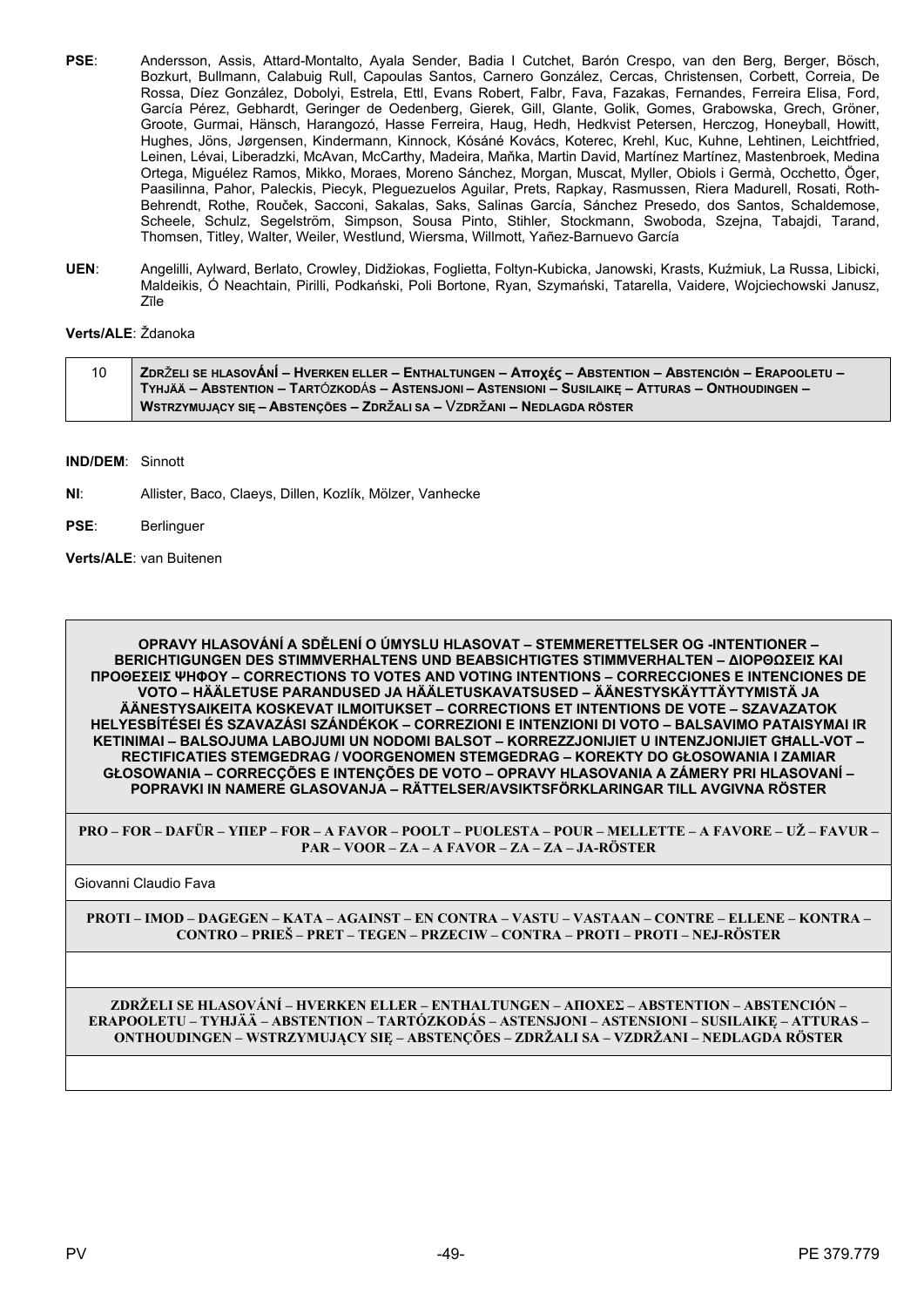- **PSE**: Andersson, Assis, Attard-Montalto, Ayala Sender, Badia I Cutchet, Barón Crespo, van den Berg, Berger, Bösch, Bozkurt, Bullmann, Calabuig Rull, Capoulas Santos, Carnero González, Cercas, Christensen, Corbett, Correia, De Rossa, Díez González, Dobolyi, Estrela, Ettl, Evans Robert, Falbr, Fava, Fazakas, Fernandes, Ferreira Elisa, Ford, García Pérez, Gebhardt, Geringer de Oedenberg, Gierek, Gill, Glante, Golik, Gomes, Grabowska, Grech, Gröner, Groote, Gurmai, Hänsch, Harangozó, Hasse Ferreira, Haug, Hedh, Hedkvist Petersen, Herczog, Honeyball, Howitt, Hughes, Jöns, Jørgensen, Kindermann, Kinnock, Kósáné Kovács, Koterec, Krehl, Kuc, Kuhne, Lehtinen, Leichtfried, Leinen, Lévai, Liberadzki, McAvan, McCarthy, Madeira, Maňka, Martin David, Martínez Martínez, Mastenbroek, Medina Ortega, Miguélez Ramos, Mikko, Moraes, Moreno Sánchez, Morgan, Muscat, Myller, Obiols i Germà, Occhetto, Öger, Paasilinna, Pahor, Paleckis, Piecyk, Pleguezuelos Aguilar, Prets, Rapkay, Rasmussen, Riera Madurell, Rosati, Roth-Behrendt, Rothe, Rouček, Sacconi, Sakalas, Saks, Salinas García, Sánchez Presedo, dos Santos, Schaldemose, Scheele, Schulz, Segelström, Simpson, Sousa Pinto, Stihler, Stockmann, Swoboda, Szejna, Tabajdi, Tarand, Thomsen, Titley, Walter, Weiler, Westlund, Wiersma, Willmott, Yañez-Barnuevo García
- **UEN**: Angelilli, Aylward, Berlato, Crowley, Didžiokas, Foglietta, Foltyn-Kubicka, Janowski, Krasts, Kuźmiuk, La Russa, Libicki, Maldeikis, Ó Neachtain, Pirilli, Podkański, Poli Bortone, Ryan, Szymański, Tatarella, Vaidere, Wojciechowski Janusz, Zīle

# **Verts/ALE**: Ždanoka

| 10 | , ZDRŽELI SE HLASOVÁNÍ – HVERKEN ELLER – ENTHALTUNGEN – Αποχές – ABSTENTION – ABSTENCIÓN – ERAPOOLETU – ⁄ |
|----|-----------------------------------------------------------------------------------------------------------|
|    | TYHJÄÄ – ABSTENTION – TARTÓZKODÁS – ASTENSJONI – ASTENSIONI – SUSILAIKE – ATTURAS – ONTHOUDINGEN –        |
|    | WSTRZYMUJĄCY SIĘ – ABSTENÇÕES – ZDRŽALI SA – VZDRŽANI – NEDLAGDA RÖSTER                                   |

**IND/DEM**: Sinnott

- **NI**: Allister, Baco, Claeys, Dillen, Kozlík, Mölzer, Vanhecke
- **PSE**: Berlinguer

**Verts/ALE**: van Buitenen

**OPRAVY HLASOVÁNÍ A SDĚLENÍ O ÚMYSLU HLASOVAT – STEMMERETTELSER OG -INTENTIONER – BERICHTIGUNGEN DES STIMMVERHALTENS UND BEABSICHTIGTES STIMMVERHALTEN – ΔΙΟΡΘΩΣΕΙΣ ΚΑΙ ΠΡΟΘΕΣΕΙΣ ΨΗΦΟΥ – CORRECTIONS TO VOTES AND VOTING INTENTIONS – CORRECCIONES E INTENCIONES DE VOTO – HÄÄLETUSE PARANDUSED JA HÄÄLETUSKAVATSUSED – ÄÄNESTYSKÄYTTÄYTYMISTÄ JA ÄÄNESTYSAIKEITA KOSKEVAT ILMOITUKSET – CORRECTIONS ET INTENTIONS DE VOTE – SZAVAZATOK HELYESBÍTÉSEI ÉS SZAVAZÁSI SZÁNDÉKOK – CORREZIONI E INTENZIONI DI VOTO – BALSAVIMO PATAISYMAI IR KETINIMAI – BALSOJUMA LABOJUMI UN NODOMI BALSOT – KORREZZJONIJIET U INTENZJONIJIET GĦALL-VOT – RECTIFICATIES STEMGEDRAG / VOORGENOMEN STEMGEDRAG – KOREKTY DO GŁOSOWANIA I ZAMIAR GŁOSOWANIA – CORRECÇÕES E INTENÇÕES DE VOTO – OPRAVY HLASOVANIA A ZÁMERY PRI HLASOVANÍ – POPRAVKI IN NAMERE GLASOVANJA – RÄTTELSER/AVSIKTSFÖRKLARINGAR TILL AVGIVNA RÖSTER**

**PRO – FOR – DAFÜR – ΥΠΕΡ – FOR – A FAVOR – POOLT – PUOLESTA – POUR – MELLETTE – A FAVORE – UŽ – FAVUR – PAR – VOOR – ZA – A FAVOR – ZA – ZA – JA-RÖSTER**

Giovanni Claudio Fava

**PROTI – IMOD – DAGEGEN – ΚΑΤΑ – AGAINST – EN CONTRA – VASTU – VASTAAN – CONTRE – ELLENE – KONTRA – CONTRO – PRIEŠ – PRET – TEGEN – PRZECIW – CONTRA – PROTI – PROTI – NEJ-RÖSTER**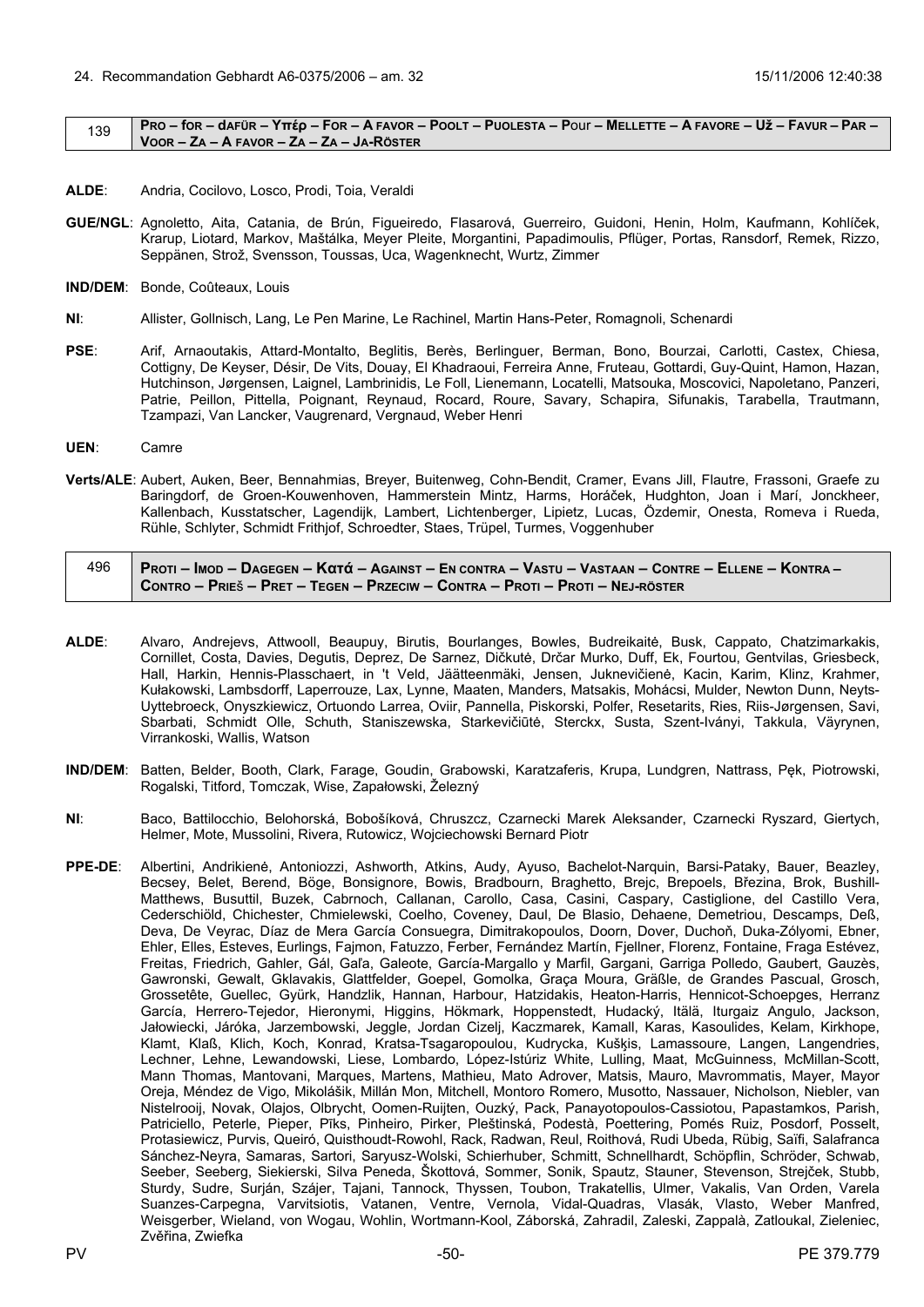#### <span id="page-49-0"></span> $_{139}$  PRO – for – dafür – Yttép – For – A Favor – Poolt – Puolesta – Pour – Mellette – A Favore – Už – Favur – Par – **VOOR – ZA – A FAVOR – ZA – ZA – JA-RÖSTER**

- **ALDE**: Andria, Cocilovo, Losco, Prodi, Toia, Veraldi
- **GUE/NGL**: Agnoletto, Aita, Catania, de Brún, Figueiredo, Flasarová, Guerreiro, Guidoni, Henin, Holm, Kaufmann, Kohlíček, Krarup, Liotard, Markov, Maštálka, Meyer Pleite, Morgantini, Papadimoulis, Pflüger, Portas, Ransdorf, Remek, Rizzo, Seppänen, Strož, Svensson, Toussas, Uca, Wagenknecht, Wurtz, Zimmer
- **IND/DEM**: Bonde, Coûteaux, Louis
- **NI**: Allister, Gollnisch, Lang, Le Pen Marine, Le Rachinel, Martin Hans-Peter, Romagnoli, Schenardi
- **PSE**: Arif, Arnaoutakis, Attard-Montalto, Beglitis, Berès, Berlinguer, Berman, Bono, Bourzai, Carlotti, Castex, Chiesa, Cottigny, De Keyser, Désir, De Vits, Douay, El Khadraoui, Ferreira Anne, Fruteau, Gottardi, Guy-Quint, Hamon, Hazan, Hutchinson, Jørgensen, Laignel, Lambrinidis, Le Foll, Lienemann, Locatelli, Matsouka, Moscovici, Napoletano, Panzeri, Patrie, Peillon, Pittella, Poignant, Reynaud, Rocard, Roure, Savary, Schapira, Sifunakis, Tarabella, Trautmann, Tzampazi, Van Lancker, Vaugrenard, Vergnaud, Weber Henri
- **UEN**: Camre
- **Verts/ALE**: Aubert, Auken, Beer, Bennahmias, Breyer, Buitenweg, Cohn-Bendit, Cramer, Evans Jill, Flautre, Frassoni, Graefe zu Baringdorf, de Groen-Kouwenhoven, Hammerstein Mintz, Harms, Horáček, Hudghton, Joan i Marí, Jonckheer, Kallenbach, Kusstatscher, Lagendijk, Lambert, Lichtenberger, Lipietz, Lucas, Özdemir, Onesta, Romeva i Rueda, Rühle, Schlyter, Schmidt Frithjof, Schroedter, Staes, Trüpel, Turmes, Voggenhuber

| 496 | Proti – Imod – Dagegen – Κατά – Against – En contra – Vastu – Vastaan – Contre – Ellene – Kontra – |
|-----|----------------------------------------------------------------------------------------------------|
|     | Contro – Prieš – Pret – Tegen – Przeciw – Contra – Proti – Proti – Nej-röster                      |

- **ALDE**: Alvaro, Andrejevs, Attwooll, Beaupuy, Birutis, Bourlanges, Bowles, Budreikaitė, Busk, Cappato, Chatzimarkakis, Cornillet, Costa, Davies, Degutis, Deprez, De Sarnez, Dičkutė, Drčar Murko, Duff, Ek, Fourtou, Gentvilas, Griesbeck, Hall, Harkin, Hennis-Plasschaert, in 't Veld, Jäätteenmäki, Jensen, Juknevičienė, Kacin, Karim, Klinz, Krahmer, Kułakowski, Lambsdorff, Laperrouze, Lax, Lynne, Maaten, Manders, Matsakis, Mohácsi, Mulder, Newton Dunn, Neyts-Uyttebroeck, Onyszkiewicz, Ortuondo Larrea, Oviir, Pannella, Piskorski, Polfer, Resetarits, Ries, Riis-Jørgensen, Savi, Sbarbati, Schmidt Olle, Schuth, Staniszewska, Starkevičiūtė, Sterckx, Susta, Szent-Iványi, Takkula, Väyrynen, Virrankoski, Wallis, Watson
- **IND/DEM**: Batten, Belder, Booth, Clark, Farage, Goudin, Grabowski, Karatzaferis, Krupa, Lundgren, Nattrass, Pęk, Piotrowski, Rogalski, Titford, Tomczak, Wise, Zapałowski, Železný
- **NI**: Baco, Battilocchio, Belohorská, Bobošíková, Chruszcz, Czarnecki Marek Aleksander, Czarnecki Ryszard, Giertych, Helmer, Mote, Mussolini, Rivera, Rutowicz, Wojciechowski Bernard Piotr
- **PPE-DE**: Albertini, Andrikienė, Antoniozzi, Ashworth, Atkins, Audy, Ayuso, Bachelot-Narquin, Barsi-Pataky, Bauer, Beazley, Becsey, Belet, Berend, Böge, Bonsignore, Bowis, Bradbourn, Braghetto, Brejc, Brepoels, Březina, Brok, Bushill-Matthews, Busuttil, Buzek, Cabrnoch, Callanan, Carollo, Casa, Casini, Caspary, Castiglione, del Castillo Vera, Cederschiöld, Chichester, Chmielewski, Coelho, Coveney, Daul, De Blasio, Dehaene, Demetriou, Descamps, Deß, Deva, De Veyrac, Díaz de Mera García Consuegra, Dimitrakopoulos, Doorn, Dover, Duchoň, Duka-Zólyomi, Ebner, Ehler, Elles, Esteves, Eurlings, Fajmon, Fatuzzo, Ferber, Fernández Martín, Fjellner, Florenz, Fontaine, Fraga Estévez, Freitas, Friedrich, Gahler, Gál, Gaľa, Galeote, García-Margallo y Marfil, Gargani, Garriga Polledo, Gaubert, Gauzès, Gawronski, Gewalt, Gklavakis, Glattfelder, Goepel, Gomolka, Graça Moura, Gräßle, de Grandes Pascual, Grosch, Grossetête, Guellec, Gyürk, Handzlik, Hannan, Harbour, Hatzidakis, Heaton-Harris, Hennicot-Schoepges, Herranz García, Herrero-Tejedor, Hieronymi, Higgins, Hökmark, Hoppenstedt, Hudacký, Itälä, Iturgaiz Angulo, Jackson, Jałowiecki, Járóka, Jarzembowski, Jeggle, Jordan Cizelj, Kaczmarek, Kamall, Karas, Kasoulides, Kelam, Kirkhope, Klamt, Klaß, Klich, Koch, Konrad, Kratsa-Tsagaropoulou, Kudrycka, Kušķis, Lamassoure, Langen, Langendries, Lechner, Lehne, Lewandowski, Liese, Lombardo, López-Istúriz White, Lulling, Maat, McGuinness, McMillan-Scott, Mann Thomas, Mantovani, Marques, Martens, Mathieu, Mato Adrover, Matsis, Mauro, Mavrommatis, Mayer, Mayor Oreja, Méndez de Vigo, Mikolášik, Millán Mon, Mitchell, Montoro Romero, Musotto, Nassauer, Nicholson, Niebler, van Nistelrooij, Novak, Olajos, Olbrycht, Oomen-Ruijten, Ouzký, Pack, Panayotopoulos-Cassiotou, Papastamkos, Parish, Patriciello, Peterle, Pieper, Pīks, Pinheiro, Pirker, Pleštinská, Podestà, Poettering, Pomés Ruiz, Posdorf, Posselt, Protasiewicz, Purvis, Queiró, Quisthoudt-Rowohl, Rack, Radwan, Reul, Roithová, Rudi Ubeda, Rübig, Saïfi, Salafranca Sánchez-Neyra, Samaras, Sartori, Saryusz-Wolski, Schierhuber, Schmitt, Schnellhardt, Schöpflin, Schröder, Schwab, Seeber, Seeberg, Siekierski, Silva Peneda, Škottová, Sommer, Sonik, Spautz, Stauner, Stevenson, Strejček, Stubb, Sturdy, Sudre, Surján, Szájer, Tajani, Tannock, Thyssen, Toubon, Trakatellis, Ulmer, Vakalis, Van Orden, Varela Suanzes-Carpegna, Varvitsiotis, Vatanen, Ventre, Vernola, Vidal-Quadras, Vlasák, Vlasto, Weber Manfred, Weisgerber, Wieland, von Wogau, Wohlin, Wortmann-Kool, Záborská, Zahradil, Zaleski, Zappalà, Zatloukal, Zieleniec, Zvěřina, Zwiefka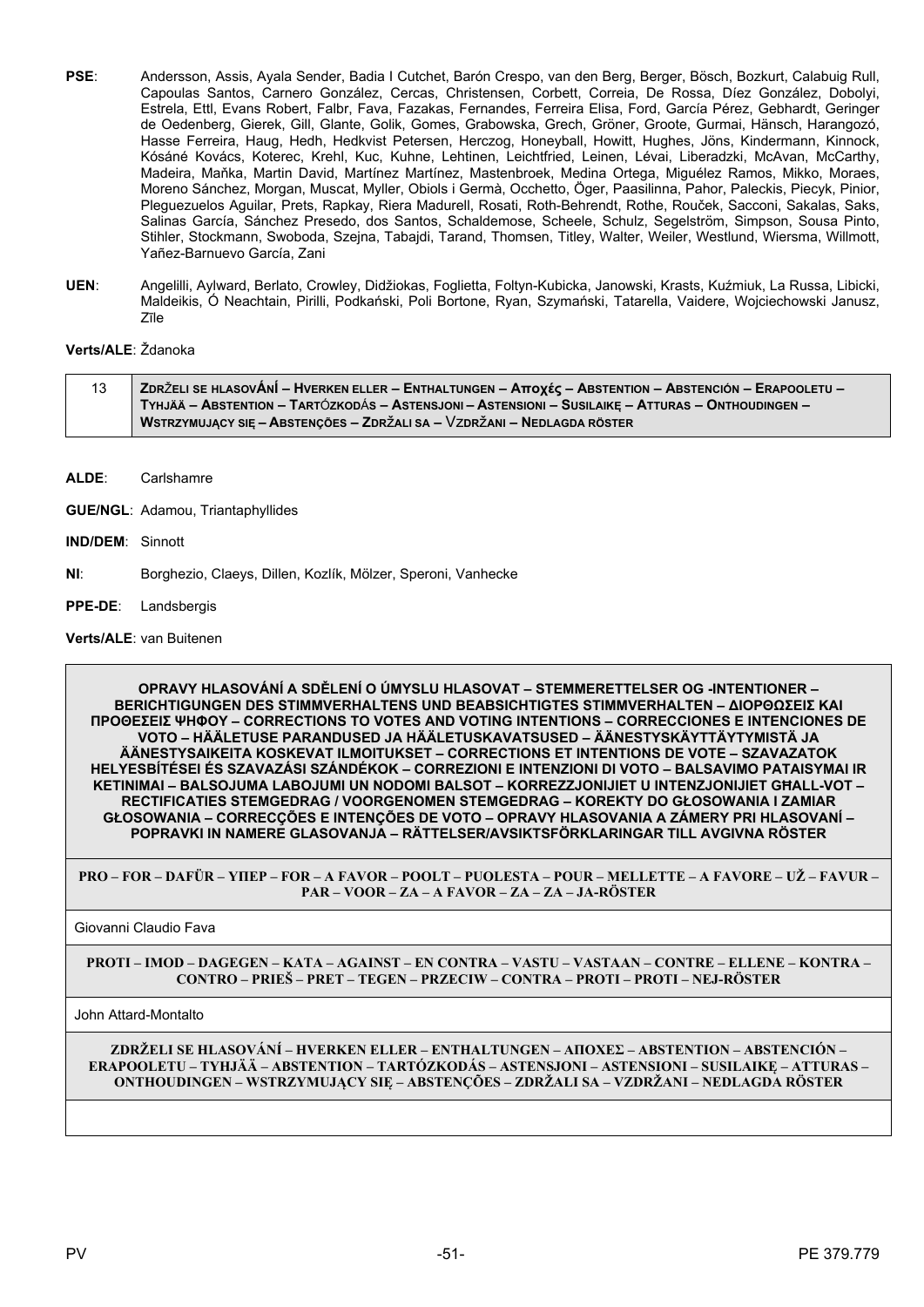- PSE: Andersson, Assis, Ayala Sender, Badia I Cutchet, Barón Crespo, van den Berg, Berger, Bösch, Bozkurt, Calabuig Rull, Capoulas Santos, Carnero González, Cercas, Christensen, Corbett, Correia, De Rossa, Díez González, Dobolyi, Estrela, Ettl, Evans Robert, Falbr, Fava, Fazakas, Fernandes, Ferreira Elisa, Ford, García Pérez, Gebhardt, Geringer de Oedenberg, Gierek, Gill, Glante, Golik, Gomes, Grabowska, Grech, Gröner, Groote, Gurmai, Hänsch, Harangozó, Hasse Ferreira, Haug, Hedh, Hedkvist Petersen, Herczog, Honeyball, Howitt, Hughes, Jöns, Kindermann, Kinnock, Kósáné Kovács, Koterec, Krehl, Kuc, Kuhne, Lehtinen, Leichtfried, Leinen, Lévai, Liberadzki, McAvan, McCarthy, Madeira, Maňka, Martin David, Martínez Martínez, Mastenbroek, Medina Ortega, Miguélez Ramos, Mikko, Moraes, Moreno Sánchez, Morgan, Muscat, Myller, Obiols i Germà, Occhetto, Öger, Paasilinna, Pahor, Paleckis, Piecyk, Pinior, Pleguezuelos Aguilar, Prets, Rapkay, Riera Madurell, Rosati, Roth-Behrendt, Rothe, Rouček, Sacconi, Sakalas, Saks, Salinas García, Sánchez Presedo, dos Santos, Schaldemose, Scheele, Schulz, Segelström, Simpson, Sousa Pinto, Stihler, Stockmann, Swoboda, Szejna, Tabajdi, Tarand, Thomsen, Titley, Walter, Weiler, Westlund, Wiersma, Willmott, Yañez-Barnuevo García, Zani
- **UEN**: Angelilli, Aylward, Berlato, Crowley, Didžiokas, Foglietta, Foltyn-Kubicka, Janowski, Krasts, Kuźmiuk, La Russa, Libicki, Maldeikis, Ó Neachtain, Pirilli, Podkański, Poli Bortone, Ryan, Szymański, Tatarella, Vaidere, Wojciechowski Janusz, Zīle

# **Verts/ALE**: Ždanoka

| ZDRŽELI SE HLASOVÁNÍ – HVERKEN ELLER – ENTHALTUNGEN – Αποχές – ABSTENTION – ABSTENCIÓN – ERAPOOLETU – |
|-------------------------------------------------------------------------------------------------------|
| TYHJÄÄ – ABSTENTION – TARTÓZKODÁS – ASTENSJONI – ASTENSIONI – SUSILAIKE – ATTURAS – ONTHOUDINGEN –    |
| WSTRZYMUJĄCY SIĘ – ABSTENÇÕES – ZDRŽALI SA – VZDRŽANI – NEDLAGDA RÖSTER                               |

- **ALDE**: Carlshamre
- **GUE/NGL**: Adamou, Triantaphyllides
- **IND/DEM**: Sinnott
- **NI**: Borghezio, Claeys, Dillen, Kozlík, Mölzer, Speroni, Vanhecke
- **PPE-DE**: Landsbergis

# **Verts/ALE**: van Buitenen

**OPRAVY HLASOVÁNÍ A SDĚLENÍ O ÚMYSLU HLASOVAT – STEMMERETTELSER OG -INTENTIONER – BERICHTIGUNGEN DES STIMMVERHALTENS UND BEABSICHTIGTES STIMMVERHALTEN – ΔΙΟΡΘΩΣΕΙΣ ΚΑΙ ΠΡΟΘΕΣΕΙΣ ΨΗΦΟΥ – CORRECTIONS TO VOTES AND VOTING INTENTIONS – CORRECCIONES E INTENCIONES DE VOTO – HÄÄLETUSE PARANDUSED JA HÄÄLETUSKAVATSUSED – ÄÄNESTYSKÄYTTÄYTYMISTÄ JA ÄÄNESTYSAIKEITA KOSKEVAT ILMOITUKSET – CORRECTIONS ET INTENTIONS DE VOTE – SZAVAZATOK HELYESBÍTÉSEI ÉS SZAVAZÁSI SZÁNDÉKOK – CORREZIONI E INTENZIONI DI VOTO – BALSAVIMO PATAISYMAI IR KETINIMAI – BALSOJUMA LABOJUMI UN NODOMI BALSOT – KORREZZJONIJIET U INTENZJONIJIET GĦALL-VOT – RECTIFICATIES STEMGEDRAG / VOORGENOMEN STEMGEDRAG – KOREKTY DO GŁOSOWANIA I ZAMIAR GŁOSOWANIA – CORRECÇÕES E INTENÇÕES DE VOTO – OPRAVY HLASOVANIA A ZÁMERY PRI HLASOVANÍ – POPRAVKI IN NAMERE GLASOVANJA – RÄTTELSER/AVSIKTSFÖRKLARINGAR TILL AVGIVNA RÖSTER**

**PRO – FOR – DAFÜR – ΥΠΕΡ – FOR – A FAVOR – POOLT – PUOLESTA – POUR – MELLETTE – A FAVORE – UŽ – FAVUR – PAR – VOOR – ZA – A FAVOR – ZA – ZA – JA-RÖSTER**

Giovanni Claudio Fava

**PROTI – IMOD – DAGEGEN – ΚΑΤΑ – AGAINST – EN CONTRA – VASTU – VASTAAN – CONTRE – ELLENE – KONTRA – CONTRO – PRIEŠ – PRET – TEGEN – PRZECIW – CONTRA – PROTI – PROTI – NEJ-RÖSTER**

John Attard-Montalto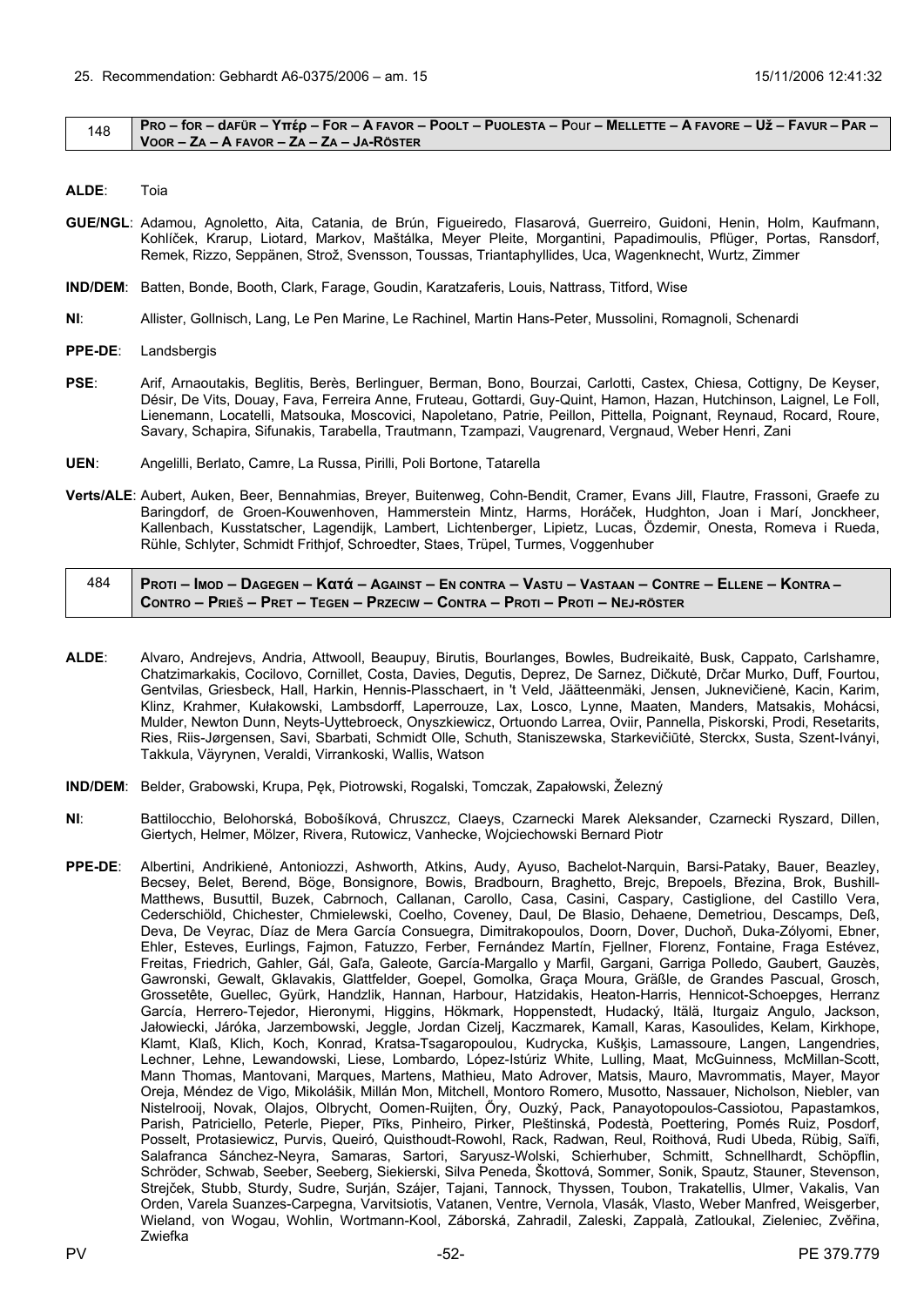#### <span id="page-51-0"></span> $148$  PRO – for – dafür – Yttép – For – A Favor – Poolt – Puolesta – Pour – Mellette – A Favore – Už – Favur – Par – **VOOR – ZA – A FAVOR – ZA – ZA – JA-RÖSTER**

- **ALDE**: Toia
- **GUE/NGL**: Adamou, Agnoletto, Aita, Catania, de Brún, Figueiredo, Flasarová, Guerreiro, Guidoni, Henin, Holm, Kaufmann, Kohlíček, Krarup, Liotard, Markov, Maštálka, Meyer Pleite, Morgantini, Papadimoulis, Pflüger, Portas, Ransdorf, Remek, Rizzo, Seppänen, Strož, Svensson, Toussas, Triantaphyllides, Uca, Wagenknecht, Wurtz, Zimmer
- **IND/DEM**: Batten, Bonde, Booth, Clark, Farage, Goudin, Karatzaferis, Louis, Nattrass, Titford, Wise
- **NI**: Allister, Gollnisch, Lang, Le Pen Marine, Le Rachinel, Martin Hans-Peter, Mussolini, Romagnoli, Schenardi
- **PPE-DE**: Landsbergis
- **PSE**: Arif, Arnaoutakis, Beglitis, Berès, Berlinguer, Berman, Bono, Bourzai, Carlotti, Castex, Chiesa, Cottigny, De Keyser, Désir, De Vits, Douay, Fava, Ferreira Anne, Fruteau, Gottardi, Guy-Quint, Hamon, Hazan, Hutchinson, Laignel, Le Foll, Lienemann, Locatelli, Matsouka, Moscovici, Napoletano, Patrie, Peillon, Pittella, Poignant, Reynaud, Rocard, Roure, Savary, Schapira, Sifunakis, Tarabella, Trautmann, Tzampazi, Vaugrenard, Vergnaud, Weber Henri, Zani
- **UEN**: Angelilli, Berlato, Camre, La Russa, Pirilli, Poli Bortone, Tatarella
- **Verts/ALE**: Aubert, Auken, Beer, Bennahmias, Breyer, Buitenweg, Cohn-Bendit, Cramer, Evans Jill, Flautre, Frassoni, Graefe zu Baringdorf, de Groen-Kouwenhoven, Hammerstein Mintz, Harms, Horáček, Hudghton, Joan i Marí, Jonckheer, Kallenbach, Kusstatscher, Lagendijk, Lambert, Lichtenberger, Lipietz, Lucas, Özdemir, Onesta, Romeva i Rueda, Rühle, Schlyter, Schmidt Frithjof, Schroedter, Staes, Trüpel, Turmes, Voggenhuber

| 484 | Proti – Imod – Dagegen – Κατά – Against – En contra – Vastu – Vastaan – Contre – Ellene – Kontra – / |
|-----|------------------------------------------------------------------------------------------------------|
|     | CONTRO – PRIEŠ – PRET – TEGEN – PRZECIW – CONTRA – PROTI – PROTI – NEJ-RÖSTER                        |

- **ALDE**: Alvaro, Andrejevs, Andria, Attwooll, Beaupuy, Birutis, Bourlanges, Bowles, Budreikaitė, Busk, Cappato, Carlshamre, Chatzimarkakis, Cocilovo, Cornillet, Costa, Davies, Degutis, Deprez, De Sarnez, Dičkutė, Drčar Murko, Duff, Fourtou, Gentvilas, Griesbeck, Hall, Harkin, Hennis-Plasschaert, in 't Veld, Jäätteenmäki, Jensen, Juknevičienė, Kacin, Karim, Klinz, Krahmer, Kułakowski, Lambsdorff, Laperrouze, Lax, Losco, Lynne, Maaten, Manders, Matsakis, Mohácsi, Mulder, Newton Dunn, Neyts-Uyttebroeck, Onyszkiewicz, Ortuondo Larrea, Oviir, Pannella, Piskorski, Prodi, Resetarits, Ries, Riis-Jørgensen, Savi, Sbarbati, Schmidt Olle, Schuth, Staniszewska, Starkevičiūtė, Sterckx, Susta, Szent-Iványi, Takkula, Väyrynen, Veraldi, Virrankoski, Wallis, Watson
- **IND/DEM**: Belder, Grabowski, Krupa, Pęk, Piotrowski, Rogalski, Tomczak, Zapałowski, Železný
- **NI**: Battilocchio, Belohorská, Bobošíková, Chruszcz, Claeys, Czarnecki Marek Aleksander, Czarnecki Ryszard, Dillen, Giertych, Helmer, Mölzer, Rivera, Rutowicz, Vanhecke, Wojciechowski Bernard Piotr
- **PPE-DE**: Albertini, Andrikienė, Antoniozzi, Ashworth, Atkins, Audy, Ayuso, Bachelot-Narquin, Barsi-Pataky, Bauer, Beazley, Becsey, Belet, Berend, Böge, Bonsignore, Bowis, Bradbourn, Braghetto, Brejc, Brepoels, Březina, Brok, Bushill-Matthews, Busuttil, Buzek, Cabrnoch, Callanan, Carollo, Casa, Casini, Caspary, Castiglione, del Castillo Vera, Cederschiöld, Chichester, Chmielewski, Coelho, Coveney, Daul, De Blasio, Dehaene, Demetriou, Descamps, Deß, Deva, De Veyrac, Díaz de Mera García Consuegra, Dimitrakopoulos, Doorn, Dover, Duchoň, Duka-Zólyomi, Ebner, Ehler, Esteves, Eurlings, Fajmon, Fatuzzo, Ferber, Fernández Martín, Fjellner, Florenz, Fontaine, Fraga Estévez, Freitas, Friedrich, Gahler, Gál, Gaľa, Galeote, García-Margallo y Marfil, Gargani, Garriga Polledo, Gaubert, Gauzès, Gawronski, Gewalt, Gklavakis, Glattfelder, Goepel, Gomolka, Graça Moura, Gräßle, de Grandes Pascual, Grosch, Grossetête, Guellec, Gyürk, Handzlik, Hannan, Harbour, Hatzidakis, Heaton-Harris, Hennicot-Schoepges, Herranz García, Herrero-Tejedor, Hieronymi, Higgins, Hökmark, Hoppenstedt, Hudacký, Itälä, Iturgaiz Angulo, Jackson, Jałowiecki, Járóka, Jarzembowski, Jeggle, Jordan Cizelj, Kaczmarek, Kamall, Karas, Kasoulides, Kelam, Kirkhope, Klamt, Klaß, Klich, Koch, Konrad, Kratsa-Tsagaropoulou, Kudrycka, Kušķis, Lamassoure, Langen, Langendries, Lechner, Lehne, Lewandowski, Liese, Lombardo, López-Istúriz White, Lulling, Maat, McGuinness, McMillan-Scott, Mann Thomas, Mantovani, Marques, Martens, Mathieu, Mato Adrover, Matsis, Mauro, Mavrommatis, Mayer, Mayor Oreja, Méndez de Vigo, Mikolášik, Millán Mon, Mitchell, Montoro Romero, Musotto, Nassauer, Nicholson, Niebler, van Nistelrooij, Novak, Olajos, Olbrycht, Oomen-Ruijten, Őry, Ouzký, Pack, Panayotopoulos-Cassiotou, Papastamkos, Parish, Patriciello, Peterle, Pieper, Pīks, Pinheiro, Pirker, Pleštinská, Podestà, Poettering, Pomés Ruiz, Posdorf, Posselt, Protasiewicz, Purvis, Queiró, Quisthoudt-Rowohl, Rack, Radwan, Reul, Roithová, Rudi Ubeda, Rübig, Saïfi, Salafranca Sánchez-Neyra, Samaras, Sartori, Saryusz-Wolski, Schierhuber, Schmitt, Schnellhardt, Schöpflin, Schröder, Schwab, Seeber, Seeberg, Siekierski, Silva Peneda, Škottová, Sommer, Sonik, Spautz, Stauner, Stevenson, Strejček, Stubb, Sturdy, Sudre, Surján, Szájer, Tajani, Tannock, Thyssen, Toubon, Trakatellis, Ulmer, Vakalis, Van Orden, Varela Suanzes-Carpegna, Varvitsiotis, Vatanen, Ventre, Vernola, Vlasák, Vlasto, Weber Manfred, Weisgerber, Wieland, von Wogau, Wohlin, Wortmann-Kool, Záborská, Zahradil, Zaleski, Zappalà, Zatloukal, Zieleniec, Zvěřina, Zwiefka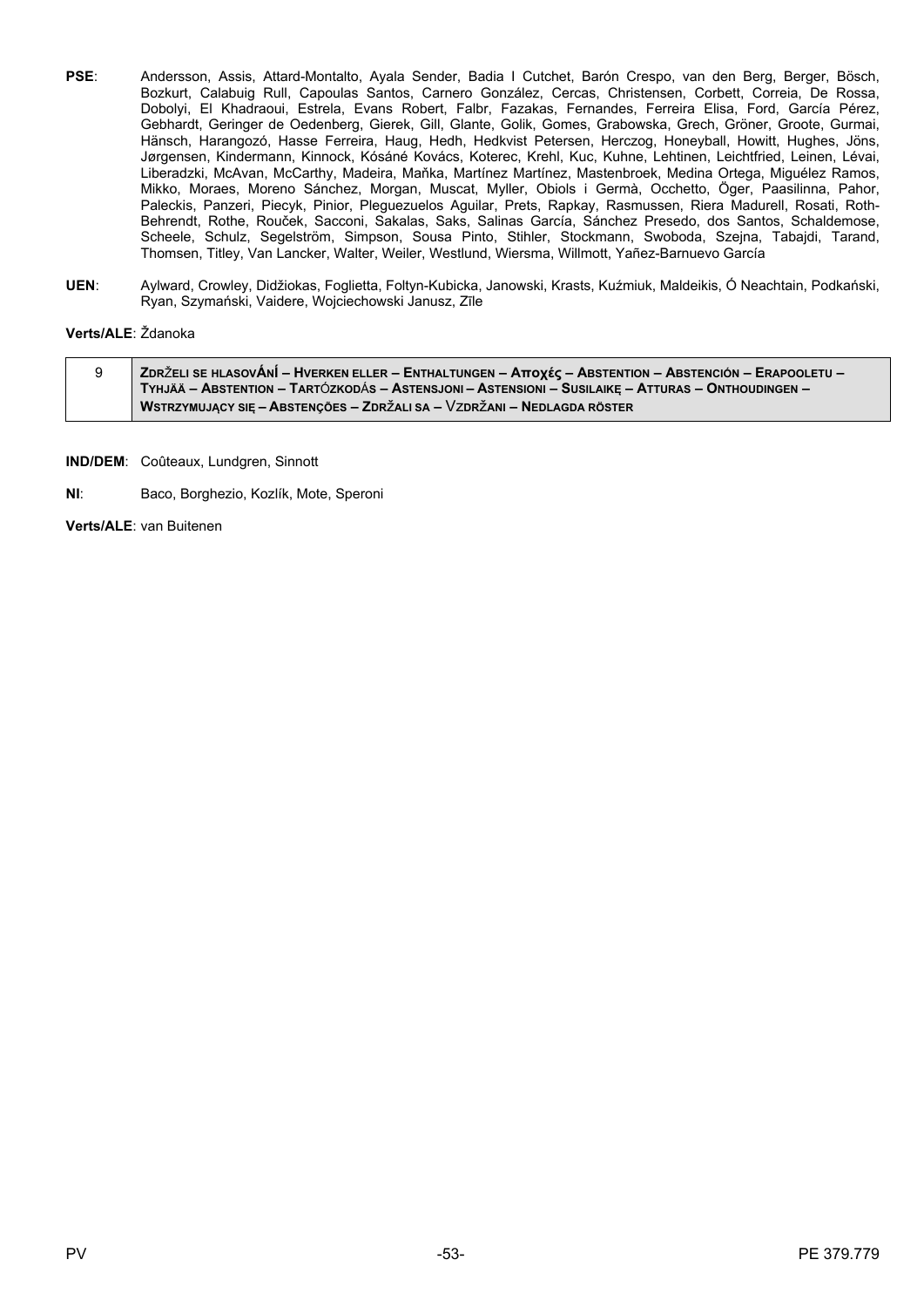- **PSE**: Andersson, Assis, Attard-Montalto, Ayala Sender, Badia I Cutchet, Barón Crespo, van den Berg, Berger, Bösch, Bozkurt, Calabuig Rull, Capoulas Santos, Carnero González, Cercas, Christensen, Corbett, Correia, De Rossa, Dobolyi, El Khadraoui, Estrela, Evans Robert, Falbr, Fazakas, Fernandes, Ferreira Elisa, Ford, García Pérez, Gebhardt, Geringer de Oedenberg, Gierek, Gill, Glante, Golik, Gomes, Grabowska, Grech, Gröner, Groote, Gurmai, Hänsch, Harangozó, Hasse Ferreira, Haug, Hedh, Hedkvist Petersen, Herczog, Honeyball, Howitt, Hughes, Jöns, Jørgensen, Kindermann, Kinnock, Kósáné Kovács, Koterec, Krehl, Kuc, Kuhne, Lehtinen, Leichtfried, Leinen, Lévai, Liberadzki, McAvan, McCarthy, Madeira, Maňka, Martínez Martínez, Mastenbroek, Medina Ortega, Miguélez Ramos, Mikko, Moraes, Moreno Sánchez, Morgan, Muscat, Myller, Obiols i Germà, Occhetto, Öger, Paasilinna, Pahor, Paleckis, Panzeri, Piecyk, Pinior, Pleguezuelos Aguilar, Prets, Rapkay, Rasmussen, Riera Madurell, Rosati, Roth-Behrendt, Rothe, Rouček, Sacconi, Sakalas, Saks, Salinas García, Sánchez Presedo, dos Santos, Schaldemose, Scheele, Schulz, Segelström, Simpson, Sousa Pinto, Stihler, Stockmann, Swoboda, Szejna, Tabajdi, Tarand, Thomsen, Titley, Van Lancker, Walter, Weiler, Westlund, Wiersma, Willmott, Yañez-Barnuevo García
- **UEN**: Aylward, Crowley, Didžiokas, Foglietta, Foltyn-Kubicka, Janowski, Krasts, Kuźmiuk, Maldeikis, Ó Neachtain, Podkański, Ryan, Szymański, Vaidere, Wojciechowski Janusz, Zīle

# **Verts/ALE**: Ždanoka

| ZDRŽELI SE HLASOVÁNÍ – HVERKEN ELLER – ENTHALTUNGEN – Αποχές – ABSTENTION – ABSTENCIÓN – ERAPOOLETU – / |
|---------------------------------------------------------------------------------------------------------|
| TYHJÄÄ – ABSTENTION – TARTÓZKODÁS – ASTENSJONI – ASTENSIONI – SUSILAIKE – ATTURAS – ONTHOUDINGEN –      |
| , WSTRZYMUJĄCY SIĘ – ABSTENÇÕES – ZDRŽALI SA – VZDRŽANI – NEDLAGDA RÖSTER $\overline{ }$                |

**IND/DEM**: Coûteaux, Lundgren, Sinnott

**NI**: Baco, Borghezio, Kozlík, Mote, Speroni

**Verts/ALE**: van Buitenen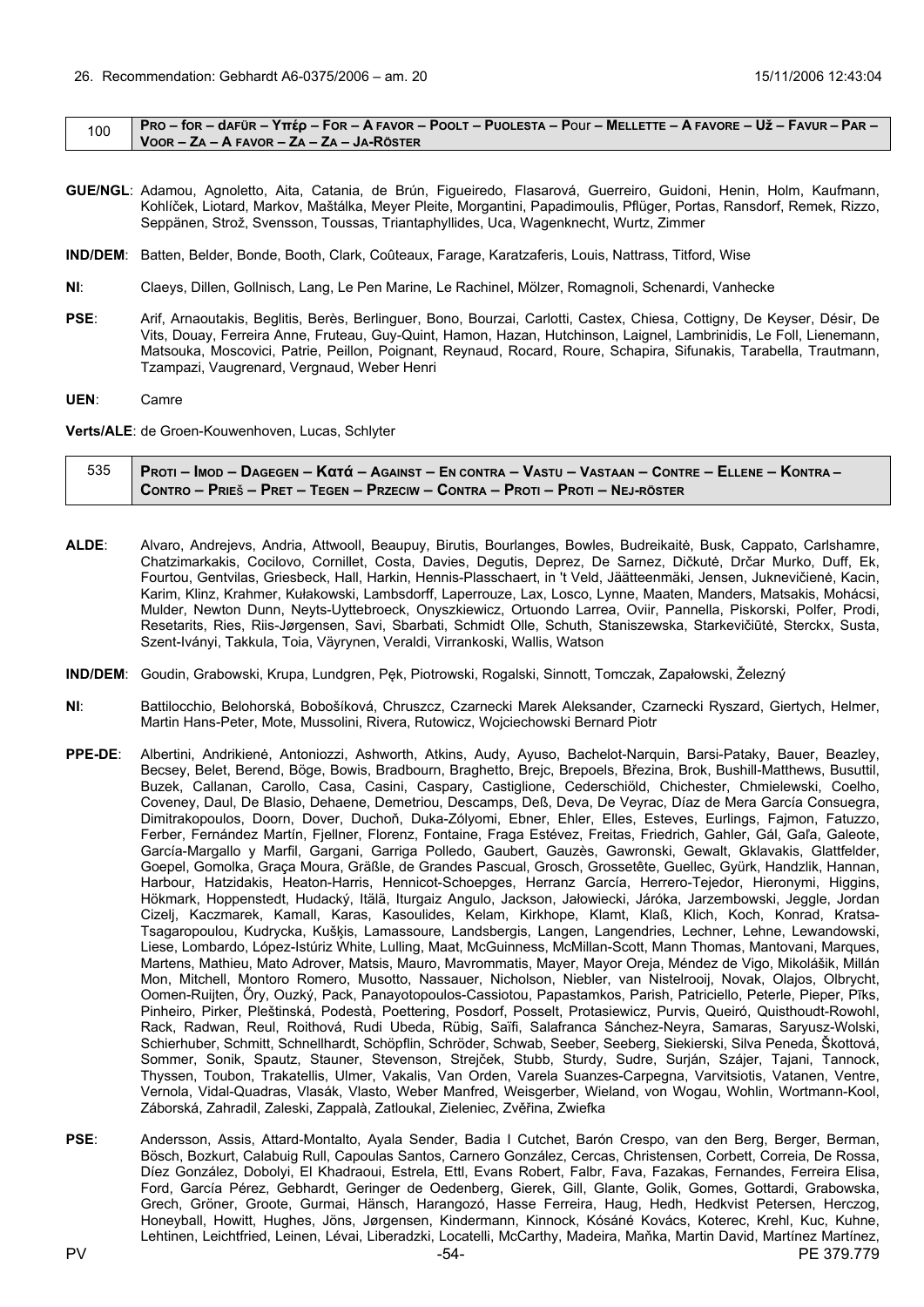<span id="page-53-0"></span>

|  | DRO – for – dafür – Yπέρ – For – A favor – Poolt – Puolesta – Pour – Mellette – A favore – Už – Favur – Par – D |
|--|-----------------------------------------------------------------------------------------------------------------|
|  | VOOR – ZA – A FAVOR – ZA – ZA – JA-RÖSTER                                                                       |

- **GUE/NGL**: Adamou, Agnoletto, Aita, Catania, de Brún, Figueiredo, Flasarová, Guerreiro, Guidoni, Henin, Holm, Kaufmann, Kohlíček, Liotard, Markov, Maštálka, Meyer Pleite, Morgantini, Papadimoulis, Pflüger, Portas, Ransdorf, Remek, Rizzo, Seppänen, Strož, Svensson, Toussas, Triantaphyllides, Uca, Wagenknecht, Wurtz, Zimmer
- **IND/DEM**: Batten, Belder, Bonde, Booth, Clark, Coûteaux, Farage, Karatzaferis, Louis, Nattrass, Titford, Wise
- **NI**: Claeys, Dillen, Gollnisch, Lang, Le Pen Marine, Le Rachinel, Mölzer, Romagnoli, Schenardi, Vanhecke
- **PSE**: Arif, Arnaoutakis, Beglitis, Berès, Berlinguer, Bono, Bourzai, Carlotti, Castex, Chiesa, Cottigny, De Keyser, Désir, De Vits, Douay, Ferreira Anne, Fruteau, Guy-Quint, Hamon, Hazan, Hutchinson, Laignel, Lambrinidis, Le Foll, Lienemann, Matsouka, Moscovici, Patrie, Peillon, Poignant, Reynaud, Rocard, Roure, Schapira, Sifunakis, Tarabella, Trautmann, Tzampazi, Vaugrenard, Vergnaud, Weber Henri
- **UEN**: Camre

**Verts/ALE**: de Groen-Kouwenhoven, Lucas, Schlyter

| 535 Proti – Imod – Dagegen – Kαtά – Against – En contra – Vastu – Vastaan – Contre – Ellene – Kontra – / |
|----------------------------------------------------------------------------------------------------------|
| CONTRO – PRIEŠ – PRET – TEGEN – PRZECIW – CONTRA – PROTI – PROTI – NEJ-RÖSTER /                          |

- **ALDE**: Alvaro, Andrejevs, Andria, Attwooll, Beaupuy, Birutis, Bourlanges, Bowles, Budreikaitė, Busk, Cappato, Carlshamre, Chatzimarkakis, Cocilovo, Cornillet, Costa, Davies, Degutis, Deprez, De Sarnez, Dičkutė, Drčar Murko, Duff, Ek, Fourtou, Gentvilas, Griesbeck, Hall, Harkin, Hennis-Plasschaert, in 't Veld, Jäätteenmäki, Jensen, Juknevičienė, Kacin, Karim, Klinz, Krahmer, Kułakowski, Lambsdorff, Laperrouze, Lax, Losco, Lynne, Maaten, Manders, Matsakis, Mohácsi, Mulder, Newton Dunn, Neyts-Uyttebroeck, Onyszkiewicz, Ortuondo Larrea, Oviir, Pannella, Piskorski, Polfer, Prodi, Resetarits, Ries, Riis-Jørgensen, Savi, Sbarbati, Schmidt Olle, Schuth, Staniszewska, Starkevičiūtė, Sterckx, Susta, Szent-Iványi, Takkula, Toia, Väyrynen, Veraldi, Virrankoski, Wallis, Watson
- **IND/DEM**: Goudin, Grabowski, Krupa, Lundgren, Pęk, Piotrowski, Rogalski, Sinnott, Tomczak, Zapałowski, Železný
- **NI**: Battilocchio, Belohorská, Bobošíková, Chruszcz, Czarnecki Marek Aleksander, Czarnecki Ryszard, Giertych, Helmer, Martin Hans-Peter, Mote, Mussolini, Rivera, Rutowicz, Wojciechowski Bernard Piotr
- **PPE-DE**: Albertini, Andrikienė, Antoniozzi, Ashworth, Atkins, Audy, Ayuso, Bachelot-Narquin, Barsi-Pataky, Bauer, Beazley, Becsey, Belet, Berend, Böge, Bowis, Bradbourn, Braghetto, Brejc, Brepoels, Březina, Brok, Bushill-Matthews, Busuttil, Buzek, Callanan, Carollo, Casa, Casini, Caspary, Castiglione, Cederschiöld, Chichester, Chmielewski, Coelho, Coveney, Daul, De Blasio, Dehaene, Demetriou, Descamps, Deß, Deva, De Veyrac, Díaz de Mera García Consuegra, Dimitrakopoulos, Doorn, Dover, Duchoň, Duka-Zólyomi, Ebner, Ehler, Elles, Esteves, Eurlings, Fajmon, Fatuzzo, Ferber, Fernández Martín, Fjellner, Florenz, Fontaine, Fraga Estévez, Freitas, Friedrich, Gahler, Gál, Gaľa, Galeote, García-Margallo y Marfil, Gargani, Garriga Polledo, Gaubert, Gauzès, Gawronski, Gewalt, Gklavakis, Glattfelder, Goepel, Gomolka, Graça Moura, Gräßle, de Grandes Pascual, Grosch, Grossetête, Guellec, Gyürk, Handzlik, Hannan, Harbour, Hatzidakis, Heaton-Harris, Hennicot-Schoepges, Herranz García, Herrero-Tejedor, Hieronymi, Higgins, Hökmark, Hoppenstedt, Hudacký, Itälä, Iturgaiz Angulo, Jackson, Jałowiecki, Járóka, Jarzembowski, Jeggle, Jordan Cizelj, Kaczmarek, Kamall, Karas, Kasoulides, Kelam, Kirkhope, Klamt, Klaß, Klich, Koch, Konrad, Kratsa-Tsagaropoulou, Kudrycka, Kušķis, Lamassoure, Landsbergis, Langen, Langendries, Lechner, Lehne, Lewandowski, Liese, Lombardo, López-Istúriz White, Lulling, Maat, McGuinness, McMillan-Scott, Mann Thomas, Mantovani, Marques, Martens, Mathieu, Mato Adrover, Matsis, Mauro, Mavrommatis, Mayer, Mayor Oreja, Méndez de Vigo, Mikolášik, Millán Mon, Mitchell, Montoro Romero, Musotto, Nassauer, Nicholson, Niebler, van Nistelrooij, Novak, Olajos, Olbrycht, Oomen-Ruijten, Őry, Ouzký, Pack, Panayotopoulos-Cassiotou, Papastamkos, Parish, Patriciello, Peterle, Pieper, Pīks, Pinheiro, Pirker, Pleštinská, Podestà, Poettering, Posdorf, Posselt, Protasiewicz, Purvis, Queiró, Quisthoudt-Rowohl, Rack, Radwan, Reul, Roithová, Rudi Ubeda, Rübig, Saïfi, Salafranca Sánchez-Neyra, Samaras, Saryusz-Wolski, Schierhuber, Schmitt, Schnellhardt, Schöpflin, Schröder, Schwab, Seeber, Seeberg, Siekierski, Silva Peneda, Škottová, Sommer, Sonik, Spautz, Stauner, Stevenson, Strejček, Stubb, Sturdy, Sudre, Surján, Szájer, Tajani, Tannock, Thyssen, Toubon, Trakatellis, Ulmer, Vakalis, Van Orden, Varela Suanzes-Carpegna, Varvitsiotis, Vatanen, Ventre, Vernola, Vidal-Quadras, Vlasák, Vlasto, Weber Manfred, Weisgerber, Wieland, von Wogau, Wohlin, Wortmann-Kool, Záborská, Zahradil, Zaleski, Zappalà, Zatloukal, Zieleniec, Zvěřina, Zwiefka
- **PSE**: Andersson, Assis, Attard-Montalto, Ayala Sender, Badia I Cutchet, Barón Crespo, van den Berg, Berger, Berman, Bösch, Bozkurt, Calabuig Rull, Capoulas Santos, Carnero González, Cercas, Christensen, Corbett, Correia, De Rossa, Díez González, Dobolyi, El Khadraoui, Estrela, Ettl, Evans Robert, Falbr, Fava, Fazakas, Fernandes, Ferreira Elisa, Ford, García Pérez, Gebhardt, Geringer de Oedenberg, Gierek, Gill, Glante, Golik, Gomes, Gottardi, Grabowska, Grech, Gröner, Groote, Gurmai, Hänsch, Harangozó, Hasse Ferreira, Haug, Hedh, Hedkvist Petersen, Herczog, Honeyball, Howitt, Hughes, Jöns, Jørgensen, Kindermann, Kinnock, Kósáné Kovács, Koterec, Krehl, Kuc, Kuhne, Lehtinen, Leichtfried, Leinen, Lévai, Liberadzki, Locatelli, McCarthy, Madeira, Maňka, Martin David, Martínez Martínez,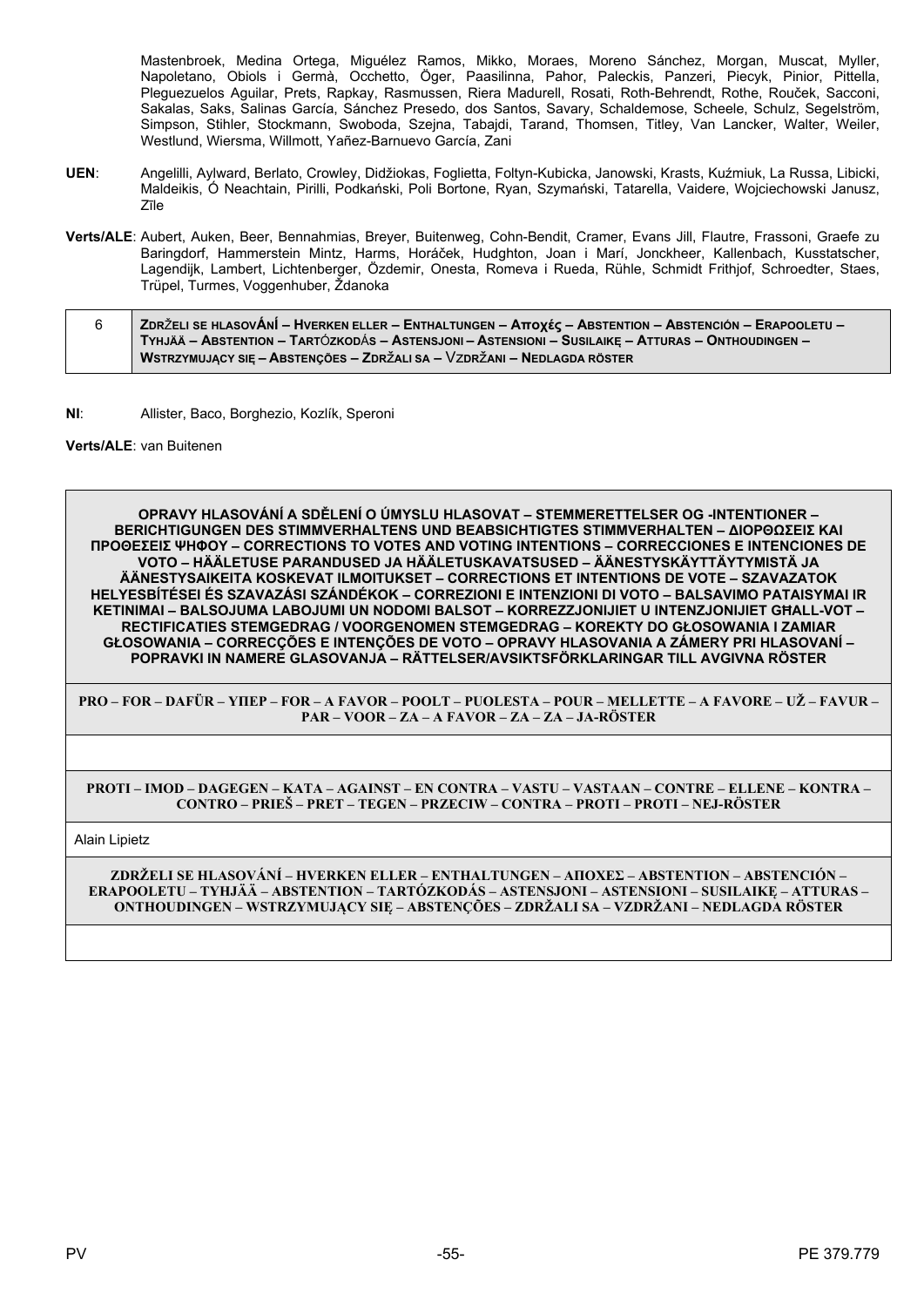Mastenbroek, Medina Ortega, Miguélez Ramos, Mikko, Moraes, Moreno Sánchez, Morgan, Muscat, Myller, Napoletano, Obiols i Germà, Occhetto, Öger, Paasilinna, Pahor, Paleckis, Panzeri, Piecyk, Pinior, Pittella, Plequezuelos Aquilar, Prets, Rapkay, Rasmussen, Riera Madurell, Rosati, Roth-Behrendt, Rothe, Rouček, Sacconi, Sakalas, Saks, Salinas García, Sánchez Presedo, dos Santos, Savary, Schaldemose, Scheele, Schulz, Segelström, Simpson, Stihler, Stockmann, Swoboda, Szejna, Tabajdi, Tarand, Thomsen, Titley, Van Lancker, Walter, Weiler, Westlund, Wiersma, Willmott, Yañez-Barnuevo García, Zani

- UEN: Angelilli, Aylward, Berlato, Crowley, Didžiokas, Foglietta, Foltyn-Kubicka, Janowski, Krasts, Kuźmiuk, La Russa, Libicki, Maldeikis, Ó Neachtain, Pirilli, Podkański, Poli Bortone, Ryan, Szymański, Tatarella, Vaidere, Wojciechowski Janusz,  $7$ <sub> $\overline{1}$ le</sub>
- Verts/ALE: Aubert, Auken, Beer, Bennahmias, Breyer, Buitenweg, Cohn-Bendit, Cramer, Evans Jill, Flautre, Frassoni, Graefe zu Baringdorf, Hammerstein Mintz, Harms, Horáček, Hudghton, Joan i Marí, Jonckheer, Kallenbach, Kusstatscher, Lagendijk, Lambert, Lichtenberger, Özdemir, Onesta, Romeva i Rueda, Rühle, Schmidt Frithjof, Schroedter, Staes, Trüpel, Turmes, Voggenhuber, Ždanoka

| ∣ ZDRŽELI SE HLASOVÁNÍ – HVERKEN ELLER – ENTHALTUNGEN – Αποχές – ABSTENTION – ABSTENCIÓN – ERAPOOLETU – ∕ |
|-----------------------------------------------------------------------------------------------------------|
| TYHJÄÄ – ABSTENTION – TARTÓZKODÁS – ASTENSJONI – ASTENSIONI – SUSILAIKE – ATTURAS – ONTHOUDINGEN –        |
| WSTRZYMUJACY SIE – ABSTENCÕES – ZDRŽALI SA – VZDRŽANI – NEDLAGDA RÖSTER                                   |

 $NI:$ Allister, Baco, Borghezio, Kozlík, Speroni

### Verts/ALE: van Buitenen

OPRAVY HLASOVÁNÍ A SDĚLENÍ O ÚMYSLU HLASOVAT – STEMMERETTELSER OG -INTENTIONER – **BERICHTIGUNGEN DES STIMMVERHALTENS UND BEABSICHTIGTES STIMMVERHALTEN - ΔΙΟΡΘΩΣΕΙΣ ΚΑΙ ΠΡΟΘΕΣΕΙΣ ΨΗΦΟΥ - CORRECTIONS TO VOTES AND VOTING INTENTIONS - CORRECCIONES E INTENCIONES DE** VOTO – HÄÄLETUSE PARANDUSED JA HÄÄLETUSKAVATSUSED – ÄÄNESTYSKÄYTTÄYTYMISTÄ JA ÄÄNESTYSAIKEITA KOSKEVAT ILMOITUKSET – CORRECTIONS ET INTENTIONS DE VOTE – SZAVAZATOK HELYESBÍTÉSEI ÉS SZAVAZÁSI SZÁNDÉKOK – CORREZIONI E INTENZIONI DI VOTO – BALSAVIMO PATAISYMAI IR KETINIMAI - BALSOJUMA LABOJUMI UN NODOMI BALSOT - KORREZZJONIJIET U INTENZJONIJIET GHALL-VOT -RECTIFICATIES STEMGEDRAG / VOORGENOMEN STEMGEDRAG - KOREKTY DO GŁOSOWANIA I ZAMIAR GŁOSOWANIA – CORRECÇÕES E INTENÇÕES DE VOTO – OPRAVY HLASOVANIA A ZÁMERY PRI HLASOVANÍ – POPRAVKI IN NAMERE GLASOVANJA – RÄTTELSER/AVSIKTSFÖRKLARINGAR TILL AVGIVNA RÖSTER

PRO – FOR – DAFÜR – YIIEP – FOR – A FAVOR – POOLT – PUOLESTA – POUR – MELLETTE – A FAVORE – UŽ – FAVUR – PAR - VOOR - ZA - A FAVOR - ZA - ZA - JA-RÖSTER

PROTI - IMOD - DAGEGEN - KATA - AGAINST - EN CONTRA - VASTU - VASTAAN - CONTRE - ELLENE - KONTRA -CONTRO – PRIEŠ – PRET – TEGEN – PRZECIW – CONTRA – PROTI – PROTI – NEJ-RÖSTER

Alain Lipietz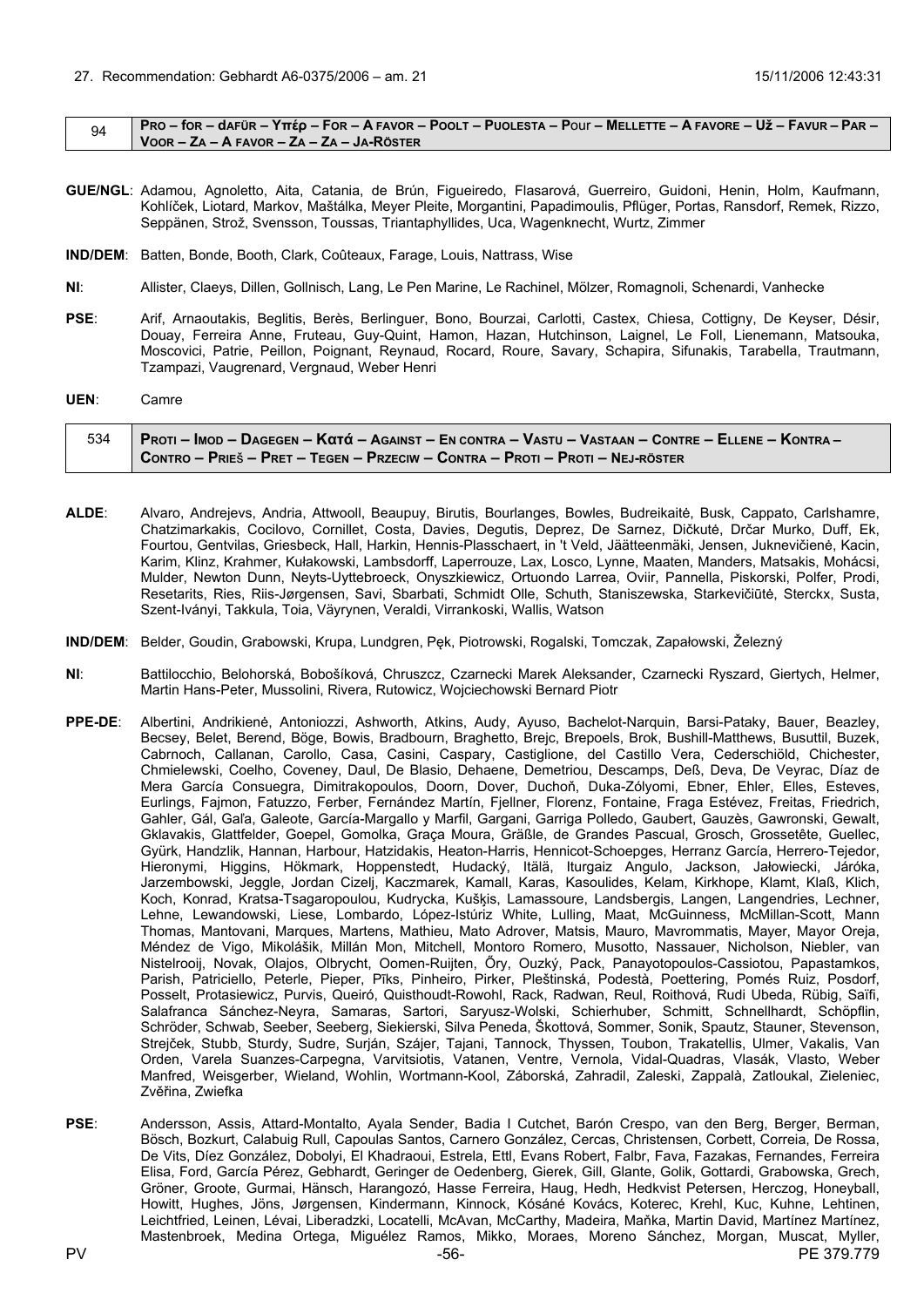<span id="page-55-0"></span>

|  | PRO – for – dafür – Υπέρ – For – A favor – Poolt – Puolesta – Pour – Mellette – A favore – Už – Favur – Par – |
|--|---------------------------------------------------------------------------------------------------------------|
|  | VOOR - ZA - A FAVOR - ZA - ZA - JA-RÖSTER                                                                     |

- GUE/NGL: Adamou, Agnoletto, Aita, Catania, de Brún, Figueiredo, Flasarová, Guerreiro, Guidoni, Henin, Holm, Kaufmann, Kohlíček, Liotard, Markov, Maštálka, Meyer Pleite, Morgantini, Papadimoulis, Pflüger, Portas, Ransdorf, Remek, Rizzo, Seppänen, Strož, Svensson, Toussas, Triantaphyllides, Uca, Wagenknecht, Wurtz, Zimmer
- IND/DEM: Batten, Bonde, Booth, Clark, Coûteaux, Farage, Louis, Nattrass, Wise
- $NI:$ Allister, Claeys, Dillen, Gollnisch, Lang, Le Pen Marine, Le Rachinel, Mölzer, Romagnoli, Schenardi, Vanhecke
- PSE: Arif. Arnaoutakis. Beglitis. Berès. Berlinguer. Bono. Bourzai. Carlotti. Castex. Chiesa. Cottigny. De Keyser. Désir. Douay, Ferreira Anne, Fruteau, Guy-Quint, Hamon, Hazan, Hutchinson, Laignel, Le Foll, Lienemann, Matsouka, Moscovici, Patrie, Peillon, Poignant, Reynaud, Rocard, Roure, Savary, Schapira, Sifunakis, Tarabella, Trautmann, Tzampazi, Vaugrenard, Vergnaud, Weber Henri

UEN: Camre

| 534   Proti – Imod – Dagegen – Κατά – Against – En contra – Vastu – Vastaan – Contre – Ellene – Kontra – ⁄ |
|------------------------------------------------------------------------------------------------------------|
| CONTRO – PRIEŠ – PRET – TEGEN – PRZECIW – CONTRA – PROTI – PROTI – NEJ-RÖSTER                              |

- ALDE: Alvaro, Andrejevs, Andria, Attwooll, Beaupuy, Birutis, Bourlanges, Bowles, Budreikaitė, Busk, Cappato, Carlshamre, Chatzimarkakis, Cocilovo, Cornillet, Costa, Davies, Degutis, Deprez, De Sarnez, Dičkutė, Drčar Murko, Duff, Ek, Fourtou, Gentvilas, Griesbeck, Hall, Harkin, Hennis-Plasschaert, in 't Veld, Jäätteenmäki, Jensen, Juknevičienė, Kacin, Karim, Klinz, Krahmer, Kułakowski, Lambsdorff, Laperrouze, Lax, Losco, Lynne, Maaten, Manders, Matsakis, Mohácsi, Mulder, Newton Dunn, Neyts-Uyttebroeck, Onyszkiewicz, Ortuondo Larrea, Oviir, Pannella, Piskorski, Polfer, Prodi, Resetarits, Ries, Riis-Jørgensen, Savi, Sbarbati, Schmidt Olle, Schuth, Staniszewska, Starkevičiūtė, Sterckx, Susta, Szent-Iványi, Takkula, Toja, Väyrynen, Veraldi, Virrankoski, Wallis, Watson
- IND/DEM: Belder, Goudin, Grabowski, Krupa, Lundgren, Pek, Piotrowski, Rogalski, Tomczak, Zapałowski, Železný
- $N\Gamma$ Battilocchio, Belohorská, Bobošíková, Chruszcz, Czarnecki Marek Aleksander, Czarnecki Ryszard, Giertych, Helmer, Martin Hans-Peter, Mussolini, Rivera, Rutowicz, Wojciechowski Bernard Piotr
- Albertini, Andrikienė, Antoniozzi, Ashworth, Atkins, Audy, Ayuso, Bachelot-Narquin, Barsi-Pataky, Bauer, Beazley, PPE-DE: Becsey, Belet, Berend, Böge, Bowis, Bradbourn, Braghetto, Brejc, Brepoels, Brok, Bushill-Matthews, Busuttil, Buzek, Cabrnoch, Callanan, Carollo, Casa, Casini, Caspary, Castiglione, del Castillo Vera, Cederschiöld, Chichester, Chmielewski, Coelho, Coveney, Daul, De Blasio, Dehaene, Demetriou, Descamps, Deß, Deva, De Veyrac, Díaz de Mera García Consuegra, Dimitrakopoulos, Doorn, Dover, Duchoň, Duka-Zólyomi, Ebner, Ehler, Elles, Esteves, Eurlings, Faimon, Fatuzzo, Ferber, Fernández Martín, Fiellner, Florenz, Fontaine, Fraga Estévez, Freitas, Friedrich, Gahler, Gál, Gal'a, Galeote, García-Margallo y Marfil, Gargani, Garriga Polledo, Gaubert, Gauzès, Gawronski, Gewalt, Gklavakis, Glattfelder, Goepel, Gomolka, Graça Moura, Gräßle, de Grandes Pascual, Grosch, Grossetête, Guellec, Gyürk, Handzlik, Hannan, Harbour, Hatzidakis, Heaton-Harris, Hennicot-Schoepges, Herranz García, Herrero-Tejedor, Hieronymi, Higgins, Hökmark, Hoppenstedt, Hudacký, Itälä, Iturgaiz Angulo, Jackson, Jałowiecki, Járóka, Jarzembowski, Jeggle, Jordan Cizelj, Kaczmarek, Kamall, Karas, Kasoulides, Kelam, Kirkhope, Klamt, Klaß, Klich, Koch, Konrad, Kratsa-Tsagaropoulou, Kudrycka, Kušķis, Lamassoure, Landsbergis, Langen, Langendries, Lechner,<br>Lehne, Lewandowski, Liese, Lombardo, López-Istúriz White, Lulling, Maat, McGuinness, McMillan-Scott, Mann Thomas, Mantovani, Marques, Martens, Mathieu, Mato Adrover, Matsis, Mauro, Mavrommatis, Mayer, Mayor Oreja, Méndez de Vigo, Mikolášik, Millán Mon, Mitchell, Montoro Romero, Musotto, Nassauer, Nicholson, Niebler, van Nistelrooij, Novak, Olajos, Olbrycht, Oomen-Ruijten, Őry, Ouzký, Pack, Panayotopoulos-Cassiotou, Papastamkos, Parish, Patriciello, Peterle, Pieper, Pīks, Pinheiro, Pirker, Pleštinská, Podestà, Poettering, Pomés Ruiz, Posdorf, Posselt, Protasiewicz, Purvis, Queiró, Quisthoudt-Rowohl, Rack, Radwan, Reul, Roithová, Rudi Ubeda, Rübig, Saïfi, Salafranca Sánchez-Neyra, Samaras, Sartori, Saryusz-Wolski, Schierhuber, Schmitt, Schnellhardt, Schöpflin, Schröder, Schwab, Seeber, Seeberg, Siekierski, Silva Peneda, Škottová, Sommer, Sonik, Spautz, Stauner, Stevenson, Strejček, Stubb, Sturdy, Sudre, Surján, Szájer, Tajani, Tannock, Thyssen, Toubon, Trakatellis, Ulmer, Vakalis, Van Orden, Varela Suanzes-Carpegna, Varvitsiotis, Vatanen, Ventre, Vernola, Vidal-Quadras, Vlasák, Vlasto, Weber Manfred, Weisgerber, Wieland, Wohlin, Wortmann-Kool, Záborská, Zahradil, Zaleski, Zappalà, Zatloukal, Zieleniec, Zvěřina. Zwiefka
- PSE: Andersson, Assis, Attard-Montalto, Ayala Sender, Badia I Cutchet, Barón Crespo, van den Berg, Berger, Berman, Bösch, Bozkurt, Calabuig Rull, Capoulas Santos, Carnero González, Cercas, Christensen, Corbett, Correia, De Rossa, De Vits, Díez González, Dobolyi, El Khadraoui, Estrela, Ettl, Evans Robert, Falbr, Fava, Fazakas, Fernandes, Ferreira Elisa, Ford, García Pérez, Gebhardt, Geringer de Oedenberg, Gierek, Gill, Glante, Golik, Gottardi, Grabowska, Grech, Gröner, Groote, Gurmai, Hänsch, Harangozó, Hasse Ferreira, Haug, Hedh, Hedkvist Petersen, Herczog, Honeyball, Howitt, Hughes, Jöns, Jørgensen, Kindermann, Kinnock, Kósáné Kovács, Koterec, Krehl, Kuc, Kuhne, Lehtinen, Leichtfried, Leinen, Lévai, Liberadzki, Locatelli, McAvan, McCarthy, Madeira, Maňka, Martin David, Martínez Martínez, Mastenbroek, Medina Ortega, Miguélez Ramos, Mikko, Moraes, Moreno Sánchez, Morgan, Muscat. Myller.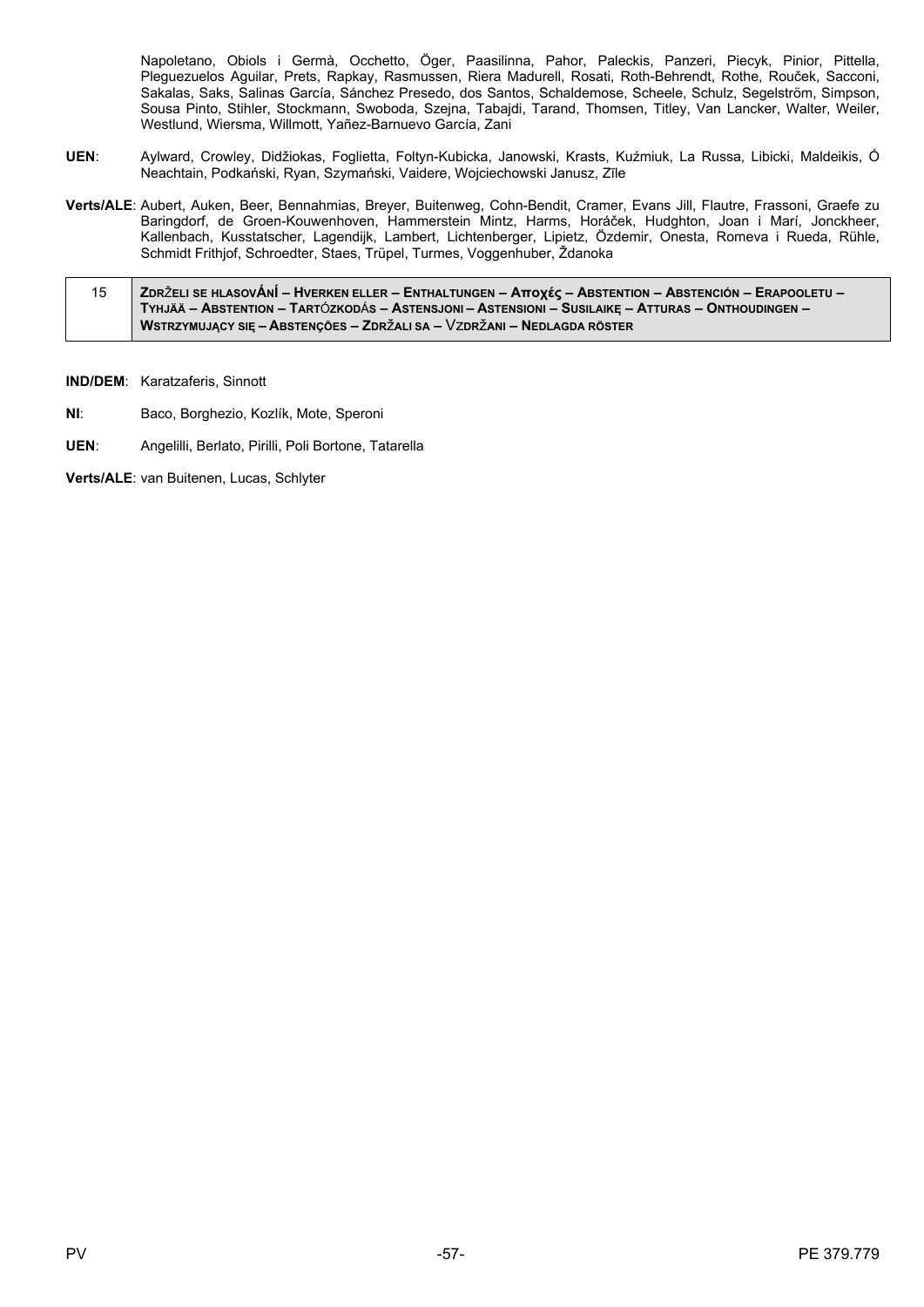Napoletano, Obiols i Germà, Occhetto, Öger, Paasilinna, Pahor, Paleckis, Panzeri, Piecyk, Pinior, Pittella, Pleguezuelos Aguilar, Prets, Rapkay, Rasmussen, Riera Madurell, Rosati, Roth-Behrendt, Rothe, Rouček, Sacconi, Sakalas, Saks, Salinas García, Sánchez Presedo, dos Santos, Schaldemose, Scheele, Schulz, Segelström, Simpson, Sousa Pinto, Stihler, Stockmann, Swoboda, Szejna, Tabajdi, Tarand, Thomsen, Titley, Van Lancker, Walter, Weiler, Westlund, Wiersma, Willmott, Yañez-Barnuevo García, Zani

- UEN: Aylward, Crowley, Didžiokas, Foglietta, Foltyn-Kubicka, Janowski, Krasts, Kuźmiuk, La Russa, Libicki, Maldeikis, Ó Neachtain, Podkański, Ryan, Szymański, Vaidere, Wojciechowski Janusz, Zīle
- Verts/ALE: Aubert, Auken, Beer, Bennahmias, Brever, Buitenweg, Cohn-Bendit, Cramer, Evans Jill, Flautre, Frassoni, Graefe zu Baringdorf, de Groen-Kouwenhoven, Hammerstein Mintz, Harms, Horáček, Hudghton, Joan i Marí, Jonckheer, Kallenbach, Kusstatscher, Lagendijk, Lambert, Lichtenberger, Lipietz, Özdemir, Onesta, Romeva i Rueda, Rühle, Schmidt Frithiof, Schroedter, Staes, Trüpel, Turmes, Voggenhuber, Ždanoka
- ZDRŽELI SE HLASOVÁNÍ HVERKEN ELLER ENTHALTUNGEN AπOχές ABSTENTION ABSTENCIÓN ERAPOOLETU 15 TYHJÄÄ - ABSTENTION - TARTÓZKODÁS - ASTENSJONI - ASTENSIONI - SUSILAIKE - ATTURAS - ONTHOUDINGEN -WSTRZYMUJĄCY SIĘ – ABSTENÇÕES – ZDRŽALI SA – VZDRŽANI – NEDLAGDA RÖSTER

IND/DEM: Karatzaferis, Sinnott

- NI: Baco, Borghezio, Kozlík, Mote, Speroni
- UEN: Angelilli, Berlato, Pirilli, Poli Bortone, Tatarella

Verts/ALE: van Buitenen, Lucas, Schlyter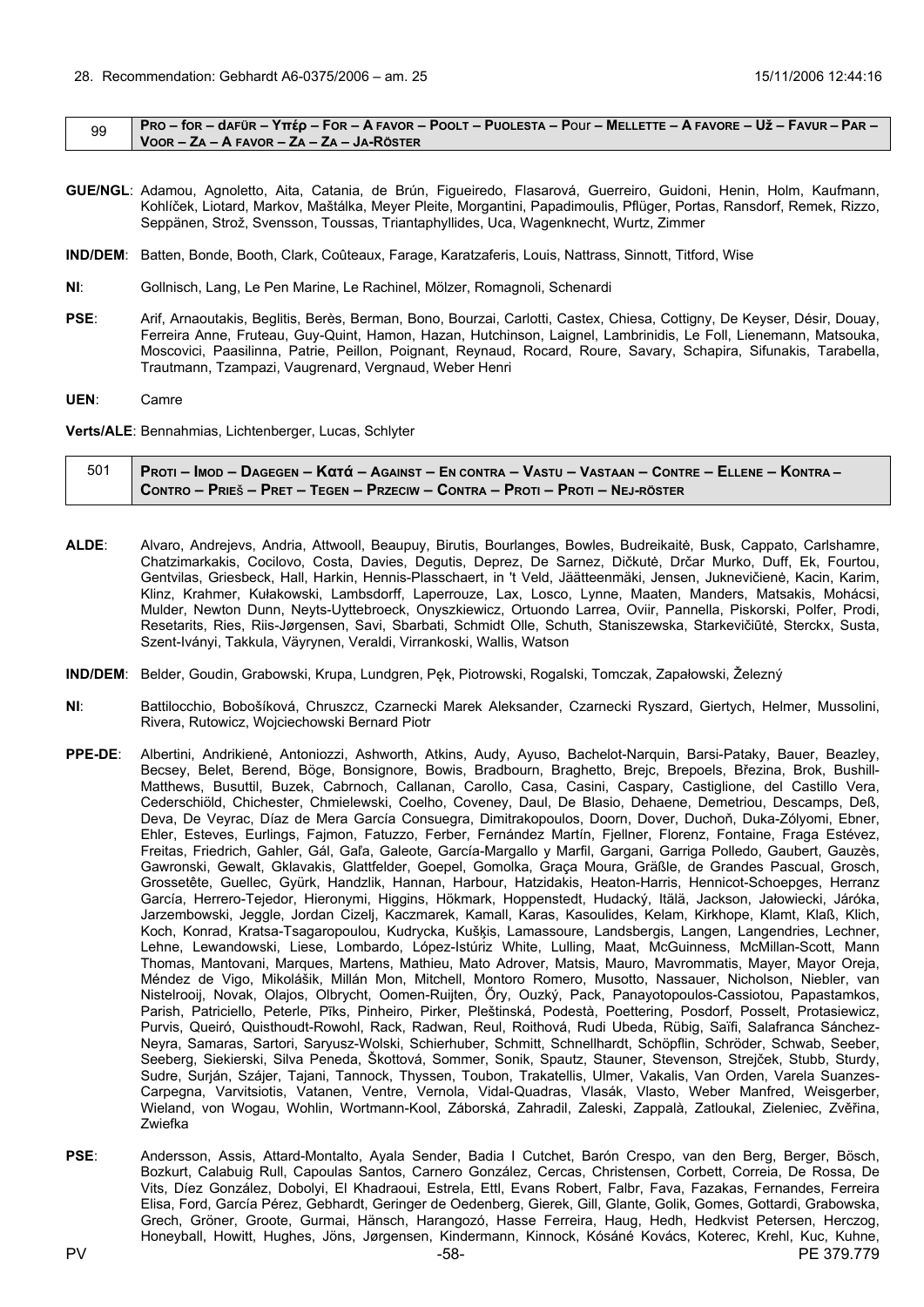<span id="page-57-0"></span>

|  | PRO – for – dafür – Υπέρ – For – A FAVOR – POOLT – PUOLESTA – Pour – MELLETTE – A FAVORE – UŽ – FAVUR – PAR – |
|--|---------------------------------------------------------------------------------------------------------------|
|  | VOOR – ZA – A FAVOR – ZA – ZA – JA-RÖSTER                                                                     |

- **GUE/NGL**: Adamou, Agnoletto, Aita, Catania, de Brún, Figueiredo, Flasarová, Guerreiro, Guidoni, Henin, Holm, Kaufmann, Kohlíček, Liotard, Markov, Maštálka, Meyer Pleite, Morgantini, Papadimoulis, Pflüger, Portas, Ransdorf, Remek, Rizzo, Seppänen, Strož, Svensson, Toussas, Triantaphyllides, Uca, Wagenknecht, Wurtz, Zimmer
- **IND/DEM**: Batten, Bonde, Booth, Clark, Coûteaux, Farage, Karatzaferis, Louis, Nattrass, Sinnott, Titford, Wise
- **NI**: Gollnisch, Lang, Le Pen Marine, Le Rachinel, Mölzer, Romagnoli, Schenardi
- **PSE**: Arif, Arnaoutakis, Beglitis, Berès, Berman, Bono, Bourzai, Carlotti, Castex, Chiesa, Cottigny, De Keyser, Désir, Douay, Ferreira Anne, Fruteau, Guy-Quint, Hamon, Hazan, Hutchinson, Laignel, Lambrinidis, Le Foll, Lienemann, Matsouka, Moscovici, Paasilinna, Patrie, Peillon, Poignant, Reynaud, Rocard, Roure, Savary, Schapira, Sifunakis, Tarabella, Trautmann, Tzampazi, Vaugrenard, Vergnaud, Weber Henri
- **UEN**: Camre

**Verts/ALE**: Bennahmias, Lichtenberger, Lucas, Schlyter

| Proti – Imod – Dagegen – Κατά – Against – En contra – Vastu – Vastaan – Contre – Ellene – Kontra – / |
|------------------------------------------------------------------------------------------------------|
| CONTRO – PRIEŠ – PRET – TEGEN – PRZECIW – CONTRA – PROTI – PROTI – NEJ-RÖSTER                        |

- **ALDE**: Alvaro, Andrejevs, Andria, Attwooll, Beaupuy, Birutis, Bourlanges, Bowles, Budreikaitė, Busk, Cappato, Carlshamre, Chatzimarkakis, Cocilovo, Costa, Davies, Degutis, Deprez, De Sarnez, Dičkutė, Drčar Murko, Duff, Ek, Fourtou, Gentvilas, Griesbeck, Hall, Harkin, Hennis-Plasschaert, in 't Veld, Jäätteenmäki, Jensen, Juknevičienė, Kacin, Karim, Klinz, Krahmer, Kułakowski, Lambsdorff, Laperrouze, Lax, Losco, Lynne, Maaten, Manders, Matsakis, Mohácsi, Mulder, Newton Dunn, Neyts-Uyttebroeck, Onyszkiewicz, Ortuondo Larrea, Oviir, Pannella, Piskorski, Polfer, Prodi, Resetarits, Ries, Riis-Jørgensen, Savi, Sbarbati, Schmidt Olle, Schuth, Staniszewska, Starkevičiūtė, Sterckx, Susta, Szent-Iványi, Takkula, Väyrynen, Veraldi, Virrankoski, Wallis, Watson
- **IND/DEM**: Belder, Goudin, Grabowski, Krupa, Lundgren, Pęk, Piotrowski, Rogalski, Tomczak, Zapałowski, Železný
- **NI**: Battilocchio, Bobošíková, Chruszcz, Czarnecki Marek Aleksander, Czarnecki Ryszard, Giertych, Helmer, Mussolini, Rivera, Rutowicz, Wojciechowski Bernard Piotr
- **PPE-DE**: Albertini, Andrikienė, Antoniozzi, Ashworth, Atkins, Audy, Ayuso, Bachelot-Narquin, Barsi-Pataky, Bauer, Beazley, Becsey, Belet, Berend, Böge, Bonsignore, Bowis, Bradbourn, Braghetto, Brejc, Brepoels, Březina, Brok, Bushill-Matthews, Busuttil, Buzek, Cabrnoch, Callanan, Carollo, Casa, Casini, Caspary, Castiglione, del Castillo Vera, Cederschiöld, Chichester, Chmielewski, Coelho, Coveney, Daul, De Blasio, Dehaene, Demetriou, Descamps, Deß, Deva, De Veyrac, Díaz de Mera García Consuegra, Dimitrakopoulos, Doorn, Dover, Duchoň, Duka-Zólyomi, Ebner, Ehler, Esteves, Eurlings, Fajmon, Fatuzzo, Ferber, Fernández Martín, Fjellner, Florenz, Fontaine, Fraga Estévez, Freitas, Friedrich, Gahler, Gál, Gaľa, Galeote, García-Margallo y Marfil, Gargani, Garriga Polledo, Gaubert, Gauzès, Gawronski, Gewalt, Gklavakis, Glattfelder, Goepel, Gomolka, Graça Moura, Gräßle, de Grandes Pascual, Grosch, Grossetête, Guellec, Gyürk, Handzlik, Hannan, Harbour, Hatzidakis, Heaton-Harris, Hennicot-Schoepges, Herranz García, Herrero-Tejedor, Hieronymi, Higgins, Hökmark, Hoppenstedt, Hudacký, Itälä, Jackson, Jałowiecki, Járóka, Jarzembowski, Jeggle, Jordan Cizelj, Kaczmarek, Kamall, Karas, Kasoulides, Kelam, Kirkhope, Klamt, Klaß, Klich, Koch, Konrad, Kratsa-Tsagaropoulou, Kudrycka, Kušķis, Lamassoure, Landsbergis, Langen, Langendries, Lechner, Lehne, Lewandowski, Liese, Lombardo, López-Istúriz White, Lulling, Maat, McGuinness, McMillan-Scott, Mann Thomas, Mantovani, Marques, Martens, Mathieu, Mato Adrover, Matsis, Mauro, Mavrommatis, Mayer, Mayor Oreja, Méndez de Vigo, Mikolášik, Millán Mon, Mitchell, Montoro Romero, Musotto, Nassauer, Nicholson, Niebler, van Nistelrooij, Novak, Olajos, Olbrycht, Oomen-Ruijten, Őry, Ouzký, Pack, Panayotopoulos-Cassiotou, Papastamkos, Parish, Patriciello, Peterle, Pīks, Pinheiro, Pirker, Pleštinská, Podestà, Poettering, Posdorf, Posselt, Protasiewicz, Purvis, Queiró, Quisthoudt-Rowohl, Rack, Radwan, Reul, Roithová, Rudi Ubeda, Rübig, Saïfi, Salafranca Sánchez-Neyra, Samaras, Sartori, Saryusz-Wolski, Schierhuber, Schmitt, Schnellhardt, Schöpflin, Schröder, Schwab, Seeber, Seeberg, Siekierski, Silva Peneda, Škottová, Sommer, Sonik, Spautz, Stauner, Stevenson, Strejček, Stubb, Sturdy, Sudre, Surján, Szájer, Tajani, Tannock, Thyssen, Toubon, Trakatellis, Ulmer, Vakalis, Van Orden, Varela Suanzes-Carpegna, Varvitsiotis, Vatanen, Ventre, Vernola, Vidal-Quadras, Vlasák, Vlasto, Weber Manfred, Weisgerber, Wieland, von Wogau, Wohlin, Wortmann-Kool, Záborská, Zahradil, Zaleski, Zappalà, Zatloukal, Zieleniec, Zvěřina, Zwiefka
- PV -58- PE 379.779 **PSE**: Andersson, Assis, Attard-Montalto, Ayala Sender, Badia I Cutchet, Barón Crespo, van den Berg, Berger, Bösch, Bozkurt, Calabuig Rull, Capoulas Santos, Carnero González, Cercas, Christensen, Corbett, Correia, De Rossa, De Vits, Díez González, Dobolyi, El Khadraoui, Estrela, Ettl, Evans Robert, Falbr, Fava, Fazakas, Fernandes, Ferreira Elisa, Ford, García Pérez, Gebhardt, Geringer de Oedenberg, Gierek, Gill, Glante, Golik, Gomes, Gottardi, Grabowska, Grech, Gröner, Groote, Gurmai, Hänsch, Harangozó, Hasse Ferreira, Haug, Hedh, Hedkvist Petersen, Herczog, Honeyball, Howitt, Hughes, Jöns, Jørgensen, Kindermann, Kinnock, Kósáné Kovács, Koterec, Krehl, Kuc, Kuhne,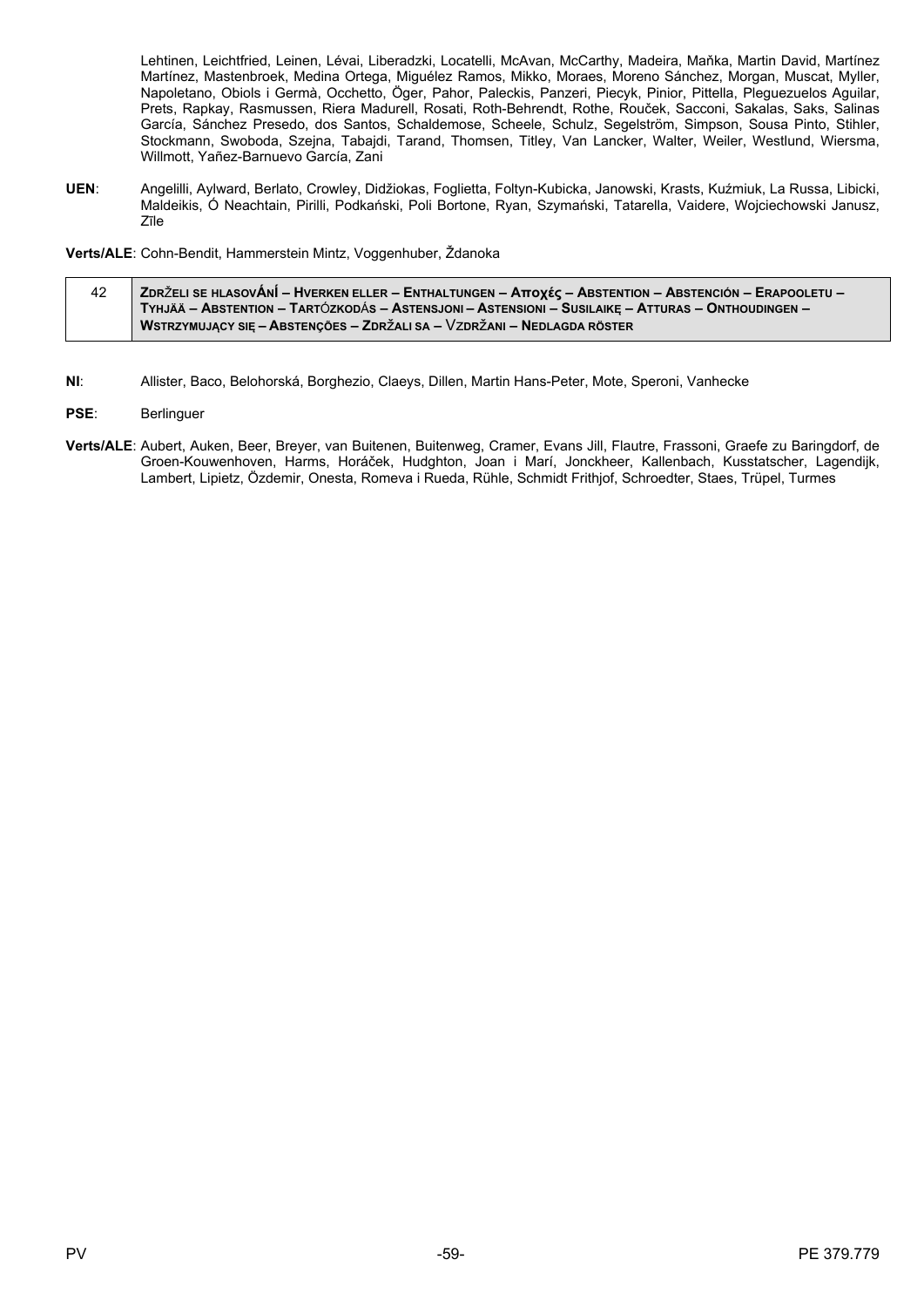Lehtinen, Leichtfried, Leinen, Lévai, Liberadzki, Locatelli, McAvan, McCarthy, Madeira, Maňka, Martin David, Martínez Martínez, Mastenbroek, Medina Ortega, Miguélez Ramos, Mikko, Moraes, Moreno Sánchez, Morgan, Muscat, Myller, Napoletano, Obiols i Germà, Occhetto, Öger, Pahor, Paleckis, Panzeri, Piecyk, Pinior, Pittella, Pleguezuelos Aguilar, Prets, Rapkay, Rasmussen, Riera Madurell, Rosati, Roth-Behrendt, Rothe, Rouček, Sacconi, Sakalas, Saks, Salinas García, Sánchez Presedo, dos Santos, Schaldemose, Scheele, Schulz, Segelström, Simpson, Sousa Pinto, Stihler, Stockmann, Swoboda, Szejna, Tabajdi, Tarand, Thomsen, Titley, Van Lancker, Walter, Weiler, Westlund, Wiersma, Willmott, Yañez-Barnuevo García, Zani

UEN: Angelilli, Aylward, Berlato, Crowley, Didžiokas, Foglietta, Foltyn-Kubicka, Janowski, Krasts, Kuźmiuk, La Russa, Libicki, Maldeikis. Ó Neachtain, Pirilli, Podkański, Poli Bortone, Ryan, Szymański, Tatarella, Vaidere, Woiciechowski Janusz, Zīle

Verts/ALE: Cohn-Bendit, Hammerstein Mintz, Voggenhuber, Ždanoka

| 42 | , Zdrželi se hlasovÁnÍ – Hverken eller – Enthaltungen – Αποχές – Abstention – Abstención – Erapooletu – ∕ |
|----|-----------------------------------------------------------------------------------------------------------|
|    | TYHJÄÄ – ABSTENTION – TARTÓZKODÁS – ASTENSJONI – ASTENSIONI – SUSILAIKE – ATTURAS – ONTHOUDINGEN –        |
|    | WSTRZYMUJĄCY SIĘ – ABSTENÇÕES – ZDRŽALI SA – VZDRŽANI – NEDLAGDA RÖSTER                                   |

- $NI:$ Allister, Baco, Belohorská, Borghezio, Claeys, Dillen, Martin Hans-Peter, Mote, Speroni, Vanhecke
- PSE: Berlinguer
- Verts/ALE: Aubert, Auken, Beer, Breyer, van Buitenen, Buitenweg, Cramer, Evans Jill, Flautre, Frassoni, Graefe zu Baringdorf, de Groen-Kouwenhoven, Harms, Horáček, Hudghton, Joan i Marí, Jonckheer, Kallenbach, Kusstatscher, Lagendijk, Lambert, Lipietz, Özdemir, Onesta, Romeva i Rueda, Rühle, Schmidt Frithjof, Schroedter, Staes, Trüpel, Turmes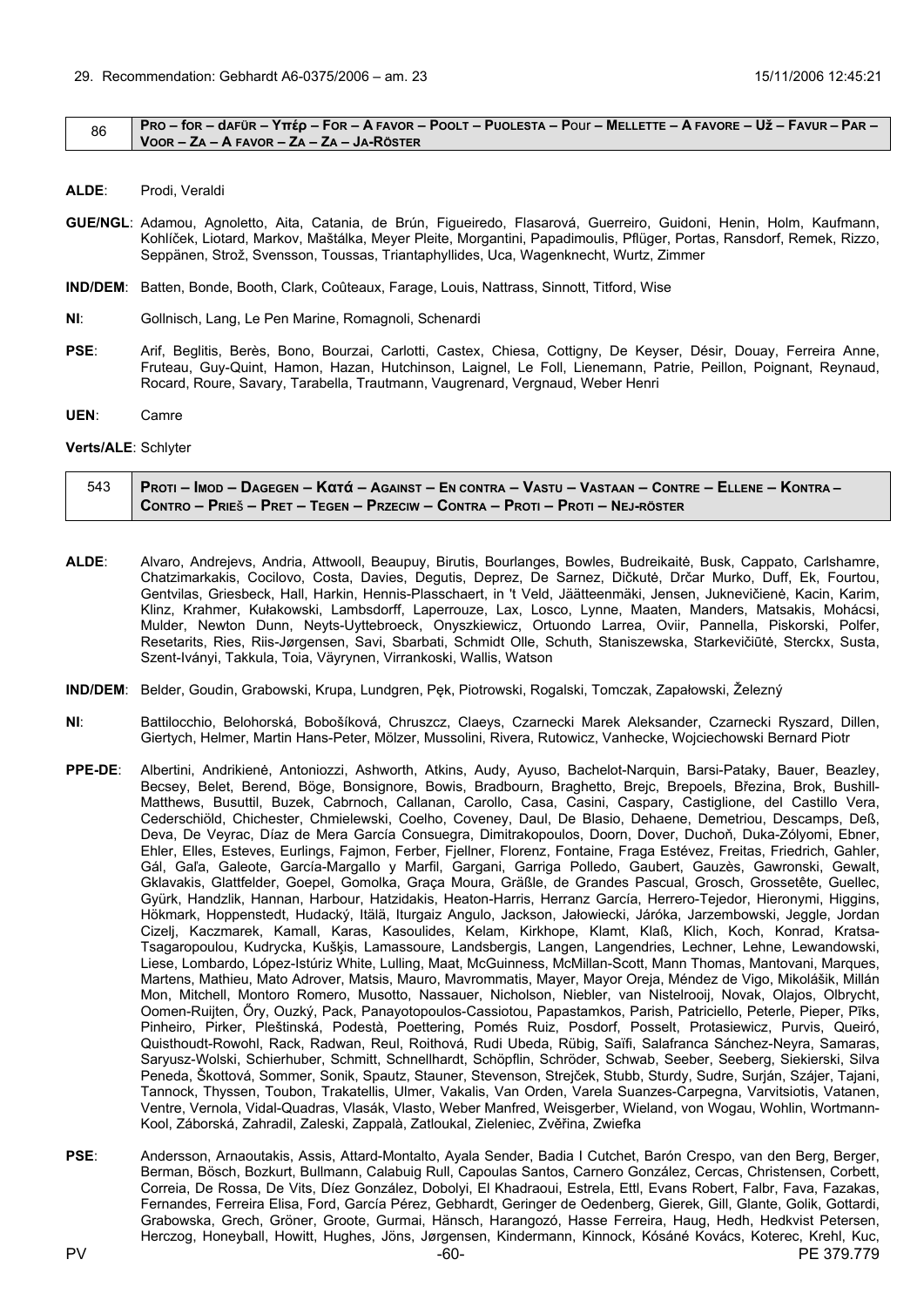#### <span id="page-59-0"></span>PRO - for - dafür - Υπέρ - For - A FAVOR - POOLT - PUOLESTA - POUI - MELLETTE - A FAVORE - Už - FAVUR - PAR -86 VOOR - ZA - A FAVOR - ZA - ZA - JA-RÖSTER

- ALDE: Prodi, Veraldi
- GUE/NGL: Adamou, Agnoletto, Aita, Catania, de Brún, Figueiredo, Flasarová, Guerreiro, Guidoni, Henin, Holm, Kaufmann, Kohlíček, Liotard, Markov, Maštálka, Meyer Pleite, Morgantini, Papadimoulis, Pflüger, Portas, Ransdorf, Remek, Rizzo, Seppänen, Strož, Svensson, Toussas, Triantaphyllides, Uca, Wagenknecht, Wurtz, Zimmer
- IND/DEM: Batten, Bonde, Booth, Clark, Coûteaux, Farage, Louis, Nattrass, Sinnott, Titford, Wise
- $Nl<sub>1</sub>$ Gollnisch, Lang, Le Pen Marine, Romagnoli, Schenardi
- PSE: Arif, Beglitis, Berès, Bono, Bourzai, Carlotti, Castex, Chiesa, Cottigny, De Keyser, Désir, Douay, Ferreira Anne, Fruteau, Guy-Quint, Hamon, Hazan, Hutchinson, Laignel, Le Foll, Lienemann, Patrie, Peillon, Poignant, Reynaud, Rocard, Roure, Savary, Tarabella, Trautmann, Vaugrenard, Vergnaud, Weber Henri
- UEN: Camre

#### Verts/ALE: Schlyter

| - 543   Proti – Imod – Dagegen – Kαtά – Against – En contra – Vastu – Vastaan – Contre – Ellene – Kontra – |
|------------------------------------------------------------------------------------------------------------|
| CONTRO – PRIEŠ – PRET – TEGEN – PRZECIW – CONTRA – PROTI – PROTI – NEJ-RÖSTER                              |

- ALDE: Alvaro, Andrejevs, Andria, Attwooll, Beaupuy, Birutis, Bourlanges, Bowles, Budreikaitė, Busk, Cappato, Carlshamre, Chatzimarkakis, Cocilovo, Costa, Davies, Degutis, Deprez, De Sarnez, Dičkutė, Drčar Murko, Duff, Ek, Fourtou, Gentvilas, Griesbeck, Hall, Harkin, Hennis-Plasschaert, in 't Veld, Jäätteenmäki, Jensen, Juknevičiene, Kacin, Karim, Klinz, Krahmer, Kułakowski, Lambsdorff, Laperrouze, Lax, Losco, Lynne, Maaten, Manders, Matsakis, Mohácsi, Mulder, Newton Dunn, Neyts-Uyttebroeck, Onyszkiewicz, Ortuondo Larrea, Oviir, Pannella, Piskorski, Polfer, Resetarits, Ries, Riis-Jørgensen, Savi, Sbarbati, Schmidt Olle, Schuth, Staniszewska, Starkevičiūtė, Sterckx, Susta, Szent-Iványi, Takkula, Toia, Väyrynen, Virrankoski, Wallis, Watson
- IND/DEM: Belder, Goudin, Grabowski, Krupa, Lundgren, Pek, Piotrowski, Rogalski, Tomczak, Zapałowski, Železný
- $N<sub>1</sub>$ Battilocchio, Belohorská, Bobošíková, Chruszcz, Claeys, Czarnecki Marek Aleksander, Czarnecki Ryszard, Dillen, Giertych, Helmer, Martin Hans-Peter, Mölzer, Mussolini, Rivera, Rutowicz, Vanhecke, Wojciechowski Bernard Piotr
- $PPF-DF$ Albertini, Andrikienė, Antoniozzi, Ashworth, Atkins, Audy, Ayuso, Bachelot-Narquin, Barsi-Pataky, Bauer, Beazley, Becsey, Belet, Berend, Böge, Bonsignore, Bowis, Bradbourn, Braghetto, Brejc, Brepoels, Březina, Brok, Bushill-Matthews, Busuttil, Buzek, Cabrnoch, Callanan, Carollo, Casa, Casini, Caspary, Castiglione, del Castillo Vera,<br>Cederschiöld, Chichester, Chmielewski, Coelho, Coveney, Daul, De Blasio, Dehaene, Demetriou, Descamps, Deß, Deva, De Veyrac, Díaz de Mera García Consuegra, Dimitrakopoulos, Doorn, Dover, Duchoň, Duka-Zólyomi, Ebner, Ehler, Elles, Esteves, Eurlings, Fajmon, Ferber, Fjellner, Florenz, Fontaine, Fraga Estévez, Freitas, Friedrich, Gahler, Gál, Gaľa, Galeote, García-Margallo y Marfil, Gargani, Garriga Polledo, Gaubert, Gauzès, Gawronski, Gewalt, Gklavakis, Glattfelder, Goepel, Gomolka, Graça Moura, Gräßle, de Grandes Pascual, Grosch, Grossetête, Guellec, Gyürk, Handzlik, Hannan, Harbour, Hatzidakis, Heaton-Harris, Herranz García, Herrero-Tejedor, Hieronymi, Higgins, Hökmark, Hoppenstedt, Hudacký, Itälä, Iturgaiz Angulo, Jackson, Jałowiecki, Járóka, Jarzembowski, Jeggle, Jordan Cizelj, Kaczmarek, Kamall, Karas, Kasoulides, Kelam, Kirkhope, Klamt, Klaß, Klich, Koch, Konrad, Kratsa-Tsagaropoulou, Kudrycka, Kušķis, Lamassoure, Landsbergis, Langen, Langendries, Lechner, Lehne, Lewandowski, Liese, Lombardo, López-Istúriz White, Lulling, Maat, McGuinness, McMillan-Scott, Mann Thomas, Mantovani, Marques, Martens, Mathieu, Mato Adrover, Matsis, Mauro, Mavrommatis, Mayer, Mayor Oreja, Méndez de Vigo, Mikolášik, Millán<br>Mon, Mitchell, Montoro Romero, Musotto, Nassauer, Nicholson, Niebler, van Nistelrooij, Novak, Olajos, Olbryc Oomen-Ruijten, Őry, Ouzký, Pack, Panayotopoulos-Cassiotou, Papastamkos, Parish, Patriciello, Peterle, Pieper, Piks, Pinheiro, Pirker, Pleštinská, Podestà, Poettering, Pomés Ruiz, Posdorf, Posselt, Protasiewicz, Purvis, Queiró, Quisthoudt-Rowohl, Rack, Radwan, Reul, Roithová, Rudi Ubeda, Rübig, Saïfi, Salafranca Sánchez-Neyra, Samaras, Saryusz-Wolski, Schierhuber, Schmitt, Schnellhardt, Schöpflin, Schröder, Schwab, Seeber, Seeberg, Siekierski, Silva Peneda, Škottová, Sommer, Sonik, Spautz, Stauner, Stevenson, Strejček, Stubb, Sturdy, Sudre, Surján, Szájer, Tajani, Tannock, Thyssen, Toubon, Trakatellis, Ulmer, Vakalis, Van Orden, Varela Suanzes-Carpegna, Varvitsiotis, Vatanen, Ventre, Vernola, Vidal-Quadras, Vlasák, Vlasto, Weber Manfred, Weisgerber, Wieland, von Wogau, Wohlin, Wortmann-Kool, Záborská, Zahradil, Zaleski, Zappalà, Zatloukal, Zieleniec, Zvěřina, Zwiefka
- PSE: Andersson, Arnaoutakis, Assis, Attard-Montalto, Avala Sender, Badia I Cutchet, Barón Crespo, van den Berg, Berger, Berman, Bösch, Bozkurt, Bullmann, Calabujg Rull, Capoulas Santos, Carnero González, Cercas, Christensen, Corbett, Correia, De Rossa, De Vits, Díez González, Dobolyi, El Khadraoui, Estrela, Ettl, Evans Robert, Falbr, Fava, Fazakas, Fernandes, Ferreira Elisa, Ford, García Pérez, Gebhardt, Geringer de Oedenberg, Gierek, Gill, Glante, Golik, Gottardi, Grabowska, Grech, Gröner, Groote, Gurmai, Hänsch, Harangozó, Hasse Ferreira, Haug, Hedh, Hedkvist Petersen, Herczog, Honeyball, Howitt, Hughes, Jöns, Jørgensen, Kindermann, Kinnock, Kósáné Kovács, Koterec, Krehl, Kuc,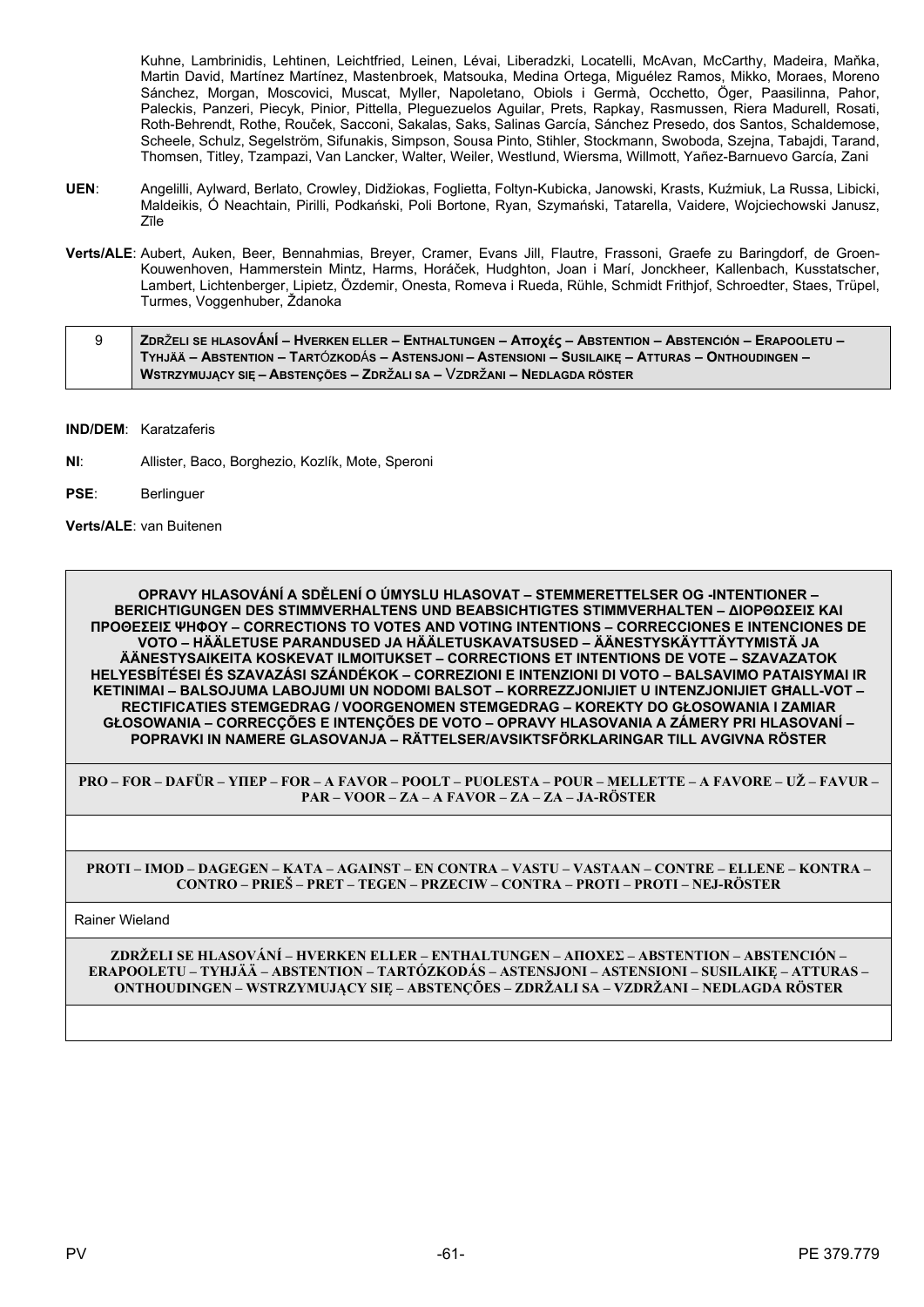Kuhne, Lambrinidis, Lehtinen, Leichtfried, Leinen, Lévai, Liberadzki, Locatelli, McAvan, McCarthy, Madeira, Maňka, Martin David, Martínez Martínez, Mastenbroek, Matsouka, Medina Ortega, Miguélez Ramos, Mikko, Moraes, Moreno Sánchez, Morgan, Moscovici, Muscat, Myller, Napoletano, Obiols i Germà, Occhetto, Öger, Paasilinna, Pahor, Paleckis, Panzeri, Piecyk, Pinior, Pittella, Pleguezuelos Aguilar, Prets, Rapkay, Rasmussen, Riera Madurell, Rosati, Roth-Behrendt, Rothe, Rouček, Sacconi, Sakalas, Saks, Salinas García, Sánchez Presedo, dos Santos, Schaldemose, Scheele, Schulz, Segelström, Sifunakis, Simpson, Sousa Pinto, Stihler, Stockmann, Swoboda, Szejna, Tabajdi, Tarand, Thomsen, Titley, Tzampazi, Van Lancker, Walter, Weiler, Westlund, Wiersma, Willmott, Yañez-Barnuevo García, Zani

- **UEN**: Angelilli, Aylward, Berlato, Crowley, Didžiokas, Foglietta, Foltyn-Kubicka, Janowski, Krasts, Kuźmiuk, La Russa, Libicki, Maldeikis, Ó Neachtain, Pirilli, Podkański, Poli Bortone, Ryan, Szymański, Tatarella, Vaidere, Wojciechowski Janusz, Zīle
- **Verts/ALE**: Aubert, Auken, Beer, Bennahmias, Breyer, Cramer, Evans Jill, Flautre, Frassoni, Graefe zu Baringdorf, de Groen-Kouwenhoven, Hammerstein Mintz, Harms, Horáček, Hudghton, Joan i Marí, Jonckheer, Kallenbach, Kusstatscher, Lambert, Lichtenberger, Lipietz, Özdemir, Onesta, Romeva i Rueda, Rühle, Schmidt Frithjof, Schroedter, Staes, Trüpel, Turmes, Voggenhuber, Ždanoka

| ZDRŽELI SE HLASOVÁNÍ – HVERKEN ELLER – ENTHALTUNGEN – Αποχές – ABSTENTION – ABSTENCIÓN – ERAPOOLETU – / |
|---------------------------------------------------------------------------------------------------------|
| TYHJÄÄ – ABSTENTION – TARTÓZKODÁS – ASTENSJONI – ASTENSIONI – SUSILAIKE – ATTURAS – ONTHOUDINGEN –      |
| WSTRZYMUJĄCY SIĘ – ABSTENÇÕES – ZDRŽALI SA – VZDRŽANI – NEDLAGDA RÖSTER                                 |

**IND/DEM**: Karatzaferis

- **NI**: Allister, Baco, Borghezio, Kozlík, Mote, Speroni
- **PSE**: Berlinguer

**Verts/ALE**: van Buitenen

**OPRAVY HLASOVÁNÍ A SDĚLENÍ O ÚMYSLU HLASOVAT – STEMMERETTELSER OG -INTENTIONER – BERICHTIGUNGEN DES STIMMVERHALTENS UND BEABSICHTIGTES STIMMVERHALTEN – ΔΙΟΡΘΩΣΕΙΣ ΚΑΙ ΠΡΟΘΕΣΕΙΣ ΨΗΦΟΥ – CORRECTIONS TO VOTES AND VOTING INTENTIONS – CORRECCIONES E INTENCIONES DE VOTO – HÄÄLETUSE PARANDUSED JA HÄÄLETUSKAVATSUSED – ÄÄNESTYSKÄYTTÄYTYMISTÄ JA ÄÄNESTYSAIKEITA KOSKEVAT ILMOITUKSET – CORRECTIONS ET INTENTIONS DE VOTE – SZAVAZATOK HELYESBÍTÉSEI ÉS SZAVAZÁSI SZÁNDÉKOK – CORREZIONI E INTENZIONI DI VOTO – BALSAVIMO PATAISYMAI IR KETINIMAI – BALSOJUMA LABOJUMI UN NODOMI BALSOT – KORREZZJONIJIET U INTENZJONIJIET GĦALL-VOT – RECTIFICATIES STEMGEDRAG / VOORGENOMEN STEMGEDRAG – KOREKTY DO GŁOSOWANIA I ZAMIAR GŁOSOWANIA – CORRECÇÕES E INTENÇÕES DE VOTO – OPRAVY HLASOVANIA A ZÁMERY PRI HLASOVANÍ – POPRAVKI IN NAMERE GLASOVANJA – RÄTTELSER/AVSIKTSFÖRKLARINGAR TILL AVGIVNA RÖSTER**

**PRO – FOR – DAFÜR – ΥΠΕΡ – FOR – A FAVOR – POOLT – PUOLESTA – POUR – MELLETTE – A FAVORE – UŽ – FAVUR – PAR – VOOR – ZA – A FAVOR – ZA – ZA – JA-RÖSTER**

**PROTI – IMOD – DAGEGEN – ΚΑΤΑ – AGAINST – EN CONTRA – VASTU – VASTAAN – CONTRE – ELLENE – KONTRA – CONTRO – PRIEŠ – PRET – TEGEN – PRZECIW – CONTRA – PROTI – PROTI – NEJ-RÖSTER**

Rainer Wieland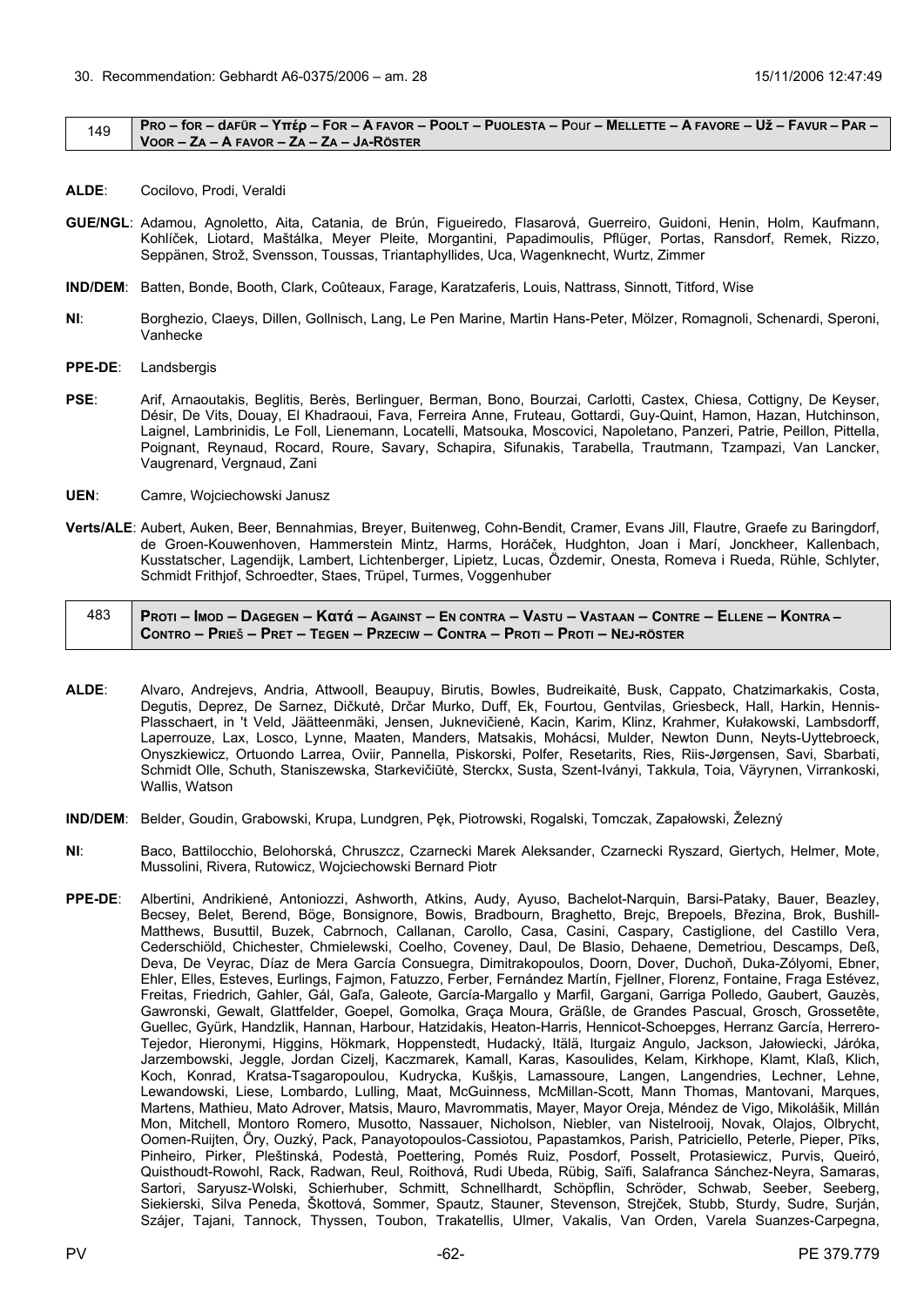#### <span id="page-61-0"></span> $_{149}$  PRO – for – dafür – Yttép – For – A Favor – Poolt – Puolesta – Pour – Mellette – A Favore – Už – Favur – Par – **VOOR – ZA – A FAVOR – ZA – ZA – JA-RÖSTER**

- **ALDE**: Cocilovo, Prodi, Veraldi
- **GUE/NGL**: Adamou, Agnoletto, Aita, Catania, de Brún, Figueiredo, Flasarová, Guerreiro, Guidoni, Henin, Holm, Kaufmann, Kohlíček, Liotard, Maštálka, Meyer Pleite, Morgantini, Papadimoulis, Pflüger, Portas, Ransdorf, Remek, Rizzo, Seppänen, Strož, Svensson, Toussas, Triantaphyllides, Uca, Wagenknecht, Wurtz, Zimmer
- **IND/DEM**: Batten, Bonde, Booth, Clark, Coûteaux, Farage, Karatzaferis, Louis, Nattrass, Sinnott, Titford, Wise
- **NI**: Borghezio, Claeys, Dillen, Gollnisch, Lang, Le Pen Marine, Martin Hans-Peter, Mölzer, Romagnoli, Schenardi, Speroni, Vanhecke
- **PPE-DE**: Landsbergis
- **PSE**: Arif, Arnaoutakis, Beglitis, Berès, Berlinguer, Berman, Bono, Bourzai, Carlotti, Castex, Chiesa, Cottigny, De Keyser, Désir, De Vits, Douay, El Khadraoui, Fava, Ferreira Anne, Fruteau, Gottardi, Guy-Quint, Hamon, Hazan, Hutchinson, Laignel, Lambrinidis, Le Foll, Lienemann, Locatelli, Matsouka, Moscovici, Napoletano, Panzeri, Patrie, Peillon, Pittella, Poignant, Reynaud, Rocard, Roure, Savary, Schapira, Sifunakis, Tarabella, Trautmann, Tzampazi, Van Lancker, Vaugrenard, Vergnaud, Zani
- **UEN**: Camre, Wojciechowski Janusz
- **Verts/ALE**: Aubert, Auken, Beer, Bennahmias, Breyer, Buitenweg, Cohn-Bendit, Cramer, Evans Jill, Flautre, Graefe zu Baringdorf, de Groen-Kouwenhoven, Hammerstein Mintz, Harms, Horáček, Hudghton, Joan i Marí, Jonckheer, Kallenbach, Kusstatscher, Lagendijk, Lambert, Lichtenberger, Lipietz, Lucas, Özdemir, Onesta, Romeva i Rueda, Rühle, Schlyter, Schmidt Frithjof, Schroedter, Staes, Trüpel, Turmes, Voggenhuber

| PROTI – IMOD – DAGEGEN – KOTÓ – AGAINST – EN CONTRA – VASTU – VASTAAN – CONTRE – ELLENE – KONTRA – |
|----------------------------------------------------------------------------------------------------|
| CONTRO – PRIEŠ – PRET – TEGEN – PRZECIW – CONTRA – PROTI – PROTI – NEJ-RÖSTER                      |

- **ALDE**: Alvaro, Andrejevs, Andria, Attwooll, Beaupuy, Birutis, Bowles, Budreikaitė, Busk, Cappato, Chatzimarkakis, Costa, Degutis, Deprez, De Sarnez, Dičkutė, Drčar Murko, Duff, Ek, Fourtou, Gentvilas, Griesbeck, Hall, Harkin, Hennis-Plasschaert, in 't Veld, Jäätteenmäki, Jensen, Juknevičienė, Kacin, Karim, Klinz, Krahmer, Kułakowski, Lambsdorff, Laperrouze, Lax, Losco, Lynne, Maaten, Manders, Matsakis, Mohácsi, Mulder, Newton Dunn, Neyts-Uyttebroeck, Onyszkiewicz, Ortuondo Larrea, Oviir, Pannella, Piskorski, Polfer, Resetarits, Ries, Riis-Jørgensen, Savi, Sbarbati, Schmidt Olle, Schuth, Staniszewska, Starkevičiūtė, Sterckx, Susta, Szent-Iványi, Takkula, Toia, Väyrynen, Virrankoski, Wallis, Watson
- **IND/DEM**: Belder, Goudin, Grabowski, Krupa, Lundgren, Pęk, Piotrowski, Rogalski, Tomczak, Zapałowski, Železný
- **NI**: Baco, Battilocchio, Belohorská, Chruszcz, Czarnecki Marek Aleksander, Czarnecki Ryszard, Giertych, Helmer, Mote, Mussolini, Rivera, Rutowicz, Wojciechowski Bernard Piotr
- **PPE-DE**: Albertini, Andrikienė, Antoniozzi, Ashworth, Atkins, Audy, Ayuso, Bachelot-Narquin, Barsi-Pataky, Bauer, Beazley, Becsey, Belet, Berend, Böge, Bonsignore, Bowis, Bradbourn, Braghetto, Brejc, Brepoels, Březina, Brok, Bushill-Matthews, Busuttil, Buzek, Cabrnoch, Callanan, Carollo, Casa, Casini, Caspary, Castiglione, del Castillo Vera, Cederschiöld, Chichester, Chmielewski, Coelho, Coveney, Daul, De Blasio, Dehaene, Demetriou, Descamps, Deß, Deva, De Veyrac, Díaz de Mera García Consuegra, Dimitrakopoulos, Doorn, Dover, Duchoň, Duka-Zólyomi, Ebner, Ehler, Elles, Esteves, Eurlings, Fajmon, Fatuzzo, Ferber, Fernández Martín, Fjellner, Florenz, Fontaine, Fraga Estévez, Freitas, Friedrich, Gahler, Gál, Gaľa, Galeote, García-Margallo y Marfil, Gargani, Garriga Polledo, Gaubert, Gauzès, Gawronski, Gewalt, Glattfelder, Goepel, Gomolka, Graça Moura, Gräßle, de Grandes Pascual, Grosch, Grossetête, Guellec, Gyürk, Handzlik, Hannan, Harbour, Hatzidakis, Heaton-Harris, Hennicot-Schoepges, Herranz García, Herrero-Tejedor, Hieronymi, Higgins, Hökmark, Hoppenstedt, Hudacký, Itälä, Iturgaiz Angulo, Jackson, Jałowiecki, Járóka, Jarzembowski, Jeggle, Jordan Cizelj, Kaczmarek, Kamall, Karas, Kasoulides, Kelam, Kirkhope, Klamt, Klaß, Klich, Koch, Konrad, Kratsa-Tsagaropoulou, Kudrycka, Kušķis, Lamassoure, Langen, Langendries, Lechner, Lehne, Lewandowski, Liese, Lombardo, Lulling, Maat, McGuinness, McMillan-Scott, Mann Thomas, Mantovani, Marques, Martens, Mathieu, Mato Adrover, Matsis, Mauro, Mavrommatis, Mayer, Mayor Oreja, Méndez de Vigo, Mikolášik, Millán Mon, Mitchell, Montoro Romero, Musotto, Nassauer, Nicholson, Niebler, van Nistelrooij, Novak, Olajos, Olbrycht, Oomen-Ruijten, Őry, Ouzký, Pack, Panayotopoulos-Cassiotou, Papastamkos, Parish, Patriciello, Peterle, Pieper, Pīks, Pinheiro, Pirker, Pleštinská, Podestà, Poettering, Pomés Ruiz, Posdorf, Posselt, Protasiewicz, Purvis, Queiró, Quisthoudt-Rowohl, Rack, Radwan, Reul, Roithová, Rudi Ubeda, Rübig, Saïfi, Salafranca Sánchez-Neyra, Samaras, Sartori, Saryusz-Wolski, Schierhuber, Schmitt, Schnellhardt, Schöpflin, Schröder, Schwab, Seeber, Seeberg, Siekierski, Silva Peneda, Škottová, Sommer, Spautz, Stauner, Stevenson, Strejček, Stubb, Sturdy, Sudre, Surján, Szájer, Tajani, Tannock, Thyssen, Toubon, Trakatellis, Ulmer, Vakalis, Van Orden, Varela Suanzes-Carpegna,